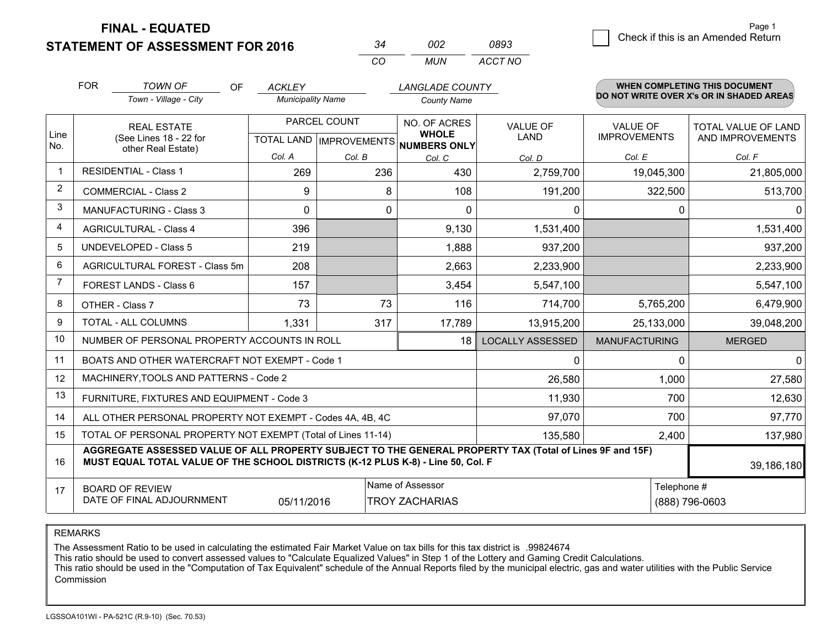**STATEMENT OF ASSESSMENT FOR 2016** 

| - 34     | nnə   | 0893    |
|----------|-------|---------|
| $\cdots$ | MI IN | ACCT NO |

|                         | <b>FOR</b><br><b>TOWN OF</b><br><b>OF</b><br>Town - Village - City                                                                                                                           | <b>ACKLEY</b><br><b>Municipality Name</b>                      |         | <b>LANGLADE COUNTY</b><br><b>County Name</b>                  |                                   |                                                  | <b>WHEN COMPLETING THIS DOCUMENT</b><br>DO NOT WRITE OVER X's OR IN SHADED AREAS |
|-------------------------|----------------------------------------------------------------------------------------------------------------------------------------------------------------------------------------------|----------------------------------------------------------------|---------|---------------------------------------------------------------|-----------------------------------|--------------------------------------------------|----------------------------------------------------------------------------------|
| Line<br>No.             | <b>REAL ESTATE</b><br>(See Lines 18 - 22 for<br>other Real Estate)                                                                                                                           | PARCEL COUNT<br>TOTAL LAND   IMPROVEMENTS <br>Col. A<br>Col. B |         | NO. OF ACRES<br><b>WHOLE</b><br><b>NUMBERS ONLY</b><br>Col. C | VALUE OF<br><b>LAND</b><br>Col. D | <b>VALUE OF</b><br><b>IMPROVEMENTS</b><br>Col. E | TOTAL VALUE OF LAND<br>AND IMPROVEMENTS<br>Col. F                                |
| $\overline{\mathbf{1}}$ | <b>RESIDENTIAL - Class 1</b>                                                                                                                                                                 | 269                                                            | 236     | 430                                                           | 2,759,700                         | 19,045,300                                       | 21,805,000                                                                       |
| 2                       | <b>COMMERCIAL - Class 2</b>                                                                                                                                                                  | 9                                                              | 8       | 108                                                           | 191,200                           | 322,500                                          | 513,700                                                                          |
| 3                       | <b>MANUFACTURING - Class 3</b>                                                                                                                                                               | $\Omega$                                                       | 0       | $\mathbf 0$                                                   | 0                                 | 0                                                | $\Omega$                                                                         |
| 4                       | <b>AGRICULTURAL - Class 4</b>                                                                                                                                                                | 396                                                            |         | 9,130                                                         | 1,531,400                         |                                                  | 1,531,400                                                                        |
| 5                       | UNDEVELOPED - Class 5                                                                                                                                                                        | 219                                                            |         | 1,888                                                         | 937,200                           |                                                  | 937,200                                                                          |
| 6                       | AGRICULTURAL FOREST - Class 5m                                                                                                                                                               | 208                                                            |         | 2,663                                                         | 2,233,900                         |                                                  | 2,233,900                                                                        |
| $\overline{7}$          | FOREST LANDS - Class 6                                                                                                                                                                       | 157                                                            |         | 3,454                                                         | 5,547,100                         |                                                  | 5,547,100                                                                        |
| 8                       | OTHER - Class 7                                                                                                                                                                              | 73                                                             | 73      | 116                                                           | 714,700                           | 5,765,200                                        | 6,479,900                                                                        |
| 9                       | TOTAL - ALL COLUMNS                                                                                                                                                                          | 1,331                                                          | 317     | 17,789                                                        | 13,915,200                        | 25,133,000                                       | 39,048,200                                                                       |
| 10                      | NUMBER OF PERSONAL PROPERTY ACCOUNTS IN ROLL                                                                                                                                                 |                                                                |         | 18                                                            | <b>LOCALLY ASSESSED</b>           | <b>MANUFACTURING</b>                             | <b>MERGED</b>                                                                    |
| 11                      | BOATS AND OTHER WATERCRAFT NOT EXEMPT - Code 1                                                                                                                                               |                                                                |         |                                                               | 0                                 | 0                                                | $\overline{0}$                                                                   |
| 12                      | MACHINERY, TOOLS AND PATTERNS - Code 2                                                                                                                                                       |                                                                |         |                                                               | 26,580                            | 1,000                                            | 27,580                                                                           |
| 13                      | FURNITURE, FIXTURES AND EQUIPMENT - Code 3                                                                                                                                                   |                                                                |         |                                                               | 11,930                            | 700                                              | 12,630                                                                           |
| 14                      | ALL OTHER PERSONAL PROPERTY NOT EXEMPT - Codes 4A, 4B, 4C                                                                                                                                    |                                                                |         |                                                               | 97,070                            | 700                                              | 97,770                                                                           |
| 15                      | TOTAL OF PERSONAL PROPERTY NOT EXEMPT (Total of Lines 11-14)                                                                                                                                 | 2,400                                                          | 137,980 |                                                               |                                   |                                                  |                                                                                  |
| 16                      | AGGREGATE ASSESSED VALUE OF ALL PROPERTY SUBJECT TO THE GENERAL PROPERTY TAX (Total of Lines 9F and 15F)<br>MUST EQUAL TOTAL VALUE OF THE SCHOOL DISTRICTS (K-12 PLUS K-8) - Line 50, Col. F |                                                                |         |                                                               |                                   |                                                  | 39,186,180                                                                       |
| 17                      | Name of Assessor<br><b>BOARD OF REVIEW</b><br>DATE OF FINAL ADJOURNMENT<br>05/11/2016<br><b>TROY ZACHARIAS</b>                                                                               |                                                                |         |                                                               |                                   | Telephone #                                      | (888) 796-0603                                                                   |

REMARKS

The Assessment Ratio to be used in calculating the estimated Fair Market Value on tax bills for this tax district is .99824674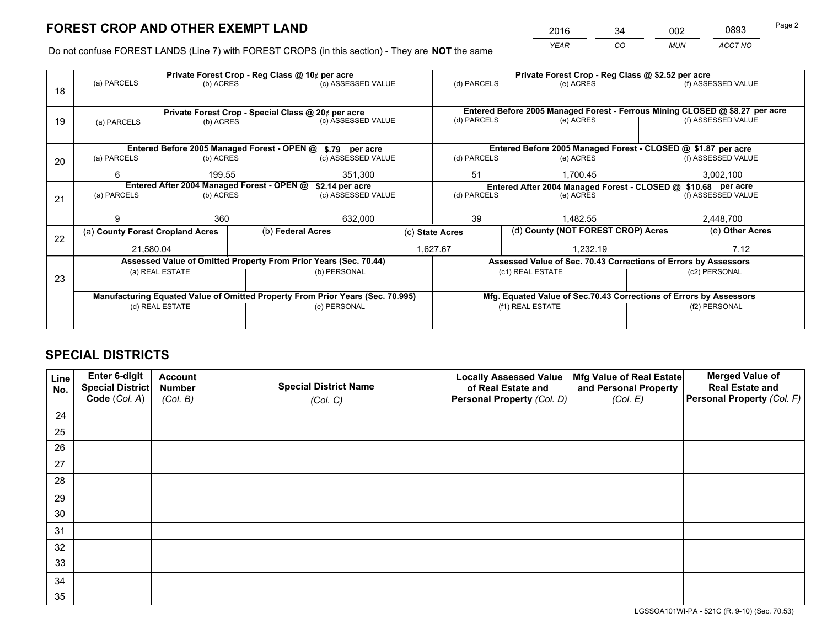*YEAR CO MUN ACCT NO* <sup>2016</sup> <sup>34</sup> <sup>002</sup> <sup>0893</sup>

Do not confuse FOREST LANDS (Line 7) with FOREST CROPS (in this section) - They are **NOT** the same

|    |                                                                                |                                            |  | Private Forest Crop - Reg Class @ 10¢ per acre                   |                                   | Private Forest Crop - Reg Class @ \$2.52 per acre                  |                                                               |  |                                                                              |  |
|----|--------------------------------------------------------------------------------|--------------------------------------------|--|------------------------------------------------------------------|-----------------------------------|--------------------------------------------------------------------|---------------------------------------------------------------|--|------------------------------------------------------------------------------|--|
| 18 | (a) PARCELS                                                                    | (b) ACRES                                  |  | (c) ASSESSED VALUE                                               |                                   | (d) PARCELS                                                        | (e) ACRES                                                     |  | (f) ASSESSED VALUE                                                           |  |
|    |                                                                                |                                            |  |                                                                  |                                   |                                                                    |                                                               |  |                                                                              |  |
|    |                                                                                |                                            |  | Private Forest Crop - Special Class @ 20¢ per acre               |                                   |                                                                    |                                                               |  | Entered Before 2005 Managed Forest - Ferrous Mining CLOSED @ \$8.27 per acre |  |
| 19 | (a) PARCELS                                                                    | (b) ACRES                                  |  | (c) ASSESSED VALUE                                               |                                   | (d) PARCELS                                                        | (e) ACRES                                                     |  | (f) ASSESSED VALUE                                                           |  |
|    |                                                                                |                                            |  |                                                                  |                                   |                                                                    |                                                               |  |                                                                              |  |
|    |                                                                                |                                            |  | Entered Before 2005 Managed Forest - OPEN @ \$.79 per acre       |                                   |                                                                    | Entered Before 2005 Managed Forest - CLOSED @ \$1.87 per acre |  |                                                                              |  |
| 20 | (a) PARCELS                                                                    | (b) ACRES                                  |  | (c) ASSESSED VALUE                                               |                                   | (d) PARCELS                                                        | (e) ACRES                                                     |  | (f) ASSESSED VALUE                                                           |  |
|    | 6                                                                              | 199.55                                     |  | 351,300                                                          |                                   | 51                                                                 | 1,700.45                                                      |  | 3,002,100                                                                    |  |
|    |                                                                                | Entered After 2004 Managed Forest - OPEN @ |  | \$2.14 per acre                                                  |                                   | Entered After 2004 Managed Forest - CLOSED @ \$10.68 per acre      |                                                               |  |                                                                              |  |
| 21 | (a) PARCELS                                                                    | (b) ACRES                                  |  |                                                                  | (d) PARCELS<br>(c) ASSESSED VALUE |                                                                    | (e) ACRES                                                     |  | (f) ASSESSED VALUE                                                           |  |
|    |                                                                                |                                            |  |                                                                  |                                   |                                                                    |                                                               |  |                                                                              |  |
|    | 9                                                                              | 360                                        |  | 632,000                                                          |                                   | 39                                                                 | 1.482.55                                                      |  | 2,448,700                                                                    |  |
| 22 | (a) County Forest Cropland Acres                                               |                                            |  | (b) Federal Acres                                                |                                   | (c) State Acres                                                    | (d) County (NOT FOREST CROP) Acres                            |  | (e) Other Acres                                                              |  |
|    | 21,580.04                                                                      |                                            |  | 1,627.67                                                         |                                   | 1.232.19                                                           |                                                               |  | 7.12                                                                         |  |
|    |                                                                                |                                            |  | Assessed Value of Omitted Property From Prior Years (Sec. 70.44) |                                   | Assessed Value of Sec. 70.43 Corrections of Errors by Assessors    |                                                               |  |                                                                              |  |
| 23 |                                                                                | (a) REAL ESTATE                            |  | (b) PERSONAL                                                     |                                   |                                                                    | (c1) REAL ESTATE                                              |  | (c2) PERSONAL                                                                |  |
|    |                                                                                |                                            |  |                                                                  |                                   |                                                                    |                                                               |  |                                                                              |  |
|    | Manufacturing Equated Value of Omitted Property From Prior Years (Sec. 70.995) |                                            |  |                                                                  |                                   | Mfg. Equated Value of Sec.70.43 Corrections of Errors by Assessors |                                                               |  |                                                                              |  |
|    |                                                                                | (d) REAL ESTATE                            |  | (e) PERSONAL                                                     |                                   | (f1) REAL ESTATE                                                   |                                                               |  | (f2) PERSONAL                                                                |  |
|    |                                                                                |                                            |  |                                                                  |                                   |                                                                    |                                                               |  |                                                                              |  |

# **SPECIAL DISTRICTS**

| Line<br>No. | Enter 6-digit<br>Special District<br>Code (Col. A) | <b>Account</b><br><b>Number</b> | <b>Special District Name</b> | <b>Locally Assessed Value</b><br>of Real Estate and | Mfg Value of Real Estate<br>and Personal Property | <b>Merged Value of</b><br><b>Real Estate and</b><br>Personal Property (Col. F) |
|-------------|----------------------------------------------------|---------------------------------|------------------------------|-----------------------------------------------------|---------------------------------------------------|--------------------------------------------------------------------------------|
|             |                                                    | (Col. B)                        | (Col. C)                     | Personal Property (Col. D)                          | (Col. E)                                          |                                                                                |
| 24          |                                                    |                                 |                              |                                                     |                                                   |                                                                                |
| 25          |                                                    |                                 |                              |                                                     |                                                   |                                                                                |
| 26          |                                                    |                                 |                              |                                                     |                                                   |                                                                                |
| 27          |                                                    |                                 |                              |                                                     |                                                   |                                                                                |
| 28          |                                                    |                                 |                              |                                                     |                                                   |                                                                                |
| 29          |                                                    |                                 |                              |                                                     |                                                   |                                                                                |
| 30          |                                                    |                                 |                              |                                                     |                                                   |                                                                                |
| 31          |                                                    |                                 |                              |                                                     |                                                   |                                                                                |
| 32          |                                                    |                                 |                              |                                                     |                                                   |                                                                                |
| 33          |                                                    |                                 |                              |                                                     |                                                   |                                                                                |
| 34          |                                                    |                                 |                              |                                                     |                                                   |                                                                                |
| 35          |                                                    |                                 |                              |                                                     |                                                   |                                                                                |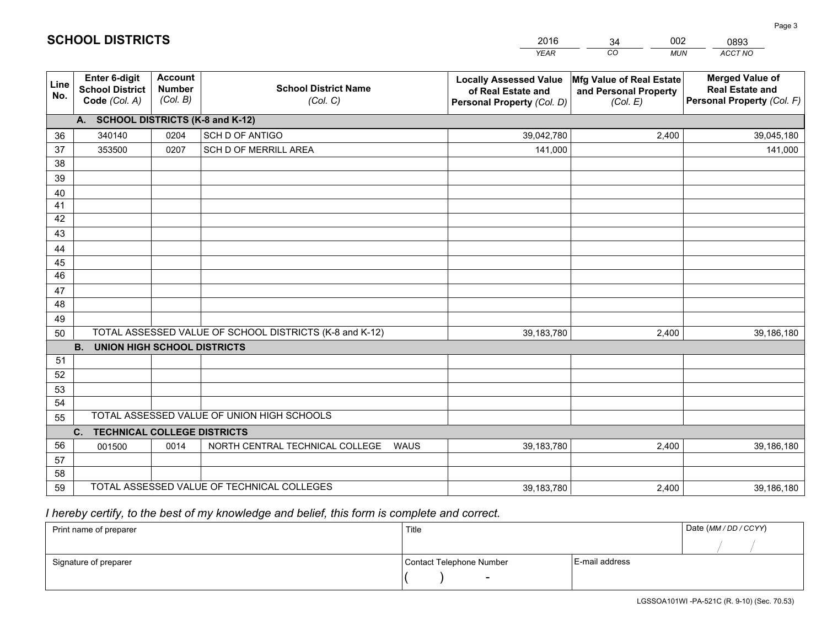|             |                                                                 |                                             |                                                         | <b>YEAR</b>                                                                       | CO<br><b>MUN</b>                                              | ACCT NO                                                                        |
|-------------|-----------------------------------------------------------------|---------------------------------------------|---------------------------------------------------------|-----------------------------------------------------------------------------------|---------------------------------------------------------------|--------------------------------------------------------------------------------|
| Line<br>No. | <b>Enter 6-digit</b><br><b>School District</b><br>Code (Col. A) | <b>Account</b><br><b>Number</b><br>(Col. B) | <b>School District Name</b><br>(Col. C)                 | <b>Locally Assessed Value</b><br>of Real Estate and<br>Personal Property (Col. D) | Mfg Value of Real Estate<br>and Personal Property<br>(Col. E) | <b>Merged Value of</b><br><b>Real Estate and</b><br>Personal Property (Col. F) |
|             | A. SCHOOL DISTRICTS (K-8 and K-12)                              |                                             |                                                         |                                                                                   |                                                               |                                                                                |
| 36          | 340140                                                          | 0204                                        | SCH D OF ANTIGO                                         | 39,042,780                                                                        | 2,400                                                         | 39,045,180                                                                     |
| 37          | 353500                                                          | 0207                                        | SCH D OF MERRILL AREA                                   | 141,000                                                                           |                                                               | 141,000                                                                        |
| 38          |                                                                 |                                             |                                                         |                                                                                   |                                                               |                                                                                |
| 39          |                                                                 |                                             |                                                         |                                                                                   |                                                               |                                                                                |
| 40          |                                                                 |                                             |                                                         |                                                                                   |                                                               |                                                                                |
| 41          |                                                                 |                                             |                                                         |                                                                                   |                                                               |                                                                                |
| 42          |                                                                 |                                             |                                                         |                                                                                   |                                                               |                                                                                |
| 43          |                                                                 |                                             |                                                         |                                                                                   |                                                               |                                                                                |
| 44          |                                                                 |                                             |                                                         |                                                                                   |                                                               |                                                                                |
| 45          |                                                                 |                                             |                                                         |                                                                                   |                                                               |                                                                                |
| 46          |                                                                 |                                             |                                                         |                                                                                   |                                                               |                                                                                |
| 47<br>48    |                                                                 |                                             |                                                         |                                                                                   |                                                               |                                                                                |
|             |                                                                 |                                             |                                                         |                                                                                   |                                                               |                                                                                |
| 49<br>50    |                                                                 |                                             | TOTAL ASSESSED VALUE OF SCHOOL DISTRICTS (K-8 and K-12) | 39,183,780                                                                        | 2,400                                                         | 39,186,180                                                                     |
|             | <b>B.</b><br><b>UNION HIGH SCHOOL DISTRICTS</b>                 |                                             |                                                         |                                                                                   |                                                               |                                                                                |
| 51          |                                                                 |                                             |                                                         |                                                                                   |                                                               |                                                                                |
| 52          |                                                                 |                                             |                                                         |                                                                                   |                                                               |                                                                                |
| 53          |                                                                 |                                             |                                                         |                                                                                   |                                                               |                                                                                |
| 54          |                                                                 |                                             |                                                         |                                                                                   |                                                               |                                                                                |
| 55          |                                                                 |                                             | TOTAL ASSESSED VALUE OF UNION HIGH SCHOOLS              |                                                                                   |                                                               |                                                                                |
|             | C.<br><b>TECHNICAL COLLEGE DISTRICTS</b>                        |                                             |                                                         |                                                                                   |                                                               |                                                                                |
| 56          | 001500                                                          | 0014                                        | NORTH CENTRAL TECHNICAL COLLEGE<br><b>WAUS</b>          | 39,183,780                                                                        | 2,400                                                         | 39,186,180                                                                     |
| 57          |                                                                 |                                             |                                                         |                                                                                   |                                                               |                                                                                |
| 58          |                                                                 |                                             |                                                         |                                                                                   |                                                               |                                                                                |
| 59          |                                                                 |                                             | TOTAL ASSESSED VALUE OF TECHNICAL COLLEGES              | 39,183,780                                                                        | 2,400                                                         | 39,186,180                                                                     |

34

002

 *I hereby certify, to the best of my knowledge and belief, this form is complete and correct.*

**SCHOOL DISTRICTS**

| Print name of preparer | Title                    |                | Date (MM / DD / CCYY) |
|------------------------|--------------------------|----------------|-----------------------|
|                        |                          |                |                       |
| Signature of preparer  | Contact Telephone Number | E-mail address |                       |
|                        | $\overline{\phantom{0}}$ |                |                       |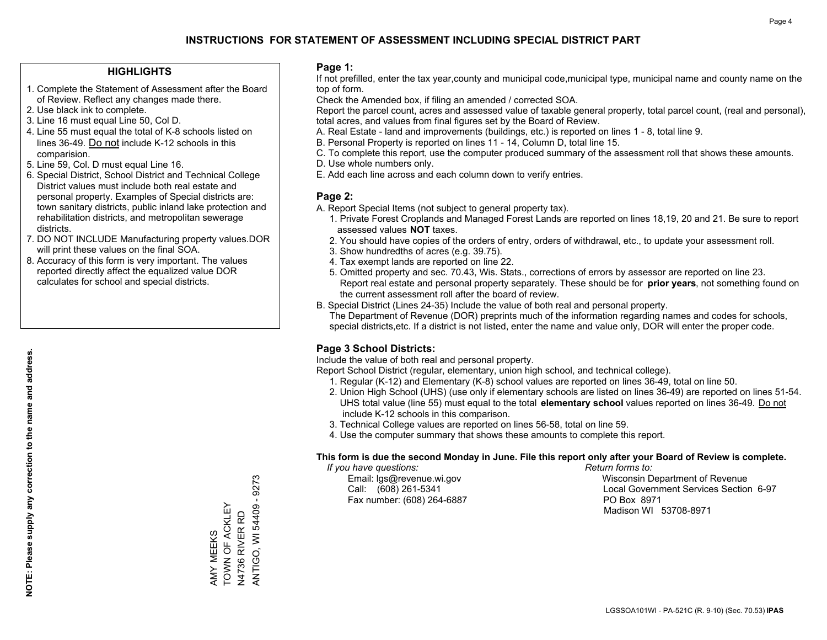### **HIGHLIGHTS**

- 1. Complete the Statement of Assessment after the Board of Review. Reflect any changes made there.
- 2. Use black ink to complete.
- 3. Line 16 must equal Line 50, Col D.
- 4. Line 55 must equal the total of K-8 schools listed on lines 36-49. Do not include K-12 schools in this comparision.
- 5. Line 59, Col. D must equal Line 16.
- 6. Special District, School District and Technical College District values must include both real estate and personal property. Examples of Special districts are: town sanitary districts, public inland lake protection and rehabilitation districts, and metropolitan sewerage districts.
- 7. DO NOT INCLUDE Manufacturing property values.DOR will print these values on the final SOA.

AMY MEEKS TOWN OF ACKLEY N4736 RIVER RD

AMY MEEKS<br>TOWN OF ACKLEY  ANTIGO, WI 54409 - 9273

ANTIGO, WI 54409 - 9273

 8. Accuracy of this form is very important. The values reported directly affect the equalized value DOR calculates for school and special districts.

### **Page 1:**

 If not prefilled, enter the tax year,county and municipal code,municipal type, municipal name and county name on the top of form.

Check the Amended box, if filing an amended / corrected SOA.

 Report the parcel count, acres and assessed value of taxable general property, total parcel count, (real and personal), total acres, and values from final figures set by the Board of Review.

- A. Real Estate land and improvements (buildings, etc.) is reported on lines 1 8, total line 9.
- B. Personal Property is reported on lines 11 14, Column D, total line 15.
- C. To complete this report, use the computer produced summary of the assessment roll that shows these amounts.
- D. Use whole numbers only.
- E. Add each line across and each column down to verify entries.

### **Page 2:**

- A. Report Special Items (not subject to general property tax).
- 1. Private Forest Croplands and Managed Forest Lands are reported on lines 18,19, 20 and 21. Be sure to report assessed values **NOT** taxes.
- 2. You should have copies of the orders of entry, orders of withdrawal, etc., to update your assessment roll.
	- 3. Show hundredths of acres (e.g. 39.75).
- 4. Tax exempt lands are reported on line 22.
- 5. Omitted property and sec. 70.43, Wis. Stats., corrections of errors by assessor are reported on line 23. Report real estate and personal property separately. These should be for **prior years**, not something found on the current assessment roll after the board of review.
- B. Special District (Lines 24-35) Include the value of both real and personal property.
- The Department of Revenue (DOR) preprints much of the information regarding names and codes for schools, special districts,etc. If a district is not listed, enter the name and value only, DOR will enter the proper code.

## **Page 3 School Districts:**

Include the value of both real and personal property.

Report School District (regular, elementary, union high school, and technical college).

- 1. Regular (K-12) and Elementary (K-8) school values are reported on lines 36-49, total on line 50.
- 2. Union High School (UHS) (use only if elementary schools are listed on lines 36-49) are reported on lines 51-54. UHS total value (line 55) must equal to the total **elementary school** values reported on lines 36-49. Do notinclude K-12 schools in this comparison.
- 3. Technical College values are reported on lines 56-58, total on line 59.
- 4. Use the computer summary that shows these amounts to complete this report.

### **This form is due the second Monday in June. File this report only after your Board of Review is complete.**

 *If you have questions: Return forms to:*

Fax number: (608) 264-6887 PO Box 8971

 Email: lgs@revenue.wi.gov Wisconsin Department of Revenue Call: (608) 261-5341 Local Government Services Section 6-97Madison WI 53708-8971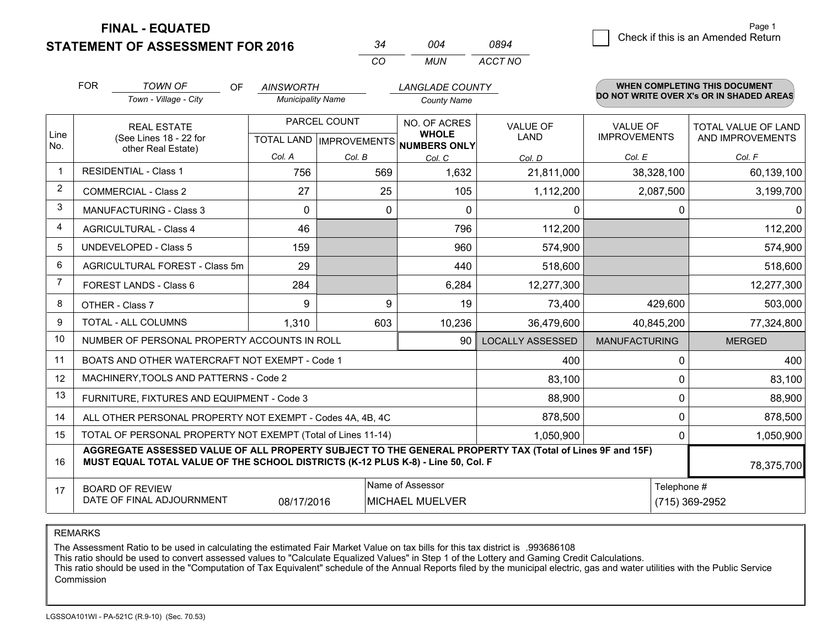**STATEMENT OF ASSESSMENT FOR 2016** 

| 34 | ∩∩4 | 0894    |
|----|-----|---------|
| m: | MUN | ACCT NO |

|                | <b>FOR</b><br><b>TOWN OF</b><br>Town - Village - City                                                                                                                                        | <b>LANGLADE COUNTY</b><br><b>OF</b><br><b>AINSWORTH</b><br><b>Municipality Name</b><br><b>County Name</b> |               |                                                                                                       | <b>WHEN COMPLETING THIS DOCUMENT</b><br>DO NOT WRITE OVER X's OR IN SHADED AREAS |                                        |                                                |
|----------------|----------------------------------------------------------------------------------------------------------------------------------------------------------------------------------------------|-----------------------------------------------------------------------------------------------------------|---------------|-------------------------------------------------------------------------------------------------------|----------------------------------------------------------------------------------|----------------------------------------|------------------------------------------------|
| Line<br>No.    | <b>REAL ESTATE</b><br>(See Lines 18 - 22 for<br>other Real Estate)                                                                                                                           |                                                                                                           | PARCEL COUNT  | NO. OF ACRES<br><b>VALUE OF</b><br><b>WHOLE</b><br><b>LAND</b><br>TOTAL LAND MPROVEMENTS NUMBERS ONLY |                                                                                  | <b>VALUE OF</b><br><b>IMPROVEMENTS</b> | <b>TOTAL VALUE OF LAND</b><br>AND IMPROVEMENTS |
| $\mathbf 1$    | <b>RESIDENTIAL - Class 1</b>                                                                                                                                                                 | Col. A<br>756                                                                                             | Col. B<br>569 | Col. C<br>1,632                                                                                       | Col. D                                                                           | Col. E                                 | Col. F                                         |
| $\overline{2}$ |                                                                                                                                                                                              |                                                                                                           |               |                                                                                                       | 21,811,000                                                                       | 38,328,100                             | 60,139,100                                     |
|                | <b>COMMERCIAL - Class 2</b>                                                                                                                                                                  | 27                                                                                                        | 25            | 105                                                                                                   | 1,112,200                                                                        | 2,087,500                              | 3,199,700                                      |
| 3              | MANUFACTURING - Class 3                                                                                                                                                                      | $\Omega$                                                                                                  | $\mathbf 0$   | $\mathbf 0$                                                                                           | 0                                                                                | 0                                      | $\Omega$                                       |
| $\overline{4}$ | <b>AGRICULTURAL - Class 4</b>                                                                                                                                                                | 46                                                                                                        |               | 796                                                                                                   | 112,200                                                                          |                                        | 112,200                                        |
| 5              | <b>UNDEVELOPED - Class 5</b>                                                                                                                                                                 | 159                                                                                                       |               | 960                                                                                                   | 574,900                                                                          |                                        | 574,900                                        |
| 6              | AGRICULTURAL FOREST - Class 5m                                                                                                                                                               | 29                                                                                                        |               | 440                                                                                                   | 518,600                                                                          |                                        | 518,600                                        |
| 7              | FOREST LANDS - Class 6                                                                                                                                                                       | 284                                                                                                       |               | 6,284                                                                                                 | 12,277,300                                                                       |                                        | 12,277,300                                     |
| 8              | OTHER - Class 7                                                                                                                                                                              | 9                                                                                                         | 9             | 19                                                                                                    | 73,400                                                                           | 429,600                                | 503,000                                        |
| 9              | TOTAL - ALL COLUMNS                                                                                                                                                                          | 1,310                                                                                                     | 603           | 10,236                                                                                                | 36,479,600                                                                       | 40,845,200                             | 77,324,800                                     |
| 10             | NUMBER OF PERSONAL PROPERTY ACCOUNTS IN ROLL                                                                                                                                                 |                                                                                                           |               | 90                                                                                                    | <b>LOCALLY ASSESSED</b>                                                          | <b>MANUFACTURING</b>                   | <b>MERGED</b>                                  |
| 11             | BOATS AND OTHER WATERCRAFT NOT EXEMPT - Code 1                                                                                                                                               |                                                                                                           |               |                                                                                                       | 400                                                                              | 0                                      | 400                                            |
| 12             | MACHINERY, TOOLS AND PATTERNS - Code 2                                                                                                                                                       |                                                                                                           |               |                                                                                                       | 83,100                                                                           | 0                                      | 83,100                                         |
| 13             | FURNITURE, FIXTURES AND EQUIPMENT - Code 3                                                                                                                                                   |                                                                                                           |               |                                                                                                       | 88,900                                                                           | 0                                      | 88,900                                         |
| 14             | ALL OTHER PERSONAL PROPERTY NOT EXEMPT - Codes 4A, 4B, 4C                                                                                                                                    |                                                                                                           |               |                                                                                                       | 878,500                                                                          | 0                                      | 878,500                                        |
| 15             | TOTAL OF PERSONAL PROPERTY NOT EXEMPT (Total of Lines 11-14)<br>1,050,900<br>0                                                                                                               |                                                                                                           |               |                                                                                                       |                                                                                  |                                        | 1,050,900                                      |
| 16             | AGGREGATE ASSESSED VALUE OF ALL PROPERTY SUBJECT TO THE GENERAL PROPERTY TAX (Total of Lines 9F and 15F)<br>MUST EQUAL TOTAL VALUE OF THE SCHOOL DISTRICTS (K-12 PLUS K-8) - Line 50, Col. F |                                                                                                           |               |                                                                                                       |                                                                                  |                                        | 78,375,700                                     |
| 17             | Name of Assessor<br>Telephone #<br><b>BOARD OF REVIEW</b><br>DATE OF FINAL ADJOURNMENT<br>08/17/2016<br><b>MICHAEL MUELVER</b>                                                               |                                                                                                           |               |                                                                                                       |                                                                                  |                                        | (715) 369-2952                                 |

REMARKS

The Assessment Ratio to be used in calculating the estimated Fair Market Value on tax bills for this tax district is .993686108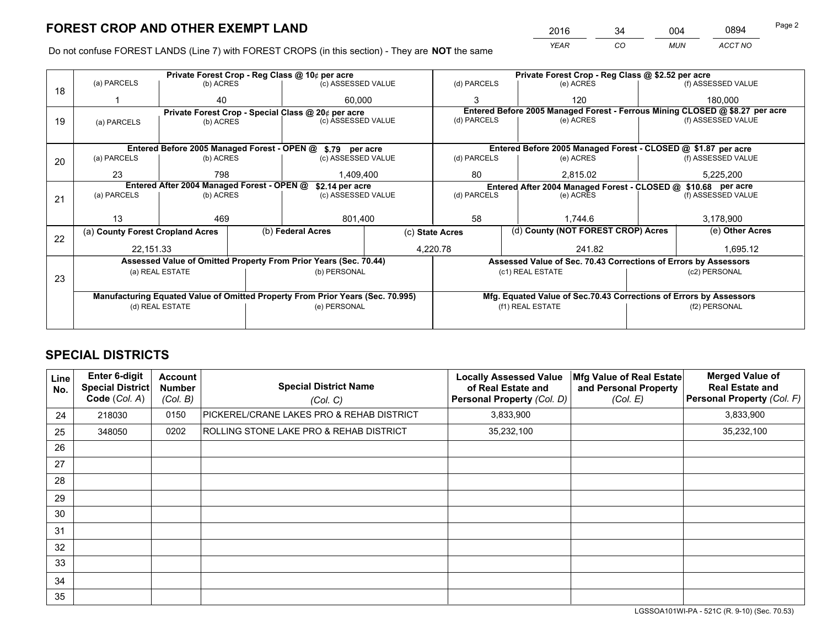*YEAR CO MUN ACCT NO* <sup>2016</sup> <sup>34</sup> <sup>004</sup> <sup>0894</sup>

Do not confuse FOREST LANDS (Line 7) with FOREST CROPS (in this section) - They are **NOT** the same

|    |                                                                                |                 |  | Private Forest Crop - Reg Class @ 10¢ per acre                   | Private Forest Crop - Reg Class @ \$2.52 per acre |                                                                                           |        |                                                                 |                                                                    |                                                                              |
|----|--------------------------------------------------------------------------------|-----------------|--|------------------------------------------------------------------|---------------------------------------------------|-------------------------------------------------------------------------------------------|--------|-----------------------------------------------------------------|--------------------------------------------------------------------|------------------------------------------------------------------------------|
| 18 | (a) PARCELS                                                                    | (b) ACRES       |  | (c) ASSESSED VALUE                                               |                                                   | (d) PARCELS                                                                               |        | (e) ACRES                                                       |                                                                    | (f) ASSESSED VALUE                                                           |
|    |                                                                                | 40              |  | 60.000                                                           |                                                   | 3                                                                                         |        | 120                                                             |                                                                    | 180,000                                                                      |
|    |                                                                                |                 |  | Private Forest Crop - Special Class @ 20¢ per acre               |                                                   |                                                                                           |        |                                                                 |                                                                    | Entered Before 2005 Managed Forest - Ferrous Mining CLOSED @ \$8.27 per acre |
| 19 | (a) PARCELS                                                                    | (b) ACRES       |  | (c) ASSESSED VALUE                                               |                                                   | (d) PARCELS                                                                               |        | (e) ACRES                                                       |                                                                    | (f) ASSESSED VALUE                                                           |
|    |                                                                                |                 |  |                                                                  |                                                   |                                                                                           |        |                                                                 |                                                                    |                                                                              |
|    |                                                                                |                 |  | Entered Before 2005 Managed Forest - OPEN @ \$.79 per acre       |                                                   |                                                                                           |        | Entered Before 2005 Managed Forest - CLOSED @ \$1.87 per acre   |                                                                    |                                                                              |
| 20 | (a) PARCELS                                                                    | (b) ACRES       |  | (c) ASSESSED VALUE                                               |                                                   | (d) PARCELS                                                                               |        | (e) ACRES                                                       |                                                                    | (f) ASSESSED VALUE                                                           |
|    | 23                                                                             | 798             |  |                                                                  |                                                   | 80                                                                                        |        |                                                                 |                                                                    | 5,225,200                                                                    |
|    |                                                                                | 1,409,400       |  | 2,815.02                                                         |                                                   |                                                                                           |        |                                                                 |                                                                    |                                                                              |
|    | Entered After 2004 Managed Forest - OPEN @                                     |                 |  | \$2.14 per acre<br>(c) ASSESSED VALUE                            |                                                   | Entered After 2004 Managed Forest - CLOSED @ \$10.68 per acre<br>(d) PARCELS<br>(e) ACRES |        |                                                                 |                                                                    |                                                                              |
| 21 | (a) PARCELS                                                                    | (b) ACRES       |  |                                                                  |                                                   |                                                                                           |        |                                                                 | (f) ASSESSED VALUE                                                 |                                                                              |
|    |                                                                                |                 |  |                                                                  |                                                   |                                                                                           |        |                                                                 |                                                                    |                                                                              |
|    | 13                                                                             | 469             |  | 801,400                                                          |                                                   | 58                                                                                        |        | 1.744.6                                                         |                                                                    | 3,178,900                                                                    |
| 22 | (a) County Forest Cropland Acres                                               |                 |  | (b) Federal Acres                                                | (c) State Acres                                   |                                                                                           |        | (d) County (NOT FOREST CROP) Acres                              |                                                                    | (e) Other Acres                                                              |
|    | 22.151.33                                                                      |                 |  |                                                                  |                                                   | 4,220.78                                                                                  | 241.82 |                                                                 |                                                                    | 1.695.12                                                                     |
|    |                                                                                |                 |  | Assessed Value of Omitted Property From Prior Years (Sec. 70.44) |                                                   |                                                                                           |        | Assessed Value of Sec. 70.43 Corrections of Errors by Assessors |                                                                    |                                                                              |
|    |                                                                                | (a) REAL ESTATE |  | (b) PERSONAL                                                     |                                                   |                                                                                           |        | (c1) REAL ESTATE                                                |                                                                    | (c2) PERSONAL                                                                |
| 23 |                                                                                |                 |  |                                                                  |                                                   |                                                                                           |        |                                                                 |                                                                    |                                                                              |
|    | Manufacturing Equated Value of Omitted Property From Prior Years (Sec. 70.995) |                 |  |                                                                  |                                                   |                                                                                           |        |                                                                 | Mfg. Equated Value of Sec.70.43 Corrections of Errors by Assessors |                                                                              |
|    |                                                                                | (d) REAL ESTATE |  | (e) PERSONAL                                                     |                                                   | (f1) REAL ESTATE                                                                          |        | (f2) PERSONAL                                                   |                                                                    |                                                                              |
|    |                                                                                |                 |  |                                                                  |                                                   |                                                                                           |        |                                                                 |                                                                    |                                                                              |

# **SPECIAL DISTRICTS**

| Line<br>No. | <b>Enter 6-digit</b><br><b>Special District</b><br>Code (Col. A) | <b>Account</b><br><b>Number</b><br>(Col. B) | <b>Special District Name</b><br>(Col. C)  | <b>Locally Assessed Value</b><br>of Real Estate and<br>Personal Property (Col. D) | Mfg Value of Real Estate<br>and Personal Property<br>(Col. E) | <b>Merged Value of</b><br><b>Real Estate and</b><br>Personal Property (Col. F) |
|-------------|------------------------------------------------------------------|---------------------------------------------|-------------------------------------------|-----------------------------------------------------------------------------------|---------------------------------------------------------------|--------------------------------------------------------------------------------|
| 24          | 218030                                                           | 0150                                        | PICKEREL/CRANE LAKES PRO & REHAB DISTRICT | 3,833,900                                                                         |                                                               | 3,833,900                                                                      |
| 25          | 348050                                                           | 0202                                        | ROLLING STONE LAKE PRO & REHAB DISTRICT   | 35,232,100                                                                        |                                                               | 35,232,100                                                                     |
| 26          |                                                                  |                                             |                                           |                                                                                   |                                                               |                                                                                |
| 27          |                                                                  |                                             |                                           |                                                                                   |                                                               |                                                                                |
| 28          |                                                                  |                                             |                                           |                                                                                   |                                                               |                                                                                |
| 29          |                                                                  |                                             |                                           |                                                                                   |                                                               |                                                                                |
| 30          |                                                                  |                                             |                                           |                                                                                   |                                                               |                                                                                |
| 31          |                                                                  |                                             |                                           |                                                                                   |                                                               |                                                                                |
| 32          |                                                                  |                                             |                                           |                                                                                   |                                                               |                                                                                |
| 33          |                                                                  |                                             |                                           |                                                                                   |                                                               |                                                                                |
| 34          |                                                                  |                                             |                                           |                                                                                   |                                                               |                                                                                |
| 35          |                                                                  |                                             |                                           |                                                                                   |                                                               |                                                                                |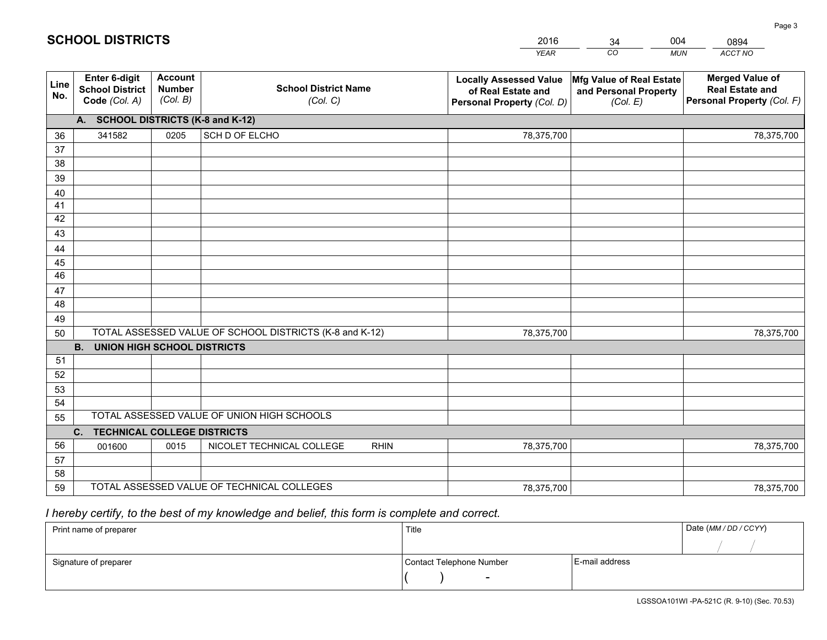|             |                                                          |                                             |                                                         | <b>YEAR</b>                                                                       | CO<br><b>MUN</b>                                              | ACCT NO                                                                        |
|-------------|----------------------------------------------------------|---------------------------------------------|---------------------------------------------------------|-----------------------------------------------------------------------------------|---------------------------------------------------------------|--------------------------------------------------------------------------------|
| Line<br>No. | Enter 6-digit<br><b>School District</b><br>Code (Col. A) | <b>Account</b><br><b>Number</b><br>(Col. B) | <b>School District Name</b><br>(Col. C)                 | <b>Locally Assessed Value</b><br>of Real Estate and<br>Personal Property (Col. D) | Mfg Value of Real Estate<br>and Personal Property<br>(Col. E) | <b>Merged Value of</b><br><b>Real Estate and</b><br>Personal Property (Col. F) |
|             | A. SCHOOL DISTRICTS (K-8 and K-12)                       |                                             |                                                         |                                                                                   |                                                               |                                                                                |
| 36          | 341582                                                   | 0205                                        | SCH D OF ELCHO                                          | 78,375,700                                                                        |                                                               | 78,375,700                                                                     |
| 37          |                                                          |                                             |                                                         |                                                                                   |                                                               |                                                                                |
| 38          |                                                          |                                             |                                                         |                                                                                   |                                                               |                                                                                |
| 39          |                                                          |                                             |                                                         |                                                                                   |                                                               |                                                                                |
| 40          |                                                          |                                             |                                                         |                                                                                   |                                                               |                                                                                |
| 41          |                                                          |                                             |                                                         |                                                                                   |                                                               |                                                                                |
| 42          |                                                          |                                             |                                                         |                                                                                   |                                                               |                                                                                |
| 43          |                                                          |                                             |                                                         |                                                                                   |                                                               |                                                                                |
| 44<br>45    |                                                          |                                             |                                                         |                                                                                   |                                                               |                                                                                |
| 46          |                                                          |                                             |                                                         |                                                                                   |                                                               |                                                                                |
| 47          |                                                          |                                             |                                                         |                                                                                   |                                                               |                                                                                |
| 48          |                                                          |                                             |                                                         |                                                                                   |                                                               |                                                                                |
| 49          |                                                          |                                             |                                                         |                                                                                   |                                                               |                                                                                |
| 50          |                                                          |                                             | TOTAL ASSESSED VALUE OF SCHOOL DISTRICTS (K-8 and K-12) | 78,375,700                                                                        |                                                               | 78,375,700                                                                     |
|             | <b>B.</b><br><b>UNION HIGH SCHOOL DISTRICTS</b>          |                                             |                                                         |                                                                                   |                                                               |                                                                                |
| 51          |                                                          |                                             |                                                         |                                                                                   |                                                               |                                                                                |
| 52          |                                                          |                                             |                                                         |                                                                                   |                                                               |                                                                                |
| 53          |                                                          |                                             |                                                         |                                                                                   |                                                               |                                                                                |
| 54          |                                                          |                                             |                                                         |                                                                                   |                                                               |                                                                                |
| 55          |                                                          |                                             | TOTAL ASSESSED VALUE OF UNION HIGH SCHOOLS              |                                                                                   |                                                               |                                                                                |
|             | C.<br><b>TECHNICAL COLLEGE DISTRICTS</b>                 |                                             |                                                         |                                                                                   |                                                               |                                                                                |
| 56          | 001600                                                   | 0015                                        | NICOLET TECHNICAL COLLEGE<br><b>RHIN</b>                | 78,375,700                                                                        |                                                               | 78,375,700                                                                     |
| 57          |                                                          |                                             |                                                         |                                                                                   |                                                               |                                                                                |
| 58          |                                                          |                                             |                                                         |                                                                                   |                                                               |                                                                                |
| 59          |                                                          |                                             | TOTAL ASSESSED VALUE OF TECHNICAL COLLEGES              | 78,375,700                                                                        |                                                               | 78,375,700                                                                     |

34

004

 *I hereby certify, to the best of my knowledge and belief, this form is complete and correct.*

**SCHOOL DISTRICTS**

| Print name of preparer | Title                    |                | Date (MM/DD/CCYY) |
|------------------------|--------------------------|----------------|-------------------|
|                        |                          |                |                   |
| Signature of preparer  | Contact Telephone Number | E-mail address |                   |
|                        | $\overline{\phantom{a}}$ |                |                   |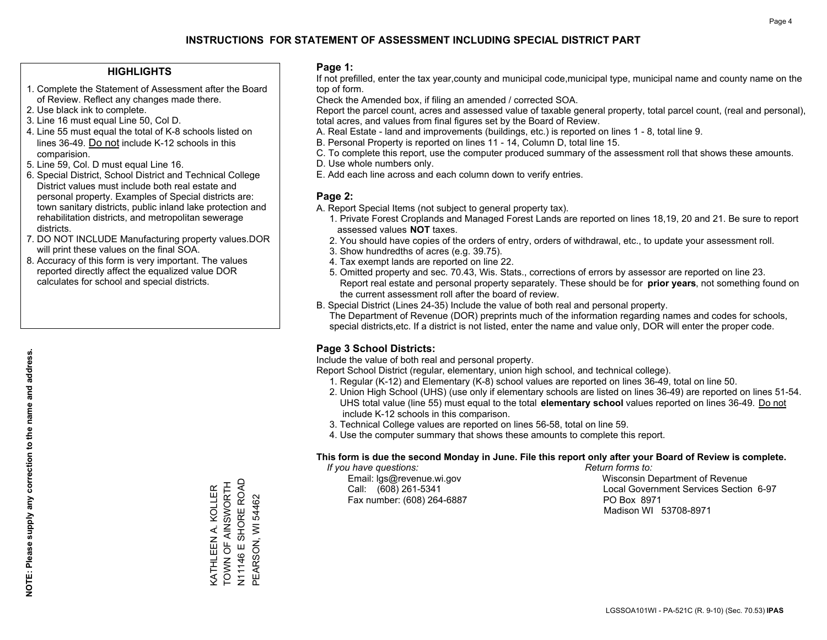### **HIGHLIGHTS**

- 1. Complete the Statement of Assessment after the Board of Review. Reflect any changes made there.
- 2. Use black ink to complete.
- 3. Line 16 must equal Line 50, Col D.
- 4. Line 55 must equal the total of K-8 schools listed on lines 36-49. Do not include K-12 schools in this comparision.
- 5. Line 59, Col. D must equal Line 16.
- 6. Special District, School District and Technical College District values must include both real estate and personal property. Examples of Special districts are: town sanitary districts, public inland lake protection and rehabilitation districts, and metropolitan sewerage districts.
- 7. DO NOT INCLUDE Manufacturing property values.DOR will print these values on the final SOA.
- 8. Accuracy of this form is very important. The values reported directly affect the equalized value DOR calculates for school and special districts.

### **Page 1:**

 If not prefilled, enter the tax year,county and municipal code,municipal type, municipal name and county name on the top of form.

Check the Amended box, if filing an amended / corrected SOA.

 Report the parcel count, acres and assessed value of taxable general property, total parcel count, (real and personal), total acres, and values from final figures set by the Board of Review.

- A. Real Estate land and improvements (buildings, etc.) is reported on lines 1 8, total line 9.
- B. Personal Property is reported on lines 11 14, Column D, total line 15.
- C. To complete this report, use the computer produced summary of the assessment roll that shows these amounts.
- D. Use whole numbers only.
- E. Add each line across and each column down to verify entries.

### **Page 2:**

- A. Report Special Items (not subject to general property tax).
- 1. Private Forest Croplands and Managed Forest Lands are reported on lines 18,19, 20 and 21. Be sure to report assessed values **NOT** taxes.
- 2. You should have copies of the orders of entry, orders of withdrawal, etc., to update your assessment roll.
	- 3. Show hundredths of acres (e.g. 39.75).
- 4. Tax exempt lands are reported on line 22.
- 5. Omitted property and sec. 70.43, Wis. Stats., corrections of errors by assessor are reported on line 23. Report real estate and personal property separately. These should be for **prior years**, not something found on the current assessment roll after the board of review.
- B. Special District (Lines 24-35) Include the value of both real and personal property.

 The Department of Revenue (DOR) preprints much of the information regarding names and codes for schools, special districts,etc. If a district is not listed, enter the name and value only, DOR will enter the proper code.

## **Page 3 School Districts:**

Include the value of both real and personal property.

Report School District (regular, elementary, union high school, and technical college).

- 1. Regular (K-12) and Elementary (K-8) school values are reported on lines 36-49, total on line 50.
- 2. Union High School (UHS) (use only if elementary schools are listed on lines 36-49) are reported on lines 51-54. UHS total value (line 55) must equal to the total **elementary school** values reported on lines 36-49. Do notinclude K-12 schools in this comparison.
- 3. Technical College values are reported on lines 56-58, total on line 59.
- 4. Use the computer summary that shows these amounts to complete this report.

### **This form is due the second Monday in June. File this report only after your Board of Review is complete.**

 *If you have questions: Return forms to:*

Fax number: (608) 264-6887 PO Box 8971

 Email: lgs@revenue.wi.gov Wisconsin Department of Revenue Call: (608) 261-5341 Local Government Services Section 6-97Madison WI 53708-8971

, 201146 E SHORE ROAD<br>N11146 E SHORE ROAD TOWN OF AINSWORTH N11146 E SHORE ROAD KATHLEEN A. KOLLER<br>TOWN OF AINSWORTH KATHLEEN A. KOLLER PEARSON, WI 54462 PEARSON, WI 54462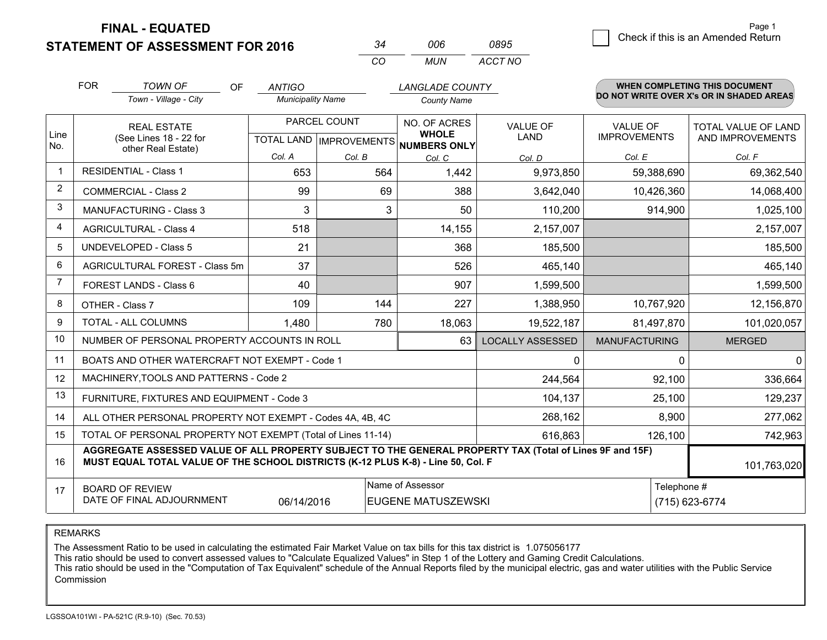**STATEMENT OF ASSESSMENT FOR 2016** 

| 34  | NUE | 0895    |
|-----|-----|---------|
| CO. | MUN | ACCT NO |

|                | <b>FOR</b>                     | <b>TOWN OF</b><br>OF                                                                                                                                                                         | <b>ANTIGO</b>            |                           | <b>LANGLADE COUNTY</b>       |                         |                      | <b>WHEN COMPLETING THIS DOCUMENT</b>     |
|----------------|--------------------------------|----------------------------------------------------------------------------------------------------------------------------------------------------------------------------------------------|--------------------------|---------------------------|------------------------------|-------------------------|----------------------|------------------------------------------|
|                |                                | Town - Village - City                                                                                                                                                                        | <b>Municipality Name</b> |                           | <b>County Name</b>           |                         |                      | DO NOT WRITE OVER X's OR IN SHADED AREAS |
|                |                                | <b>REAL ESTATE</b>                                                                                                                                                                           |                          | PARCEL COUNT              | NO. OF ACRES                 | <b>VALUE OF</b>         | <b>VALUE OF</b>      | TOTAL VALUE OF LAND                      |
| Line<br>No.    |                                | (See Lines 18 - 22 for<br>other Real Estate)                                                                                                                                                 |                          | TOTAL LAND   IMPROVEMENTS | <b>WHOLE</b><br>NUMBERS ONLY | <b>LAND</b>             | <b>IMPROVEMENTS</b>  | AND IMPROVEMENTS                         |
|                |                                |                                                                                                                                                                                              | Col. A                   | Col. B                    | Col. C                       | Col. D                  | Col. E               | Col. F                                   |
| $\mathbf 1$    |                                | <b>RESIDENTIAL - Class 1</b>                                                                                                                                                                 | 653                      | 564                       | 1,442                        | 9,973,850               | 59,388,690           | 69,362,540                               |
| $\overline{2}$ |                                | <b>COMMERCIAL - Class 2</b>                                                                                                                                                                  | 99                       | 69                        | 388                          | 3,642,040               | 10,426,360           | 14,068,400                               |
| 3              |                                | <b>MANUFACTURING - Class 3</b>                                                                                                                                                               | 3                        | 3                         | 50                           | 110,200                 | 914,900              | 1,025,100                                |
| $\overline{4}$ |                                | <b>AGRICULTURAL - Class 4</b>                                                                                                                                                                | 518                      |                           | 14,155                       | 2,157,007               |                      | 2,157,007                                |
| 5              |                                | <b>UNDEVELOPED - Class 5</b>                                                                                                                                                                 | 21                       |                           | 368                          | 185,500                 |                      | 185,500                                  |
| 6              | AGRICULTURAL FOREST - Class 5m |                                                                                                                                                                                              | 37                       |                           | 526                          | 465,140                 |                      | 465,140                                  |
| 7              | FOREST LANDS - Class 6         |                                                                                                                                                                                              | 40                       |                           | 907                          | 1,599,500               |                      | 1,599,500                                |
| 8              |                                | OTHER - Class 7                                                                                                                                                                              | 109                      | 144                       | 227                          | 1,388,950               | 10,767,920           | 12,156,870                               |
| 9              |                                | <b>TOTAL - ALL COLUMNS</b>                                                                                                                                                                   | 1,480                    | 780                       | 18,063                       | 19,522,187              | 81,497,870           | 101,020,057                              |
| 10             |                                | NUMBER OF PERSONAL PROPERTY ACCOUNTS IN ROLL                                                                                                                                                 |                          |                           | 63                           | <b>LOCALLY ASSESSED</b> | <b>MANUFACTURING</b> | <b>MERGED</b>                            |
| 11             |                                | BOATS AND OTHER WATERCRAFT NOT EXEMPT - Code 1                                                                                                                                               |                          |                           |                              | $\mathbf{0}$            | $\Omega$             | $\Omega$                                 |
| 12             |                                | MACHINERY, TOOLS AND PATTERNS - Code 2                                                                                                                                                       |                          |                           |                              | 244,564                 | 92,100               | 336,664                                  |
| 13             |                                | FURNITURE, FIXTURES AND EQUIPMENT - Code 3                                                                                                                                                   |                          |                           |                              | 104,137                 | 25,100               | 129,237                                  |
| 14             |                                | ALL OTHER PERSONAL PROPERTY NOT EXEMPT - Codes 4A, 4B, 4C                                                                                                                                    |                          |                           |                              | 268,162                 | 8,900                | 277,062                                  |
| 15             |                                | TOTAL OF PERSONAL PROPERTY NOT EXEMPT (Total of Lines 11-14)                                                                                                                                 |                          |                           |                              | 616,863                 | 126,100              | 742,963                                  |
| 16             |                                | AGGREGATE ASSESSED VALUE OF ALL PROPERTY SUBJECT TO THE GENERAL PROPERTY TAX (Total of Lines 9F and 15F)<br>MUST EQUAL TOTAL VALUE OF THE SCHOOL DISTRICTS (K-12 PLUS K-8) - Line 50, Col. F |                          |                           |                              |                         |                      | 101,763,020                              |
| 17             |                                | <b>BOARD OF REVIEW</b>                                                                                                                                                                       |                          |                           | Name of Assessor             |                         | Telephone #          |                                          |
|                |                                | DATE OF FINAL ADJOURNMENT                                                                                                                                                                    | 06/14/2016               |                           | <b>EUGENE MATUSZEWSKI</b>    |                         |                      | (715) 623-6774                           |

REMARKS

The Assessment Ratio to be used in calculating the estimated Fair Market Value on tax bills for this tax district is 1.075056177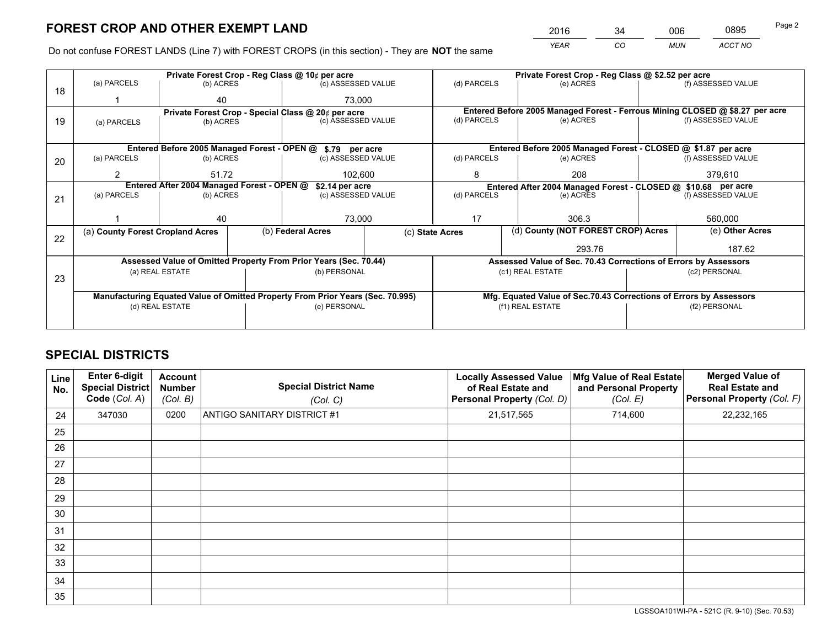*YEAR CO MUN ACCT NO* <sup>2016</sup> <sup>34</sup> <sup>006</sup> <sup>0895</sup>

Do not confuse FOREST LANDS (Line 7) with FOREST CROPS (in this section) - They are **NOT** the same

|    |                                                                                | Private Forest Crop - Reg Class @ 10¢ per acre                   |                                 |                    |  | Private Forest Crop - Reg Class @ \$2.52 per acre |                                                                                     |                                    |                    |                                                                              |  |
|----|--------------------------------------------------------------------------------|------------------------------------------------------------------|---------------------------------|--------------------|--|---------------------------------------------------|-------------------------------------------------------------------------------------|------------------------------------|--------------------|------------------------------------------------------------------------------|--|
| 18 | (a) PARCELS                                                                    | (b) ACRES                                                        |                                 | (c) ASSESSED VALUE |  | (d) PARCELS                                       | (e) ACRES                                                                           |                                    |                    | (f) ASSESSED VALUE                                                           |  |
|    |                                                                                | 40                                                               |                                 | 73.000             |  |                                                   |                                                                                     |                                    |                    |                                                                              |  |
|    |                                                                                | Private Forest Crop - Special Class @ 20¢ per acre               |                                 |                    |  |                                                   |                                                                                     |                                    |                    | Entered Before 2005 Managed Forest - Ferrous Mining CLOSED @ \$8.27 per acre |  |
| 19 | (a) PARCELS                                                                    |                                                                  | (c) ASSESSED VALUE<br>(b) ACRES |                    |  | (d) PARCELS                                       | (e) ACRES                                                                           |                                    |                    | (f) ASSESSED VALUE                                                           |  |
|    |                                                                                |                                                                  |                                 |                    |  |                                                   |                                                                                     |                                    |                    |                                                                              |  |
|    |                                                                                | Entered Before 2005 Managed Forest - OPEN @ \$.79 per acre       |                                 |                    |  |                                                   | Entered Before 2005 Managed Forest - CLOSED @ \$1.87 per acre                       |                                    |                    |                                                                              |  |
| 20 | (a) PARCELS                                                                    | (b) ACRES                                                        |                                 | (c) ASSESSED VALUE |  | (d) PARCELS                                       | (e) ACRES                                                                           |                                    |                    | (f) ASSESSED VALUE                                                           |  |
|    | 2                                                                              | 51.72                                                            |                                 | 102.600            |  | 8                                                 |                                                                                     | 208                                |                    | 379,610                                                                      |  |
|    | Entered After 2004 Managed Forest - OPEN @<br>\$2.14 per acre                  |                                                                  |                                 |                    |  |                                                   | Entered After 2004 Managed Forest - CLOSED @ \$10.68 per acre                       |                                    |                    |                                                                              |  |
| 21 | (a) PARCELS                                                                    | (b) ACRES                                                        |                                 | (c) ASSESSED VALUE |  | (d) PARCELS<br>(e) ACRES                          |                                                                                     |                                    | (f) ASSESSED VALUE |                                                                              |  |
|    |                                                                                |                                                                  |                                 |                    |  |                                                   |                                                                                     |                                    |                    |                                                                              |  |
|    |                                                                                | 40                                                               |                                 | 73,000             |  | 17                                                | 306.3                                                                               |                                    | 560,000            |                                                                              |  |
|    | (a) County Forest Cropland Acres                                               |                                                                  | (b) Federal Acres               | (c) State Acres    |  |                                                   |                                                                                     | (d) County (NOT FOREST CROP) Acres |                    | (e) Other Acres                                                              |  |
| 22 |                                                                                |                                                                  |                                 |                    |  |                                                   |                                                                                     | 293.76                             |                    | 187.62                                                                       |  |
|    |                                                                                | Assessed Value of Omitted Property From Prior Years (Sec. 70.44) |                                 |                    |  |                                                   |                                                                                     |                                    |                    |                                                                              |  |
|    |                                                                                | (a) REAL ESTATE                                                  |                                 | (b) PERSONAL       |  |                                                   | Assessed Value of Sec. 70.43 Corrections of Errors by Assessors<br>(c1) REAL ESTATE |                                    |                    | (c2) PERSONAL                                                                |  |
| 23 |                                                                                |                                                                  |                                 |                    |  |                                                   |                                                                                     |                                    |                    |                                                                              |  |
|    |                                                                                |                                                                  |                                 |                    |  |                                                   |                                                                                     |                                    |                    |                                                                              |  |
|    | Manufacturing Equated Value of Omitted Property From Prior Years (Sec. 70.995) |                                                                  |                                 |                    |  |                                                   | Mfg. Equated Value of Sec.70.43 Corrections of Errors by Assessors                  |                                    |                    | (f2) PERSONAL                                                                |  |
|    |                                                                                | (d) REAL ESTATE<br>(e) PERSONAL                                  |                                 |                    |  |                                                   | (f1) REAL ESTATE                                                                    |                                    |                    |                                                                              |  |
|    |                                                                                |                                                                  |                                 |                    |  |                                                   |                                                                                     |                                    |                    |                                                                              |  |

# **SPECIAL DISTRICTS**

| <b>Line</b><br>No. | Enter 6-digit<br><b>Special District</b><br>Code (Col. A) | <b>Account</b><br><b>Number</b><br>(Col. B) | <b>Special District Name</b><br>(Col. C) | <b>Locally Assessed Value</b><br>of Real Estate and<br>Personal Property (Col. D) | Mfg Value of Real Estate<br>and Personal Property<br>(Col. E) | <b>Merged Value of</b><br><b>Real Estate and</b><br>Personal Property (Col. F) |
|--------------------|-----------------------------------------------------------|---------------------------------------------|------------------------------------------|-----------------------------------------------------------------------------------|---------------------------------------------------------------|--------------------------------------------------------------------------------|
| 24                 | 347030                                                    | 0200                                        | <b>ANTIGO SANITARY DISTRICT #1</b>       | 21,517,565                                                                        | 714,600                                                       | 22,232,165                                                                     |
| 25                 |                                                           |                                             |                                          |                                                                                   |                                                               |                                                                                |
| 26                 |                                                           |                                             |                                          |                                                                                   |                                                               |                                                                                |
| 27                 |                                                           |                                             |                                          |                                                                                   |                                                               |                                                                                |
| 28                 |                                                           |                                             |                                          |                                                                                   |                                                               |                                                                                |
| 29                 |                                                           |                                             |                                          |                                                                                   |                                                               |                                                                                |
| 30                 |                                                           |                                             |                                          |                                                                                   |                                                               |                                                                                |
| 31                 |                                                           |                                             |                                          |                                                                                   |                                                               |                                                                                |
| 32                 |                                                           |                                             |                                          |                                                                                   |                                                               |                                                                                |
| 33                 |                                                           |                                             |                                          |                                                                                   |                                                               |                                                                                |
| 34                 |                                                           |                                             |                                          |                                                                                   |                                                               |                                                                                |
| 35                 |                                                           |                                             |                                          |                                                                                   |                                                               |                                                                                |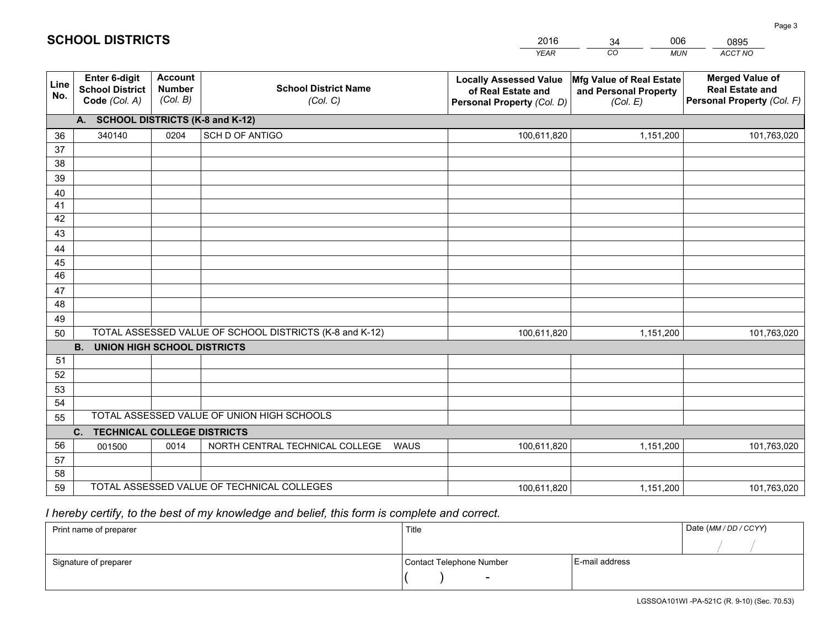|             |                                                                 |                                             |                                                         | <b>YEAR</b>                                                                       | CO<br><b>MUN</b>                                              | ACCT NO                                                                        |
|-------------|-----------------------------------------------------------------|---------------------------------------------|---------------------------------------------------------|-----------------------------------------------------------------------------------|---------------------------------------------------------------|--------------------------------------------------------------------------------|
| Line<br>No. | <b>Enter 6-digit</b><br><b>School District</b><br>Code (Col. A) | <b>Account</b><br><b>Number</b><br>(Col. B) | <b>School District Name</b><br>(Col. C)                 | <b>Locally Assessed Value</b><br>of Real Estate and<br>Personal Property (Col. D) | Mfg Value of Real Estate<br>and Personal Property<br>(Col. E) | <b>Merged Value of</b><br><b>Real Estate and</b><br>Personal Property (Col. F) |
|             | A. SCHOOL DISTRICTS (K-8 and K-12)                              |                                             |                                                         |                                                                                   |                                                               |                                                                                |
| 36          | 340140                                                          | 0204                                        | <b>SCH D OF ANTIGO</b>                                  | 100,611,820                                                                       | 1,151,200                                                     | 101,763,020                                                                    |
| 37          |                                                                 |                                             |                                                         |                                                                                   |                                                               |                                                                                |
| 38          |                                                                 |                                             |                                                         |                                                                                   |                                                               |                                                                                |
| 39          |                                                                 |                                             |                                                         |                                                                                   |                                                               |                                                                                |
| 40          |                                                                 |                                             |                                                         |                                                                                   |                                                               |                                                                                |
| 41          |                                                                 |                                             |                                                         |                                                                                   |                                                               |                                                                                |
| 42          |                                                                 |                                             |                                                         |                                                                                   |                                                               |                                                                                |
| 43          |                                                                 |                                             |                                                         |                                                                                   |                                                               |                                                                                |
| 44<br>45    |                                                                 |                                             |                                                         |                                                                                   |                                                               |                                                                                |
| 46          |                                                                 |                                             |                                                         |                                                                                   |                                                               |                                                                                |
| 47          |                                                                 |                                             |                                                         |                                                                                   |                                                               |                                                                                |
| 48          |                                                                 |                                             |                                                         |                                                                                   |                                                               |                                                                                |
| 49          |                                                                 |                                             |                                                         |                                                                                   |                                                               |                                                                                |
| 50          |                                                                 |                                             | TOTAL ASSESSED VALUE OF SCHOOL DISTRICTS (K-8 and K-12) | 100,611,820                                                                       | 1,151,200                                                     | 101,763,020                                                                    |
|             | <b>B. UNION HIGH SCHOOL DISTRICTS</b>                           |                                             |                                                         |                                                                                   |                                                               |                                                                                |
| 51          |                                                                 |                                             |                                                         |                                                                                   |                                                               |                                                                                |
| 52          |                                                                 |                                             |                                                         |                                                                                   |                                                               |                                                                                |
| 53          |                                                                 |                                             |                                                         |                                                                                   |                                                               |                                                                                |
| 54          |                                                                 |                                             |                                                         |                                                                                   |                                                               |                                                                                |
| 55          |                                                                 |                                             | TOTAL ASSESSED VALUE OF UNION HIGH SCHOOLS              |                                                                                   |                                                               |                                                                                |
|             | C.<br><b>TECHNICAL COLLEGE DISTRICTS</b>                        |                                             |                                                         |                                                                                   |                                                               |                                                                                |
| 56          | 001500                                                          | 0014                                        | NORTH CENTRAL TECHNICAL COLLEGE<br><b>WAUS</b>          | 100,611,820                                                                       | 1,151,200                                                     | 101,763,020                                                                    |
| 57<br>58    |                                                                 |                                             |                                                         |                                                                                   |                                                               |                                                                                |
| 59          |                                                                 |                                             | TOTAL ASSESSED VALUE OF TECHNICAL COLLEGES              | 100,611,820                                                                       | 1,151,200                                                     | 101,763,020                                                                    |
|             |                                                                 |                                             |                                                         |                                                                                   |                                                               |                                                                                |

34

006

 *I hereby certify, to the best of my knowledge and belief, this form is complete and correct.*

**SCHOOL DISTRICTS**

| Print name of preparer | Title                    | Date (MM / DD / CCYY) |  |
|------------------------|--------------------------|-----------------------|--|
|                        |                          |                       |  |
| Signature of preparer  | Contact Telephone Number | E-mail address        |  |
|                        | $\sim$                   |                       |  |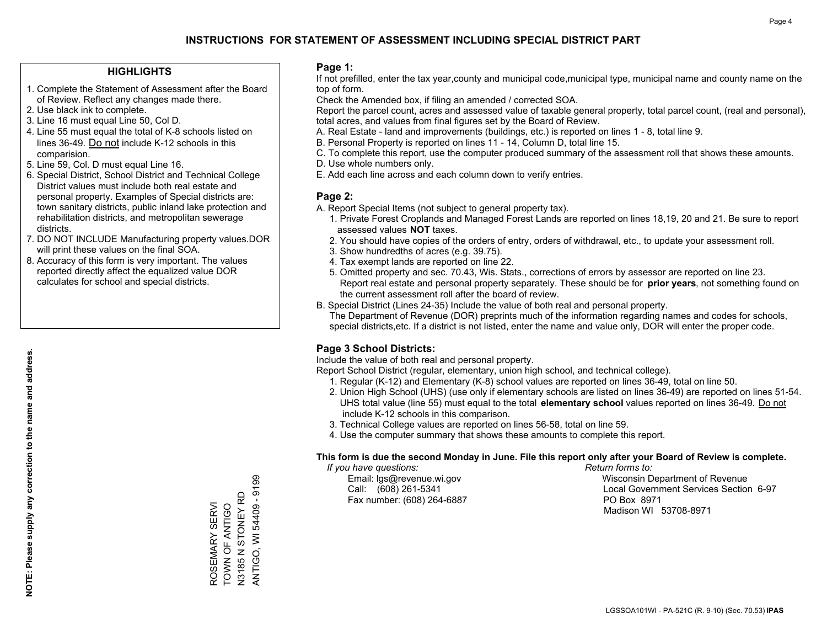### **HIGHLIGHTS**

- 1. Complete the Statement of Assessment after the Board of Review. Reflect any changes made there.
- 2. Use black ink to complete.
- 3. Line 16 must equal Line 50, Col D.
- 4. Line 55 must equal the total of K-8 schools listed on lines 36-49. Do not include K-12 schools in this comparision.
- 5. Line 59, Col. D must equal Line 16.
- 6. Special District, School District and Technical College District values must include both real estate and personal property. Examples of Special districts are: town sanitary districts, public inland lake protection and rehabilitation districts, and metropolitan sewerage districts.
- 7. DO NOT INCLUDE Manufacturing property values.DOR will print these values on the final SOA.

ROSEMARY SERVI TOWN OF ANTIGO N3185 N STONEY RD ANTIGO, WI 54409 - 9199

ROSEMARY SERVI<br>TOWN OF ANTIGO<br>N3185 N STONEY RD

ANTIGO, WI 54409 - 9199

 8. Accuracy of this form is very important. The values reported directly affect the equalized value DOR calculates for school and special districts.

### **Page 1:**

 If not prefilled, enter the tax year,county and municipal code,municipal type, municipal name and county name on the top of form.

Check the Amended box, if filing an amended / corrected SOA.

 Report the parcel count, acres and assessed value of taxable general property, total parcel count, (real and personal), total acres, and values from final figures set by the Board of Review.

- A. Real Estate land and improvements (buildings, etc.) is reported on lines 1 8, total line 9.
- B. Personal Property is reported on lines 11 14, Column D, total line 15.
- C. To complete this report, use the computer produced summary of the assessment roll that shows these amounts.
- D. Use whole numbers only.
- E. Add each line across and each column down to verify entries.

### **Page 2:**

- A. Report Special Items (not subject to general property tax).
- 1. Private Forest Croplands and Managed Forest Lands are reported on lines 18,19, 20 and 21. Be sure to report assessed values **NOT** taxes.
- 2. You should have copies of the orders of entry, orders of withdrawal, etc., to update your assessment roll.
	- 3. Show hundredths of acres (e.g. 39.75).
- 4. Tax exempt lands are reported on line 22.
- 5. Omitted property and sec. 70.43, Wis. Stats., corrections of errors by assessor are reported on line 23. Report real estate and personal property separately. These should be for **prior years**, not something found on the current assessment roll after the board of review.
- B. Special District (Lines 24-35) Include the value of both real and personal property.
- The Department of Revenue (DOR) preprints much of the information regarding names and codes for schools, special districts,etc. If a district is not listed, enter the name and value only, DOR will enter the proper code.

## **Page 3 School Districts:**

Include the value of both real and personal property.

Report School District (regular, elementary, union high school, and technical college).

- 1. Regular (K-12) and Elementary (K-8) school values are reported on lines 36-49, total on line 50.
- 2. Union High School (UHS) (use only if elementary schools are listed on lines 36-49) are reported on lines 51-54. UHS total value (line 55) must equal to the total **elementary school** values reported on lines 36-49. Do notinclude K-12 schools in this comparison.
- 3. Technical College values are reported on lines 56-58, total on line 59.
- 4. Use the computer summary that shows these amounts to complete this report.

### **This form is due the second Monday in June. File this report only after your Board of Review is complete.**

 *If you have questions: Return forms to:*

Fax number: (608) 264-6887 PO Box 8971

 Email: lgs@revenue.wi.gov Wisconsin Department of Revenue Call: (608) 261-5341 Local Government Services Section 6-97Madison WI 53708-8971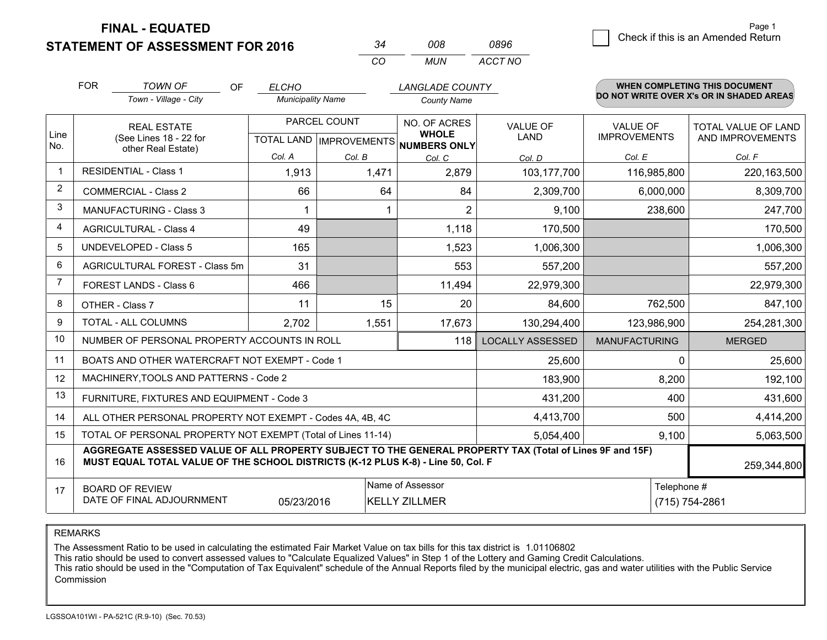**STATEMENT OF ASSESSMENT FOR 2016** 

| 34  | nna | 0896    |
|-----|-----|---------|
| CO. | MUN | ACCT NO |

|                | <b>FOR</b>                                                                                                                                                                                   | <b>TOWN OF</b><br><b>OF</b>                                  | <b>ELCHO</b>             |              | <b>LANGLADE COUNTY</b>                              |                         |                      | <b>WHEN COMPLETING THIS DOCUMENT</b>     |
|----------------|----------------------------------------------------------------------------------------------------------------------------------------------------------------------------------------------|--------------------------------------------------------------|--------------------------|--------------|-----------------------------------------------------|-------------------------|----------------------|------------------------------------------|
|                |                                                                                                                                                                                              | Town - Village - City                                        | <b>Municipality Name</b> |              | <b>County Name</b>                                  |                         |                      | DO NOT WRITE OVER X's OR IN SHADED AREAS |
|                |                                                                                                                                                                                              | <b>REAL ESTATE</b>                                           |                          | PARCEL COUNT | NO. OF ACRES                                        | <b>VALUE OF</b>         | <b>VALUE OF</b>      | <b>TOTAL VALUE OF LAND</b>               |
| Line<br>No.    |                                                                                                                                                                                              | (See Lines 18 - 22 for<br>other Real Estate)                 |                          |              | <b>WHOLE</b><br>TOTAL LAND MPROVEMENTS NUMBERS ONLY | <b>LAND</b>             | <b>IMPROVEMENTS</b>  | AND IMPROVEMENTS                         |
|                |                                                                                                                                                                                              |                                                              | Col. A                   | Col. B       | Col. C                                              | Col. D                  | Col. E               | Col. F                                   |
| $\mathbf 1$    |                                                                                                                                                                                              | <b>RESIDENTIAL - Class 1</b>                                 | 1,913                    | 1,471        | 2,879                                               | 103,177,700             | 116,985,800          | 220, 163, 500                            |
| $\overline{2}$ |                                                                                                                                                                                              | <b>COMMERCIAL - Class 2</b>                                  | 66                       | 64           | 84                                                  | 2,309,700               | 6,000,000            | 8,309,700                                |
| 3              |                                                                                                                                                                                              | <b>MANUFACTURING - Class 3</b>                               |                          |              | $\overline{2}$                                      | 9,100                   | 238,600              | 247,700                                  |
| 4              |                                                                                                                                                                                              | <b>AGRICULTURAL - Class 4</b>                                | 49                       |              | 1,118                                               | 170,500                 |                      | 170,500                                  |
| 5              |                                                                                                                                                                                              | UNDEVELOPED - Class 5                                        | 165                      |              | 1,523                                               | 1,006,300               |                      | 1,006,300                                |
| 6              | AGRICULTURAL FOREST - Class 5m                                                                                                                                                               |                                                              | 31                       |              | 553                                                 | 557,200                 |                      | 557,200                                  |
| $\overline{7}$ | FOREST LANDS - Class 6                                                                                                                                                                       |                                                              | 466                      |              | 11,494                                              | 22,979,300              |                      | 22,979,300                               |
| 8              |                                                                                                                                                                                              | OTHER - Class 7                                              | 11                       | 15           | 20                                                  | 84,600                  | 762,500              | 847,100                                  |
| 9              |                                                                                                                                                                                              | TOTAL - ALL COLUMNS                                          | 2,702                    | 1,551        | 17,673                                              | 130,294,400             | 123,986,900          | 254,281,300                              |
| 10             |                                                                                                                                                                                              | NUMBER OF PERSONAL PROPERTY ACCOUNTS IN ROLL                 |                          |              | 118                                                 | <b>LOCALLY ASSESSED</b> | <b>MANUFACTURING</b> | <b>MERGED</b>                            |
| 11             |                                                                                                                                                                                              | BOATS AND OTHER WATERCRAFT NOT EXEMPT - Code 1               |                          |              |                                                     | 25,600                  | 0                    | 25,600                                   |
| 12             |                                                                                                                                                                                              | MACHINERY, TOOLS AND PATTERNS - Code 2                       |                          |              |                                                     | 183,900                 | 8,200                | 192,100                                  |
| 13             |                                                                                                                                                                                              | FURNITURE, FIXTURES AND EQUIPMENT - Code 3                   |                          |              |                                                     | 431,200                 | 400                  | 431,600                                  |
| 14             |                                                                                                                                                                                              | ALL OTHER PERSONAL PROPERTY NOT EXEMPT - Codes 4A, 4B, 4C    |                          |              |                                                     | 4,413,700               | 500                  | 4,414,200                                |
| 15             |                                                                                                                                                                                              | TOTAL OF PERSONAL PROPERTY NOT EXEMPT (Total of Lines 11-14) |                          |              |                                                     | 5,054,400               | 9,100                | 5,063,500                                |
| 16             | AGGREGATE ASSESSED VALUE OF ALL PROPERTY SUBJECT TO THE GENERAL PROPERTY TAX (Total of Lines 9F and 15F)<br>MUST EQUAL TOTAL VALUE OF THE SCHOOL DISTRICTS (K-12 PLUS K-8) - Line 50, Col. F |                                                              |                          |              |                                                     |                         |                      | 259,344,800                              |
| 17             |                                                                                                                                                                                              | <b>BOARD OF REVIEW</b>                                       |                          |              | Name of Assessor                                    |                         | Telephone #          |                                          |
|                |                                                                                                                                                                                              | DATE OF FINAL ADJOURNMENT                                    | 05/23/2016               |              | <b>KELLY ZILLMER</b>                                |                         |                      | (715) 754-2861                           |

REMARKS

The Assessment Ratio to be used in calculating the estimated Fair Market Value on tax bills for this tax district is 1.01106802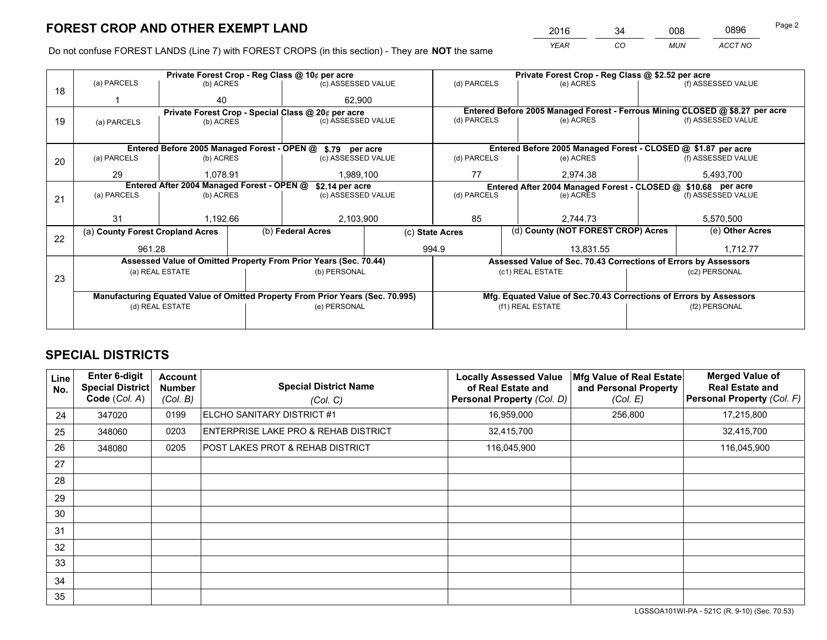*YEAR CO MUN ACCT NO* <sup>2016</sup> <sup>34</sup> <sup>008</sup> <sup>0896</sup>

Do not confuse FOREST LANDS (Line 7) with FOREST CROPS (in this section) - They are **NOT** the same

|    |                                                                                                   |                                                    |  | Private Forest Crop - Reg Class @ 10¢ per acre                   |                 |                          | Private Forest Crop - Reg Class @ \$2.52 per acre |                                                                    |               |                                                                              |
|----|---------------------------------------------------------------------------------------------------|----------------------------------------------------|--|------------------------------------------------------------------|-----------------|--------------------------|---------------------------------------------------|--------------------------------------------------------------------|---------------|------------------------------------------------------------------------------|
| 18 | (a) PARCELS                                                                                       | (b) ACRES                                          |  | (c) ASSESSED VALUE                                               |                 | (d) PARCELS              |                                                   | (e) ACRES                                                          |               | (f) ASSESSED VALUE                                                           |
|    |                                                                                                   | 40                                                 |  | 62.900                                                           |                 |                          |                                                   |                                                                    |               |                                                                              |
|    |                                                                                                   | Private Forest Crop - Special Class @ 20¢ per acre |  |                                                                  |                 |                          |                                                   |                                                                    |               | Entered Before 2005 Managed Forest - Ferrous Mining CLOSED @ \$8.27 per acre |
| 19 | (a) PARCELS                                                                                       | (c) ASSESSED VALUE<br>(b) ACRES                    |  | (d) PARCELS                                                      |                 | (e) ACRES                |                                                   | (f) ASSESSED VALUE                                                 |               |                                                                              |
|    |                                                                                                   |                                                    |  |                                                                  |                 |                          |                                                   |                                                                    |               |                                                                              |
|    |                                                                                                   |                                                    |  | Entered Before 2005 Managed Forest - OPEN @ \$.79 per acre       |                 |                          |                                                   | Entered Before 2005 Managed Forest - CLOSED @ \$1.87 per acre      |               |                                                                              |
| 20 | (a) PARCELS                                                                                       | (b) ACRES                                          |  | (c) ASSESSED VALUE                                               |                 | (d) PARCELS              |                                                   | (e) ACRES                                                          |               | (f) ASSESSED VALUE                                                           |
|    | 29                                                                                                | 1.078.91                                           |  | 1,989,100                                                        |                 | 77                       |                                                   | 2.974.38                                                           | 5,493,700     |                                                                              |
|    | Entered After 2004 Managed Forest - OPEN @<br>\$2.14 per acre                                     |                                                    |  |                                                                  |                 |                          |                                                   | Entered After 2004 Managed Forest - CLOSED @ \$10.68 per acre      |               |                                                                              |
| 21 | (a) PARCELS                                                                                       | (b) ACRES                                          |  | (c) ASSESSED VALUE                                               |                 | (d) PARCELS<br>(e) ACRES |                                                   | (f) ASSESSED VALUE                                                 |               |                                                                              |
|    |                                                                                                   |                                                    |  |                                                                  |                 |                          |                                                   |                                                                    |               |                                                                              |
|    | 31                                                                                                | 1,192.66                                           |  | 2,103,900                                                        |                 | 85                       |                                                   | 2,744.73                                                           |               | 5,570,500                                                                    |
| 22 | (a) County Forest Cropland Acres                                                                  |                                                    |  | (b) Federal Acres                                                | (c) State Acres |                          |                                                   | (d) County (NOT FOREST CROP) Acres                                 |               | (e) Other Acres                                                              |
|    | 961.28                                                                                            |                                                    |  |                                                                  |                 | 994.9                    |                                                   | 13,831.55                                                          |               | 1,712.77                                                                     |
|    |                                                                                                   |                                                    |  | Assessed Value of Omitted Property From Prior Years (Sec. 70.44) |                 |                          |                                                   | Assessed Value of Sec. 70.43 Corrections of Errors by Assessors    |               |                                                                              |
|    |                                                                                                   | (a) REAL ESTATE                                    |  | (b) PERSONAL                                                     |                 |                          |                                                   | (c1) REAL ESTATE                                                   |               | (c2) PERSONAL                                                                |
| 23 |                                                                                                   |                                                    |  |                                                                  |                 |                          |                                                   |                                                                    |               |                                                                              |
|    |                                                                                                   |                                                    |  |                                                                  |                 |                          |                                                   | Mfg. Equated Value of Sec.70.43 Corrections of Errors by Assessors |               |                                                                              |
|    |                                                                                                   |                                                    |  | (e) PERSONAL                                                     |                 | (f1) REAL ESTATE         |                                                   |                                                                    | (f2) PERSONAL |                                                                              |
|    |                                                                                                   |                                                    |  |                                                                  |                 |                          |                                                   |                                                                    |               |                                                                              |
|    | Manufacturing Equated Value of Omitted Property From Prior Years (Sec. 70.995)<br>(d) REAL ESTATE |                                                    |  |                                                                  |                 |                          |                                                   |                                                                    |               |                                                                              |

# **SPECIAL DISTRICTS**

| <b>Line</b><br>No. | Enter 6-digit<br><b>Special District</b><br>Code (Col. A) | <b>Account</b><br><b>Number</b><br>(Col. B) | <b>Special District Name</b><br>(Col. C) | <b>Locally Assessed Value</b><br>of Real Estate and<br>Personal Property (Col. D) | Mfg Value of Real Estate<br>and Personal Property<br>(Col. E) | <b>Merged Value of</b><br><b>Real Estate and</b><br>Personal Property (Col. F) |
|--------------------|-----------------------------------------------------------|---------------------------------------------|------------------------------------------|-----------------------------------------------------------------------------------|---------------------------------------------------------------|--------------------------------------------------------------------------------|
| 24                 | 347020                                                    | 0199                                        | ELCHO SANITARY DISTRICT #1               | 16,959,000                                                                        | 256,800                                                       | 17,215,800                                                                     |
| 25                 | 348060                                                    | 0203                                        | ENTERPRISE LAKE PRO & REHAB DISTRICT     | 32,415,700                                                                        |                                                               | 32,415,700                                                                     |
| 26                 | 348080                                                    | 0205                                        | POST LAKES PROT & REHAB DISTRICT         | 116,045,900                                                                       |                                                               | 116,045,900                                                                    |
| 27                 |                                                           |                                             |                                          |                                                                                   |                                                               |                                                                                |
| 28                 |                                                           |                                             |                                          |                                                                                   |                                                               |                                                                                |
| 29                 |                                                           |                                             |                                          |                                                                                   |                                                               |                                                                                |
| 30                 |                                                           |                                             |                                          |                                                                                   |                                                               |                                                                                |
| 31                 |                                                           |                                             |                                          |                                                                                   |                                                               |                                                                                |
| 32                 |                                                           |                                             |                                          |                                                                                   |                                                               |                                                                                |
| 33                 |                                                           |                                             |                                          |                                                                                   |                                                               |                                                                                |
| 34                 |                                                           |                                             |                                          |                                                                                   |                                                               |                                                                                |
| 35                 |                                                           |                                             |                                          |                                                                                   |                                                               |                                                                                |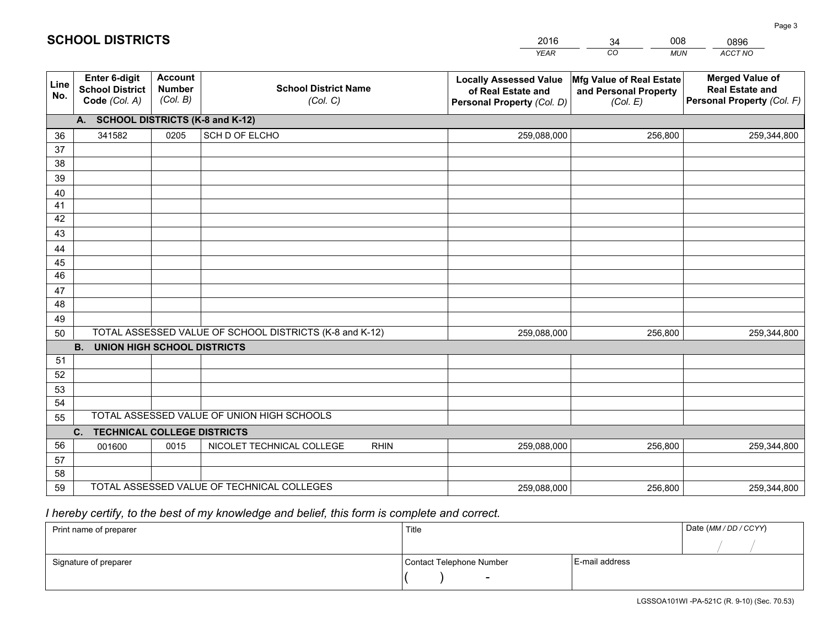|             |                                                                 |                                             |                                                         | <b>YEAR</b>                                                                       | CO<br><b>MUN</b>                                              | ACCT NO                                                                        |
|-------------|-----------------------------------------------------------------|---------------------------------------------|---------------------------------------------------------|-----------------------------------------------------------------------------------|---------------------------------------------------------------|--------------------------------------------------------------------------------|
| Line<br>No. | <b>Enter 6-digit</b><br><b>School District</b><br>Code (Col. A) | <b>Account</b><br><b>Number</b><br>(Col. B) | <b>School District Name</b><br>(Col. C)                 | <b>Locally Assessed Value</b><br>of Real Estate and<br>Personal Property (Col. D) | Mfg Value of Real Estate<br>and Personal Property<br>(Col. E) | <b>Merged Value of</b><br><b>Real Estate and</b><br>Personal Property (Col. F) |
|             | A. SCHOOL DISTRICTS (K-8 and K-12)                              |                                             |                                                         |                                                                                   |                                                               |                                                                                |
| 36          | 341582                                                          | 0205                                        | SCH D OF ELCHO                                          | 259,088,000                                                                       | 256,800                                                       | 259,344,800                                                                    |
| 37          |                                                                 |                                             |                                                         |                                                                                   |                                                               |                                                                                |
| 38          |                                                                 |                                             |                                                         |                                                                                   |                                                               |                                                                                |
| 39          |                                                                 |                                             |                                                         |                                                                                   |                                                               |                                                                                |
| 40          |                                                                 |                                             |                                                         |                                                                                   |                                                               |                                                                                |
| 41<br>42    |                                                                 |                                             |                                                         |                                                                                   |                                                               |                                                                                |
| 43          |                                                                 |                                             |                                                         |                                                                                   |                                                               |                                                                                |
| 44          |                                                                 |                                             |                                                         |                                                                                   |                                                               |                                                                                |
| 45          |                                                                 |                                             |                                                         |                                                                                   |                                                               |                                                                                |
| 46          |                                                                 |                                             |                                                         |                                                                                   |                                                               |                                                                                |
| 47          |                                                                 |                                             |                                                         |                                                                                   |                                                               |                                                                                |
| 48          |                                                                 |                                             |                                                         |                                                                                   |                                                               |                                                                                |
| 49          |                                                                 |                                             |                                                         |                                                                                   |                                                               |                                                                                |
| 50          |                                                                 |                                             | TOTAL ASSESSED VALUE OF SCHOOL DISTRICTS (K-8 and K-12) | 259,088,000                                                                       | 256,800                                                       | 259,344,800                                                                    |
|             | <b>B.</b><br><b>UNION HIGH SCHOOL DISTRICTS</b>                 |                                             |                                                         |                                                                                   |                                                               |                                                                                |
| 51          |                                                                 |                                             |                                                         |                                                                                   |                                                               |                                                                                |
| 52          |                                                                 |                                             |                                                         |                                                                                   |                                                               |                                                                                |
| 53          |                                                                 |                                             |                                                         |                                                                                   |                                                               |                                                                                |
| 54          |                                                                 |                                             |                                                         |                                                                                   |                                                               |                                                                                |
| 55          |                                                                 |                                             | TOTAL ASSESSED VALUE OF UNION HIGH SCHOOLS              |                                                                                   |                                                               |                                                                                |
|             | C.<br><b>TECHNICAL COLLEGE DISTRICTS</b>                        |                                             |                                                         |                                                                                   |                                                               |                                                                                |
| 56          | 001600                                                          | 0015                                        | NICOLET TECHNICAL COLLEGE<br><b>RHIN</b>                | 259,088,000                                                                       | 256,800                                                       | 259,344,800                                                                    |
| 57<br>58    |                                                                 |                                             |                                                         |                                                                                   |                                                               |                                                                                |
| 59          |                                                                 |                                             | TOTAL ASSESSED VALUE OF TECHNICAL COLLEGES              | 259,088,000                                                                       | 256,800                                                       | 259,344,800                                                                    |
|             |                                                                 |                                             |                                                         |                                                                                   |                                                               |                                                                                |

34

008

 *I hereby certify, to the best of my knowledge and belief, this form is complete and correct.*

**SCHOOL DISTRICTS**

| Print name of preparer | Title                    |                | Date (MM / DD / CCYY) |
|------------------------|--------------------------|----------------|-----------------------|
|                        |                          |                |                       |
| Signature of preparer  | Contact Telephone Number | E-mail address |                       |
|                        | $\overline{\phantom{0}}$ |                |                       |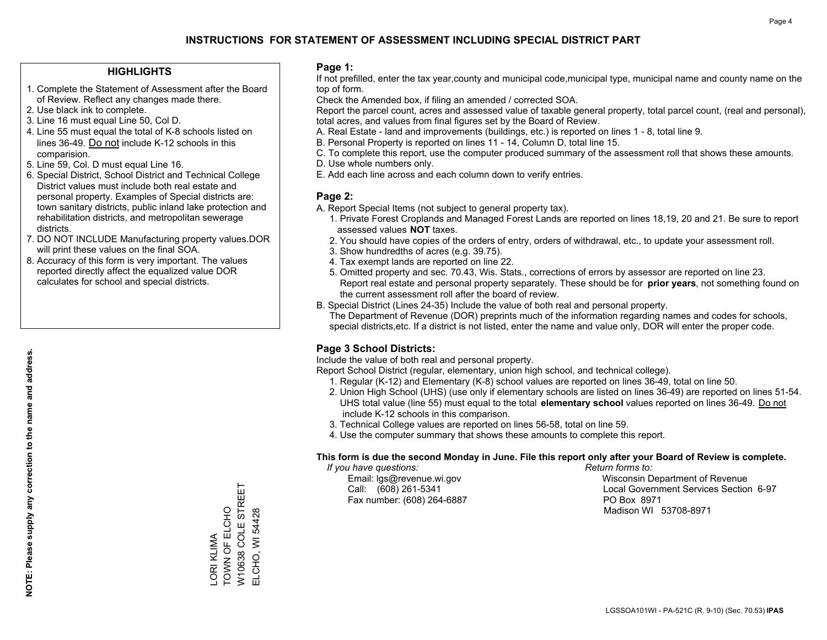### **HIGHLIGHTS**

- 1. Complete the Statement of Assessment after the Board of Review. Reflect any changes made there.
- 2. Use black ink to complete.
- 3. Line 16 must equal Line 50, Col D.
- 4. Line 55 must equal the total of K-8 schools listed on lines 36-49. Do not include K-12 schools in this comparision.
- 5. Line 59, Col. D must equal Line 16.
- 6. Special District, School District and Technical College District values must include both real estate and personal property. Examples of Special districts are: town sanitary districts, public inland lake protection and rehabilitation districts, and metropolitan sewerage districts.
- 7. DO NOT INCLUDE Manufacturing property values.DOR will print these values on the final SOA.
- 8. Accuracy of this form is very important. The values reported directly affect the equalized value DOR calculates for school and special districts.

### **Page 1:**

 If not prefilled, enter the tax year,county and municipal code,municipal type, municipal name and county name on the top of form.

Check the Amended box, if filing an amended / corrected SOA.

 Report the parcel count, acres and assessed value of taxable general property, total parcel count, (real and personal), total acres, and values from final figures set by the Board of Review.

- A. Real Estate land and improvements (buildings, etc.) is reported on lines 1 8, total line 9.
- B. Personal Property is reported on lines 11 14, Column D, total line 15.
- C. To complete this report, use the computer produced summary of the assessment roll that shows these amounts.
- D. Use whole numbers only.
- E. Add each line across and each column down to verify entries.

### **Page 2:**

- A. Report Special Items (not subject to general property tax).
- 1. Private Forest Croplands and Managed Forest Lands are reported on lines 18,19, 20 and 21. Be sure to report assessed values **NOT** taxes.
- 2. You should have copies of the orders of entry, orders of withdrawal, etc., to update your assessment roll.
	- 3. Show hundredths of acres (e.g. 39.75).
- 4. Tax exempt lands are reported on line 22.
- 5. Omitted property and sec. 70.43, Wis. Stats., corrections of errors by assessor are reported on line 23. Report real estate and personal property separately. These should be for **prior years**, not something found on the current assessment roll after the board of review.
- B. Special District (Lines 24-35) Include the value of both real and personal property.

 The Department of Revenue (DOR) preprints much of the information regarding names and codes for schools, special districts,etc. If a district is not listed, enter the name and value only, DOR will enter the proper code.

## **Page 3 School Districts:**

Include the value of both real and personal property.

Report School District (regular, elementary, union high school, and technical college).

- 1. Regular (K-12) and Elementary (K-8) school values are reported on lines 36-49, total on line 50.
- 2. Union High School (UHS) (use only if elementary schools are listed on lines 36-49) are reported on lines 51-54. UHS total value (line 55) must equal to the total **elementary school** values reported on lines 36-49. Do notinclude K-12 schools in this comparison.
- 3. Technical College values are reported on lines 56-58, total on line 59.
- 4. Use the computer summary that shows these amounts to complete this report.

### **This form is due the second Monday in June. File this report only after your Board of Review is complete.**

 *If you have questions: Return forms to:*

Fax number: (608) 264-6887 PO Box 8971

 Email: lgs@revenue.wi.gov Wisconsin Department of Revenue Call: (608) 261-5341 Local Government Services Section 6-97Madison WI 53708-8971

W10638 COLE STREET W10638 COLE STREET LORI KLIMA<br>TOWN OF ELCHO TOWN OF ELCHO LORI KLIMA

ELCHO, WI 54428

ELCHO, WI 54428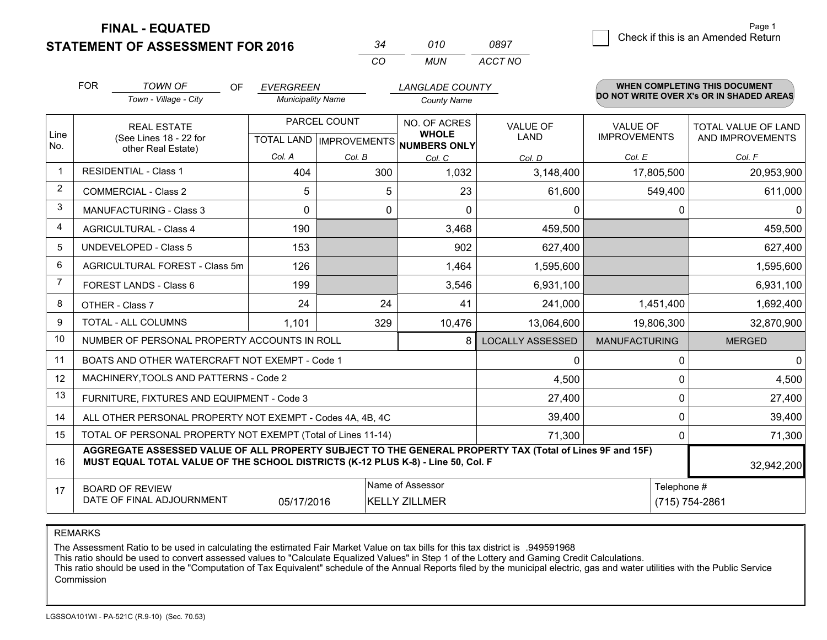**STATEMENT OF ASSESSMENT FOR 2016** 

| ₹Д         | 01 O  | 0897    |
|------------|-------|---------|
| $\sqrt{2}$ | MI IN | ACCT NO |

|             | <b>FOR</b>                                                                                                                                                                                   | <b>TOWN OF</b><br>OF                                         | <b>EVERGREEN</b>                                    |             | <b>LANGLADE COUNTY</b>       |                                |                                        | WHEN COMPLETING THIS DOCUMENT            |
|-------------|----------------------------------------------------------------------------------------------------------------------------------------------------------------------------------------------|--------------------------------------------------------------|-----------------------------------------------------|-------------|------------------------------|--------------------------------|----------------------------------------|------------------------------------------|
|             |                                                                                                                                                                                              | Town - Village - City                                        | <b>Municipality Name</b>                            |             | <b>County Name</b>           |                                |                                        | DO NOT WRITE OVER X's OR IN SHADED AREAS |
| Line<br>No. |                                                                                                                                                                                              | <b>REAL ESTATE</b><br>(See Lines 18 - 22 for                 | PARCEL COUNT<br>TOTAL LAND MPROVEMENTS NUMBERS ONLY |             | NO. OF ACRES<br><b>WHOLE</b> | <b>VALUE OF</b><br><b>LAND</b> | <b>VALUE OF</b><br><b>IMPROVEMENTS</b> | TOTAL VALUE OF LAND<br>AND IMPROVEMENTS  |
|             |                                                                                                                                                                                              | other Real Estate)                                           | Col. A                                              | Col. B      | Col. C                       | Col. D                         | Col. E                                 | Col. F                                   |
|             | <b>RESIDENTIAL - Class 1</b>                                                                                                                                                                 |                                                              | 404                                                 | 300         | 1,032                        | 3,148,400                      | 17,805,500                             | 20,953,900                               |
| 2           |                                                                                                                                                                                              | <b>COMMERCIAL - Class 2</b>                                  | 5                                                   | 5           | 23                           | 61,600                         | 549,400                                | 611,000                                  |
| 3           |                                                                                                                                                                                              | <b>MANUFACTURING - Class 3</b>                               | $\Omega$                                            | $\mathbf 0$ | $\Omega$                     | $\mathbf{0}$                   | $\Omega$                               | $\mathbf{0}$                             |
| 4           |                                                                                                                                                                                              | <b>AGRICULTURAL - Class 4</b>                                | 190                                                 |             | 3,468                        | 459,500                        |                                        | 459,500                                  |
| 5           |                                                                                                                                                                                              | <b>UNDEVELOPED - Class 5</b>                                 | 153                                                 |             | 902                          | 627,400                        |                                        | 627,400                                  |
| 6           | AGRICULTURAL FOREST - Class 5m                                                                                                                                                               |                                                              | 126                                                 |             | 1,464                        | 1,595,600                      |                                        | 1,595,600                                |
| 7           | FOREST LANDS - Class 6                                                                                                                                                                       |                                                              | 199                                                 |             | 3,546                        | 6,931,100                      |                                        | 6,931,100                                |
| 8           |                                                                                                                                                                                              | OTHER - Class 7                                              | 24                                                  | 24          | 41                           | 241,000                        | 1,451,400                              | 1,692,400                                |
| 9           |                                                                                                                                                                                              | TOTAL - ALL COLUMNS                                          | 1,101                                               | 329         | 10,476                       | 13,064,600                     | 19,806,300                             | 32,870,900                               |
| 10          |                                                                                                                                                                                              | NUMBER OF PERSONAL PROPERTY ACCOUNTS IN ROLL                 |                                                     |             | 8                            | <b>LOCALLY ASSESSED</b>        | <b>MANUFACTURING</b>                   | <b>MERGED</b>                            |
| 11          |                                                                                                                                                                                              | BOATS AND OTHER WATERCRAFT NOT EXEMPT - Code 1               |                                                     |             |                              | 0                              | 0                                      | $\mathbf 0$                              |
| 12          |                                                                                                                                                                                              | MACHINERY, TOOLS AND PATTERNS - Code 2                       |                                                     |             |                              | 4,500                          | $\Omega$                               | 4,500                                    |
| 13          |                                                                                                                                                                                              | FURNITURE, FIXTURES AND EQUIPMENT - Code 3                   |                                                     |             |                              | 27,400                         | $\mathbf 0$                            | 27,400                                   |
| 14          |                                                                                                                                                                                              | ALL OTHER PERSONAL PROPERTY NOT EXEMPT - Codes 4A, 4B, 4C    |                                                     |             |                              | 39,400                         | 0                                      | 39,400                                   |
| 15          |                                                                                                                                                                                              | TOTAL OF PERSONAL PROPERTY NOT EXEMPT (Total of Lines 11-14) |                                                     |             | 71,300                       | $\Omega$                       | 71,300                                 |                                          |
| 16          | AGGREGATE ASSESSED VALUE OF ALL PROPERTY SUBJECT TO THE GENERAL PROPERTY TAX (Total of Lines 9F and 15F)<br>MUST EQUAL TOTAL VALUE OF THE SCHOOL DISTRICTS (K-12 PLUS K-8) - Line 50, Col. F |                                                              |                                                     |             |                              |                                | 32,942,200                             |                                          |
| 17          | Name of Assessor<br><b>BOARD OF REVIEW</b><br>DATE OF FINAL ADJOURNMENT<br>05/17/2016<br><b>KELLY ZILLMER</b>                                                                                |                                                              |                                                     |             |                              | Telephone #                    | (715) 754-2861                         |                                          |

REMARKS

The Assessment Ratio to be used in calculating the estimated Fair Market Value on tax bills for this tax district is .949591968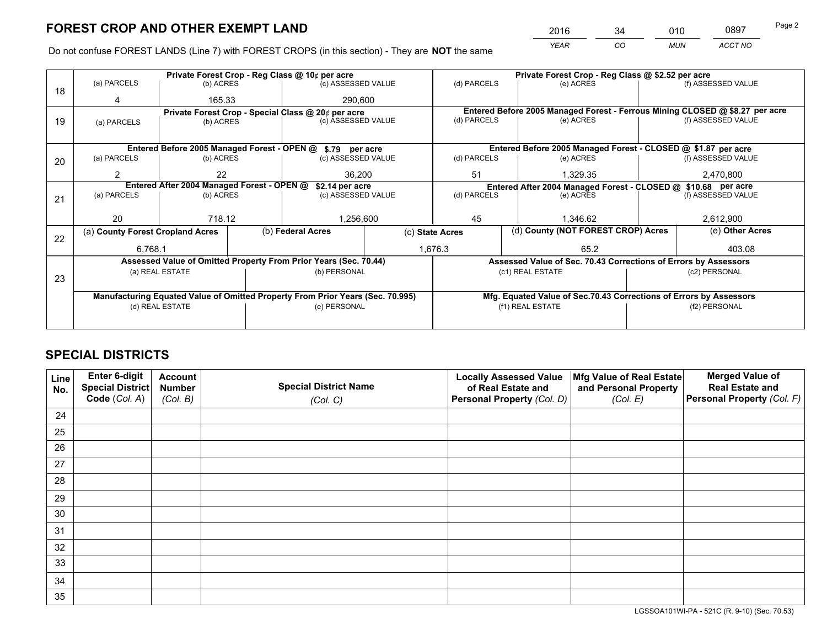*YEAR CO MUN ACCT NO* <sup>2016</sup> <sup>34</sup> <sup>010</sup> <sup>0897</sup>

Do not confuse FOREST LANDS (Line 7) with FOREST CROPS (in this section) - They are **NOT** the same

|                                            |             |                                                                |                                                                      |                                                                     |                                                                                                                                                                                                                                                                                                                                                                                                                                          | Private Forest Crop - Reg Class @ \$2.52 per acre |                               |                                                                                                                                                                                                                                                        |  |
|--------------------------------------------|-------------|----------------------------------------------------------------|----------------------------------------------------------------------|---------------------------------------------------------------------|------------------------------------------------------------------------------------------------------------------------------------------------------------------------------------------------------------------------------------------------------------------------------------------------------------------------------------------------------------------------------------------------------------------------------------------|---------------------------------------------------|-------------------------------|--------------------------------------------------------------------------------------------------------------------------------------------------------------------------------------------------------------------------------------------------------|--|
|                                            |             |                                                                |                                                                      |                                                                     | (d) PARCELS                                                                                                                                                                                                                                                                                                                                                                                                                              | (e) ACRES                                         |                               | (f) ASSESSED VALUE                                                                                                                                                                                                                                     |  |
|                                            |             |                                                                | 290,600                                                              |                                                                     |                                                                                                                                                                                                                                                                                                                                                                                                                                          |                                                   |                               |                                                                                                                                                                                                                                                        |  |
|                                            |             |                                                                |                                                                      |                                                                     |                                                                                                                                                                                                                                                                                                                                                                                                                                          |                                                   |                               |                                                                                                                                                                                                                                                        |  |
| (a) PARCELS                                |             |                                                                |                                                                      |                                                                     |                                                                                                                                                                                                                                                                                                                                                                                                                                          |                                                   |                               | (f) ASSESSED VALUE                                                                                                                                                                                                                                     |  |
|                                            |             |                                                                |                                                                      |                                                                     |                                                                                                                                                                                                                                                                                                                                                                                                                                          |                                                   |                               |                                                                                                                                                                                                                                                        |  |
|                                            |             |                                                                |                                                                      |                                                                     |                                                                                                                                                                                                                                                                                                                                                                                                                                          |                                                   |                               |                                                                                                                                                                                                                                                        |  |
| (a) PARCELS                                |             |                                                                |                                                                      |                                                                     | (d) PARCELS                                                                                                                                                                                                                                                                                                                                                                                                                              | (e) ACRES                                         |                               | (f) ASSESSED VALUE                                                                                                                                                                                                                                     |  |
| 2                                          | 22          |                                                                |                                                                      |                                                                     | 51                                                                                                                                                                                                                                                                                                                                                                                                                                       | 1,329.35                                          |                               | 2,470,800                                                                                                                                                                                                                                              |  |
| Entered After 2004 Managed Forest - OPEN @ |             |                                                                |                                                                      |                                                                     | Entered After 2004 Managed Forest - CLOSED @ \$10.68 per acre                                                                                                                                                                                                                                                                                                                                                                            |                                                   |                               |                                                                                                                                                                                                                                                        |  |
| (a) PARCELS                                |             |                                                                |                                                                      |                                                                     | (d) PARCELS<br>(e) ACRES                                                                                                                                                                                                                                                                                                                                                                                                                 |                                                   | (f) ASSESSED VALUE            |                                                                                                                                                                                                                                                        |  |
|                                            |             |                                                                |                                                                      |                                                                     |                                                                                                                                                                                                                                                                                                                                                                                                                                          |                                                   |                               |                                                                                                                                                                                                                                                        |  |
| 20                                         |             |                                                                |                                                                      |                                                                     | 45<br>1.346.62                                                                                                                                                                                                                                                                                                                                                                                                                           |                                                   | 2,612,900                     |                                                                                                                                                                                                                                                        |  |
|                                            |             |                                                                |                                                                      | (c) State Acres                                                     |                                                                                                                                                                                                                                                                                                                                                                                                                                          |                                                   |                               | (e) Other Acres                                                                                                                                                                                                                                        |  |
|                                            |             |                                                                |                                                                      |                                                                     |                                                                                                                                                                                                                                                                                                                                                                                                                                          | 65.2                                              |                               | 403.08                                                                                                                                                                                                                                                 |  |
|                                            |             |                                                                |                                                                      |                                                                     |                                                                                                                                                                                                                                                                                                                                                                                                                                          |                                                   |                               |                                                                                                                                                                                                                                                        |  |
|                                            |             |                                                                |                                                                      |                                                                     |                                                                                                                                                                                                                                                                                                                                                                                                                                          |                                                   | (c2) PERSONAL                 |                                                                                                                                                                                                                                                        |  |
|                                            |             |                                                                |                                                                      |                                                                     |                                                                                                                                                                                                                                                                                                                                                                                                                                          |                                                   |                               |                                                                                                                                                                                                                                                        |  |
|                                            |             |                                                                |                                                                      |                                                                     | Mfg. Equated Value of Sec.70.43 Corrections of Errors by Assessors                                                                                                                                                                                                                                                                                                                                                                       |                                                   |                               |                                                                                                                                                                                                                                                        |  |
| (d) REAL ESTATE                            |             |                                                                |                                                                      |                                                                     | (f1) REAL ESTATE                                                                                                                                                                                                                                                                                                                                                                                                                         |                                                   | (f2) PERSONAL                 |                                                                                                                                                                                                                                                        |  |
|                                            |             |                                                                |                                                                      |                                                                     |                                                                                                                                                                                                                                                                                                                                                                                                                                          |                                                   |                               |                                                                                                                                                                                                                                                        |  |
|                                            | (a) PARCELS | (a) County Forest Cropland Acres<br>6.768.1<br>(a) REAL ESTATE | (b) ACRES<br>165.33<br>(b) ACRES<br>(b) ACRES<br>(b) ACRES<br>718.12 | Private Forest Crop - Reg Class @ 10¢ per acre<br>(b) Federal Acres | (c) ASSESSED VALUE<br>Private Forest Crop - Special Class @ 20¢ per acre<br>(c) ASSESSED VALUE<br>Entered Before 2005 Managed Forest - OPEN @ \$.79 per acre<br>(c) ASSESSED VALUE<br>36,200<br>\$2.14 per acre<br>(c) ASSESSED VALUE<br>1,256,600<br>Assessed Value of Omitted Property From Prior Years (Sec. 70.44)<br>(b) PERSONAL<br>Manufacturing Equated Value of Omitted Property From Prior Years (Sec. 70.995)<br>(e) PERSONAL | (d) PARCELS<br>1,676.3                            | (e) ACRES<br>(c1) REAL ESTATE | Entered Before 2005 Managed Forest - Ferrous Mining CLOSED @ \$8.27 per acre<br>Entered Before 2005 Managed Forest - CLOSED @ \$1.87 per acre<br>(d) County (NOT FOREST CROP) Acres<br>Assessed Value of Sec. 70.43 Corrections of Errors by Assessors |  |

# **SPECIAL DISTRICTS**

| Line<br>No. | Enter 6-digit<br>Special District<br>Code (Col. A) | <b>Account</b><br><b>Number</b> | <b>Special District Name</b> | <b>Locally Assessed Value</b><br>of Real Estate and | Mfg Value of Real Estate<br>and Personal Property | <b>Merged Value of</b><br><b>Real Estate and</b><br>Personal Property (Col. F) |
|-------------|----------------------------------------------------|---------------------------------|------------------------------|-----------------------------------------------------|---------------------------------------------------|--------------------------------------------------------------------------------|
|             |                                                    | (Col. B)                        | (Col. C)                     | Personal Property (Col. D)                          | (Col. E)                                          |                                                                                |
| 24          |                                                    |                                 |                              |                                                     |                                                   |                                                                                |
| 25          |                                                    |                                 |                              |                                                     |                                                   |                                                                                |
| 26          |                                                    |                                 |                              |                                                     |                                                   |                                                                                |
| 27          |                                                    |                                 |                              |                                                     |                                                   |                                                                                |
| 28          |                                                    |                                 |                              |                                                     |                                                   |                                                                                |
| 29          |                                                    |                                 |                              |                                                     |                                                   |                                                                                |
| 30          |                                                    |                                 |                              |                                                     |                                                   |                                                                                |
| 31          |                                                    |                                 |                              |                                                     |                                                   |                                                                                |
| 32          |                                                    |                                 |                              |                                                     |                                                   |                                                                                |
| 33          |                                                    |                                 |                              |                                                     |                                                   |                                                                                |
| 34          |                                                    |                                 |                              |                                                     |                                                   |                                                                                |
| 35          |                                                    |                                 |                              |                                                     |                                                   |                                                                                |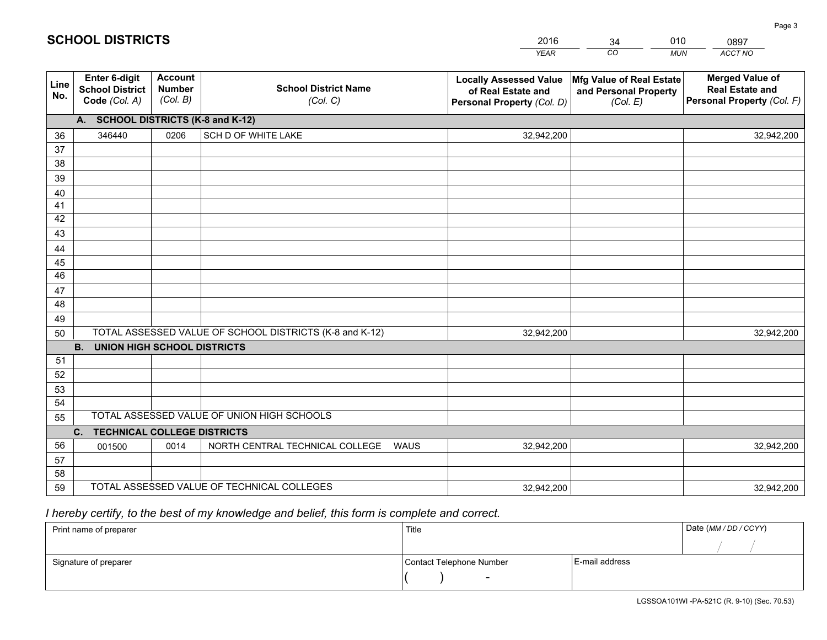|             |                                                                 |                                             |                                                         | <b>YEAR</b>                                                                       | CO<br><b>MUN</b>                                              | ACCT NO                                                                        |
|-------------|-----------------------------------------------------------------|---------------------------------------------|---------------------------------------------------------|-----------------------------------------------------------------------------------|---------------------------------------------------------------|--------------------------------------------------------------------------------|
| Line<br>No. | <b>Enter 6-digit</b><br><b>School District</b><br>Code (Col. A) | <b>Account</b><br><b>Number</b><br>(Col. B) | <b>School District Name</b><br>(Col. C)                 | <b>Locally Assessed Value</b><br>of Real Estate and<br>Personal Property (Col. D) | Mfg Value of Real Estate<br>and Personal Property<br>(Col. E) | <b>Merged Value of</b><br><b>Real Estate and</b><br>Personal Property (Col. F) |
|             | A. SCHOOL DISTRICTS (K-8 and K-12)                              |                                             |                                                         |                                                                                   |                                                               |                                                                                |
| 36          | 346440                                                          | 0206                                        | SCH D OF WHITE LAKE                                     | 32,942,200                                                                        |                                                               | 32,942,200                                                                     |
| 37          |                                                                 |                                             |                                                         |                                                                                   |                                                               |                                                                                |
| 38          |                                                                 |                                             |                                                         |                                                                                   |                                                               |                                                                                |
| 39          |                                                                 |                                             |                                                         |                                                                                   |                                                               |                                                                                |
| 40          |                                                                 |                                             |                                                         |                                                                                   |                                                               |                                                                                |
| 41          |                                                                 |                                             |                                                         |                                                                                   |                                                               |                                                                                |
| 42          |                                                                 |                                             |                                                         |                                                                                   |                                                               |                                                                                |
| 43          |                                                                 |                                             |                                                         |                                                                                   |                                                               |                                                                                |
| 44          |                                                                 |                                             |                                                         |                                                                                   |                                                               |                                                                                |
| 45<br>46    |                                                                 |                                             |                                                         |                                                                                   |                                                               |                                                                                |
|             |                                                                 |                                             |                                                         |                                                                                   |                                                               |                                                                                |
| 47<br>48    |                                                                 |                                             |                                                         |                                                                                   |                                                               |                                                                                |
| 49          |                                                                 |                                             |                                                         |                                                                                   |                                                               |                                                                                |
| 50          |                                                                 |                                             | TOTAL ASSESSED VALUE OF SCHOOL DISTRICTS (K-8 and K-12) | 32,942,200                                                                        |                                                               | 32,942,200                                                                     |
|             | <b>B.</b><br><b>UNION HIGH SCHOOL DISTRICTS</b>                 |                                             |                                                         |                                                                                   |                                                               |                                                                                |
| 51          |                                                                 |                                             |                                                         |                                                                                   |                                                               |                                                                                |
| 52          |                                                                 |                                             |                                                         |                                                                                   |                                                               |                                                                                |
| 53          |                                                                 |                                             |                                                         |                                                                                   |                                                               |                                                                                |
| 54          |                                                                 |                                             |                                                         |                                                                                   |                                                               |                                                                                |
| 55          |                                                                 |                                             | TOTAL ASSESSED VALUE OF UNION HIGH SCHOOLS              |                                                                                   |                                                               |                                                                                |
|             | C.<br><b>TECHNICAL COLLEGE DISTRICTS</b>                        |                                             |                                                         |                                                                                   |                                                               |                                                                                |
| 56          | 001500                                                          | 0014                                        | NORTH CENTRAL TECHNICAL COLLEGE<br><b>WAUS</b>          | 32,942,200                                                                        |                                                               | 32,942,200                                                                     |
| 57          |                                                                 |                                             |                                                         |                                                                                   |                                                               |                                                                                |
| 58          |                                                                 |                                             |                                                         |                                                                                   |                                                               |                                                                                |
| 59          |                                                                 |                                             | TOTAL ASSESSED VALUE OF TECHNICAL COLLEGES              | 32,942,200                                                                        |                                                               | 32,942,200                                                                     |

34

010

 *I hereby certify, to the best of my knowledge and belief, this form is complete and correct.*

**SCHOOL DISTRICTS**

| Print name of preparer | Title                    |                | Date (MM / DD / CCYY) |
|------------------------|--------------------------|----------------|-----------------------|
|                        |                          |                |                       |
| Signature of preparer  | Contact Telephone Number | E-mail address |                       |
|                        | -                        |                |                       |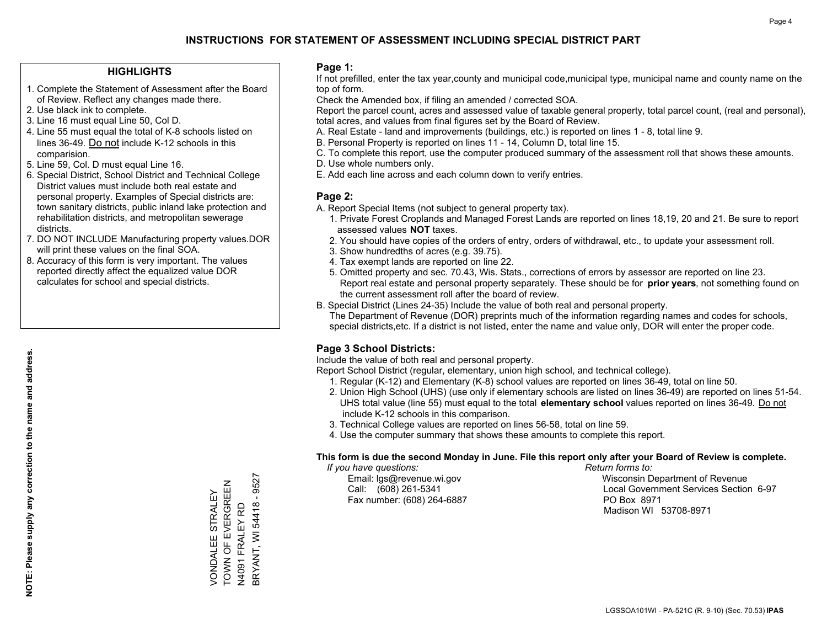### **HIGHLIGHTS**

- 1. Complete the Statement of Assessment after the Board of Review. Reflect any changes made there.
- 2. Use black ink to complete.
- 3. Line 16 must equal Line 50, Col D.
- 4. Line 55 must equal the total of K-8 schools listed on lines 36-49. Do not include K-12 schools in this comparision.
- 5. Line 59, Col. D must equal Line 16.
- 6. Special District, School District and Technical College District values must include both real estate and personal property. Examples of Special districts are: town sanitary districts, public inland lake protection and rehabilitation districts, and metropolitan sewerage districts.
- 7. DO NOT INCLUDE Manufacturing property values.DOR will print these values on the final SOA.
- 8. Accuracy of this form is very important. The values reported directly affect the equalized value DOR calculates for school and special districts.

### **Page 1:**

 If not prefilled, enter the tax year,county and municipal code,municipal type, municipal name and county name on the top of form.

Check the Amended box, if filing an amended / corrected SOA.

 Report the parcel count, acres and assessed value of taxable general property, total parcel count, (real and personal), total acres, and values from final figures set by the Board of Review.

- A. Real Estate land and improvements (buildings, etc.) is reported on lines 1 8, total line 9.
- B. Personal Property is reported on lines 11 14, Column D, total line 15.
- C. To complete this report, use the computer produced summary of the assessment roll that shows these amounts.
- D. Use whole numbers only.
- E. Add each line across and each column down to verify entries.

### **Page 2:**

- A. Report Special Items (not subject to general property tax).
- 1. Private Forest Croplands and Managed Forest Lands are reported on lines 18,19, 20 and 21. Be sure to report assessed values **NOT** taxes.
- 2. You should have copies of the orders of entry, orders of withdrawal, etc., to update your assessment roll.
	- 3. Show hundredths of acres (e.g. 39.75).
- 4. Tax exempt lands are reported on line 22.
- 5. Omitted property and sec. 70.43, Wis. Stats., corrections of errors by assessor are reported on line 23. Report real estate and personal property separately. These should be for **prior years**, not something found on the current assessment roll after the board of review.
- B. Special District (Lines 24-35) Include the value of both real and personal property.
- The Department of Revenue (DOR) preprints much of the information regarding names and codes for schools, special districts,etc. If a district is not listed, enter the name and value only, DOR will enter the proper code.

## **Page 3 School Districts:**

Include the value of both real and personal property.

Report School District (regular, elementary, union high school, and technical college).

- 1. Regular (K-12) and Elementary (K-8) school values are reported on lines 36-49, total on line 50.
- 2. Union High School (UHS) (use only if elementary schools are listed on lines 36-49) are reported on lines 51-54. UHS total value (line 55) must equal to the total **elementary school** values reported on lines 36-49. Do notinclude K-12 schools in this comparison.
- 3. Technical College values are reported on lines 56-58, total on line 59.
- 4. Use the computer summary that shows these amounts to complete this report.

### **This form is due the second Monday in June. File this report only after your Board of Review is complete.**

 *If you have questions: Return forms to:*

Fax number: (608) 264-6887 PO Box 8971

 Email: lgs@revenue.wi.gov Wisconsin Department of Revenue Call: (608) 261-5341 Local Government Services Section 6-97Madison WI 53708-8971

**NOTE: Please supply any correction to the name and address.**

NOTE: Please supply any correction to the name and address.

9527 BRYANT, WI 54418 - 9527 TOWN OF EVERGREEN TOWN OF EVERGREEN STRALEY VONDALEE STRALEY **BRYANT, WI 54418 -**N4091 FRALEY RD N4091 FRALEY RD **/ONDALEE**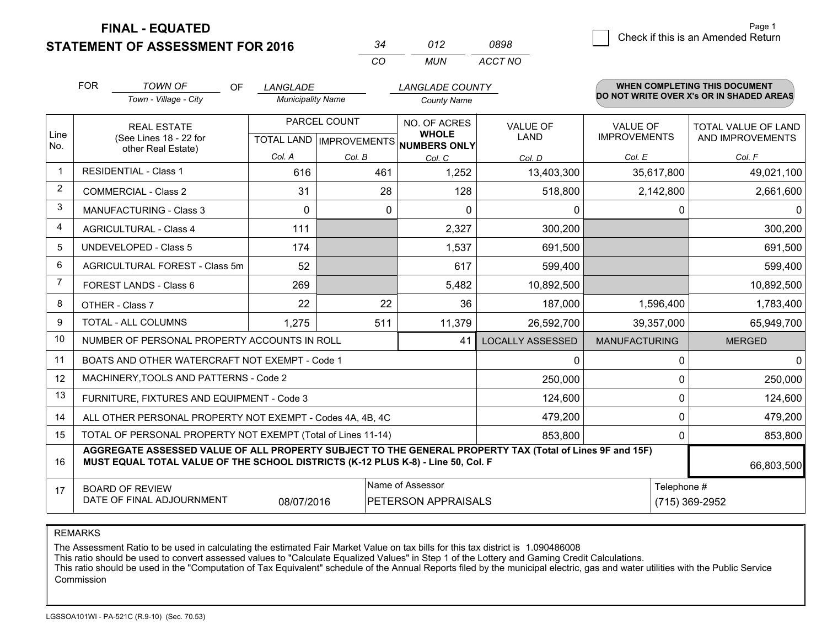**STATEMENT OF ASSESSMENT FOR 2016** 

|          | 012   | 0898    |
|----------|-------|---------|
| $\cdots$ | MI IN | ACCT NO |

|                | <b>FOR</b><br><b>TOWN OF</b><br><b>OF</b><br>LANGLADE<br>Town - Village - City<br><b>Municipality Name</b>                                                                                   |                                                      | <b>LANGLADE COUNTY</b><br><b>County Name</b> |                              |                                | WHEN COMPLETING THIS DOCUMENT<br>DO NOT WRITE OVER X's OR IN SHADED AREAS |                                                |
|----------------|----------------------------------------------------------------------------------------------------------------------------------------------------------------------------------------------|------------------------------------------------------|----------------------------------------------|------------------------------|--------------------------------|---------------------------------------------------------------------------|------------------------------------------------|
| Line<br>No.    | <b>REAL ESTATE</b><br>(See Lines 18 - 22 for<br>other Real Estate)                                                                                                                           | PARCEL COUNT<br>TOTAL LAND IMPROVEMENTS NUMBERS ONLY |                                              | NO. OF ACRES<br><b>WHOLE</b> | <b>VALUE OF</b><br><b>LAND</b> | <b>VALUE OF</b><br><b>IMPROVEMENTS</b>                                    | <b>TOTAL VALUE OF LAND</b><br>AND IMPROVEMENTS |
|                |                                                                                                                                                                                              | Col. A                                               | Col. B                                       | Col. C                       | Col. D                         | Col. E                                                                    | Col. F                                         |
| $\mathbf{1}$   | <b>RESIDENTIAL - Class 1</b>                                                                                                                                                                 | 616                                                  | 461                                          | 1,252                        | 13,403,300                     | 35,617,800                                                                | 49,021,100                                     |
| $\overline{2}$ | <b>COMMERCIAL - Class 2</b>                                                                                                                                                                  | 31                                                   | 28                                           | 128                          | 518,800                        | 2,142,800                                                                 | 2,661,600                                      |
| 3              | MANUFACTURING - Class 3                                                                                                                                                                      | $\Omega$                                             | $\mathbf{0}$                                 | $\Omega$                     | 0                              | 0                                                                         | $\Omega$                                       |
| 4              | <b>AGRICULTURAL - Class 4</b>                                                                                                                                                                | 111                                                  |                                              | 2,327                        | 300,200                        |                                                                           | 300,200                                        |
| 5              | <b>UNDEVELOPED - Class 5</b>                                                                                                                                                                 | 174                                                  |                                              | 1,537                        | 691,500                        |                                                                           | 691,500                                        |
| 6              | AGRICULTURAL FOREST - Class 5m                                                                                                                                                               | 52                                                   |                                              | 617                          | 599,400                        |                                                                           | 599,400                                        |
| $\overline{7}$ | FOREST LANDS - Class 6                                                                                                                                                                       | 269                                                  |                                              | 5,482                        | 10,892,500                     |                                                                           | 10,892,500                                     |
| 8              | OTHER - Class 7                                                                                                                                                                              | 22                                                   | 22                                           | 36                           | 187,000                        | 1,596,400                                                                 | 1,783,400                                      |
| 9              | TOTAL - ALL COLUMNS                                                                                                                                                                          | 1,275                                                | 511                                          | 11,379                       | 26,592,700                     | 39,357,000                                                                | 65,949,700                                     |
| 10             | NUMBER OF PERSONAL PROPERTY ACCOUNTS IN ROLL                                                                                                                                                 |                                                      |                                              | 41                           | <b>LOCALLY ASSESSED</b>        | <b>MANUFACTURING</b>                                                      | <b>MERGED</b>                                  |
| 11             | BOATS AND OTHER WATERCRAFT NOT EXEMPT - Code 1                                                                                                                                               |                                                      |                                              |                              | 0                              | 0                                                                         | $\mathbf{0}$                                   |
| 12             | MACHINERY, TOOLS AND PATTERNS - Code 2                                                                                                                                                       |                                                      |                                              |                              | 250,000                        | $\Omega$                                                                  | 250,000                                        |
| 13             | FURNITURE, FIXTURES AND EQUIPMENT - Code 3                                                                                                                                                   |                                                      |                                              |                              | 124,600                        | $\Omega$                                                                  | 124,600                                        |
| 14             | 479,200<br>ALL OTHER PERSONAL PROPERTY NOT EXEMPT - Codes 4A, 4B, 4C                                                                                                                         |                                                      |                                              |                              |                                |                                                                           | $\mathbf 0$<br>479,200                         |
| 15             | TOTAL OF PERSONAL PROPERTY NOT EXEMPT (Total of Lines 11-14)<br>853,800                                                                                                                      |                                                      |                                              |                              |                                |                                                                           | $\Omega$<br>853,800                            |
| 16             | AGGREGATE ASSESSED VALUE OF ALL PROPERTY SUBJECT TO THE GENERAL PROPERTY TAX (Total of Lines 9F and 15F)<br>MUST EQUAL TOTAL VALUE OF THE SCHOOL DISTRICTS (K-12 PLUS K-8) - Line 50, Col. F |                                                      |                                              |                              |                                |                                                                           | 66,803,500                                     |
| 17             | Name of Assessor<br><b>BOARD OF REVIEW</b><br>DATE OF FINAL ADJOURNMENT<br>PETERSON APPRAISALS<br>08/07/2016                                                                                 |                                                      |                                              |                              |                                | Telephone #                                                               | (715) 369-2952                                 |

REMARKS

The Assessment Ratio to be used in calculating the estimated Fair Market Value on tax bills for this tax district is 1.090486008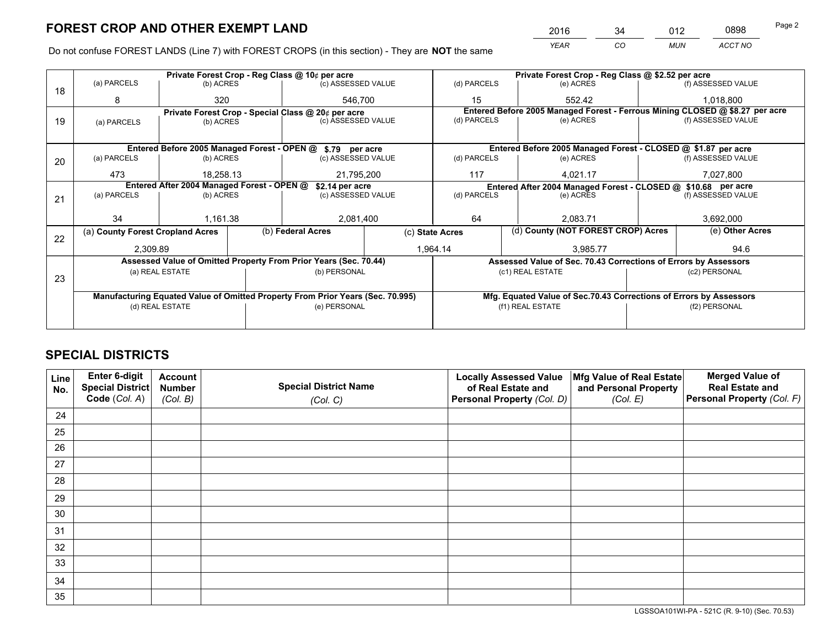*YEAR CO MUN ACCT NO* <sup>2016</sup> <sup>34</sup> <sup>012</sup> <sup>0898</sup>

Do not confuse FOREST LANDS (Line 7) with FOREST CROPS (in this section) - They are **NOT** the same

|    |                                                                                |                                            |                 | Private Forest Crop - Reg Class @ 10¢ per acre                   |                                                               | Private Forest Crop - Reg Class @ \$2.52 per acre                            |                                                                    |                    |                    |  |
|----|--------------------------------------------------------------------------------|--------------------------------------------|-----------------|------------------------------------------------------------------|---------------------------------------------------------------|------------------------------------------------------------------------------|--------------------------------------------------------------------|--------------------|--------------------|--|
| 18 | (a) PARCELS                                                                    | (b) ACRES                                  |                 | (c) ASSESSED VALUE                                               |                                                               | (d) PARCELS                                                                  | (e) ACRES                                                          |                    | (f) ASSESSED VALUE |  |
|    | 8                                                                              | 320                                        |                 | 546.700                                                          |                                                               | 15                                                                           | 552.42                                                             |                    | 1.018.800          |  |
|    |                                                                                |                                            |                 | Private Forest Crop - Special Class @ 20¢ per acre               |                                                               | Entered Before 2005 Managed Forest - Ferrous Mining CLOSED @ \$8.27 per acre |                                                                    |                    |                    |  |
| 19 | (a) PARCELS                                                                    | (c) ASSESSED VALUE<br>(b) ACRES            |                 |                                                                  | (d) PARCELS                                                   | (e) ACRES                                                                    |                                                                    | (f) ASSESSED VALUE |                    |  |
|    |                                                                                |                                            |                 |                                                                  |                                                               |                                                                              |                                                                    |                    |                    |  |
|    |                                                                                |                                            |                 | Entered Before 2005 Managed Forest - OPEN @ \$.79 per acre       |                                                               |                                                                              | Entered Before 2005 Managed Forest - CLOSED @ \$1.87 per acre      |                    |                    |  |
| 20 | (a) PARCELS                                                                    | (b) ACRES                                  |                 | (c) ASSESSED VALUE                                               |                                                               | (d) PARCELS                                                                  | (e) ACRES                                                          |                    | (f) ASSESSED VALUE |  |
|    | 473                                                                            | 18.258.13<br>21,795,200                    |                 |                                                                  | 117                                                           | 4.021.17                                                                     |                                                                    | 7,027,800          |                    |  |
|    |                                                                                | Entered After 2004 Managed Forest - OPEN @ | \$2.14 per acre |                                                                  | Entered After 2004 Managed Forest - CLOSED @ \$10.68 per acre |                                                                              |                                                                    |                    |                    |  |
| 21 | (a) PARCELS                                                                    | (b) ACRES                                  |                 | (c) ASSESSED VALUE                                               |                                                               | (d) PARCELS<br>(e) ACRES                                                     |                                                                    |                    | (f) ASSESSED VALUE |  |
|    |                                                                                |                                            |                 |                                                                  |                                                               |                                                                              |                                                                    |                    |                    |  |
|    | 34                                                                             | 1.161.38                                   |                 | 2,081,400                                                        |                                                               | 64<br>2.083.71                                                               |                                                                    |                    | 3,692,000          |  |
| 22 | (a) County Forest Cropland Acres                                               |                                            |                 | (b) Federal Acres                                                |                                                               | (d) County (NOT FOREST CROP) Acres<br>(c) State Acres                        |                                                                    |                    | (e) Other Acres    |  |
|    | 2,309.89                                                                       |                                            |                 |                                                                  |                                                               | 1,964.14<br>3,985.77                                                         |                                                                    |                    | 94.6               |  |
|    |                                                                                |                                            |                 | Assessed Value of Omitted Property From Prior Years (Sec. 70.44) |                                                               |                                                                              | Assessed Value of Sec. 70.43 Corrections of Errors by Assessors    |                    |                    |  |
|    |                                                                                | (a) REAL ESTATE                            |                 | (b) PERSONAL                                                     |                                                               |                                                                              | (c1) REAL ESTATE                                                   |                    | (c2) PERSONAL      |  |
| 23 |                                                                                |                                            |                 |                                                                  |                                                               |                                                                              |                                                                    |                    |                    |  |
|    | Manufacturing Equated Value of Omitted Property From Prior Years (Sec. 70.995) |                                            |                 |                                                                  |                                                               |                                                                              | Mfg. Equated Value of Sec.70.43 Corrections of Errors by Assessors |                    |                    |  |
|    |                                                                                | (d) REAL ESTATE                            |                 | (e) PERSONAL                                                     |                                                               |                                                                              | (f1) REAL ESTATE                                                   |                    | (f2) PERSONAL      |  |
|    |                                                                                |                                            |                 |                                                                  |                                                               |                                                                              |                                                                    |                    |                    |  |

# **SPECIAL DISTRICTS**

| Line<br>No. | Enter 6-digit<br>Special District<br>Code (Col. A) | <b>Account</b><br><b>Number</b><br>(Col. B) | <b>Special District Name</b><br>(Col. C) | <b>Locally Assessed Value</b><br>of Real Estate and<br>Personal Property (Col. D) | Mfg Value of Real Estate<br>and Personal Property<br>(Col. E) | <b>Merged Value of</b><br><b>Real Estate and</b><br>Personal Property (Col. F) |
|-------------|----------------------------------------------------|---------------------------------------------|------------------------------------------|-----------------------------------------------------------------------------------|---------------------------------------------------------------|--------------------------------------------------------------------------------|
|             |                                                    |                                             |                                          |                                                                                   |                                                               |                                                                                |
| 24          |                                                    |                                             |                                          |                                                                                   |                                                               |                                                                                |
| 25          |                                                    |                                             |                                          |                                                                                   |                                                               |                                                                                |
| 26          |                                                    |                                             |                                          |                                                                                   |                                                               |                                                                                |
| 27          |                                                    |                                             |                                          |                                                                                   |                                                               |                                                                                |
| 28          |                                                    |                                             |                                          |                                                                                   |                                                               |                                                                                |
| 29          |                                                    |                                             |                                          |                                                                                   |                                                               |                                                                                |
| 30          |                                                    |                                             |                                          |                                                                                   |                                                               |                                                                                |
| 31          |                                                    |                                             |                                          |                                                                                   |                                                               |                                                                                |
| 32          |                                                    |                                             |                                          |                                                                                   |                                                               |                                                                                |
| 33          |                                                    |                                             |                                          |                                                                                   |                                                               |                                                                                |
| 34          |                                                    |                                             |                                          |                                                                                   |                                                               |                                                                                |
| 35          |                                                    |                                             |                                          |                                                                                   |                                                               |                                                                                |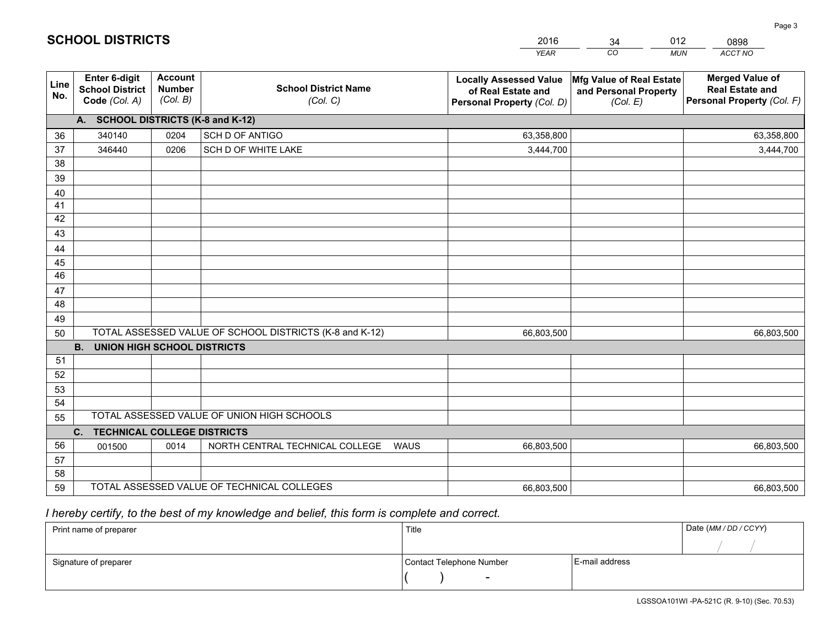|             |                                                          |                                             |                                                         | <b>YEAR</b>                                                                       | CO<br><b>MUN</b>                                              | ACCT NO                                                                        |
|-------------|----------------------------------------------------------|---------------------------------------------|---------------------------------------------------------|-----------------------------------------------------------------------------------|---------------------------------------------------------------|--------------------------------------------------------------------------------|
| Line<br>No. | Enter 6-digit<br><b>School District</b><br>Code (Col. A) | <b>Account</b><br><b>Number</b><br>(Col. B) | <b>School District Name</b><br>(Col. C)                 | <b>Locally Assessed Value</b><br>of Real Estate and<br>Personal Property (Col. D) | Mfg Value of Real Estate<br>and Personal Property<br>(Col. E) | <b>Merged Value of</b><br><b>Real Estate and</b><br>Personal Property (Col. F) |
|             | A. SCHOOL DISTRICTS (K-8 and K-12)                       |                                             |                                                         |                                                                                   |                                                               |                                                                                |
| 36          | 340140                                                   | 0204                                        | SCH D OF ANTIGO                                         | 63,358,800                                                                        |                                                               | 63,358,800                                                                     |
| 37          | 346440                                                   | 0206                                        | SCH D OF WHITE LAKE                                     | 3,444,700                                                                         |                                                               | 3,444,700                                                                      |
| 38          |                                                          |                                             |                                                         |                                                                                   |                                                               |                                                                                |
| 39          |                                                          |                                             |                                                         |                                                                                   |                                                               |                                                                                |
| 40          |                                                          |                                             |                                                         |                                                                                   |                                                               |                                                                                |
| 41          |                                                          |                                             |                                                         |                                                                                   |                                                               |                                                                                |
| 42          |                                                          |                                             |                                                         |                                                                                   |                                                               |                                                                                |
| 43          |                                                          |                                             |                                                         |                                                                                   |                                                               |                                                                                |
| 44          |                                                          |                                             |                                                         |                                                                                   |                                                               |                                                                                |
| 45          |                                                          |                                             |                                                         |                                                                                   |                                                               |                                                                                |
| 46          |                                                          |                                             |                                                         |                                                                                   |                                                               |                                                                                |
| 47          |                                                          |                                             |                                                         |                                                                                   |                                                               |                                                                                |
| 48          |                                                          |                                             |                                                         |                                                                                   |                                                               |                                                                                |
| 49          |                                                          |                                             | TOTAL ASSESSED VALUE OF SCHOOL DISTRICTS (K-8 and K-12) |                                                                                   |                                                               |                                                                                |
| 50          | B <sub>1</sub><br><b>UNION HIGH SCHOOL DISTRICTS</b>     |                                             |                                                         | 66,803,500                                                                        |                                                               | 66,803,500                                                                     |
| 51          |                                                          |                                             |                                                         |                                                                                   |                                                               |                                                                                |
| 52          |                                                          |                                             |                                                         |                                                                                   |                                                               |                                                                                |
| 53          |                                                          |                                             |                                                         |                                                                                   |                                                               |                                                                                |
| 54          |                                                          |                                             |                                                         |                                                                                   |                                                               |                                                                                |
| 55          |                                                          |                                             | TOTAL ASSESSED VALUE OF UNION HIGH SCHOOLS              |                                                                                   |                                                               |                                                                                |
|             | C. TECHNICAL COLLEGE DISTRICTS                           |                                             |                                                         |                                                                                   |                                                               |                                                                                |
| 56          | 001500                                                   | 0014                                        | NORTH CENTRAL TECHNICAL COLLEGE<br><b>WAUS</b>          | 66,803,500                                                                        |                                                               | 66,803,500                                                                     |
| 57          |                                                          |                                             |                                                         |                                                                                   |                                                               |                                                                                |
| 58          |                                                          |                                             |                                                         |                                                                                   |                                                               |                                                                                |
| 59          |                                                          |                                             | TOTAL ASSESSED VALUE OF TECHNICAL COLLEGES              | 66,803,500                                                                        |                                                               | 66,803,500                                                                     |

34

012

 *I hereby certify, to the best of my knowledge and belief, this form is complete and correct.*

**SCHOOL DISTRICTS**

| Print name of preparer | Title                    |                | Date (MM / DD / CCYY) |
|------------------------|--------------------------|----------------|-----------------------|
|                        |                          |                |                       |
| Signature of preparer  | Contact Telephone Number | E-mail address |                       |
|                        | $\sim$                   |                |                       |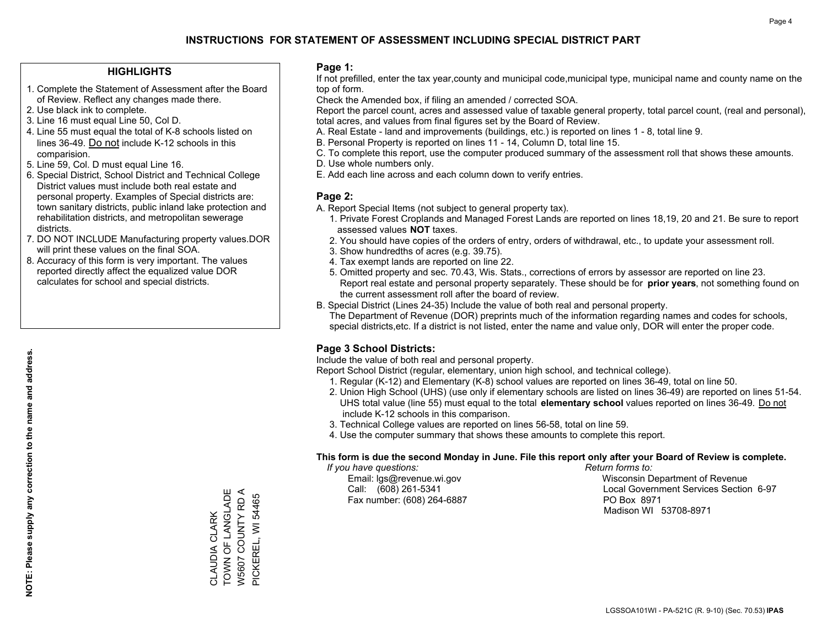### **HIGHLIGHTS**

- 1. Complete the Statement of Assessment after the Board of Review. Reflect any changes made there.
- 2. Use black ink to complete.
- 3. Line 16 must equal Line 50, Col D.
- 4. Line 55 must equal the total of K-8 schools listed on lines 36-49. Do not include K-12 schools in this comparision.
- 5. Line 59, Col. D must equal Line 16.
- 6. Special District, School District and Technical College District values must include both real estate and personal property. Examples of Special districts are: town sanitary districts, public inland lake protection and rehabilitation districts, and metropolitan sewerage districts.
- 7. DO NOT INCLUDE Manufacturing property values.DOR will print these values on the final SOA.
- 8. Accuracy of this form is very important. The values reported directly affect the equalized value DOR calculates for school and special districts.

### **Page 1:**

 If not prefilled, enter the tax year,county and municipal code,municipal type, municipal name and county name on the top of form.

Check the Amended box, if filing an amended / corrected SOA.

 Report the parcel count, acres and assessed value of taxable general property, total parcel count, (real and personal), total acres, and values from final figures set by the Board of Review.

- A. Real Estate land and improvements (buildings, etc.) is reported on lines 1 8, total line 9.
- B. Personal Property is reported on lines 11 14, Column D, total line 15.
- C. To complete this report, use the computer produced summary of the assessment roll that shows these amounts.
- D. Use whole numbers only.
- E. Add each line across and each column down to verify entries.

### **Page 2:**

- A. Report Special Items (not subject to general property tax).
- 1. Private Forest Croplands and Managed Forest Lands are reported on lines 18,19, 20 and 21. Be sure to report assessed values **NOT** taxes.
- 2. You should have copies of the orders of entry, orders of withdrawal, etc., to update your assessment roll.
	- 3. Show hundredths of acres (e.g. 39.75).
- 4. Tax exempt lands are reported on line 22.
- 5. Omitted property and sec. 70.43, Wis. Stats., corrections of errors by assessor are reported on line 23. Report real estate and personal property separately. These should be for **prior years**, not something found on the current assessment roll after the board of review.
- B. Special District (Lines 24-35) Include the value of both real and personal property.

 The Department of Revenue (DOR) preprints much of the information regarding names and codes for schools, special districts,etc. If a district is not listed, enter the name and value only, DOR will enter the proper code.

## **Page 3 School Districts:**

Include the value of both real and personal property.

Report School District (regular, elementary, union high school, and technical college).

- 1. Regular (K-12) and Elementary (K-8) school values are reported on lines 36-49, total on line 50.
- 2. Union High School (UHS) (use only if elementary schools are listed on lines 36-49) are reported on lines 51-54. UHS total value (line 55) must equal to the total **elementary school** values reported on lines 36-49. Do notinclude K-12 schools in this comparison.
- 3. Technical College values are reported on lines 56-58, total on line 59.
- 4. Use the computer summary that shows these amounts to complete this report.

### **This form is due the second Monday in June. File this report only after your Board of Review is complete.**

 *If you have questions: Return forms to:*

Fax number: (608) 264-6887 PO Box 8971

 Email: lgs@revenue.wi.gov Wisconsin Department of Revenue Call: (608) 261-5341 Local Government Services Section 6-97Madison WI 53708-8971

TOWN OF LANGLADE CLAUDIA CLARK<br>TOWN OF LANGLADE W5607 COUNTY RD A W5607 COUNTY RD A PICKEREL, WI 54465 PICKEREL, WI 54465 CLAUDIA CLARK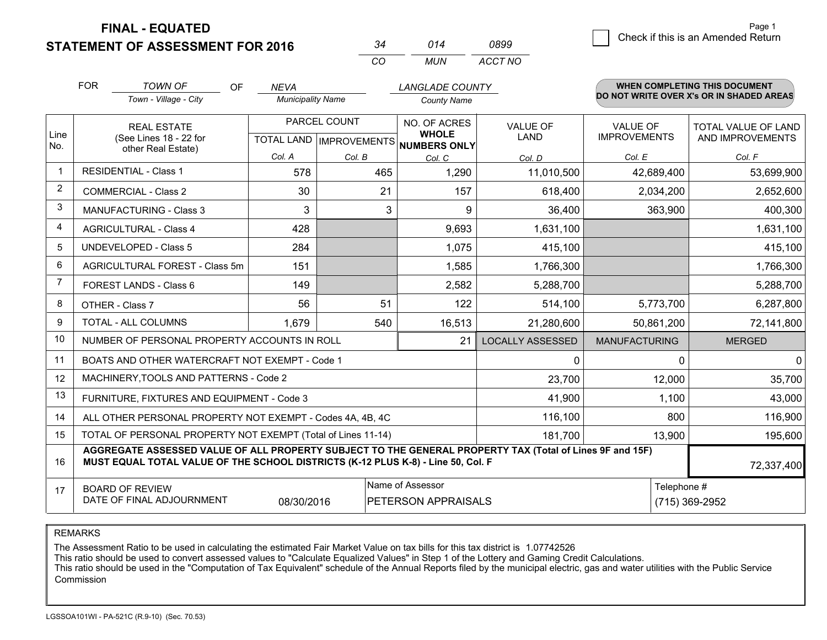**STATEMENT OF ASSESSMENT FOR 2016** 

| 2⊿       | 014  | 0899    |
|----------|------|---------|
| $\cdots$ | MUN. | ACCT NO |

|                | <b>FOR</b>                                                                                                                                                                                   | <b>TOWN OF</b><br>OF                                         | <b>NEVA</b>              |              | <b>LANGLADE COUNTY</b>                              |                         |                      | WHEN COMPLETING THIS DOCUMENT<br>DO NOT WRITE OVER X's OR IN SHADED AREAS |
|----------------|----------------------------------------------------------------------------------------------------------------------------------------------------------------------------------------------|--------------------------------------------------------------|--------------------------|--------------|-----------------------------------------------------|-------------------------|----------------------|---------------------------------------------------------------------------|
|                |                                                                                                                                                                                              | Town - Village - City                                        | <b>Municipality Name</b> |              | <b>County Name</b>                                  |                         |                      |                                                                           |
|                |                                                                                                                                                                                              | <b>REAL ESTATE</b>                                           |                          | PARCEL COUNT | NO. OF ACRES                                        | <b>VALUE OF</b>         | <b>VALUE OF</b>      | TOTAL VALUE OF LAND                                                       |
| Line<br>No.    |                                                                                                                                                                                              | (See Lines 18 - 22 for<br>other Real Estate)                 |                          |              | <b>WHOLE</b><br>TOTAL LAND MPROVEMENTS NUMBERS ONLY | LAND                    | <b>IMPROVEMENTS</b>  | AND IMPROVEMENTS                                                          |
|                |                                                                                                                                                                                              |                                                              | Col. A                   | Col. B       | Col. C                                              | Col. D                  | Col. E               | Col. F                                                                    |
|                |                                                                                                                                                                                              | <b>RESIDENTIAL - Class 1</b>                                 | 578                      | 465          | 1,290                                               | 11,010,500              | 42,689,400           | 53,699,900                                                                |
| 2              |                                                                                                                                                                                              | <b>COMMERCIAL - Class 2</b>                                  | 30                       | 21           | 157                                                 | 618,400                 | 2,034,200            | 2,652,600                                                                 |
| 3              |                                                                                                                                                                                              | <b>MANUFACTURING - Class 3</b>                               | 3                        | 3            | 9                                                   | 36,400                  | 363,900              | 400,300                                                                   |
| 4              |                                                                                                                                                                                              | <b>AGRICULTURAL - Class 4</b>                                | 428                      |              | 9,693                                               | 1,631,100               |                      | 1,631,100                                                                 |
| 5              |                                                                                                                                                                                              | <b>UNDEVELOPED - Class 5</b>                                 | 284                      |              | 1,075                                               | 415,100                 |                      | 415,100                                                                   |
| 6              | AGRICULTURAL FOREST - Class 5m                                                                                                                                                               |                                                              | 151                      |              | 1,585                                               | 1,766,300               |                      | 1,766,300                                                                 |
| $\overline{7}$ |                                                                                                                                                                                              | FOREST LANDS - Class 6                                       | 149                      |              | 2,582                                               | 5,288,700               |                      | 5,288,700                                                                 |
| 8              |                                                                                                                                                                                              | OTHER - Class 7                                              | 56                       | 51           | 122                                                 | 514,100                 | 5,773,700            | 6,287,800                                                                 |
| 9              |                                                                                                                                                                                              | TOTAL - ALL COLUMNS                                          | 1,679                    | 540          | 16,513                                              | 21,280,600              | 50,861,200           | 72,141,800                                                                |
| 10             |                                                                                                                                                                                              | NUMBER OF PERSONAL PROPERTY ACCOUNTS IN ROLL                 |                          |              | 21                                                  | <b>LOCALLY ASSESSED</b> | <b>MANUFACTURING</b> | <b>MERGED</b>                                                             |
| 11             |                                                                                                                                                                                              | BOATS AND OTHER WATERCRAFT NOT EXEMPT - Code 1               |                          |              |                                                     | 0                       | 0                    | 0                                                                         |
| 12             |                                                                                                                                                                                              | MACHINERY, TOOLS AND PATTERNS - Code 2                       |                          |              |                                                     | 23,700                  | 12,000               | 35,700                                                                    |
| 13             |                                                                                                                                                                                              | FURNITURE, FIXTURES AND EQUIPMENT - Code 3                   |                          |              |                                                     | 41,900                  | 1,100                | 43,000                                                                    |
| 14             |                                                                                                                                                                                              | ALL OTHER PERSONAL PROPERTY NOT EXEMPT - Codes 4A, 4B, 4C    |                          |              |                                                     | 116,100                 | 800                  | 116,900                                                                   |
| 15             |                                                                                                                                                                                              | TOTAL OF PERSONAL PROPERTY NOT EXEMPT (Total of Lines 11-14) |                          |              |                                                     | 181,700                 | 13,900               | 195,600                                                                   |
| 16             | AGGREGATE ASSESSED VALUE OF ALL PROPERTY SUBJECT TO THE GENERAL PROPERTY TAX (Total of Lines 9F and 15F)<br>MUST EQUAL TOTAL VALUE OF THE SCHOOL DISTRICTS (K-12 PLUS K-8) - Line 50, Col. F |                                                              |                          |              |                                                     |                         | 72,337,400           |                                                                           |
| 17             |                                                                                                                                                                                              | <b>BOARD OF REVIEW</b>                                       |                          |              | Name of Assessor                                    |                         | Telephone #          |                                                                           |
|                | DATE OF FINAL ADJOURNMENT<br>08/30/2016<br>PETERSON APPRAISALS                                                                                                                               |                                                              |                          |              |                                                     |                         |                      | (715) 369-2952                                                            |

REMARKS

The Assessment Ratio to be used in calculating the estimated Fair Market Value on tax bills for this tax district is 1.07742526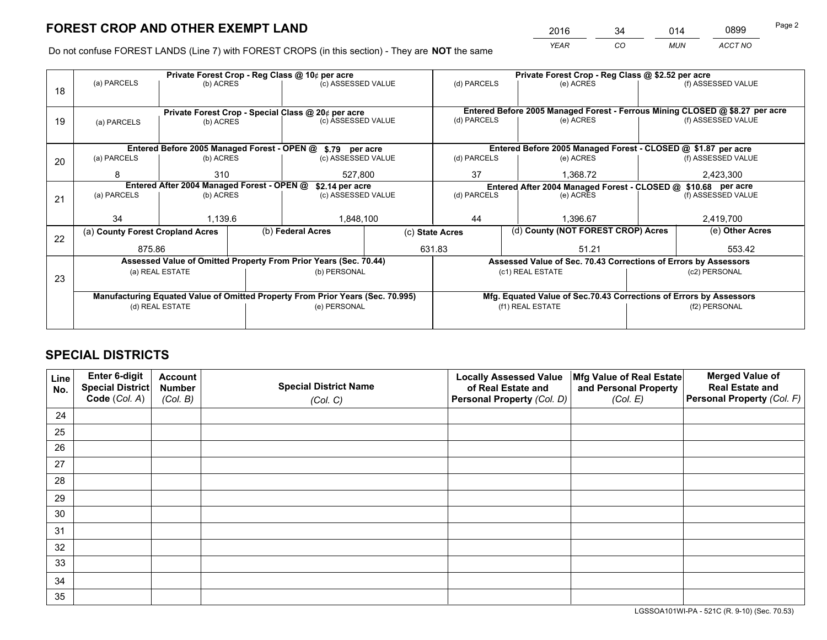*YEAR CO MUN ACCT NO* <sup>2016</sup> <sup>34</sup> <sup>014</sup> <sup>0899</sup>

Do not confuse FOREST LANDS (Line 7) with FOREST CROPS (in this section) - They are **NOT** the same

|    |                                                                                |                 |  | Private Forest Crop - Reg Class @ 10¢ per acre                   |                 | Private Forest Crop - Reg Class @ \$2.52 per acre |                                                                              |                 |                    |  |
|----|--------------------------------------------------------------------------------|-----------------|--|------------------------------------------------------------------|-----------------|---------------------------------------------------|------------------------------------------------------------------------------|-----------------|--------------------|--|
| 18 | (a) PARCELS                                                                    | (b) ACRES       |  | (c) ASSESSED VALUE                                               |                 | (d) PARCELS                                       | (e) ACRES                                                                    |                 | (f) ASSESSED VALUE |  |
|    | Private Forest Crop - Special Class @ 20¢ per acre                             |                 |  |                                                                  |                 |                                                   | Entered Before 2005 Managed Forest - Ferrous Mining CLOSED @ \$8.27 per acre |                 |                    |  |
| 19 | (a) PARCELS                                                                    | (b) ACRES       |  | (c) ASSESSED VALUE                                               |                 | (d) PARCELS                                       | (e) ACRES                                                                    |                 | (f) ASSESSED VALUE |  |
|    |                                                                                |                 |  | Entered Before 2005 Managed Forest - OPEN @ \$.79 per acre       |                 |                                                   | Entered Before 2005 Managed Forest - CLOSED @ \$1.87 per acre                |                 |                    |  |
| 20 | (a) PARCELS                                                                    | (b) ACRES       |  | (c) ASSESSED VALUE                                               |                 | (d) PARCELS                                       | (e) ACRES                                                                    |                 | (f) ASSESSED VALUE |  |
|    | 8                                                                              | 310             |  | 527,800                                                          |                 | 37<br>1.368.72                                    |                                                                              |                 | 2,423,300          |  |
|    | Entered After 2004 Managed Forest - OPEN @                                     |                 |  |                                                                  | \$2.14 per acre |                                                   | Entered After 2004 Managed Forest - CLOSED @ \$10.68 per acre                |                 |                    |  |
| 21 | (a) PARCELS                                                                    | (b) ACRES       |  | (c) ASSESSED VALUE                                               |                 | (d) PARCELS                                       | (e) ACRES                                                                    |                 | (f) ASSESSED VALUE |  |
|    |                                                                                |                 |  |                                                                  |                 |                                                   |                                                                              |                 |                    |  |
|    | 34                                                                             | 1.139.6         |  | 1,848,100                                                        |                 | 44<br>1.396.67                                    |                                                                              | 2,419,700       |                    |  |
| 22 | (a) County Forest Cropland Acres                                               |                 |  | (b) Federal Acres                                                |                 | (c) State Acres                                   | (d) County (NOT FOREST CROP) Acres                                           | (e) Other Acres |                    |  |
|    | 875.86                                                                         |                 |  |                                                                  | 631.83          |                                                   | 51.21                                                                        |                 | 553.42             |  |
|    |                                                                                |                 |  | Assessed Value of Omitted Property From Prior Years (Sec. 70.44) |                 |                                                   | Assessed Value of Sec. 70.43 Corrections of Errors by Assessors              |                 |                    |  |
| 23 | (a) REAL ESTATE                                                                |                 |  | (b) PERSONAL                                                     |                 |                                                   | (c1) REAL ESTATE                                                             |                 | (c2) PERSONAL      |  |
|    | Manufacturing Equated Value of Omitted Property From Prior Years (Sec. 70.995) |                 |  |                                                                  |                 |                                                   | Mfg. Equated Value of Sec.70.43 Corrections of Errors by Assessors           |                 |                    |  |
|    |                                                                                | (d) REAL ESTATE |  | (e) PERSONAL                                                     |                 | (f1) REAL ESTATE                                  |                                                                              |                 | (f2) PERSONAL      |  |
|    |                                                                                |                 |  |                                                                  |                 |                                                   |                                                                              |                 |                    |  |

# **SPECIAL DISTRICTS**

| Line<br>No. | Enter 6-digit<br>Special District<br>Code (Col. A) | <b>Account</b><br><b>Number</b><br>(Col. B) | <b>Special District Name</b><br>(Col. C) | <b>Locally Assessed Value</b><br>of Real Estate and<br>Personal Property (Col. D) | Mfg Value of Real Estate<br>and Personal Property<br>(Col. E) | <b>Merged Value of</b><br><b>Real Estate and</b><br>Personal Property (Col. F) |
|-------------|----------------------------------------------------|---------------------------------------------|------------------------------------------|-----------------------------------------------------------------------------------|---------------------------------------------------------------|--------------------------------------------------------------------------------|
| 24          |                                                    |                                             |                                          |                                                                                   |                                                               |                                                                                |
| 25          |                                                    |                                             |                                          |                                                                                   |                                                               |                                                                                |
| 26          |                                                    |                                             |                                          |                                                                                   |                                                               |                                                                                |
| 27          |                                                    |                                             |                                          |                                                                                   |                                                               |                                                                                |
| 28          |                                                    |                                             |                                          |                                                                                   |                                                               |                                                                                |
| 29          |                                                    |                                             |                                          |                                                                                   |                                                               |                                                                                |
| 30          |                                                    |                                             |                                          |                                                                                   |                                                               |                                                                                |
| 31          |                                                    |                                             |                                          |                                                                                   |                                                               |                                                                                |
| 32          |                                                    |                                             |                                          |                                                                                   |                                                               |                                                                                |
| 33          |                                                    |                                             |                                          |                                                                                   |                                                               |                                                                                |
| 34          |                                                    |                                             |                                          |                                                                                   |                                                               |                                                                                |
| 35          |                                                    |                                             |                                          |                                                                                   |                                                               |                                                                                |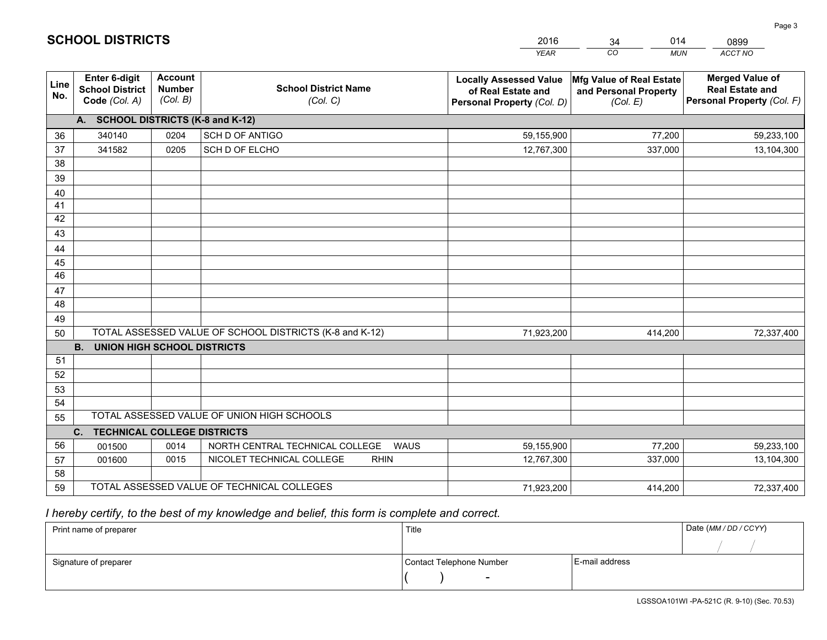|             |                                                          |                                             |                                                         | <b>YEAR</b>                                                                       | CO<br><b>MUN</b>                                              | ACCT NO                                                                        |
|-------------|----------------------------------------------------------|---------------------------------------------|---------------------------------------------------------|-----------------------------------------------------------------------------------|---------------------------------------------------------------|--------------------------------------------------------------------------------|
| Line<br>No. | Enter 6-digit<br><b>School District</b><br>Code (Col. A) | <b>Account</b><br><b>Number</b><br>(Col. B) | <b>School District Name</b><br>(Col. C)                 | <b>Locally Assessed Value</b><br>of Real Estate and<br>Personal Property (Col. D) | Mfg Value of Real Estate<br>and Personal Property<br>(Col. E) | <b>Merged Value of</b><br><b>Real Estate and</b><br>Personal Property (Col. F) |
|             | A. SCHOOL DISTRICTS (K-8 and K-12)                       |                                             |                                                         |                                                                                   |                                                               |                                                                                |
| 36          | 340140                                                   | 0204                                        | <b>SCH D OF ANTIGO</b>                                  | 59,155,900                                                                        | 77,200                                                        | 59,233,100                                                                     |
| 37          | 341582                                                   | 0205                                        | SCH D OF ELCHO                                          | 12,767,300                                                                        | 337,000                                                       | 13,104,300                                                                     |
| 38          |                                                          |                                             |                                                         |                                                                                   |                                                               |                                                                                |
| 39          |                                                          |                                             |                                                         |                                                                                   |                                                               |                                                                                |
| 40          |                                                          |                                             |                                                         |                                                                                   |                                                               |                                                                                |
| 41          |                                                          |                                             |                                                         |                                                                                   |                                                               |                                                                                |
| 42          |                                                          |                                             |                                                         |                                                                                   |                                                               |                                                                                |
| 43          |                                                          |                                             |                                                         |                                                                                   |                                                               |                                                                                |
| 44          |                                                          |                                             |                                                         |                                                                                   |                                                               |                                                                                |
| 45          |                                                          |                                             |                                                         |                                                                                   |                                                               |                                                                                |
| 46          |                                                          |                                             |                                                         |                                                                                   |                                                               |                                                                                |
| 47          |                                                          |                                             |                                                         |                                                                                   |                                                               |                                                                                |
| 48          |                                                          |                                             |                                                         |                                                                                   |                                                               |                                                                                |
| 49          |                                                          |                                             | TOTAL ASSESSED VALUE OF SCHOOL DISTRICTS (K-8 and K-12) |                                                                                   |                                                               |                                                                                |
| 50          | <b>B.</b><br><b>UNION HIGH SCHOOL DISTRICTS</b>          |                                             |                                                         | 71,923,200                                                                        | 414,200                                                       | 72,337,400                                                                     |
| 51          |                                                          |                                             |                                                         |                                                                                   |                                                               |                                                                                |
| 52          |                                                          |                                             |                                                         |                                                                                   |                                                               |                                                                                |
| 53          |                                                          |                                             |                                                         |                                                                                   |                                                               |                                                                                |
| 54          |                                                          |                                             |                                                         |                                                                                   |                                                               |                                                                                |
| 55          |                                                          |                                             | TOTAL ASSESSED VALUE OF UNION HIGH SCHOOLS              |                                                                                   |                                                               |                                                                                |
|             | C.<br><b>TECHNICAL COLLEGE DISTRICTS</b>                 |                                             |                                                         |                                                                                   |                                                               |                                                                                |
| 56          | 001500                                                   | 0014                                        | NORTH CENTRAL TECHNICAL COLLEGE<br><b>WAUS</b>          | 59,155,900                                                                        | 77,200                                                        | 59,233,100                                                                     |
| 57          | 001600                                                   | 0015                                        | NICOLET TECHNICAL COLLEGE<br><b>RHIN</b>                | 12,767,300                                                                        | 337,000                                                       | 13,104,300                                                                     |
| 58          |                                                          |                                             |                                                         |                                                                                   |                                                               |                                                                                |
| 59          |                                                          |                                             | TOTAL ASSESSED VALUE OF TECHNICAL COLLEGES              | 71,923,200                                                                        | 414,200                                                       | 72,337,400                                                                     |

34

014

# *I hereby certify, to the best of my knowledge and belief, this form is complete and correct.*

**SCHOOL DISTRICTS**

| Print name of preparer | Title                    |                | Date (MM / DD / CCYY) |
|------------------------|--------------------------|----------------|-----------------------|
|                        |                          |                |                       |
| Signature of preparer  | Contact Telephone Number | E-mail address |                       |
|                        | $\overline{\phantom{0}}$ |                |                       |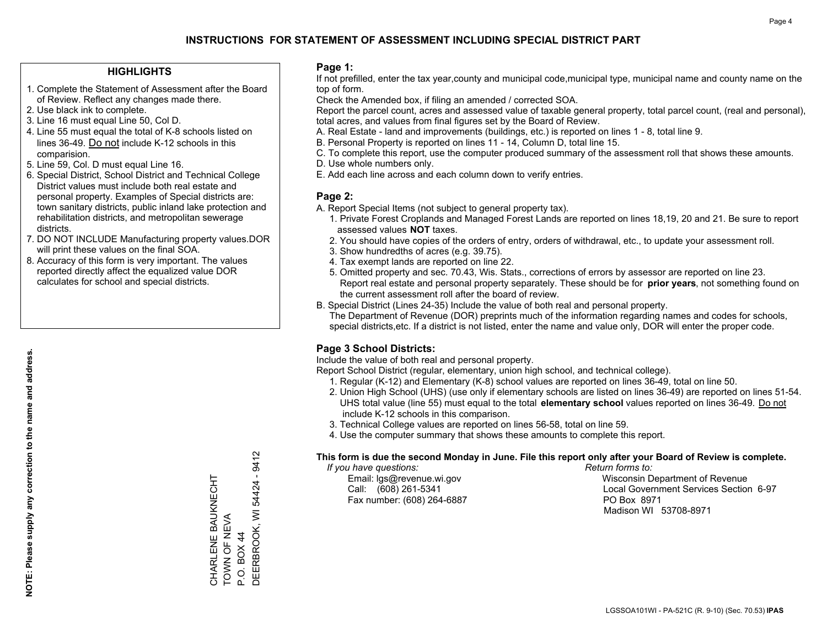### **HIGHLIGHTS**

- 1. Complete the Statement of Assessment after the Board of Review. Reflect any changes made there.
- 2. Use black ink to complete.
- 3. Line 16 must equal Line 50, Col D.
- 4. Line 55 must equal the total of K-8 schools listed on lines 36-49. Do not include K-12 schools in this comparision.
- 5. Line 59, Col. D must equal Line 16.
- 6. Special District, School District and Technical College District values must include both real estate and personal property. Examples of Special districts are: town sanitary districts, public inland lake protection and rehabilitation districts, and metropolitan sewerage districts.
- 7. DO NOT INCLUDE Manufacturing property values.DOR will print these values on the final SOA.
- 8. Accuracy of this form is very important. The values reported directly affect the equalized value DOR calculates for school and special districts.

### **Page 1:**

 If not prefilled, enter the tax year,county and municipal code,municipal type, municipal name and county name on the top of form.

Check the Amended box, if filing an amended / corrected SOA.

 Report the parcel count, acres and assessed value of taxable general property, total parcel count, (real and personal), total acres, and values from final figures set by the Board of Review.

- A. Real Estate land and improvements (buildings, etc.) is reported on lines 1 8, total line 9.
- B. Personal Property is reported on lines 11 14, Column D, total line 15.
- C. To complete this report, use the computer produced summary of the assessment roll that shows these amounts.
- D. Use whole numbers only.
- E. Add each line across and each column down to verify entries.

### **Page 2:**

- A. Report Special Items (not subject to general property tax).
- 1. Private Forest Croplands and Managed Forest Lands are reported on lines 18,19, 20 and 21. Be sure to report assessed values **NOT** taxes.
- 2. You should have copies of the orders of entry, orders of withdrawal, etc., to update your assessment roll.
	- 3. Show hundredths of acres (e.g. 39.75).
- 4. Tax exempt lands are reported on line 22.
- 5. Omitted property and sec. 70.43, Wis. Stats., corrections of errors by assessor are reported on line 23. Report real estate and personal property separately. These should be for **prior years**, not something found on the current assessment roll after the board of review.
- B. Special District (Lines 24-35) Include the value of both real and personal property.
- The Department of Revenue (DOR) preprints much of the information regarding names and codes for schools, special districts,etc. If a district is not listed, enter the name and value only, DOR will enter the proper code.

## **Page 3 School Districts:**

Include the value of both real and personal property.

Report School District (regular, elementary, union high school, and technical college).

- 1. Regular (K-12) and Elementary (K-8) school values are reported on lines 36-49, total on line 50.
- 2. Union High School (UHS) (use only if elementary schools are listed on lines 36-49) are reported on lines 51-54. UHS total value (line 55) must equal to the total **elementary school** values reported on lines 36-49. Do notinclude K-12 schools in this comparison.
- 3. Technical College values are reported on lines 56-58, total on line 59.
- 4. Use the computer summary that shows these amounts to complete this report.

### **This form is due the second Monday in June. File this report only after your Board of Review is complete.**

 *If you have questions: Return forms to:*

Fax number: (608) 264-6887 PO Box 8971

 Email: lgs@revenue.wi.gov Wisconsin Department of Revenue Call: (608) 261-5341 Local Government Services Section 6-97Madison WI 53708-8971

9412 DEERBROOK, WI 54424 - 9412 DEERBROOK, WI 54424 -CHARLENE BAUKNECHT<br>TOWN OF NEVA CHARLENE BAUKNECHT TOWN OF NEVA P.O. BOX 44 P.O. BOX 44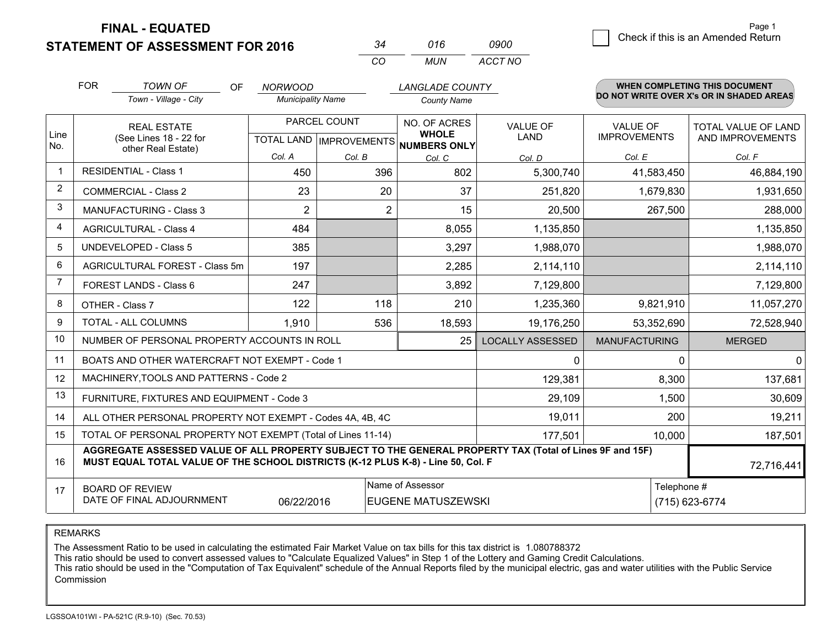**STATEMENT OF ASSESSMENT FOR 2016** 

|              | 016  | nann    |
|--------------|------|---------|
| $\mathbf{r}$ | MUN. | ACCT NO |

|                         | <b>FOR</b>                                                                                                                                                                                   | <b>TOWN OF</b><br><b>OF</b><br>Town - Village - City      | <b>NORWOOD</b><br><b>Municipality Name</b> |                | <b>LANGLADE COUNTY</b><br><b>County Name</b>             |                         |                      | <b>WHEN COMPLETING THIS DOCUMENT</b><br>DO NOT WRITE OVER X's OR IN SHADED AREAS |
|-------------------------|----------------------------------------------------------------------------------------------------------------------------------------------------------------------------------------------|-----------------------------------------------------------|--------------------------------------------|----------------|----------------------------------------------------------|-------------------------|----------------------|----------------------------------------------------------------------------------|
|                         |                                                                                                                                                                                              |                                                           |                                            |                |                                                          |                         |                      |                                                                                  |
|                         |                                                                                                                                                                                              | <b>REAL ESTATE</b>                                        |                                            | PARCEL COUNT   | NO. OF ACRES                                             | <b>VALUE OF</b>         | <b>VALUE OF</b>      | <b>TOTAL VALUE OF LAND</b>                                                       |
| Line<br>No.             |                                                                                                                                                                                              | (See Lines 18 - 22 for<br>other Real Estate)              |                                            |                | <b>WHOLE</b><br>TOTAL LAND   IMPROVEMENTS   NUMBERS ONLY | LAND                    | <b>IMPROVEMENTS</b>  | AND IMPROVEMENTS                                                                 |
|                         |                                                                                                                                                                                              |                                                           | Col. A                                     | Col. B         | Col. C                                                   | Col. D                  | Col. E               | Col. F                                                                           |
| $\overline{\mathbf{1}}$ |                                                                                                                                                                                              | <b>RESIDENTIAL - Class 1</b>                              | 450                                        | 396            | 802                                                      | 5,300,740               | 41,583,450           | 46,884,190                                                                       |
| 2                       |                                                                                                                                                                                              | <b>COMMERCIAL - Class 2</b>                               | 23                                         | 20             | 37                                                       | 251,820                 | 1,679,830            | 1,931,650                                                                        |
| 3                       |                                                                                                                                                                                              | MANUFACTURING - Class 3                                   | $\overline{2}$                             | $\overline{2}$ | 15                                                       | 20,500                  | 267,500              | 288,000                                                                          |
| 4                       |                                                                                                                                                                                              | <b>AGRICULTURAL - Class 4</b>                             | 484                                        |                | 8,055                                                    | 1,135,850               |                      | 1,135,850                                                                        |
| 5                       |                                                                                                                                                                                              | UNDEVELOPED - Class 5                                     | 385                                        |                | 3,297                                                    | 1,988,070               |                      | 1,988,070                                                                        |
| 6                       |                                                                                                                                                                                              | AGRICULTURAL FOREST - Class 5m                            | 197                                        |                | 2,285                                                    | 2,114,110               |                      | 2,114,110                                                                        |
| $\overline{7}$          |                                                                                                                                                                                              | FOREST LANDS - Class 6                                    | 247                                        |                | 3,892                                                    | 7,129,800               |                      | 7,129,800                                                                        |
| 8                       |                                                                                                                                                                                              | OTHER - Class 7                                           | 122                                        | 118            | 210                                                      | 1,235,360               | 9,821,910            | 11,057,270                                                                       |
| 9                       |                                                                                                                                                                                              | TOTAL - ALL COLUMNS                                       | 1,910                                      | 536            | 18,593                                                   | 19,176,250              | 53,352,690           | 72,528,940                                                                       |
| 10                      |                                                                                                                                                                                              | NUMBER OF PERSONAL PROPERTY ACCOUNTS IN ROLL              |                                            |                | 25                                                       | <b>LOCALLY ASSESSED</b> | <b>MANUFACTURING</b> | <b>MERGED</b>                                                                    |
| 11                      |                                                                                                                                                                                              | BOATS AND OTHER WATERCRAFT NOT EXEMPT - Code 1            |                                            |                |                                                          | 0                       | 0                    | $\overline{0}$                                                                   |
| 12                      |                                                                                                                                                                                              | MACHINERY, TOOLS AND PATTERNS - Code 2                    |                                            |                |                                                          | 129,381                 | 8,300                | 137,681                                                                          |
| 13                      |                                                                                                                                                                                              | FURNITURE, FIXTURES AND EQUIPMENT - Code 3                |                                            |                |                                                          | 29,109                  | 1,500                | 30,609                                                                           |
| 14                      |                                                                                                                                                                                              | ALL OTHER PERSONAL PROPERTY NOT EXEMPT - Codes 4A, 4B, 4C |                                            |                |                                                          | 19,011                  | 200                  | 19,211                                                                           |
| 15                      | TOTAL OF PERSONAL PROPERTY NOT EXEMPT (Total of Lines 11-14)<br>177,501                                                                                                                      |                                                           |                                            |                |                                                          |                         | 10,000               | 187,501                                                                          |
| 16                      | AGGREGATE ASSESSED VALUE OF ALL PROPERTY SUBJECT TO THE GENERAL PROPERTY TAX (Total of Lines 9F and 15F)<br>MUST EQUAL TOTAL VALUE OF THE SCHOOL DISTRICTS (K-12 PLUS K-8) - Line 50, Col. F |                                                           |                                            |                |                                                          |                         | 72,716,441           |                                                                                  |
| 17                      |                                                                                                                                                                                              | <b>BOARD OF REVIEW</b>                                    |                                            |                | Name of Assessor                                         |                         | Telephone #          |                                                                                  |
|                         | DATE OF FINAL ADJOURNMENT<br><b>EUGENE MATUSZEWSKI</b><br>06/22/2016                                                                                                                         |                                                           |                                            |                |                                                          |                         | (715) 623-6774       |                                                                                  |

REMARKS

The Assessment Ratio to be used in calculating the estimated Fair Market Value on tax bills for this tax district is 1.080788372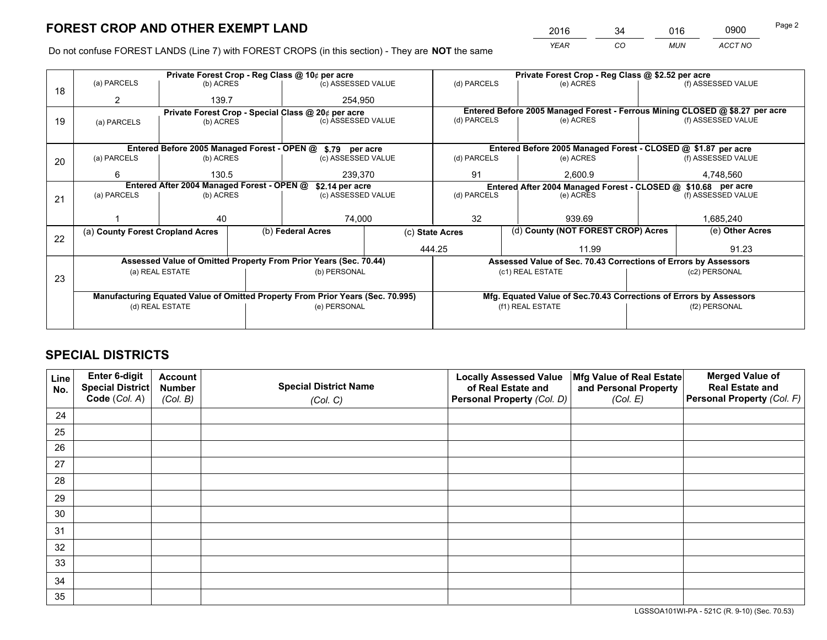*YEAR CO MUN ACCT NO* <sup>2016</sup> <sup>34</sup> <sup>016</sup> <sup>0900</sup>

Do not confuse FOREST LANDS (Line 7) with FOREST CROPS (in this section) - They are **NOT** the same

|    |                                                                                |                  |  | Private Forest Crop - Reg Class @ 10¢ per acre                   |                 | Private Forest Crop - Reg Class @ \$2.52 per acre             |                                                                              |                                    |                    |  |
|----|--------------------------------------------------------------------------------|------------------|--|------------------------------------------------------------------|-----------------|---------------------------------------------------------------|------------------------------------------------------------------------------|------------------------------------|--------------------|--|
| 18 | (a) PARCELS                                                                    | (b) ACRES        |  | (c) ASSESSED VALUE                                               |                 | (d) PARCELS                                                   | (e) ACRES                                                                    |                                    | (f) ASSESSED VALUE |  |
|    | 2                                                                              | 139.7            |  | 254,950                                                          |                 |                                                               |                                                                              |                                    |                    |  |
|    |                                                                                |                  |  | Private Forest Crop - Special Class @ 20¢ per acre               |                 |                                                               | Entered Before 2005 Managed Forest - Ferrous Mining CLOSED @ \$8.27 per acre |                                    |                    |  |
| 19 | (a) PARCELS                                                                    | (b) ACRES        |  | (c) ASSESSED VALUE                                               |                 | (d) PARCELS                                                   | (e) ACRES                                                                    |                                    | (f) ASSESSED VALUE |  |
|    |                                                                                |                  |  |                                                                  |                 |                                                               |                                                                              |                                    |                    |  |
|    |                                                                                |                  |  | Entered Before 2005 Managed Forest - OPEN @ \$.79 per acre       |                 |                                                               | Entered Before 2005 Managed Forest - CLOSED @ \$1.87 per acre                |                                    |                    |  |
| 20 | (a) PARCELS                                                                    | (b) ACRES        |  | (c) ASSESSED VALUE                                               |                 | (d) PARCELS                                                   | (e) ACRES                                                                    |                                    | (f) ASSESSED VALUE |  |
|    | 6                                                                              | 130.5<br>239,370 |  |                                                                  | 91              | 2,600.9                                                       |                                                                              | 4,748,560                          |                    |  |
|    | Entered After 2004 Managed Forest - OPEN @<br>\$2.14 per acre                  |                  |  |                                                                  |                 | Entered After 2004 Managed Forest - CLOSED @ \$10.68 per acre |                                                                              |                                    |                    |  |
| 21 | (a) PARCELS                                                                    | (b) ACRES        |  | (c) ASSESSED VALUE                                               |                 | (d) PARCELS                                                   | (e) ACRES                                                                    |                                    | (f) ASSESSED VALUE |  |
|    |                                                                                |                  |  |                                                                  |                 |                                                               |                                                                              |                                    |                    |  |
|    |                                                                                | 40               |  | 74,000                                                           |                 | 32                                                            | 939.69                                                                       |                                    | 1,685,240          |  |
| 22 | (a) County Forest Cropland Acres                                               |                  |  | (b) Federal Acres                                                | (c) State Acres |                                                               |                                                                              | (d) County (NOT FOREST CROP) Acres |                    |  |
|    |                                                                                |                  |  |                                                                  | 444.25          |                                                               | 11.99                                                                        |                                    | 91.23              |  |
|    |                                                                                |                  |  | Assessed Value of Omitted Property From Prior Years (Sec. 70.44) |                 |                                                               | Assessed Value of Sec. 70.43 Corrections of Errors by Assessors              |                                    |                    |  |
|    |                                                                                | (a) REAL ESTATE  |  | (b) PERSONAL                                                     |                 |                                                               | (c1) REAL ESTATE                                                             |                                    | (c2) PERSONAL      |  |
| 23 |                                                                                |                  |  |                                                                  |                 |                                                               |                                                                              |                                    |                    |  |
|    | Manufacturing Equated Value of Omitted Property From Prior Years (Sec. 70.995) |                  |  |                                                                  |                 |                                                               | Mfg. Equated Value of Sec.70.43 Corrections of Errors by Assessors           |                                    |                    |  |
|    | (d) REAL ESTATE                                                                |                  |  | (e) PERSONAL                                                     |                 | (f1) REAL ESTATE                                              |                                                                              |                                    | (f2) PERSONAL      |  |
|    |                                                                                |                  |  |                                                                  |                 |                                                               |                                                                              |                                    |                    |  |

# **SPECIAL DISTRICTS**

| Line<br>No. | Enter 6-digit<br>Special District<br>Code (Col. A) | <b>Account</b><br><b>Number</b> | <b>Special District Name</b> | <b>Locally Assessed Value</b><br>of Real Estate and | Mfg Value of Real Estate<br>and Personal Property | <b>Merged Value of</b><br><b>Real Estate and</b><br>Personal Property (Col. F) |
|-------------|----------------------------------------------------|---------------------------------|------------------------------|-----------------------------------------------------|---------------------------------------------------|--------------------------------------------------------------------------------|
|             |                                                    | (Col. B)                        | (Col. C)                     | Personal Property (Col. D)                          | (Col. E)                                          |                                                                                |
| 24          |                                                    |                                 |                              |                                                     |                                                   |                                                                                |
| 25          |                                                    |                                 |                              |                                                     |                                                   |                                                                                |
| 26          |                                                    |                                 |                              |                                                     |                                                   |                                                                                |
| 27          |                                                    |                                 |                              |                                                     |                                                   |                                                                                |
| 28          |                                                    |                                 |                              |                                                     |                                                   |                                                                                |
| 29          |                                                    |                                 |                              |                                                     |                                                   |                                                                                |
| 30          |                                                    |                                 |                              |                                                     |                                                   |                                                                                |
| 31          |                                                    |                                 |                              |                                                     |                                                   |                                                                                |
| 32          |                                                    |                                 |                              |                                                     |                                                   |                                                                                |
| 33          |                                                    |                                 |                              |                                                     |                                                   |                                                                                |
| 34          |                                                    |                                 |                              |                                                     |                                                   |                                                                                |
| 35          |                                                    |                                 |                              |                                                     |                                                   |                                                                                |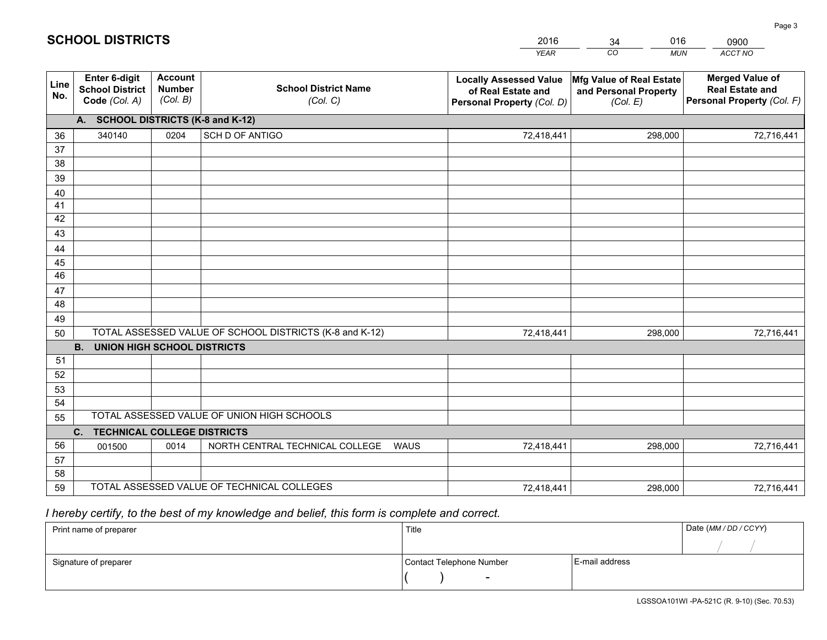|             |                                                                 |                                             |                                                         | <b>YEAR</b>                                                                       | CO<br><b>MUN</b>                                              | ACCT NO                                                                        |
|-------------|-----------------------------------------------------------------|---------------------------------------------|---------------------------------------------------------|-----------------------------------------------------------------------------------|---------------------------------------------------------------|--------------------------------------------------------------------------------|
| Line<br>No. | <b>Enter 6-digit</b><br><b>School District</b><br>Code (Col. A) | <b>Account</b><br><b>Number</b><br>(Col. B) | <b>School District Name</b><br>(Col. C)                 | <b>Locally Assessed Value</b><br>of Real Estate and<br>Personal Property (Col. D) | Mfg Value of Real Estate<br>and Personal Property<br>(Col. E) | <b>Merged Value of</b><br><b>Real Estate and</b><br>Personal Property (Col. F) |
|             | A. SCHOOL DISTRICTS (K-8 and K-12)                              |                                             |                                                         |                                                                                   |                                                               |                                                                                |
| 36          | 340140                                                          | 0204                                        | <b>SCH D OF ANTIGO</b>                                  | 72,418,441                                                                        | 298,000                                                       | 72,716,441                                                                     |
| 37          |                                                                 |                                             |                                                         |                                                                                   |                                                               |                                                                                |
| 38          |                                                                 |                                             |                                                         |                                                                                   |                                                               |                                                                                |
| 39          |                                                                 |                                             |                                                         |                                                                                   |                                                               |                                                                                |
| 40          |                                                                 |                                             |                                                         |                                                                                   |                                                               |                                                                                |
| 41<br>42    |                                                                 |                                             |                                                         |                                                                                   |                                                               |                                                                                |
| 43          |                                                                 |                                             |                                                         |                                                                                   |                                                               |                                                                                |
| 44          |                                                                 |                                             |                                                         |                                                                                   |                                                               |                                                                                |
| 45          |                                                                 |                                             |                                                         |                                                                                   |                                                               |                                                                                |
| 46          |                                                                 |                                             |                                                         |                                                                                   |                                                               |                                                                                |
| 47          |                                                                 |                                             |                                                         |                                                                                   |                                                               |                                                                                |
| 48          |                                                                 |                                             |                                                         |                                                                                   |                                                               |                                                                                |
| 49          |                                                                 |                                             |                                                         |                                                                                   |                                                               |                                                                                |
| 50          |                                                                 |                                             | TOTAL ASSESSED VALUE OF SCHOOL DISTRICTS (K-8 and K-12) | 72,418,441                                                                        | 298,000                                                       | 72,716,441                                                                     |
|             | <b>B. UNION HIGH SCHOOL DISTRICTS</b>                           |                                             |                                                         |                                                                                   |                                                               |                                                                                |
| 51<br>52    |                                                                 |                                             |                                                         |                                                                                   |                                                               |                                                                                |
| 53          |                                                                 |                                             |                                                         |                                                                                   |                                                               |                                                                                |
| 54          |                                                                 |                                             |                                                         |                                                                                   |                                                               |                                                                                |
| 55          |                                                                 |                                             | TOTAL ASSESSED VALUE OF UNION HIGH SCHOOLS              |                                                                                   |                                                               |                                                                                |
|             | C.<br><b>TECHNICAL COLLEGE DISTRICTS</b>                        |                                             |                                                         |                                                                                   |                                                               |                                                                                |
| 56          | 001500                                                          | 0014                                        | NORTH CENTRAL TECHNICAL COLLEGE<br><b>WAUS</b>          | 72,418,441                                                                        | 298,000                                                       | 72,716,441                                                                     |
| 57          |                                                                 |                                             |                                                         |                                                                                   |                                                               |                                                                                |
| 58          |                                                                 |                                             |                                                         |                                                                                   |                                                               |                                                                                |
| 59          |                                                                 |                                             | TOTAL ASSESSED VALUE OF TECHNICAL COLLEGES              | 72,418,441                                                                        | 298,000                                                       | 72,716,441                                                                     |

34

016

 *I hereby certify, to the best of my knowledge and belief, this form is complete and correct.*

**SCHOOL DISTRICTS**

| Print name of preparer | Title                    |                | Date (MM / DD / CCYY) |
|------------------------|--------------------------|----------------|-----------------------|
|                        |                          |                |                       |
| Signature of preparer  | Contact Telephone Number | E-mail address |                       |
|                        | $\sim$                   |                |                       |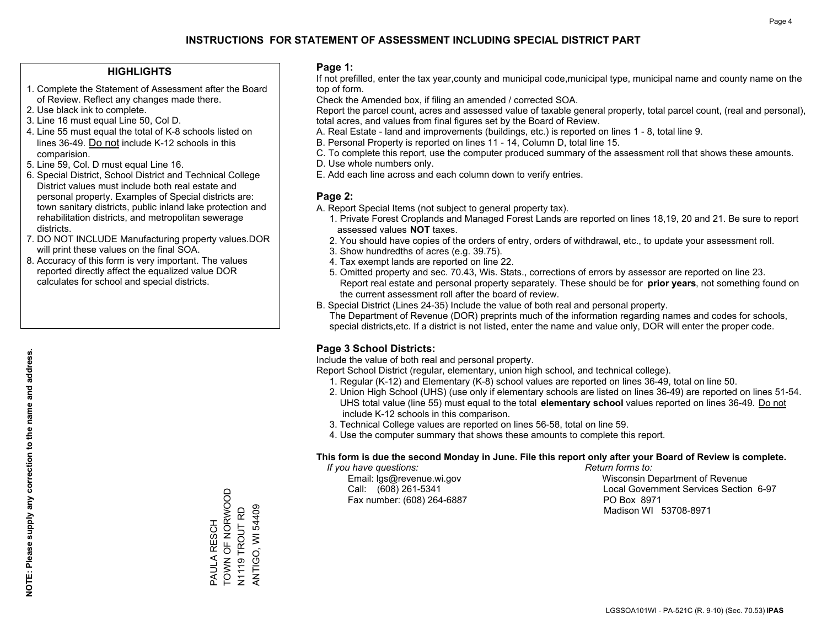### **HIGHLIGHTS**

- 1. Complete the Statement of Assessment after the Board of Review. Reflect any changes made there.
- 2. Use black ink to complete.

**NOTE: Please supply any correction to the name and address.**

NOTE: Please supply any correction to the name and address.

- 3. Line 16 must equal Line 50, Col D.
- 4. Line 55 must equal the total of K-8 schools listed on lines 36-49. Do not include K-12 schools in this comparision.
- 5. Line 59, Col. D must equal Line 16.
- 6. Special District, School District and Technical College District values must include both real estate and personal property. Examples of Special districts are: town sanitary districts, public inland lake protection and rehabilitation districts, and metropolitan sewerage districts.
- 7. DO NOT INCLUDE Manufacturing property values.DOR will print these values on the final SOA.
- 8. Accuracy of this form is very important. The values reported directly affect the equalized value DOR calculates for school and special districts.

### **Page 1:**

 If not prefilled, enter the tax year,county and municipal code,municipal type, municipal name and county name on the top of form.

Check the Amended box, if filing an amended / corrected SOA.

 Report the parcel count, acres and assessed value of taxable general property, total parcel count, (real and personal), total acres, and values from final figures set by the Board of Review.

- A. Real Estate land and improvements (buildings, etc.) is reported on lines 1 8, total line 9.
- B. Personal Property is reported on lines 11 14, Column D, total line 15.
- C. To complete this report, use the computer produced summary of the assessment roll that shows these amounts.
- D. Use whole numbers only.
- E. Add each line across and each column down to verify entries.

### **Page 2:**

- A. Report Special Items (not subject to general property tax).
- 1. Private Forest Croplands and Managed Forest Lands are reported on lines 18,19, 20 and 21. Be sure to report assessed values **NOT** taxes.
- 2. You should have copies of the orders of entry, orders of withdrawal, etc., to update your assessment roll.
	- 3. Show hundredths of acres (e.g. 39.75).
- 4. Tax exempt lands are reported on line 22.
- 5. Omitted property and sec. 70.43, Wis. Stats., corrections of errors by assessor are reported on line 23. Report real estate and personal property separately. These should be for **prior years**, not something found on the current assessment roll after the board of review.
- B. Special District (Lines 24-35) Include the value of both real and personal property.
- The Department of Revenue (DOR) preprints much of the information regarding names and codes for schools, special districts,etc. If a district is not listed, enter the name and value only, DOR will enter the proper code.

## **Page 3 School Districts:**

Include the value of both real and personal property.

Report School District (regular, elementary, union high school, and technical college).

- 1. Regular (K-12) and Elementary (K-8) school values are reported on lines 36-49, total on line 50.
- 2. Union High School (UHS) (use only if elementary schools are listed on lines 36-49) are reported on lines 51-54. UHS total value (line 55) must equal to the total **elementary school** values reported on lines 36-49. Do notinclude K-12 schools in this comparison.
- 3. Technical College values are reported on lines 56-58, total on line 59.
- 4. Use the computer summary that shows these amounts to complete this report.

### **This form is due the second Monday in June. File this report only after your Board of Review is complete.**

 *If you have questions: Return forms to:*

Fax number: (608) 264-6887 PO Box 8971

 Email: lgs@revenue.wi.gov Wisconsin Department of Revenue Call: (608) 261-5341 Local Government Services Section 6-97Madison WI 53708-8971

TOWN OF NORWOOD PAULA RESCH<br>TOWN OF NORWOOD PAULA RESCH

N1119 TROUT RD ANTIGO, WI 54409

ANTIGO, WI 54409 N1119 TROUT RD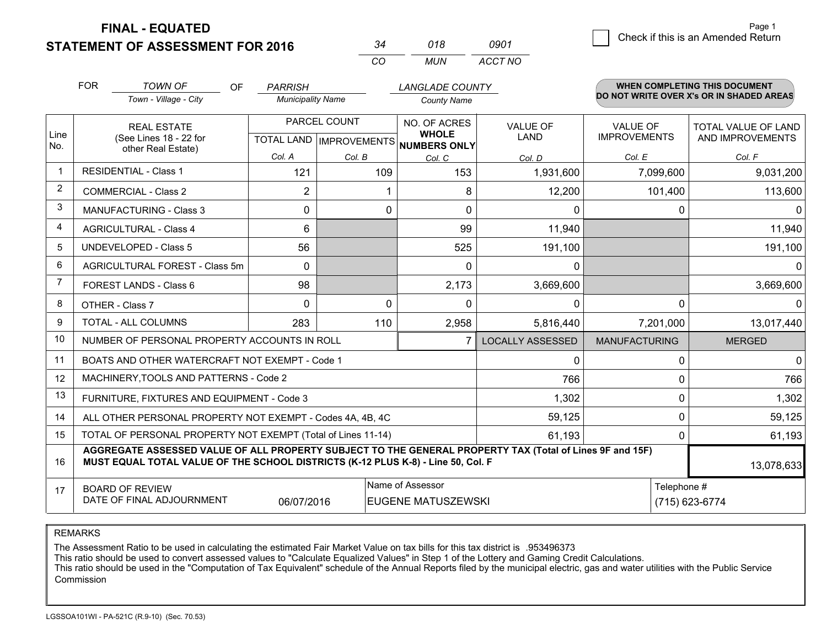**STATEMENT OF ASSESSMENT FOR 2016** 

| 34       | 018  | 0901    |  |
|----------|------|---------|--|
| $\cdots$ | MUN. | ACCT NO |  |

|              | <b>FOR</b>                                                                                                                                                                                   | <b>TOWN OF</b><br><b>OF</b><br>Town - Village - City      | <b>PARRISH</b><br><b>Municipality Name</b>           |               | <b>LANGLADE COUNTY</b><br><b>County Name</b> |                                |                                        | WHEN COMPLETING THIS DOCUMENT<br>DO NOT WRITE OVER X's OR IN SHADED AREAS |
|--------------|----------------------------------------------------------------------------------------------------------------------------------------------------------------------------------------------|-----------------------------------------------------------|------------------------------------------------------|---------------|----------------------------------------------|--------------------------------|----------------------------------------|---------------------------------------------------------------------------|
| Line<br>No.  | <b>REAL ESTATE</b><br>(See Lines 18 - 22 for<br>other Real Estate)                                                                                                                           |                                                           | PARCEL COUNT<br>TOTAL LAND IMPROVEMENTS NUMBERS ONLY |               | NO. OF ACRES<br><b>WHOLE</b>                 | <b>VALUE OF</b><br><b>LAND</b> | <b>VALUE OF</b><br><b>IMPROVEMENTS</b> | <b>TOTAL VALUE OF LAND</b><br>AND IMPROVEMENTS                            |
| $\mathbf{1}$ |                                                                                                                                                                                              | <b>RESIDENTIAL - Class 1</b>                              | Col. A<br>121                                        | Col. B<br>109 | Col. C<br>153                                | Col. D<br>1,931,600            | Col. E<br>7,099,600                    | Col. F<br>9,031,200                                                       |
| 2            |                                                                                                                                                                                              | <b>COMMERCIAL - Class 2</b>                               | 2                                                    |               | 8                                            | 12,200                         | 101,400                                | 113,600                                                                   |
| 3            |                                                                                                                                                                                              | <b>MANUFACTURING - Class 3</b>                            | $\Omega$                                             | 0             | $\Omega$                                     | $\Omega$                       | 0                                      | $\Omega$                                                                  |
| 4            |                                                                                                                                                                                              | <b>AGRICULTURAL - Class 4</b>                             | $6\phantom{1}$                                       |               | 99                                           | 11,940                         |                                        | 11,940                                                                    |
| 5            |                                                                                                                                                                                              | <b>UNDEVELOPED - Class 5</b>                              | 56                                                   |               | 525                                          | 191,100                        |                                        | 191,100                                                                   |
| 6            |                                                                                                                                                                                              | AGRICULTURAL FOREST - Class 5m                            | $\Omega$                                             |               | 0                                            | 0                              |                                        | $\mathbf{0}$                                                              |
| 7            |                                                                                                                                                                                              | FOREST LANDS - Class 6                                    | 98                                                   |               | 2,173                                        | 3,669,600                      |                                        | 3,669,600                                                                 |
| 8            | OTHER - Class 7                                                                                                                                                                              |                                                           | $\Omega$                                             | $\Omega$      | $\Omega$                                     | 0                              | $\Omega$                               | $\mathbf{0}$                                                              |
| 9            |                                                                                                                                                                                              | TOTAL - ALL COLUMNS                                       | 283                                                  | 110           | 2,958                                        | 5,816,440                      | 7,201,000                              | 13,017,440                                                                |
| 10           | NUMBER OF PERSONAL PROPERTY ACCOUNTS IN ROLL<br>7                                                                                                                                            |                                                           |                                                      |               |                                              | <b>LOCALLY ASSESSED</b>        | <b>MANUFACTURING</b>                   | <b>MERGED</b>                                                             |
| 11           |                                                                                                                                                                                              | BOATS AND OTHER WATERCRAFT NOT EXEMPT - Code 1            |                                                      |               |                                              | 0                              | 0                                      | $\Omega$                                                                  |
| 12           |                                                                                                                                                                                              | MACHINERY, TOOLS AND PATTERNS - Code 2                    |                                                      |               |                                              | 766                            | $\Omega$                               | 766                                                                       |
| 13           |                                                                                                                                                                                              | FURNITURE, FIXTURES AND EQUIPMENT - Code 3                |                                                      |               | 1,302                                        | 0                              | 1,302                                  |                                                                           |
| 14           |                                                                                                                                                                                              | ALL OTHER PERSONAL PROPERTY NOT EXEMPT - Codes 4A, 4B, 4C |                                                      | 59,125        | $\mathbf 0$                                  | 59,125                         |                                        |                                                                           |
| 15           | TOTAL OF PERSONAL PROPERTY NOT EXEMPT (Total of Lines 11-14)<br>61,193                                                                                                                       |                                                           |                                                      |               |                                              |                                | $\Omega$                               | 61,193                                                                    |
| 16           | AGGREGATE ASSESSED VALUE OF ALL PROPERTY SUBJECT TO THE GENERAL PROPERTY TAX (Total of Lines 9F and 15F)<br>MUST EQUAL TOTAL VALUE OF THE SCHOOL DISTRICTS (K-12 PLUS K-8) - Line 50, Col. F |                                                           |                                                      |               |                                              |                                | 13,078,633                             |                                                                           |
| 17           | Name of Assessor<br>Telephone #<br><b>BOARD OF REVIEW</b><br>DATE OF FINAL ADJOURNMENT<br>06/07/2016<br><b>EUGENE MATUSZEWSKI</b>                                                            |                                                           |                                                      |               | (715) 623-6774                               |                                |                                        |                                                                           |

REMARKS

The Assessment Ratio to be used in calculating the estimated Fair Market Value on tax bills for this tax district is .953496373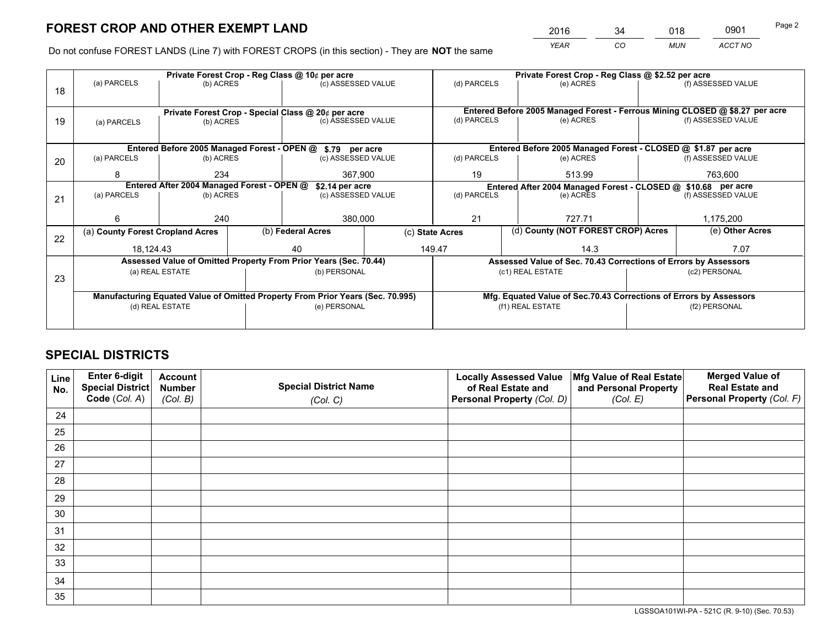*YEAR CO MUN ACCT NO* <sup>2016</sup> <sup>34</sup> <sup>018</sup> <sup>0901</sup>

Do not confuse FOREST LANDS (Line 7) with FOREST CROPS (in this section) - They are **NOT** the same

|    | Private Forest Crop - Reg Class @ 10¢ per acre                                 |                                 |  |                                                            |                                                                    | Private Forest Crop - Reg Class @ \$2.52 per acre                            |                                                               |               |                    |
|----|--------------------------------------------------------------------------------|---------------------------------|--|------------------------------------------------------------|--------------------------------------------------------------------|------------------------------------------------------------------------------|---------------------------------------------------------------|---------------|--------------------|
| 18 | (a) PARCELS<br>(b) ACRES                                                       |                                 |  | (c) ASSESSED VALUE                                         |                                                                    | (d) PARCELS                                                                  | (e) ACRES                                                     |               | (f) ASSESSED VALUE |
|    |                                                                                |                                 |  |                                                            |                                                                    |                                                                              |                                                               |               |                    |
|    |                                                                                |                                 |  | Private Forest Crop - Special Class @ 20¢ per acre         |                                                                    | Entered Before 2005 Managed Forest - Ferrous Mining CLOSED @ \$8.27 per acre |                                                               |               |                    |
| 19 | (b) ACRES<br>(a) PARCELS                                                       |                                 |  | (c) ASSESSED VALUE                                         |                                                                    | (d) PARCELS                                                                  | (e) ACRES                                                     |               | (f) ASSESSED VALUE |
|    |                                                                                |                                 |  |                                                            |                                                                    |                                                                              |                                                               |               |                    |
|    |                                                                                |                                 |  | Entered Before 2005 Managed Forest - OPEN @ \$.79 per acre |                                                                    |                                                                              | Entered Before 2005 Managed Forest - CLOSED @ \$1.87 per acre |               |                    |
| 20 | (a) PARCELS<br>(b) ACRES                                                       |                                 |  | (c) ASSESSED VALUE                                         |                                                                    | (d) PARCELS                                                                  | (e) ACRES                                                     |               | (f) ASSESSED VALUE |
|    | 8                                                                              | 234                             |  | 367,900                                                    |                                                                    | 19                                                                           | 513.99                                                        |               |                    |
|    | Entered After 2004 Managed Forest - OPEN @<br>\$2.14 per acre                  |                                 |  |                                                            |                                                                    | Entered After 2004 Managed Forest - CLOSED @ \$10.68 per acre                |                                                               |               |                    |
| 21 | (a) PARCELS                                                                    | (c) ASSESSED VALUE<br>(b) ACRES |  | (d) PARCELS                                                |                                                                    | (e) ACRES                                                                    |                                                               |               |                    |
|    |                                                                                |                                 |  |                                                            |                                                                    |                                                                              |                                                               |               |                    |
|    | 6                                                                              | 240                             |  | 380,000                                                    |                                                                    | 21<br>727.71                                                                 |                                                               |               | 1,175,200          |
| 22 | (a) County Forest Cropland Acres                                               |                                 |  | (b) Federal Acres                                          | (c) State Acres                                                    |                                                                              | (d) County (NOT FOREST CROP) Acres                            |               | (e) Other Acres    |
|    | 18,124.43                                                                      |                                 |  | 40                                                         |                                                                    | 149.47<br>14.3                                                               |                                                               |               | 7.07               |
|    | Assessed Value of Omitted Property From Prior Years (Sec. 70.44)               |                                 |  |                                                            |                                                                    | Assessed Value of Sec. 70.43 Corrections of Errors by Assessors              |                                                               |               |                    |
| 23 | (a) REAL ESTATE                                                                |                                 |  | (b) PERSONAL                                               |                                                                    | (c1) REAL ESTATE                                                             |                                                               | (c2) PERSONAL |                    |
|    |                                                                                |                                 |  |                                                            |                                                                    |                                                                              |                                                               |               |                    |
|    | Manufacturing Equated Value of Omitted Property From Prior Years (Sec. 70.995) |                                 |  |                                                            | Mfg. Equated Value of Sec.70.43 Corrections of Errors by Assessors |                                                                              |                                                               |               |                    |
|    | (d) REAL ESTATE                                                                |                                 |  | (e) PERSONAL                                               |                                                                    | (f1) REAL ESTATE                                                             |                                                               | (f2) PERSONAL |                    |
|    |                                                                                |                                 |  |                                                            |                                                                    |                                                                              |                                                               |               |                    |
|    |                                                                                |                                 |  |                                                            |                                                                    |                                                                              |                                                               |               |                    |

# **SPECIAL DISTRICTS**

| Line<br>No. | Enter 6-digit<br>Special District<br>Code (Col. A) | <b>Account</b><br><b>Number</b> | <b>Special District Name</b> | <b>Locally Assessed Value</b><br>of Real Estate and | Mfg Value of Real Estate<br>and Personal Property | <b>Merged Value of</b><br><b>Real Estate and</b><br>Personal Property (Col. F) |
|-------------|----------------------------------------------------|---------------------------------|------------------------------|-----------------------------------------------------|---------------------------------------------------|--------------------------------------------------------------------------------|
|             |                                                    | (Col. B)                        | (Col. C)                     | Personal Property (Col. D)                          | (Col. E)                                          |                                                                                |
| 24          |                                                    |                                 |                              |                                                     |                                                   |                                                                                |
| 25          |                                                    |                                 |                              |                                                     |                                                   |                                                                                |
| 26          |                                                    |                                 |                              |                                                     |                                                   |                                                                                |
| 27          |                                                    |                                 |                              |                                                     |                                                   |                                                                                |
| 28          |                                                    |                                 |                              |                                                     |                                                   |                                                                                |
| 29          |                                                    |                                 |                              |                                                     |                                                   |                                                                                |
| 30          |                                                    |                                 |                              |                                                     |                                                   |                                                                                |
| 31          |                                                    |                                 |                              |                                                     |                                                   |                                                                                |
| 32          |                                                    |                                 |                              |                                                     |                                                   |                                                                                |
| 33          |                                                    |                                 |                              |                                                     |                                                   |                                                                                |
| 34          |                                                    |                                 |                              |                                                     |                                                   |                                                                                |
| 35          |                                                    |                                 |                              |                                                     |                                                   |                                                                                |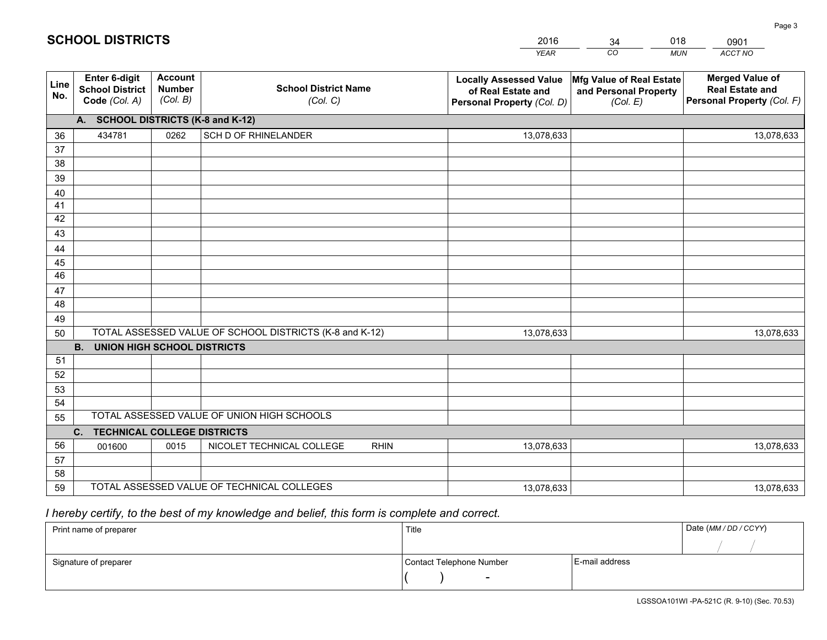|             |                                                                 |                                             |                                                         | <b>YEAR</b>                                                                       | CO<br><b>MUN</b>                                              | ACCT NO                                                                        |  |  |  |  |
|-------------|-----------------------------------------------------------------|---------------------------------------------|---------------------------------------------------------|-----------------------------------------------------------------------------------|---------------------------------------------------------------|--------------------------------------------------------------------------------|--|--|--|--|
| Line<br>No. | <b>Enter 6-digit</b><br><b>School District</b><br>Code (Col. A) | <b>Account</b><br><b>Number</b><br>(Col. B) | <b>School District Name</b><br>(Col. C)                 | <b>Locally Assessed Value</b><br>of Real Estate and<br>Personal Property (Col. D) | Mfg Value of Real Estate<br>and Personal Property<br>(Col. E) | <b>Merged Value of</b><br><b>Real Estate and</b><br>Personal Property (Col. F) |  |  |  |  |
|             | A. SCHOOL DISTRICTS (K-8 and K-12)                              |                                             |                                                         |                                                                                   |                                                               |                                                                                |  |  |  |  |
| 36          | 434781                                                          | 0262                                        | SCH D OF RHINELANDER                                    | 13,078,633                                                                        |                                                               | 13,078,633                                                                     |  |  |  |  |
| 37          |                                                                 |                                             |                                                         |                                                                                   |                                                               |                                                                                |  |  |  |  |
| 38          |                                                                 |                                             |                                                         |                                                                                   |                                                               |                                                                                |  |  |  |  |
| 39          |                                                                 |                                             |                                                         |                                                                                   |                                                               |                                                                                |  |  |  |  |
| 40          |                                                                 |                                             |                                                         |                                                                                   |                                                               |                                                                                |  |  |  |  |
| 41          |                                                                 |                                             |                                                         |                                                                                   |                                                               |                                                                                |  |  |  |  |
| 42          |                                                                 |                                             |                                                         |                                                                                   |                                                               |                                                                                |  |  |  |  |
| 43          |                                                                 |                                             |                                                         |                                                                                   |                                                               |                                                                                |  |  |  |  |
| 44          |                                                                 |                                             |                                                         |                                                                                   |                                                               |                                                                                |  |  |  |  |
| 45<br>46    |                                                                 |                                             |                                                         |                                                                                   |                                                               |                                                                                |  |  |  |  |
| 47          |                                                                 |                                             |                                                         |                                                                                   |                                                               |                                                                                |  |  |  |  |
| 48          |                                                                 |                                             |                                                         |                                                                                   |                                                               |                                                                                |  |  |  |  |
| 49          |                                                                 |                                             |                                                         |                                                                                   |                                                               |                                                                                |  |  |  |  |
| 50          |                                                                 |                                             | TOTAL ASSESSED VALUE OF SCHOOL DISTRICTS (K-8 and K-12) | 13,078,633                                                                        |                                                               | 13,078,633                                                                     |  |  |  |  |
|             | <b>B.</b><br><b>UNION HIGH SCHOOL DISTRICTS</b>                 |                                             |                                                         |                                                                                   |                                                               |                                                                                |  |  |  |  |
| 51          |                                                                 |                                             |                                                         |                                                                                   |                                                               |                                                                                |  |  |  |  |
| 52          |                                                                 |                                             |                                                         |                                                                                   |                                                               |                                                                                |  |  |  |  |
| 53          |                                                                 |                                             |                                                         |                                                                                   |                                                               |                                                                                |  |  |  |  |
| 54          |                                                                 |                                             |                                                         |                                                                                   |                                                               |                                                                                |  |  |  |  |
| 55          |                                                                 |                                             | TOTAL ASSESSED VALUE OF UNION HIGH SCHOOLS              |                                                                                   |                                                               |                                                                                |  |  |  |  |
|             | C.<br><b>TECHNICAL COLLEGE DISTRICTS</b>                        |                                             |                                                         |                                                                                   |                                                               |                                                                                |  |  |  |  |
| 56          | 001600                                                          | 0015                                        | NICOLET TECHNICAL COLLEGE<br><b>RHIN</b>                | 13,078,633                                                                        |                                                               | 13,078,633                                                                     |  |  |  |  |
| 57          |                                                                 |                                             |                                                         |                                                                                   |                                                               |                                                                                |  |  |  |  |
| 58          |                                                                 |                                             |                                                         |                                                                                   |                                                               |                                                                                |  |  |  |  |
| 59          |                                                                 |                                             | TOTAL ASSESSED VALUE OF TECHNICAL COLLEGES              | 13,078,633                                                                        |                                                               | 13,078,633                                                                     |  |  |  |  |

34

018

# *I hereby certify, to the best of my knowledge and belief, this form is complete and correct.*

**SCHOOL DISTRICTS**

| Print name of preparer | Title                    | Date (MM / DD / CCYY) |  |
|------------------------|--------------------------|-----------------------|--|
|                        |                          |                       |  |
| Signature of preparer  | Contact Telephone Number | E-mail address        |  |
|                        | $\sim$                   |                       |  |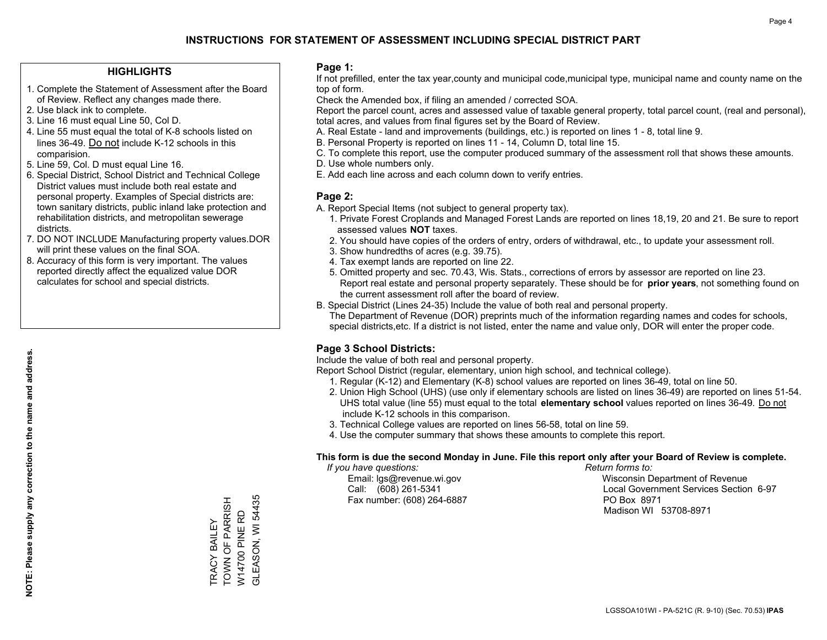### **HIGHLIGHTS**

- 1. Complete the Statement of Assessment after the Board of Review. Reflect any changes made there.
- 2. Use black ink to complete.
- 3. Line 16 must equal Line 50, Col D.
- 4. Line 55 must equal the total of K-8 schools listed on lines 36-49. Do not include K-12 schools in this comparision.
- 5. Line 59, Col. D must equal Line 16.
- 6. Special District, School District and Technical College District values must include both real estate and personal property. Examples of Special districts are: town sanitary districts, public inland lake protection and rehabilitation districts, and metropolitan sewerage districts.
- 7. DO NOT INCLUDE Manufacturing property values.DOR will print these values on the final SOA.
- 8. Accuracy of this form is very important. The values reported directly affect the equalized value DOR calculates for school and special districts.

### **Page 1:**

 If not prefilled, enter the tax year,county and municipal code,municipal type, municipal name and county name on the top of form.

Check the Amended box, if filing an amended / corrected SOA.

 Report the parcel count, acres and assessed value of taxable general property, total parcel count, (real and personal), total acres, and values from final figures set by the Board of Review.

- A. Real Estate land and improvements (buildings, etc.) is reported on lines 1 8, total line 9.
- B. Personal Property is reported on lines 11 14, Column D, total line 15.
- C. To complete this report, use the computer produced summary of the assessment roll that shows these amounts.
- D. Use whole numbers only.
- E. Add each line across and each column down to verify entries.

### **Page 2:**

- A. Report Special Items (not subject to general property tax).
- 1. Private Forest Croplands and Managed Forest Lands are reported on lines 18,19, 20 and 21. Be sure to report assessed values **NOT** taxes.
- 2. You should have copies of the orders of entry, orders of withdrawal, etc., to update your assessment roll.
	- 3. Show hundredths of acres (e.g. 39.75).
- 4. Tax exempt lands are reported on line 22.
- 5. Omitted property and sec. 70.43, Wis. Stats., corrections of errors by assessor are reported on line 23. Report real estate and personal property separately. These should be for **prior years**, not something found on the current assessment roll after the board of review.
- B. Special District (Lines 24-35) Include the value of both real and personal property.
- The Department of Revenue (DOR) preprints much of the information regarding names and codes for schools, special districts,etc. If a district is not listed, enter the name and value only, DOR will enter the proper code.

## **Page 3 School Districts:**

Include the value of both real and personal property.

Report School District (regular, elementary, union high school, and technical college).

- 1. Regular (K-12) and Elementary (K-8) school values are reported on lines 36-49, total on line 50.
- 2. Union High School (UHS) (use only if elementary schools are listed on lines 36-49) are reported on lines 51-54. UHS total value (line 55) must equal to the total **elementary school** values reported on lines 36-49. Do notinclude K-12 schools in this comparison.
- 3. Technical College values are reported on lines 56-58, total on line 59.
- 4. Use the computer summary that shows these amounts to complete this report.

### **This form is due the second Monday in June. File this report only after your Board of Review is complete.**

 *If you have questions: Return forms to:*

Fax number: (608) 264-6887 PO Box 8971

 Email: lgs@revenue.wi.gov Wisconsin Department of Revenue Call: (608) 261-5341 Local Government Services Section 6-97Madison WI 53708-8971

**GLEASON, WI 54435** TOWN OF PARRISH GLEASON, WI 54435 TRACY BAILEY<br>TOWN OF PARRISH W14700 PINE RD W14700 PINE RD TRACY BAILEY

**NOTE: Please supply any correction to the name and address.**

NOTE: Please supply any correction to the name and address.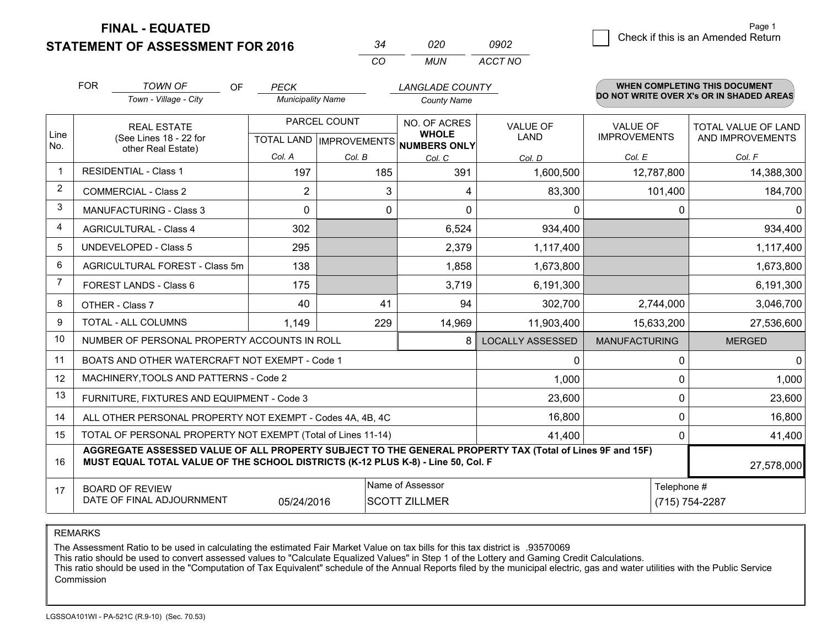**STATEMENT OF ASSESSMENT FOR 2016** 

| 34  | 020   | 0902    |
|-----|-------|---------|
| CO. | MI IN | ACCT NO |

|                         | <b>FOR</b>                                                                                                                                                                                   | <b>TOWN OF</b><br>OF                                         | <b>PECK</b>              |        | <b>LANGLADE COUNTY</b>              |                         |                      | <b>WHEN COMPLETING THIS DOCUMENT</b>     |  |
|-------------------------|----------------------------------------------------------------------------------------------------------------------------------------------------------------------------------------------|--------------------------------------------------------------|--------------------------|--------|-------------------------------------|-------------------------|----------------------|------------------------------------------|--|
|                         |                                                                                                                                                                                              | Town - Village - City                                        | <b>Municipality Name</b> |        | <b>County Name</b>                  |                         |                      | DO NOT WRITE OVER X's OR IN SHADED AREAS |  |
| Line                    |                                                                                                                                                                                              | <b>REAL ESTATE</b>                                           | PARCEL COUNT             |        | NO. OF ACRES<br><b>WHOLE</b>        | <b>VALUE OF</b>         | <b>VALUE OF</b>      | <b>TOTAL VALUE OF LAND</b>               |  |
| No.                     |                                                                                                                                                                                              | (See Lines 18 - 22 for<br>other Real Estate)                 |                          |        | TOTAL LAND MPROVEMENTS NUMBERS ONLY | LAND                    | <b>IMPROVEMENTS</b>  | AND IMPROVEMENTS                         |  |
|                         |                                                                                                                                                                                              |                                                              | Col. A                   | Col. B | Col. C                              | Col. D                  | Col. E               | Col. F                                   |  |
| $\overline{\mathbf{1}}$ |                                                                                                                                                                                              | <b>RESIDENTIAL - Class 1</b>                                 | 197                      | 185    | 391                                 | 1,600,500               | 12,787,800           | 14,388,300                               |  |
| 2                       |                                                                                                                                                                                              | <b>COMMERCIAL - Class 2</b>                                  | $\overline{2}$           | 3      | 4                                   | 83,300                  | 101,400              | 184,700                                  |  |
| 3                       |                                                                                                                                                                                              | <b>MANUFACTURING - Class 3</b>                               | 0                        | 0      | 0                                   | 0                       | 0                    | 0                                        |  |
| 4                       |                                                                                                                                                                                              | <b>AGRICULTURAL - Class 4</b>                                | 302                      |        | 6,524                               | 934,400                 |                      | 934,400                                  |  |
| 5                       |                                                                                                                                                                                              | <b>UNDEVELOPED - Class 5</b>                                 | 295                      |        | 2,379                               | 1,117,400               |                      | 1,117,400                                |  |
| 6                       | AGRICULTURAL FOREST - Class 5m                                                                                                                                                               |                                                              | 138                      |        | 1,858                               | 1,673,800               |                      | 1,673,800                                |  |
| 7                       | FOREST LANDS - Class 6                                                                                                                                                                       |                                                              | 175                      |        | 3,719                               | 6,191,300               |                      | 6,191,300                                |  |
| 8                       |                                                                                                                                                                                              | OTHER - Class 7                                              | 40                       | 41     | 94                                  | 302,700                 | 2,744,000            | 3,046,700                                |  |
| 9                       |                                                                                                                                                                                              | TOTAL - ALL COLUMNS                                          | 1,149                    | 229    | 14,969                              | 11,903,400              | 15,633,200           | 27,536,600                               |  |
| 10                      |                                                                                                                                                                                              | NUMBER OF PERSONAL PROPERTY ACCOUNTS IN ROLL                 |                          |        | 8                                   | <b>LOCALLY ASSESSED</b> | <b>MANUFACTURING</b> | <b>MERGED</b>                            |  |
| 11                      |                                                                                                                                                                                              | BOATS AND OTHER WATERCRAFT NOT EXEMPT - Code 1               |                          |        |                                     | 0                       | 0                    | 0                                        |  |
| 12                      |                                                                                                                                                                                              | MACHINERY, TOOLS AND PATTERNS - Code 2                       |                          |        |                                     | 1,000                   | 0                    | 1,000                                    |  |
| 13                      |                                                                                                                                                                                              | FURNITURE, FIXTURES AND EQUIPMENT - Code 3                   |                          |        |                                     | 23,600                  | 0                    | 23,600                                   |  |
| 14                      |                                                                                                                                                                                              | ALL OTHER PERSONAL PROPERTY NOT EXEMPT - Codes 4A, 4B, 4C    |                          |        |                                     | 16,800                  | 0                    | 16,800                                   |  |
| 15                      |                                                                                                                                                                                              | TOTAL OF PERSONAL PROPERTY NOT EXEMPT (Total of Lines 11-14) |                          |        |                                     | 41,400                  | 0                    | 41,400                                   |  |
| 16                      | AGGREGATE ASSESSED VALUE OF ALL PROPERTY SUBJECT TO THE GENERAL PROPERTY TAX (Total of Lines 9F and 15F)<br>MUST EQUAL TOTAL VALUE OF THE SCHOOL DISTRICTS (K-12 PLUS K-8) - Line 50, Col. F |                                                              |                          |        |                                     |                         |                      | 27,578,000                               |  |
| 17                      | Name of Assessor<br><b>BOARD OF REVIEW</b>                                                                                                                                                   |                                                              |                          |        |                                     | Telephone #             |                      |                                          |  |
|                         | DATE OF FINAL ADJOURNMENT<br><b>SCOTT ZILLMER</b><br>05/24/2016                                                                                                                              |                                                              |                          |        |                                     |                         |                      | (715) 754-2287                           |  |

REMARKS

The Assessment Ratio to be used in calculating the estimated Fair Market Value on tax bills for this tax district is .93570069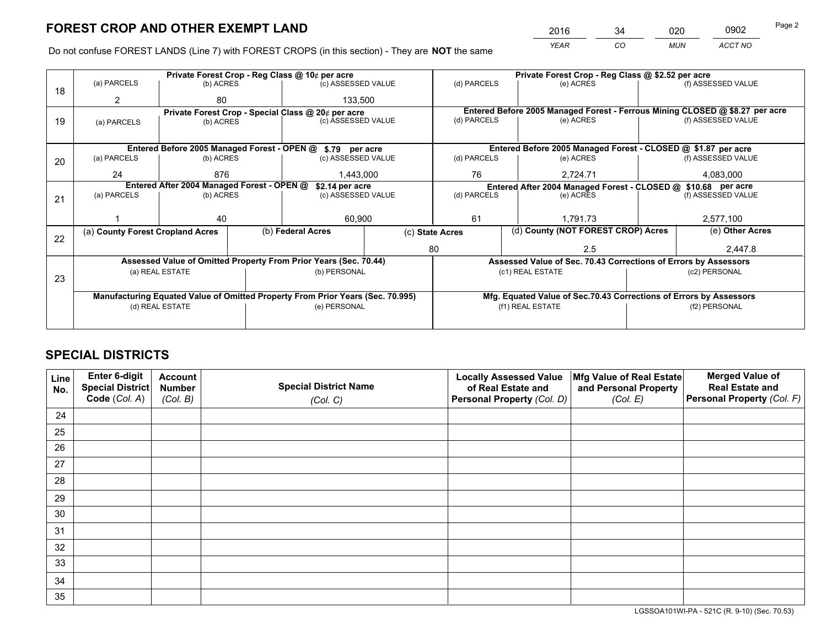*YEAR CO MUN ACCT NO* <sup>2016</sup> <sup>34</sup> <sup>020</sup> <sup>0902</sup> Page 2

Do not confuse FOREST LANDS (Line 7) with FOREST CROPS (in this section) - They are **NOT** the same

|    |                                                               |                 |                    | Private Forest Crop - Reg Class @ 10¢ per acre                                 |                 | Private Forest Crop - Reg Class @ \$2.52 per acre                            |                                                                    |                    |                    |  |
|----|---------------------------------------------------------------|-----------------|--------------------|--------------------------------------------------------------------------------|-----------------|------------------------------------------------------------------------------|--------------------------------------------------------------------|--------------------|--------------------|--|
| 18 | (a) PARCELS                                                   | (b) ACRES       |                    | (c) ASSESSED VALUE                                                             |                 | (d) PARCELS                                                                  | (e) ACRES                                                          |                    | (f) ASSESSED VALUE |  |
|    | 2                                                             | 80              |                    | 133.500                                                                        |                 |                                                                              |                                                                    |                    |                    |  |
|    | Private Forest Crop - Special Class @ 20¢ per acre            |                 |                    |                                                                                |                 | Entered Before 2005 Managed Forest - Ferrous Mining CLOSED @ \$8.27 per acre |                                                                    |                    |                    |  |
| 19 | (b) ACRES<br>(a) PARCELS                                      |                 | (c) ASSESSED VALUE |                                                                                | (d) PARCELS     | (e) ACRES                                                                    |                                                                    | (f) ASSESSED VALUE |                    |  |
|    |                                                               |                 |                    |                                                                                |                 |                                                                              |                                                                    |                    |                    |  |
|    |                                                               |                 |                    | Entered Before 2005 Managed Forest - OPEN @ \$.79 per acre                     |                 |                                                                              | Entered Before 2005 Managed Forest - CLOSED @ \$1.87 per acre      |                    |                    |  |
| 20 | (a) PARCELS                                                   | (b) ACRES       |                    | (c) ASSESSED VALUE                                                             |                 | (d) PARCELS                                                                  | (e) ACRES                                                          |                    | (f) ASSESSED VALUE |  |
|    | 24                                                            | 876             |                    | 1,443,000                                                                      |                 | 76                                                                           | 2,724.71                                                           |                    | 4,083,000          |  |
|    | Entered After 2004 Managed Forest - OPEN @<br>\$2.14 per acre |                 |                    |                                                                                |                 |                                                                              | Entered After 2004 Managed Forest - CLOSED @ \$10.68 per acre      |                    |                    |  |
| 21 | (a) PARCELS                                                   | (b) ACRES       |                    | (c) ASSESSED VALUE                                                             | (d) PARCELS     |                                                                              | (e) ACRES                                                          |                    | (f) ASSESSED VALUE |  |
|    |                                                               |                 |                    |                                                                                |                 |                                                                              |                                                                    |                    |                    |  |
|    |                                                               | 40              |                    | 60,900                                                                         |                 | 61                                                                           | 1.791.73                                                           |                    | 2,577,100          |  |
| 22 | (a) County Forest Cropland Acres                              |                 |                    | (b) Federal Acres                                                              | (c) State Acres |                                                                              | (d) County (NOT FOREST CROP) Acres                                 |                    | (e) Other Acres    |  |
|    |                                                               |                 |                    |                                                                                | 80              |                                                                              | 2.5                                                                |                    | 2,447.8            |  |
|    |                                                               |                 |                    | Assessed Value of Omitted Property From Prior Years (Sec. 70.44)               |                 |                                                                              | Assessed Value of Sec. 70.43 Corrections of Errors by Assessors    |                    |                    |  |
|    |                                                               | (a) REAL ESTATE |                    | (b) PERSONAL                                                                   |                 |                                                                              | (c1) REAL ESTATE                                                   |                    | (c2) PERSONAL      |  |
| 23 |                                                               |                 |                    |                                                                                |                 |                                                                              |                                                                    |                    |                    |  |
|    |                                                               |                 |                    | Manufacturing Equated Value of Omitted Property From Prior Years (Sec. 70.995) |                 |                                                                              | Mfg. Equated Value of Sec.70.43 Corrections of Errors by Assessors |                    |                    |  |
|    | (d) REAL ESTATE                                               |                 |                    | (e) PERSONAL                                                                   |                 | (f1) REAL ESTATE                                                             |                                                                    |                    | (f2) PERSONAL      |  |
|    |                                                               |                 |                    |                                                                                |                 |                                                                              |                                                                    |                    |                    |  |

## **SPECIAL DISTRICTS**

| Line<br>No. | Enter 6-digit<br>Special District | <b>Account</b><br><b>Number</b> | <b>Special District Name</b> | <b>Locally Assessed Value</b><br>of Real Estate and | Mfg Value of Real Estate<br>and Personal Property | <b>Merged Value of</b><br><b>Real Estate and</b> |
|-------------|-----------------------------------|---------------------------------|------------------------------|-----------------------------------------------------|---------------------------------------------------|--------------------------------------------------|
|             | Code (Col. A)                     | (Col. B)                        | (Col. C)                     | Personal Property (Col. D)                          | (Col. E)                                          | Personal Property (Col. F)                       |
| 24          |                                   |                                 |                              |                                                     |                                                   |                                                  |
| 25          |                                   |                                 |                              |                                                     |                                                   |                                                  |
| 26          |                                   |                                 |                              |                                                     |                                                   |                                                  |
| 27          |                                   |                                 |                              |                                                     |                                                   |                                                  |
| 28          |                                   |                                 |                              |                                                     |                                                   |                                                  |
| 29          |                                   |                                 |                              |                                                     |                                                   |                                                  |
| 30          |                                   |                                 |                              |                                                     |                                                   |                                                  |
| 31          |                                   |                                 |                              |                                                     |                                                   |                                                  |
| 32          |                                   |                                 |                              |                                                     |                                                   |                                                  |
| 33          |                                   |                                 |                              |                                                     |                                                   |                                                  |
| 34          |                                   |                                 |                              |                                                     |                                                   |                                                  |
| 35          |                                   |                                 |                              |                                                     |                                                   |                                                  |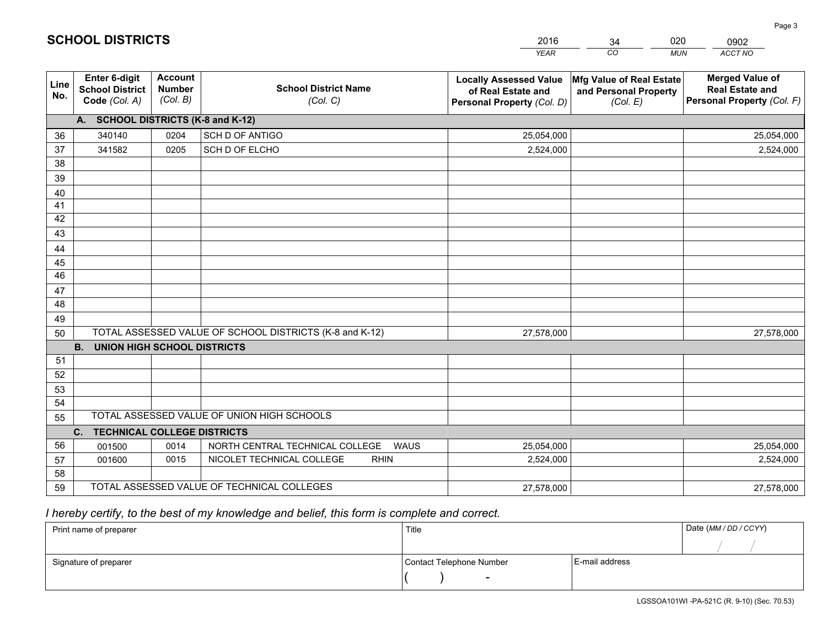|                 |                                                          |                                             |                                                         | <b>YEAR</b>                                                                       | CO<br><b>MUN</b>                                              | ACCT NO                                                                        |
|-----------------|----------------------------------------------------------|---------------------------------------------|---------------------------------------------------------|-----------------------------------------------------------------------------------|---------------------------------------------------------------|--------------------------------------------------------------------------------|
| Line<br>No.     | Enter 6-digit<br><b>School District</b><br>Code (Col. A) | <b>Account</b><br><b>Number</b><br>(Col. B) | <b>School District Name</b><br>(Col. C)                 | <b>Locally Assessed Value</b><br>of Real Estate and<br>Personal Property (Col. D) | Mfg Value of Real Estate<br>and Personal Property<br>(Col. E) | <b>Merged Value of</b><br><b>Real Estate and</b><br>Personal Property (Col. F) |
|                 | A. SCHOOL DISTRICTS (K-8 and K-12)                       |                                             |                                                         |                                                                                   |                                                               |                                                                                |
| 36              | 340140                                                   | 0204                                        | SCH D OF ANTIGO                                         | 25,054,000                                                                        |                                                               | 25,054,000                                                                     |
| 37              | 341582                                                   | 0205                                        | SCH D OF ELCHO                                          | 2,524,000                                                                         |                                                               | 2,524,000                                                                      |
| 38              |                                                          |                                             |                                                         |                                                                                   |                                                               |                                                                                |
| 39              |                                                          |                                             |                                                         |                                                                                   |                                                               |                                                                                |
| 40              |                                                          |                                             |                                                         |                                                                                   |                                                               |                                                                                |
| 41              |                                                          |                                             |                                                         |                                                                                   |                                                               |                                                                                |
| 42              |                                                          |                                             |                                                         |                                                                                   |                                                               |                                                                                |
| 43              |                                                          |                                             |                                                         |                                                                                   |                                                               |                                                                                |
| 44              |                                                          |                                             |                                                         |                                                                                   |                                                               |                                                                                |
| 45              |                                                          |                                             |                                                         |                                                                                   |                                                               |                                                                                |
| $\overline{46}$ |                                                          |                                             |                                                         |                                                                                   |                                                               |                                                                                |
| 47              |                                                          |                                             |                                                         |                                                                                   |                                                               |                                                                                |
| 48              |                                                          |                                             |                                                         |                                                                                   |                                                               |                                                                                |
| 49              |                                                          |                                             |                                                         |                                                                                   |                                                               |                                                                                |
| 50              |                                                          |                                             | TOTAL ASSESSED VALUE OF SCHOOL DISTRICTS (K-8 and K-12) | 27,578,000                                                                        |                                                               | 27,578,000                                                                     |
|                 | <b>B.</b><br><b>UNION HIGH SCHOOL DISTRICTS</b>          |                                             |                                                         |                                                                                   |                                                               |                                                                                |
| 51              |                                                          |                                             |                                                         |                                                                                   |                                                               |                                                                                |
| 52              |                                                          |                                             |                                                         |                                                                                   |                                                               |                                                                                |
| 53              |                                                          |                                             |                                                         |                                                                                   |                                                               |                                                                                |
| 54              |                                                          |                                             |                                                         |                                                                                   |                                                               |                                                                                |
| 55              |                                                          |                                             | TOTAL ASSESSED VALUE OF UNION HIGH SCHOOLS              |                                                                                   |                                                               |                                                                                |
|                 | C.<br><b>TECHNICAL COLLEGE DISTRICTS</b>                 |                                             |                                                         |                                                                                   |                                                               |                                                                                |
| 56              | 001500                                                   | 0014                                        | NORTH CENTRAL TECHNICAL COLLEGE<br><b>WAUS</b>          | 25,054,000                                                                        |                                                               | 25,054,000                                                                     |
| 57              | 001600                                                   | 0015                                        | NICOLET TECHNICAL COLLEGE<br><b>RHIN</b>                | 2,524,000                                                                         |                                                               | 2,524,000                                                                      |
| 58              |                                                          |                                             |                                                         |                                                                                   |                                                               |                                                                                |
| 59              |                                                          |                                             | TOTAL ASSESSED VALUE OF TECHNICAL COLLEGES              | 27,578,000                                                                        |                                                               | 27,578,000                                                                     |

34

020

 *I hereby certify, to the best of my knowledge and belief, this form is complete and correct.*

**SCHOOL DISTRICTS**

| Print name of preparer | Title                    |                | Date (MM/DD/CCYY) |
|------------------------|--------------------------|----------------|-------------------|
|                        |                          |                |                   |
| Signature of preparer  | Contact Telephone Number | E-mail address |                   |
|                        | $\overline{\phantom{a}}$ |                |                   |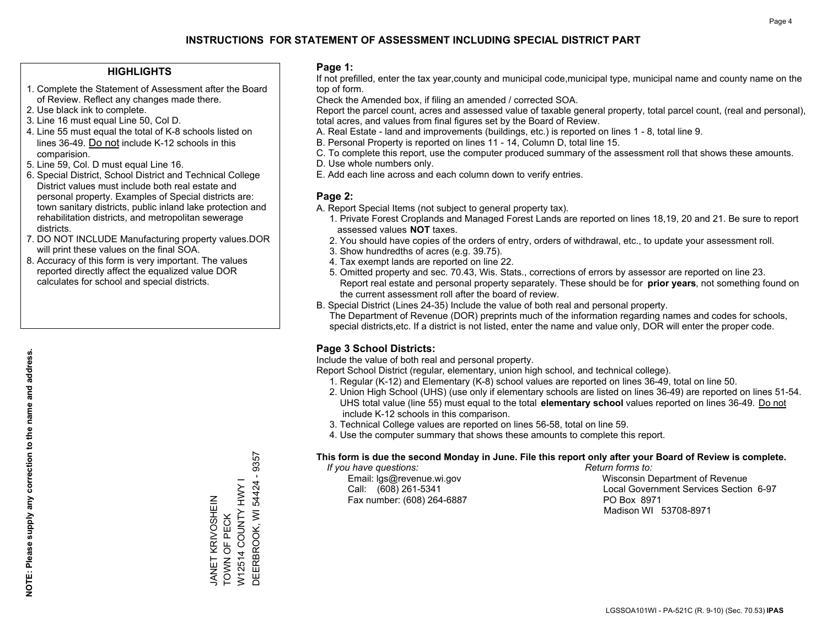#### **HIGHLIGHTS**

- 1. Complete the Statement of Assessment after the Board of Review. Reflect any changes made there.
- 2. Use black ink to complete.
- 3. Line 16 must equal Line 50, Col D.
- 4. Line 55 must equal the total of K-8 schools listed on lines 36-49. Do not include K-12 schools in this comparision.
- 5. Line 59, Col. D must equal Line 16.
- 6. Special District, School District and Technical College District values must include both real estate and personal property. Examples of Special districts are: town sanitary districts, public inland lake protection and rehabilitation districts, and metropolitan sewerage districts.
- 7. DO NOT INCLUDE Manufacturing property values.DOR will print these values on the final SOA.

JANET KRIVOSHEIN TOWN OF PECK

JANET KRIVOSHEIN<br>TOWN OF PECK

W12514 COUNTY HWY I

DEERBROOK, WI 54424 - 9357

DEERBROOK, WI 54424 - 9357 W12514 COUNTY HWY I

 8. Accuracy of this form is very important. The values reported directly affect the equalized value DOR calculates for school and special districts.

#### **Page 1:**

 If not prefilled, enter the tax year,county and municipal code,municipal type, municipal name and county name on the top of form.

Check the Amended box, if filing an amended / corrected SOA.

 Report the parcel count, acres and assessed value of taxable general property, total parcel count, (real and personal), total acres, and values from final figures set by the Board of Review.

- A. Real Estate land and improvements (buildings, etc.) is reported on lines 1 8, total line 9.
- B. Personal Property is reported on lines 11 14, Column D, total line 15.
- C. To complete this report, use the computer produced summary of the assessment roll that shows these amounts.
- D. Use whole numbers only.
- E. Add each line across and each column down to verify entries.

#### **Page 2:**

- A. Report Special Items (not subject to general property tax).
- 1. Private Forest Croplands and Managed Forest Lands are reported on lines 18,19, 20 and 21. Be sure to report assessed values **NOT** taxes.
- 2. You should have copies of the orders of entry, orders of withdrawal, etc., to update your assessment roll.
	- 3. Show hundredths of acres (e.g. 39.75).
- 4. Tax exempt lands are reported on line 22.
- 5. Omitted property and sec. 70.43, Wis. Stats., corrections of errors by assessor are reported on line 23. Report real estate and personal property separately. These should be for **prior years**, not something found on the current assessment roll after the board of review.
- B. Special District (Lines 24-35) Include the value of both real and personal property.
- The Department of Revenue (DOR) preprints much of the information regarding names and codes for schools, special districts,etc. If a district is not listed, enter the name and value only, DOR will enter the proper code.

## **Page 3 School Districts:**

Include the value of both real and personal property.

Report School District (regular, elementary, union high school, and technical college).

- 1. Regular (K-12) and Elementary (K-8) school values are reported on lines 36-49, total on line 50.
- 2. Union High School (UHS) (use only if elementary schools are listed on lines 36-49) are reported on lines 51-54. UHS total value (line 55) must equal to the total **elementary school** values reported on lines 36-49. Do notinclude K-12 schools in this comparison.
- 3. Technical College values are reported on lines 56-58, total on line 59.
- 4. Use the computer summary that shows these amounts to complete this report.

#### **This form is due the second Monday in June. File this report only after your Board of Review is complete.**

 *If you have questions: Return forms to:*

Fax number: (608) 264-6887 PO Box 8971

 Email: lgs@revenue.wi.gov Wisconsin Department of Revenue Call: (608) 261-5341 Local Government Services Section 6-97Madison WI 53708-8971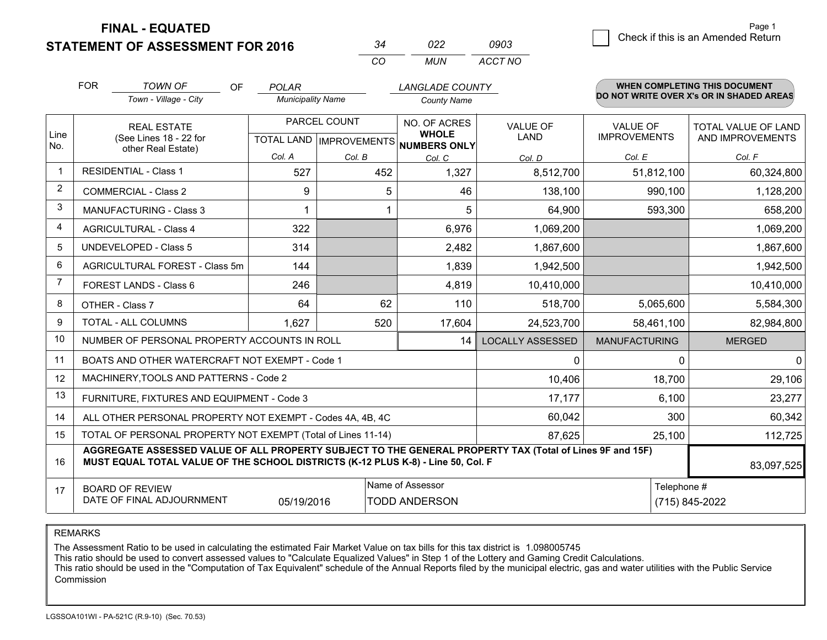**STATEMENT OF ASSESSMENT FOR 2016** 

| ⊿≻       | פפח   | 0903    |
|----------|-------|---------|
| $\cdots$ | MI IN | ACCT NO |

|                         | <b>FOR</b><br><b>TOWN OF</b><br><b>OF</b><br><b>LANGLADE COUNTY</b><br><b>POLAR</b>                                                                                                          |                                                              |                          |              |                                                     | <b>WHEN COMPLETING THIS DOCUMENT</b> |                      |                                          |
|-------------------------|----------------------------------------------------------------------------------------------------------------------------------------------------------------------------------------------|--------------------------------------------------------------|--------------------------|--------------|-----------------------------------------------------|--------------------------------------|----------------------|------------------------------------------|
|                         |                                                                                                                                                                                              | Town - Village - City                                        | <b>Municipality Name</b> |              | <b>County Name</b>                                  |                                      |                      | DO NOT WRITE OVER X's OR IN SHADED AREAS |
|                         | <b>REAL ESTATE</b>                                                                                                                                                                           |                                                              |                          | PARCEL COUNT | NO. OF ACRES                                        | <b>VALUE OF</b>                      | <b>VALUE OF</b>      | <b>TOTAL VALUE OF LAND</b>               |
| Line<br>No.             |                                                                                                                                                                                              | (See Lines 18 - 22 for<br>other Real Estate)                 |                          |              | <b>WHOLE</b><br>TOTAL LAND MPROVEMENTS NUMBERS ONLY | LAND                                 | <b>IMPROVEMENTS</b>  | AND IMPROVEMENTS                         |
|                         |                                                                                                                                                                                              |                                                              | Col. A                   | Col. B       | Col. C                                              | Col. D                               | Col. E               | Col. F                                   |
| $\overline{\mathbf{1}}$ |                                                                                                                                                                                              | <b>RESIDENTIAL - Class 1</b>                                 | 527                      | 452          | 1,327                                               | 8,512,700                            | 51,812,100           | 60,324,800                               |
| 2                       |                                                                                                                                                                                              | <b>COMMERCIAL - Class 2</b>                                  | 9                        | 5            | 46                                                  | 138,100                              | 990,100              | 1,128,200                                |
| 3                       |                                                                                                                                                                                              | <b>MANUFACTURING - Class 3</b>                               |                          |              | 5                                                   | 64,900                               | 593,300              | 658,200                                  |
| 4                       |                                                                                                                                                                                              | <b>AGRICULTURAL - Class 4</b>                                | 322                      |              | 6,976                                               | 1,069,200                            |                      | 1,069,200                                |
| 5                       |                                                                                                                                                                                              | <b>UNDEVELOPED - Class 5</b>                                 | 314                      |              | 2,482                                               | 1,867,600                            |                      | 1,867,600                                |
| 6                       | AGRICULTURAL FOREST - Class 5m                                                                                                                                                               |                                                              | 144                      |              | 1,839                                               | 1,942,500                            |                      | 1,942,500                                |
| 7                       |                                                                                                                                                                                              | FOREST LANDS - Class 6                                       | 246                      |              | 4,819                                               | 10,410,000                           |                      | 10,410,000                               |
| 8                       |                                                                                                                                                                                              | OTHER - Class 7                                              | 64                       | 62           | 110                                                 | 518,700                              | 5,065,600            | 5,584,300                                |
| 9                       |                                                                                                                                                                                              | TOTAL - ALL COLUMNS                                          | 1,627                    | 520          | 17,604                                              | 24,523,700                           | 58,461,100           | 82,984,800                               |
| 10                      |                                                                                                                                                                                              | NUMBER OF PERSONAL PROPERTY ACCOUNTS IN ROLL                 |                          |              | 14                                                  | <b>LOCALLY ASSESSED</b>              | <b>MANUFACTURING</b> | <b>MERGED</b>                            |
| 11                      |                                                                                                                                                                                              | BOATS AND OTHER WATERCRAFT NOT EXEMPT - Code 1               |                          |              |                                                     | 0                                    | 0                    | 0                                        |
| 12                      |                                                                                                                                                                                              | MACHINERY, TOOLS AND PATTERNS - Code 2                       |                          |              |                                                     | 10,406                               | 18,700               | 29,106                                   |
| 13                      |                                                                                                                                                                                              | FURNITURE, FIXTURES AND EQUIPMENT - Code 3                   |                          |              |                                                     | 17,177                               | 6,100                | 23,277                                   |
| 14                      |                                                                                                                                                                                              | ALL OTHER PERSONAL PROPERTY NOT EXEMPT - Codes 4A, 4B, 4C    |                          |              |                                                     | 60,042                               | 300                  | 60,342                                   |
| 15                      |                                                                                                                                                                                              | TOTAL OF PERSONAL PROPERTY NOT EXEMPT (Total of Lines 11-14) |                          |              |                                                     | 87,625                               | 25,100               | 112,725                                  |
| 16                      | AGGREGATE ASSESSED VALUE OF ALL PROPERTY SUBJECT TO THE GENERAL PROPERTY TAX (Total of Lines 9F and 15F)<br>MUST EQUAL TOTAL VALUE OF THE SCHOOL DISTRICTS (K-12 PLUS K-8) - Line 50, Col. F |                                                              |                          |              |                                                     |                                      |                      | 83,097,525                               |
| 17                      |                                                                                                                                                                                              | <b>BOARD OF REVIEW</b>                                       |                          |              | Name of Assessor                                    |                                      | Telephone #          |                                          |
|                         | DATE OF FINAL ADJOURNMENT<br><b>TODD ANDERSON</b><br>05/19/2016                                                                                                                              |                                                              |                          |              |                                                     |                                      |                      | (715) 845-2022                           |

REMARKS

The Assessment Ratio to be used in calculating the estimated Fair Market Value on tax bills for this tax district is 1.098005745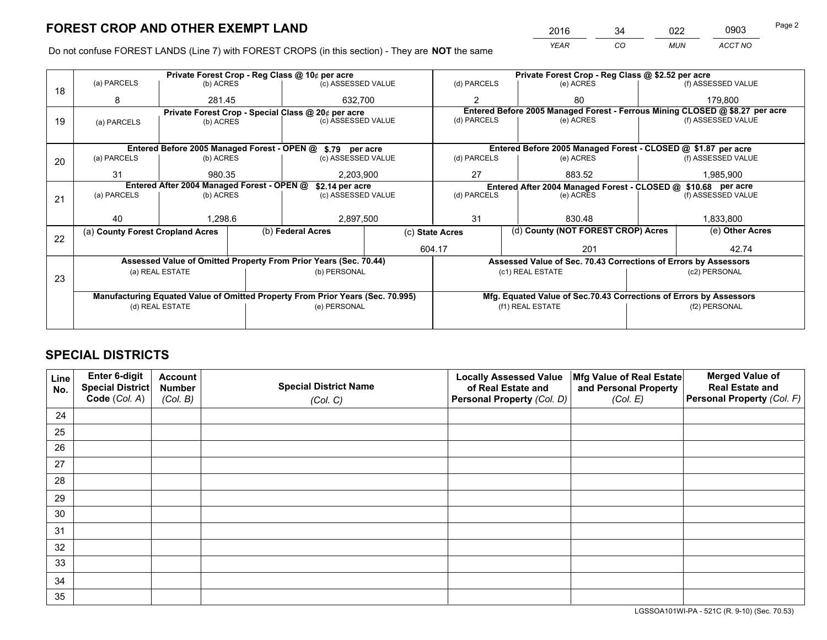*YEAR CO MUN ACCT NO* <sup>2016</sup> <sup>34</sup> <sup>022</sup> <sup>0903</sup> Page 2

Do not confuse FOREST LANDS (Line 7) with FOREST CROPS (in this section) - They are **NOT** the same

|    |                                                               |                                                                                |  | Private Forest Crop - Reg Class @ 10¢ per acre                   |                 |                          | Private Forest Crop - Reg Class @ \$2.52 per acre                            |                                                                 |               |                    |  |
|----|---------------------------------------------------------------|--------------------------------------------------------------------------------|--|------------------------------------------------------------------|-----------------|--------------------------|------------------------------------------------------------------------------|-----------------------------------------------------------------|---------------|--------------------|--|
| 18 | (a) PARCELS                                                   | (b) ACRES                                                                      |  | (c) ASSESSED VALUE                                               |                 | (d) PARCELS              |                                                                              | (e) ACRES                                                       |               | (f) ASSESSED VALUE |  |
|    | 8                                                             | 281.45                                                                         |  | 632.700                                                          |                 | $\mathfrak{p}$           |                                                                              | 80                                                              |               | 179.800            |  |
|    |                                                               |                                                                                |  | Private Forest Crop - Special Class @ 20¢ per acre               |                 |                          | Entered Before 2005 Managed Forest - Ferrous Mining CLOSED @ \$8.27 per acre |                                                                 |               |                    |  |
| 19 | (c) ASSESSED VALUE<br>(b) ACRES<br>(a) PARCELS                |                                                                                |  | (d) PARCELS                                                      |                 | (e) ACRES                |                                                                              | (f) ASSESSED VALUE                                              |               |                    |  |
|    |                                                               |                                                                                |  |                                                                  |                 |                          |                                                                              |                                                                 |               |                    |  |
|    |                                                               |                                                                                |  | Entered Before 2005 Managed Forest - OPEN @ \$.79 per acre       |                 |                          |                                                                              | Entered Before 2005 Managed Forest - CLOSED @ \$1.87 per acre   |               |                    |  |
| 20 | (a) PARCELS                                                   | (b) ACRES                                                                      |  | (c) ASSESSED VALUE                                               |                 | (d) PARCELS              |                                                                              | (e) ACRES                                                       |               | (f) ASSESSED VALUE |  |
|    | 31                                                            | 980.35                                                                         |  | 2,203,900                                                        |                 | 27                       |                                                                              | 883.52                                                          |               | 1,985,900          |  |
|    | Entered After 2004 Managed Forest - OPEN @<br>\$2.14 per acre |                                                                                |  |                                                                  |                 |                          |                                                                              | Entered After 2004 Managed Forest - CLOSED @ \$10.68 per acre   |               |                    |  |
| 21 | (a) PARCELS                                                   | (b) ACRES                                                                      |  | (c) ASSESSED VALUE                                               |                 | (d) PARCELS<br>(e) ACRES |                                                                              | (f) ASSESSED VALUE                                              |               |                    |  |
|    |                                                               |                                                                                |  |                                                                  |                 |                          |                                                                              |                                                                 |               |                    |  |
|    | 40                                                            | 1,298.6                                                                        |  | 2,897,500                                                        | 31              |                          |                                                                              | 830.48                                                          |               | 1,833,800          |  |
| 22 | (a) County Forest Cropland Acres                              |                                                                                |  | (b) Federal Acres                                                | (c) State Acres |                          |                                                                              | (d) County (NOT FOREST CROP) Acres                              |               | (e) Other Acres    |  |
|    |                                                               |                                                                                |  |                                                                  | 604.17          |                          |                                                                              | 201                                                             |               | 42.74              |  |
|    |                                                               |                                                                                |  | Assessed Value of Omitted Property From Prior Years (Sec. 70.44) |                 |                          |                                                                              | Assessed Value of Sec. 70.43 Corrections of Errors by Assessors |               |                    |  |
|    |                                                               | (a) REAL ESTATE                                                                |  | (b) PERSONAL                                                     |                 |                          | (c1) REAL ESTATE                                                             |                                                                 |               | (c2) PERSONAL      |  |
| 23 |                                                               |                                                                                |  |                                                                  |                 |                          |                                                                              |                                                                 |               |                    |  |
|    |                                                               | Manufacturing Equated Value of Omitted Property From Prior Years (Sec. 70.995) |  |                                                                  |                 |                          | Mfg. Equated Value of Sec.70.43 Corrections of Errors by Assessors           |                                                                 |               |                    |  |
|    | (d) REAL ESTATE                                               |                                                                                |  | (e) PERSONAL                                                     |                 | (f1) REAL ESTATE         |                                                                              |                                                                 | (f2) PERSONAL |                    |  |
|    |                                                               |                                                                                |  |                                                                  |                 |                          |                                                                              |                                                                 |               |                    |  |

## **SPECIAL DISTRICTS**

| Line<br>No. | Enter 6-digit<br>Special District<br>Code (Col. A) | <b>Account</b><br><b>Number</b><br>(Col. B) | <b>Special District Name</b><br>(Col. C) | <b>Locally Assessed Value</b><br>of Real Estate and<br>Personal Property (Col. D) | Mfg Value of Real Estate<br>and Personal Property<br>(Col. E) | <b>Merged Value of</b><br><b>Real Estate and</b><br>Personal Property (Col. F) |
|-------------|----------------------------------------------------|---------------------------------------------|------------------------------------------|-----------------------------------------------------------------------------------|---------------------------------------------------------------|--------------------------------------------------------------------------------|
| 24          |                                                    |                                             |                                          |                                                                                   |                                                               |                                                                                |
| 25          |                                                    |                                             |                                          |                                                                                   |                                                               |                                                                                |
| 26          |                                                    |                                             |                                          |                                                                                   |                                                               |                                                                                |
| 27          |                                                    |                                             |                                          |                                                                                   |                                                               |                                                                                |
| 28          |                                                    |                                             |                                          |                                                                                   |                                                               |                                                                                |
| 29          |                                                    |                                             |                                          |                                                                                   |                                                               |                                                                                |
| 30          |                                                    |                                             |                                          |                                                                                   |                                                               |                                                                                |
| 31          |                                                    |                                             |                                          |                                                                                   |                                                               |                                                                                |
| 32          |                                                    |                                             |                                          |                                                                                   |                                                               |                                                                                |
| 33          |                                                    |                                             |                                          |                                                                                   |                                                               |                                                                                |
| 34          |                                                    |                                             |                                          |                                                                                   |                                                               |                                                                                |
| 35          |                                                    |                                             |                                          |                                                                                   |                                                               |                                                                                |

LGSSOA101WI-PA - 521C (R. 9-10) (Sec. 70.53)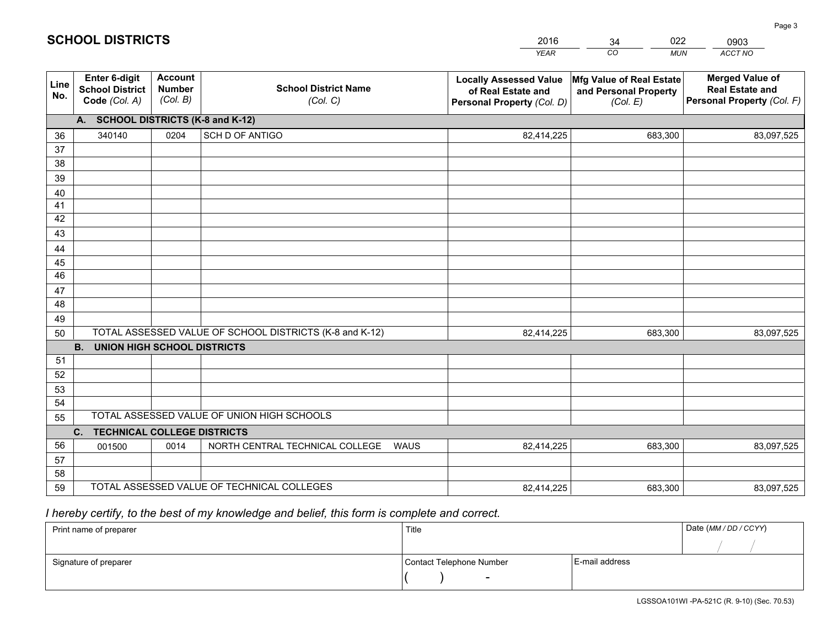|             |                                                                 |                                             |                                                         | <b>YEAR</b>                                                                       | CO<br><b>MUN</b>                                              | ACCT NO                                                                        |
|-------------|-----------------------------------------------------------------|---------------------------------------------|---------------------------------------------------------|-----------------------------------------------------------------------------------|---------------------------------------------------------------|--------------------------------------------------------------------------------|
| Line<br>No. | <b>Enter 6-digit</b><br><b>School District</b><br>Code (Col. A) | <b>Account</b><br><b>Number</b><br>(Col. B) | <b>School District Name</b><br>(Col. C)                 | <b>Locally Assessed Value</b><br>of Real Estate and<br>Personal Property (Col. D) | Mfg Value of Real Estate<br>and Personal Property<br>(Col. E) | <b>Merged Value of</b><br><b>Real Estate and</b><br>Personal Property (Col. F) |
|             | A. SCHOOL DISTRICTS (K-8 and K-12)                              |                                             |                                                         |                                                                                   |                                                               |                                                                                |
| 36          | 340140                                                          | 0204                                        | SCH D OF ANTIGO                                         | 82,414,225                                                                        | 683,300                                                       | 83,097,525                                                                     |
| 37          |                                                                 |                                             |                                                         |                                                                                   |                                                               |                                                                                |
| 38          |                                                                 |                                             |                                                         |                                                                                   |                                                               |                                                                                |
| 39          |                                                                 |                                             |                                                         |                                                                                   |                                                               |                                                                                |
| 40          |                                                                 |                                             |                                                         |                                                                                   |                                                               |                                                                                |
| 41<br>42    |                                                                 |                                             |                                                         |                                                                                   |                                                               |                                                                                |
| 43          |                                                                 |                                             |                                                         |                                                                                   |                                                               |                                                                                |
|             |                                                                 |                                             |                                                         |                                                                                   |                                                               |                                                                                |
| 44<br>45    |                                                                 |                                             |                                                         |                                                                                   |                                                               |                                                                                |
| 46          |                                                                 |                                             |                                                         |                                                                                   |                                                               |                                                                                |
| 47          |                                                                 |                                             |                                                         |                                                                                   |                                                               |                                                                                |
| 48          |                                                                 |                                             |                                                         |                                                                                   |                                                               |                                                                                |
| 49          |                                                                 |                                             |                                                         |                                                                                   |                                                               |                                                                                |
| 50          |                                                                 |                                             | TOTAL ASSESSED VALUE OF SCHOOL DISTRICTS (K-8 and K-12) | 82,414,225                                                                        | 683,300                                                       | 83,097,525                                                                     |
|             | <b>B.</b><br>UNION HIGH SCHOOL DISTRICTS                        |                                             |                                                         |                                                                                   |                                                               |                                                                                |
| 51          |                                                                 |                                             |                                                         |                                                                                   |                                                               |                                                                                |
| 52          |                                                                 |                                             |                                                         |                                                                                   |                                                               |                                                                                |
| 53          |                                                                 |                                             |                                                         |                                                                                   |                                                               |                                                                                |
| 54          |                                                                 |                                             |                                                         |                                                                                   |                                                               |                                                                                |
| 55          |                                                                 |                                             | TOTAL ASSESSED VALUE OF UNION HIGH SCHOOLS              |                                                                                   |                                                               |                                                                                |
|             | C.<br><b>TECHNICAL COLLEGE DISTRICTS</b>                        |                                             |                                                         |                                                                                   |                                                               |                                                                                |
| 56          | 001500                                                          | 0014                                        | NORTH CENTRAL TECHNICAL COLLEGE<br><b>WAUS</b>          | 82,414,225                                                                        | 683,300                                                       | 83,097,525                                                                     |
| 57          |                                                                 |                                             |                                                         |                                                                                   |                                                               |                                                                                |
| 58<br>59    |                                                                 |                                             | TOTAL ASSESSED VALUE OF TECHNICAL COLLEGES              |                                                                                   |                                                               |                                                                                |
|             |                                                                 |                                             |                                                         | 82,414,225                                                                        | 683,300                                                       | 83,097,525                                                                     |

34

022

 *I hereby certify, to the best of my knowledge and belief, this form is complete and correct.*

**SCHOOL DISTRICTS**

| Print name of preparer | Title                    |                | Date (MM / DD / CCYY) |
|------------------------|--------------------------|----------------|-----------------------|
|                        |                          |                |                       |
| Signature of preparer  | Contact Telephone Number | E-mail address |                       |
|                        | $\overline{\phantom{0}}$ |                |                       |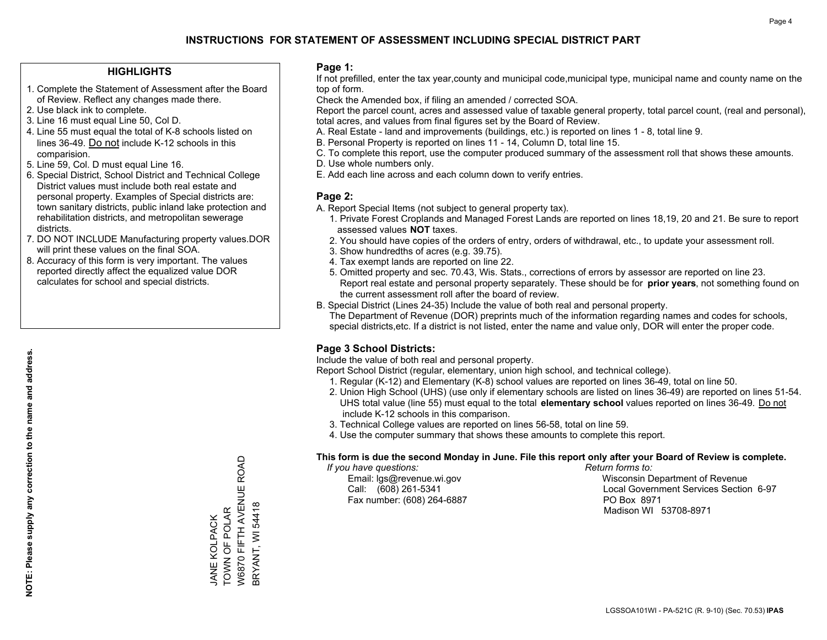#### **HIGHLIGHTS**

- 1. Complete the Statement of Assessment after the Board of Review. Reflect any changes made there.
- 2. Use black ink to complete.
- 3. Line 16 must equal Line 50, Col D.
- 4. Line 55 must equal the total of K-8 schools listed on lines 36-49. Do not include K-12 schools in this comparision.
- 5. Line 59, Col. D must equal Line 16.
- 6. Special District, School District and Technical College District values must include both real estate and personal property. Examples of Special districts are: town sanitary districts, public inland lake protection and rehabilitation districts, and metropolitan sewerage districts.
- 7. DO NOT INCLUDE Manufacturing property values.DOR will print these values on the final SOA.

JANE KOLPACK TOWN OF POLAR

TOWN OF POLAR **JANE KOLPACK** 

W6870 FIFTH AVENUE ROAD

W6870 FIFTH AVENUE ROAD

BRYANT, WI 54418

**BRYANT, WI 54418** 

 8. Accuracy of this form is very important. The values reported directly affect the equalized value DOR calculates for school and special districts.

#### **Page 1:**

 If not prefilled, enter the tax year,county and municipal code,municipal type, municipal name and county name on the top of form.

Check the Amended box, if filing an amended / corrected SOA.

 Report the parcel count, acres and assessed value of taxable general property, total parcel count, (real and personal), total acres, and values from final figures set by the Board of Review.

- A. Real Estate land and improvements (buildings, etc.) is reported on lines 1 8, total line 9.
- B. Personal Property is reported on lines 11 14, Column D, total line 15.
- C. To complete this report, use the computer produced summary of the assessment roll that shows these amounts.
- D. Use whole numbers only.
- E. Add each line across and each column down to verify entries.

#### **Page 2:**

- A. Report Special Items (not subject to general property tax).
- 1. Private Forest Croplands and Managed Forest Lands are reported on lines 18,19, 20 and 21. Be sure to report assessed values **NOT** taxes.
- 2. You should have copies of the orders of entry, orders of withdrawal, etc., to update your assessment roll.
	- 3. Show hundredths of acres (e.g. 39.75).
- 4. Tax exempt lands are reported on line 22.
- 5. Omitted property and sec. 70.43, Wis. Stats., corrections of errors by assessor are reported on line 23. Report real estate and personal property separately. These should be for **prior years**, not something found on the current assessment roll after the board of review.
- B. Special District (Lines 24-35) Include the value of both real and personal property.

 The Department of Revenue (DOR) preprints much of the information regarding names and codes for schools, special districts,etc. If a district is not listed, enter the name and value only, DOR will enter the proper code.

## **Page 3 School Districts:**

Include the value of both real and personal property.

Report School District (regular, elementary, union high school, and technical college).

- 1. Regular (K-12) and Elementary (K-8) school values are reported on lines 36-49, total on line 50.
- 2. Union High School (UHS) (use only if elementary schools are listed on lines 36-49) are reported on lines 51-54. UHS total value (line 55) must equal to the total **elementary school** values reported on lines 36-49. Do notinclude K-12 schools in this comparison.
- 3. Technical College values are reported on lines 56-58, total on line 59.
- 4. Use the computer summary that shows these amounts to complete this report.

#### **This form is due the second Monday in June. File this report only after your Board of Review is complete.**

 *If you have questions: Return forms to:*

Fax number: (608) 264-6887 PO Box 8971

 Email: lgs@revenue.wi.gov Wisconsin Department of Revenue Call: (608) 261-5341 Local Government Services Section 6-97Madison WI 53708-8971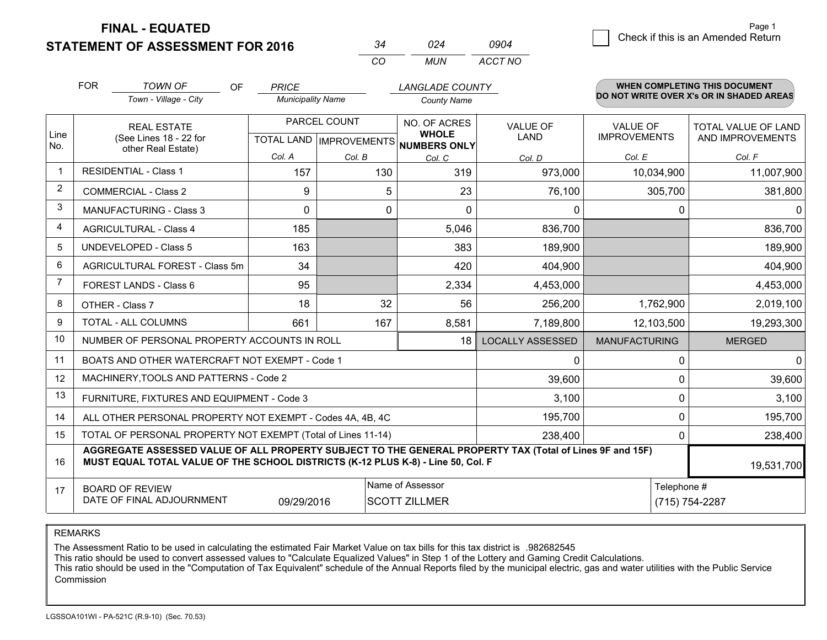**STATEMENT OF ASSESSMENT FOR 2016** 

|          |     | าจก⊿    |
|----------|-----|---------|
| $\cdots$ | MUN | ACCT NO |

|                | <b>FOR</b>                                                                                                                                                                                   | <b>TOWN OF</b><br><b>OF</b>                                  | <b>PRICE</b>             |              | <b>LANGLADE COUNTY</b>                              |                         |                      | <b>WHEN COMPLETING THIS DOCUMENT</b>     |  |
|----------------|----------------------------------------------------------------------------------------------------------------------------------------------------------------------------------------------|--------------------------------------------------------------|--------------------------|--------------|-----------------------------------------------------|-------------------------|----------------------|------------------------------------------|--|
|                |                                                                                                                                                                                              | Town - Village - City                                        | <b>Municipality Name</b> |              | <b>County Name</b>                                  |                         |                      | DO NOT WRITE OVER X's OR IN SHADED AREAS |  |
|                |                                                                                                                                                                                              | <b>REAL ESTATE</b>                                           |                          | PARCEL COUNT | NO. OF ACRES                                        | <b>VALUE OF</b>         | <b>VALUE OF</b>      | TOTAL VALUE OF LAND                      |  |
| Line<br>No.    |                                                                                                                                                                                              | (See Lines 18 - 22 for<br>other Real Estate)                 |                          |              | <b>WHOLE</b><br>TOTAL LAND MPROVEMENTS NUMBERS ONLY | <b>LAND</b>             | <b>IMPROVEMENTS</b>  | AND IMPROVEMENTS                         |  |
|                |                                                                                                                                                                                              |                                                              | Col. A                   | Col. B       | Col. C                                              | Col. D                  | Col. E               | Col. F                                   |  |
| $\mathbf 1$    | <b>RESIDENTIAL - Class 1</b>                                                                                                                                                                 |                                                              | 157                      | 130          | 319                                                 | 973,000                 | 10,034,900           | 11,007,900                               |  |
| 2              | <b>COMMERCIAL - Class 2</b>                                                                                                                                                                  |                                                              | 9                        | 5            | 23                                                  | 76,100                  | 305,700              | 381,800                                  |  |
| 3              | MANUFACTURING - Class 3                                                                                                                                                                      |                                                              | $\mathbf 0$              | 0            | $\Omega$                                            | 0                       | $\mathbf 0$          | $\Omega$                                 |  |
| 4              | <b>AGRICULTURAL - Class 4</b>                                                                                                                                                                |                                                              | 185                      |              | 5,046                                               | 836,700                 |                      | 836,700                                  |  |
| 5              | UNDEVELOPED - Class 5                                                                                                                                                                        |                                                              | 163                      |              | 383                                                 | 189,900                 |                      | 189,900                                  |  |
| 6              |                                                                                                                                                                                              | AGRICULTURAL FOREST - Class 5m                               | 34                       |              | 420                                                 | 404,900                 |                      | 404,900                                  |  |
| $\overline{7}$ | FOREST LANDS - Class 6                                                                                                                                                                       |                                                              | 95                       |              | 2,334                                               | 4,453,000               |                      | 4,453,000                                |  |
| 8              | OTHER - Class 7                                                                                                                                                                              |                                                              | 18                       | 32           | 56                                                  | 256,200                 | 1,762,900            | 2,019,100                                |  |
| 9              | TOTAL - ALL COLUMNS                                                                                                                                                                          |                                                              | 661                      | 167          | 8,581                                               | 7,189,800               | 12,103,500           | 19,293,300                               |  |
| 10             |                                                                                                                                                                                              | NUMBER OF PERSONAL PROPERTY ACCOUNTS IN ROLL                 |                          |              | 18                                                  | <b>LOCALLY ASSESSED</b> | <b>MANUFACTURING</b> | <b>MERGED</b>                            |  |
| 11             |                                                                                                                                                                                              | BOATS AND OTHER WATERCRAFT NOT EXEMPT - Code 1               |                          |              |                                                     | 0                       | 0                    | $\mathbf 0$                              |  |
| 12             |                                                                                                                                                                                              | MACHINERY, TOOLS AND PATTERNS - Code 2                       |                          |              |                                                     | 39,600                  | 0                    | 39,600                                   |  |
| 13             |                                                                                                                                                                                              | FURNITURE, FIXTURES AND EQUIPMENT - Code 3                   |                          |              |                                                     | 3,100                   | $\mathbf 0$          | 3,100                                    |  |
| 14             |                                                                                                                                                                                              | ALL OTHER PERSONAL PROPERTY NOT EXEMPT - Codes 4A, 4B, 4C    |                          |              |                                                     | 195,700                 | $\mathbf 0$          | 195,700                                  |  |
| 15             |                                                                                                                                                                                              | TOTAL OF PERSONAL PROPERTY NOT EXEMPT (Total of Lines 11-14) |                          |              |                                                     | 238,400                 | 0                    | 238,400                                  |  |
| 16             | AGGREGATE ASSESSED VALUE OF ALL PROPERTY SUBJECT TO THE GENERAL PROPERTY TAX (Total of Lines 9F and 15F)<br>MUST EQUAL TOTAL VALUE OF THE SCHOOL DISTRICTS (K-12 PLUS K-8) - Line 50, Col. F |                                                              |                          |              |                                                     |                         |                      | 19,531,700                               |  |
| 17             | <b>BOARD OF REVIEW</b>                                                                                                                                                                       |                                                              |                          |              | Name of Assessor                                    |                         | Telephone #          |                                          |  |
|                | DATE OF FINAL ADJOURNMENT<br><b>SCOTT ZILLMER</b><br>09/29/2016                                                                                                                              |                                                              |                          |              |                                                     |                         | (715) 754-2287       |                                          |  |

REMARKS

The Assessment Ratio to be used in calculating the estimated Fair Market Value on tax bills for this tax district is .982682545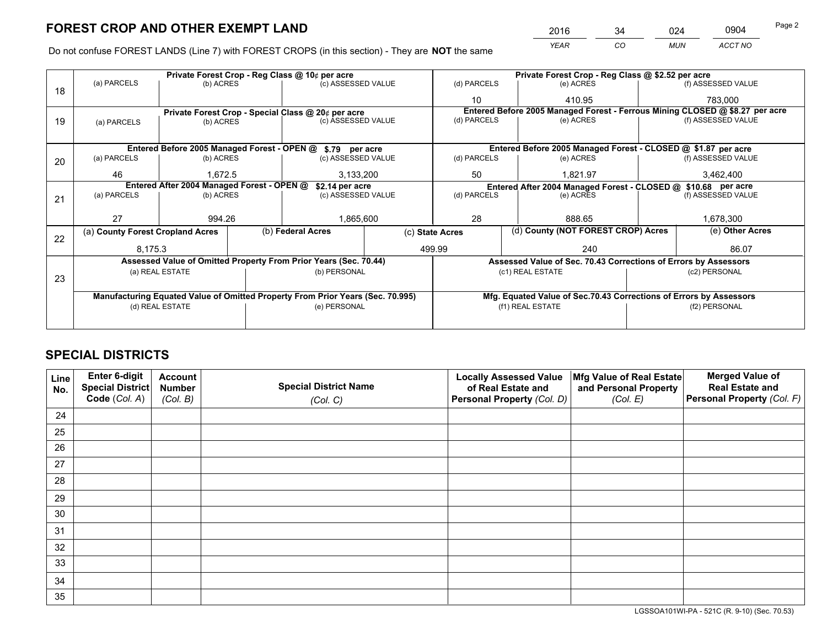*YEAR CO MUN ACCT NO* <sup>2016</sup> <sup>34</sup> <sup>024</sup> <sup>0904</sup>

Do not confuse FOREST LANDS (Line 7) with FOREST CROPS (in this section) - They are **NOT** the same

|    |                                                               |                 |  | Private Forest Crop - Reg Class @ 10¢ per acre                                 |                 |                                                               | Private Forest Crop - Reg Class @ \$2.52 per acre |                                                                              |               |                    |
|----|---------------------------------------------------------------|-----------------|--|--------------------------------------------------------------------------------|-----------------|---------------------------------------------------------------|---------------------------------------------------|------------------------------------------------------------------------------|---------------|--------------------|
| 18 | (a) PARCELS                                                   | (b) ACRES       |  | (c) ASSESSED VALUE                                                             |                 | (d) PARCELS                                                   |                                                   | (e) ACRES                                                                    |               | (f) ASSESSED VALUE |
|    |                                                               |                 |  |                                                                                |                 | 10                                                            |                                                   | 410.95                                                                       |               | 783.000            |
|    |                                                               |                 |  | Private Forest Crop - Special Class @ 20¢ per acre                             |                 |                                                               |                                                   | Entered Before 2005 Managed Forest - Ferrous Mining CLOSED @ \$8.27 per acre |               |                    |
| 19 | (a) PARCELS                                                   | (b) ACRES       |  | (c) ASSESSED VALUE                                                             |                 | (d) PARCELS                                                   |                                                   | (e) ACRES                                                                    |               | (f) ASSESSED VALUE |
|    |                                                               |                 |  |                                                                                |                 |                                                               |                                                   |                                                                              |               |                    |
|    |                                                               |                 |  | Entered Before 2005 Managed Forest - OPEN @ \$.79 per acre                     |                 |                                                               |                                                   | Entered Before 2005 Managed Forest - CLOSED @ \$1.87 per acre                |               |                    |
| 20 | (a) PARCELS                                                   | (b) ACRES       |  | (c) ASSESSED VALUE                                                             |                 | (d) PARCELS                                                   |                                                   | (e) ACRES                                                                    |               | (f) ASSESSED VALUE |
|    | 46                                                            | 1.672.5         |  | 3,133,200                                                                      |                 | 50                                                            |                                                   | 1.821.97                                                                     | 3,462,400     |                    |
|    | Entered After 2004 Managed Forest - OPEN @<br>\$2.14 per acre |                 |  |                                                                                |                 | Entered After 2004 Managed Forest - CLOSED @ \$10.68 per acre |                                                   |                                                                              |               |                    |
| 21 | (a) PARCELS                                                   | (b) ACRES       |  | (c) ASSESSED VALUE                                                             |                 | (d) PARCELS<br>(e) ACRES                                      |                                                   | (f) ASSESSED VALUE                                                           |               |                    |
|    |                                                               |                 |  |                                                                                |                 |                                                               |                                                   |                                                                              |               |                    |
|    | 27                                                            | 994.26          |  | 1,865,600                                                                      |                 | 28                                                            |                                                   | 888.65                                                                       |               | 1,678,300          |
| 22 | (a) County Forest Cropland Acres                              |                 |  | (b) Federal Acres                                                              | (c) State Acres |                                                               |                                                   | (d) County (NOT FOREST CROP) Acres                                           |               | (e) Other Acres    |
|    | 8,175.3                                                       |                 |  |                                                                                |                 | 499.99<br>240                                                 |                                                   |                                                                              |               | 86.07              |
|    |                                                               |                 |  | Assessed Value of Omitted Property From Prior Years (Sec. 70.44)               |                 |                                                               |                                                   | Assessed Value of Sec. 70.43 Corrections of Errors by Assessors              |               |                    |
|    |                                                               | (a) REAL ESTATE |  | (b) PERSONAL                                                                   |                 |                                                               |                                                   | (c1) REAL ESTATE                                                             |               | (c2) PERSONAL      |
| 23 |                                                               |                 |  |                                                                                |                 |                                                               |                                                   |                                                                              |               |                    |
|    |                                                               |                 |  | Manufacturing Equated Value of Omitted Property From Prior Years (Sec. 70.995) |                 |                                                               |                                                   | Mfg. Equated Value of Sec.70.43 Corrections of Errors by Assessors           |               |                    |
|    |                                                               | (d) REAL ESTATE |  | (e) PERSONAL                                                                   |                 | (f1) REAL ESTATE                                              |                                                   |                                                                              | (f2) PERSONAL |                    |
|    |                                                               |                 |  |                                                                                |                 |                                                               |                                                   |                                                                              |               |                    |

## **SPECIAL DISTRICTS**

| Line<br>No. | Enter 6-digit<br><b>Special District</b> | <b>Account</b><br><b>Number</b> | <b>Special District Name</b> | <b>Locally Assessed Value</b><br>of Real Estate and | Mfg Value of Real Estate<br>and Personal Property | <b>Merged Value of</b><br><b>Real Estate and</b> |
|-------------|------------------------------------------|---------------------------------|------------------------------|-----------------------------------------------------|---------------------------------------------------|--------------------------------------------------|
|             | Code (Col. A)                            | (Col. B)                        | (Col. C)                     | Personal Property (Col. D)                          | (Col. E)                                          | Personal Property (Col. F)                       |
| 24          |                                          |                                 |                              |                                                     |                                                   |                                                  |
| 25          |                                          |                                 |                              |                                                     |                                                   |                                                  |
| 26          |                                          |                                 |                              |                                                     |                                                   |                                                  |
| 27          |                                          |                                 |                              |                                                     |                                                   |                                                  |
| 28          |                                          |                                 |                              |                                                     |                                                   |                                                  |
| 29          |                                          |                                 |                              |                                                     |                                                   |                                                  |
| 30          |                                          |                                 |                              |                                                     |                                                   |                                                  |
| 31          |                                          |                                 |                              |                                                     |                                                   |                                                  |
| 32          |                                          |                                 |                              |                                                     |                                                   |                                                  |
| 33          |                                          |                                 |                              |                                                     |                                                   |                                                  |
| 34          |                                          |                                 |                              |                                                     |                                                   |                                                  |
| 35          |                                          |                                 |                              |                                                     |                                                   |                                                  |

LGSSOA101WI-PA - 521C (R. 9-10) (Sec. 70.53)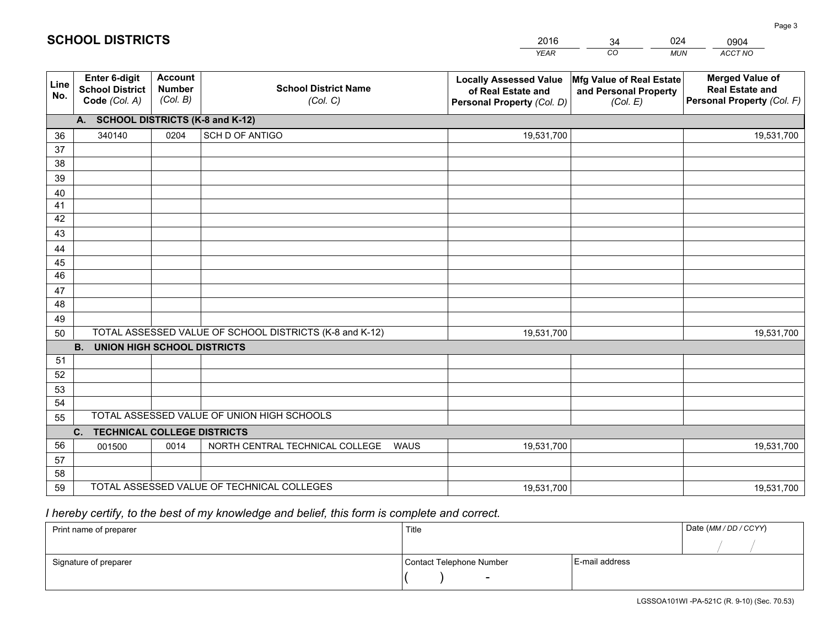|             |                                                          |                                             |                                                         | <b>YEAR</b>                                                                       | CO<br><b>MUN</b>                                              | ACCT NO                                                                        |  |  |  |  |
|-------------|----------------------------------------------------------|---------------------------------------------|---------------------------------------------------------|-----------------------------------------------------------------------------------|---------------------------------------------------------------|--------------------------------------------------------------------------------|--|--|--|--|
| Line<br>No. | Enter 6-digit<br><b>School District</b><br>Code (Col. A) | <b>Account</b><br><b>Number</b><br>(Col. B) | <b>School District Name</b><br>(Col. C)                 | <b>Locally Assessed Value</b><br>of Real Estate and<br>Personal Property (Col. D) | Mfg Value of Real Estate<br>and Personal Property<br>(Col. E) | <b>Merged Value of</b><br><b>Real Estate and</b><br>Personal Property (Col. F) |  |  |  |  |
|             | A. SCHOOL DISTRICTS (K-8 and K-12)                       |                                             |                                                         |                                                                                   |                                                               |                                                                                |  |  |  |  |
| 36          | 340140                                                   | 0204                                        | SCH D OF ANTIGO                                         | 19,531,700                                                                        |                                                               | 19,531,700                                                                     |  |  |  |  |
| 37          |                                                          |                                             |                                                         |                                                                                   |                                                               |                                                                                |  |  |  |  |
| 38          |                                                          |                                             |                                                         |                                                                                   |                                                               |                                                                                |  |  |  |  |
| 39          |                                                          |                                             |                                                         |                                                                                   |                                                               |                                                                                |  |  |  |  |
| 40          |                                                          |                                             |                                                         |                                                                                   |                                                               |                                                                                |  |  |  |  |
| 41          |                                                          |                                             |                                                         |                                                                                   |                                                               |                                                                                |  |  |  |  |
| 42<br>43    |                                                          |                                             |                                                         |                                                                                   |                                                               |                                                                                |  |  |  |  |
|             |                                                          |                                             |                                                         |                                                                                   |                                                               |                                                                                |  |  |  |  |
| 44<br>45    |                                                          |                                             |                                                         |                                                                                   |                                                               |                                                                                |  |  |  |  |
| 46          |                                                          |                                             |                                                         |                                                                                   |                                                               |                                                                                |  |  |  |  |
| 47          |                                                          |                                             |                                                         |                                                                                   |                                                               |                                                                                |  |  |  |  |
| 48          |                                                          |                                             |                                                         |                                                                                   |                                                               |                                                                                |  |  |  |  |
| 49          |                                                          |                                             |                                                         |                                                                                   |                                                               |                                                                                |  |  |  |  |
| 50          |                                                          |                                             | TOTAL ASSESSED VALUE OF SCHOOL DISTRICTS (K-8 and K-12) | 19,531,700                                                                        |                                                               | 19,531,700                                                                     |  |  |  |  |
|             | <b>B.</b><br><b>UNION HIGH SCHOOL DISTRICTS</b>          |                                             |                                                         |                                                                                   |                                                               |                                                                                |  |  |  |  |
| 51          |                                                          |                                             |                                                         |                                                                                   |                                                               |                                                                                |  |  |  |  |
| 52          |                                                          |                                             |                                                         |                                                                                   |                                                               |                                                                                |  |  |  |  |
| 53          |                                                          |                                             |                                                         |                                                                                   |                                                               |                                                                                |  |  |  |  |
| 54          |                                                          |                                             |                                                         |                                                                                   |                                                               |                                                                                |  |  |  |  |
| 55          |                                                          |                                             | TOTAL ASSESSED VALUE OF UNION HIGH SCHOOLS              |                                                                                   |                                                               |                                                                                |  |  |  |  |
|             | C.<br><b>TECHNICAL COLLEGE DISTRICTS</b>                 |                                             |                                                         |                                                                                   |                                                               |                                                                                |  |  |  |  |
| 56<br>57    | 001500                                                   | 0014                                        | NORTH CENTRAL TECHNICAL COLLEGE<br><b>WAUS</b>          | 19,531,700                                                                        |                                                               | 19,531,700                                                                     |  |  |  |  |
| 58          |                                                          |                                             |                                                         |                                                                                   |                                                               |                                                                                |  |  |  |  |
| 59          |                                                          |                                             | TOTAL ASSESSED VALUE OF TECHNICAL COLLEGES              | 19,531,700                                                                        |                                                               | 19,531,700                                                                     |  |  |  |  |
|             |                                                          |                                             |                                                         |                                                                                   |                                                               |                                                                                |  |  |  |  |

34

024

 *I hereby certify, to the best of my knowledge and belief, this form is complete and correct.*

**SCHOOL DISTRICTS**

| Print name of preparer | Title                    |                | Date (MM / DD / CCYY) |
|------------------------|--------------------------|----------------|-----------------------|
|                        |                          |                |                       |
| Signature of preparer  | Contact Telephone Number | E-mail address |                       |
|                        | $\overline{\phantom{0}}$ |                |                       |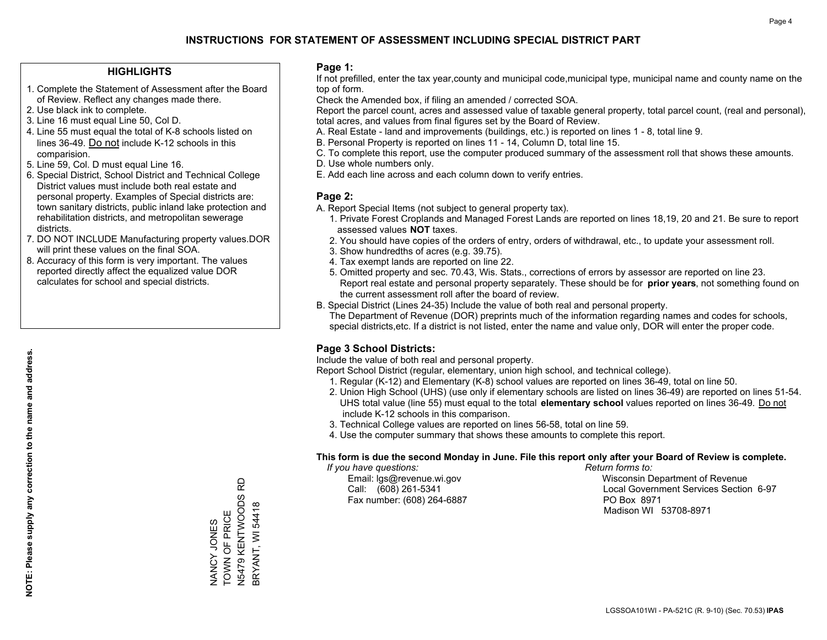#### **HIGHLIGHTS**

- 1. Complete the Statement of Assessment after the Board of Review. Reflect any changes made there.
- 2. Use black ink to complete.
- 3. Line 16 must equal Line 50, Col D.
- 4. Line 55 must equal the total of K-8 schools listed on lines 36-49. Do not include K-12 schools in this comparision.
- 5. Line 59, Col. D must equal Line 16.
- 6. Special District, School District and Technical College District values must include both real estate and personal property. Examples of Special districts are: town sanitary districts, public inland lake protection and rehabilitation districts, and metropolitan sewerage districts.
- 7. DO NOT INCLUDE Manufacturing property values.DOR will print these values on the final SOA.
- 8. Accuracy of this form is very important. The values reported directly affect the equalized value DOR calculates for school and special districts.

#### **Page 1:**

 If not prefilled, enter the tax year,county and municipal code,municipal type, municipal name and county name on the top of form.

Check the Amended box, if filing an amended / corrected SOA.

 Report the parcel count, acres and assessed value of taxable general property, total parcel count, (real and personal), total acres, and values from final figures set by the Board of Review.

- A. Real Estate land and improvements (buildings, etc.) is reported on lines 1 8, total line 9.
- B. Personal Property is reported on lines 11 14, Column D, total line 15.
- C. To complete this report, use the computer produced summary of the assessment roll that shows these amounts.
- D. Use whole numbers only.
- E. Add each line across and each column down to verify entries.

#### **Page 2:**

- A. Report Special Items (not subject to general property tax).
- 1. Private Forest Croplands and Managed Forest Lands are reported on lines 18,19, 20 and 21. Be sure to report assessed values **NOT** taxes.
- 2. You should have copies of the orders of entry, orders of withdrawal, etc., to update your assessment roll.
	- 3. Show hundredths of acres (e.g. 39.75).
- 4. Tax exempt lands are reported on line 22.
- 5. Omitted property and sec. 70.43, Wis. Stats., corrections of errors by assessor are reported on line 23. Report real estate and personal property separately. These should be for **prior years**, not something found on the current assessment roll after the board of review.
- B. Special District (Lines 24-35) Include the value of both real and personal property.
- The Department of Revenue (DOR) preprints much of the information regarding names and codes for schools, special districts,etc. If a district is not listed, enter the name and value only, DOR will enter the proper code.

## **Page 3 School Districts:**

Include the value of both real and personal property.

Report School District (regular, elementary, union high school, and technical college).

- 1. Regular (K-12) and Elementary (K-8) school values are reported on lines 36-49, total on line 50.
- 2. Union High School (UHS) (use only if elementary schools are listed on lines 36-49) are reported on lines 51-54. UHS total value (line 55) must equal to the total **elementary school** values reported on lines 36-49. Do notinclude K-12 schools in this comparison.
- 3. Technical College values are reported on lines 56-58, total on line 59.
- 4. Use the computer summary that shows these amounts to complete this report.

#### **This form is due the second Monday in June. File this report only after your Board of Review is complete.**

 *If you have questions: Return forms to:*

Fax number: (608) 264-6887 PO Box 8971

 Email: lgs@revenue.wi.gov Wisconsin Department of Revenue Call: (608) 261-5341 Local Government Services Section 6-97Madison WI 53708-8971

NANCY JONES TOWN OF PRICE N5479 KENTWOODS RD BRYANT, WI 54418

NANCY JONES<br>TOWN OF PRICE

윤

**BRYANT, WI 54418**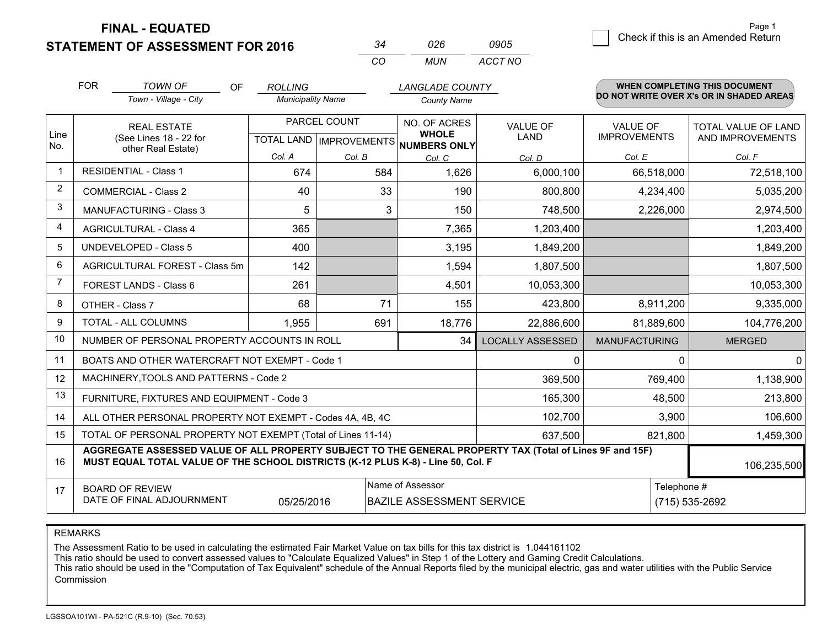**STATEMENT OF ASSESSMENT FOR 2016** 

| 34  | 026  | 0905    |
|-----|------|---------|
| CO. | MUN. | ACCT NO |

|                | <b>FOR</b><br><b>TOWN OF</b><br><b>OF</b><br><b>LANGLADE COUNTY</b><br><b>ROLLING</b><br>Town - Village - City<br><b>Municipality Name</b><br><b>County Name</b>                                            |                                                              |        |              |                                                     |                         | WHEN COMPLETING THIS DOCUMENT<br>DO NOT WRITE OVER X's OR IN SHADED AREAS |                     |  |
|----------------|-------------------------------------------------------------------------------------------------------------------------------------------------------------------------------------------------------------|--------------------------------------------------------------|--------|--------------|-----------------------------------------------------|-------------------------|---------------------------------------------------------------------------|---------------------|--|
|                |                                                                                                                                                                                                             |                                                              |        |              |                                                     |                         |                                                                           |                     |  |
|                |                                                                                                                                                                                                             | <b>REAL ESTATE</b>                                           |        | PARCEL COUNT | NO. OF ACRES                                        | <b>VALUE OF</b>         | <b>VALUE OF</b>                                                           | TOTAL VALUE OF LAND |  |
| Line<br>No.    |                                                                                                                                                                                                             | (See Lines 18 - 22 for<br>other Real Estate)                 |        |              | <b>WHOLE</b><br>TOTAL LAND MPROVEMENTS NUMBERS ONLY | <b>LAND</b>             | <b>IMPROVEMENTS</b>                                                       | AND IMPROVEMENTS    |  |
|                |                                                                                                                                                                                                             |                                                              | Col. A | Col. B       | Col. C                                              | Col. D                  | Col. E                                                                    | Col. F              |  |
| $\mathbf 1$    |                                                                                                                                                                                                             | <b>RESIDENTIAL - Class 1</b>                                 | 674    | 584          | 1,626                                               | 6,000,100               | 66,518,000                                                                | 72,518,100          |  |
| $\overline{2}$ |                                                                                                                                                                                                             | <b>COMMERCIAL - Class 2</b>                                  | 40     | 33           | 190                                                 | 800,800                 | 4,234,400                                                                 | 5,035,200           |  |
| 3              |                                                                                                                                                                                                             | <b>MANUFACTURING - Class 3</b>                               | 5      | 3            | 150                                                 | 748,500                 | 2,226,000                                                                 | 2,974,500           |  |
| 4              |                                                                                                                                                                                                             | <b>AGRICULTURAL - Class 4</b>                                | 365    |              | 7,365                                               | 1,203,400               |                                                                           | 1,203,400           |  |
| 5              |                                                                                                                                                                                                             | <b>UNDEVELOPED - Class 5</b>                                 | 400    |              | 3,195                                               | 1,849,200               |                                                                           | 1,849,200           |  |
| 6              | AGRICULTURAL FOREST - Class 5m                                                                                                                                                                              |                                                              | 142    |              | 1,594                                               | 1,807,500               |                                                                           | 1,807,500           |  |
| 7              | FOREST LANDS - Class 6                                                                                                                                                                                      |                                                              | 261    |              | 4,501                                               | 10,053,300              |                                                                           | 10,053,300          |  |
| 8              |                                                                                                                                                                                                             | OTHER - Class 7                                              | 68     | 71           | 155                                                 | 423,800                 | 8,911,200                                                                 | 9,335,000           |  |
| 9              |                                                                                                                                                                                                             | TOTAL - ALL COLUMNS                                          | 1,955  | 691          | 18,776                                              | 22,886,600              | 81,889,600                                                                | 104,776,200         |  |
| 10             |                                                                                                                                                                                                             | NUMBER OF PERSONAL PROPERTY ACCOUNTS IN ROLL                 |        |              | 34                                                  | <b>LOCALLY ASSESSED</b> | <b>MANUFACTURING</b>                                                      | <b>MERGED</b>       |  |
| 11             |                                                                                                                                                                                                             | BOATS AND OTHER WATERCRAFT NOT EXEMPT - Code 1               |        |              |                                                     | 0                       | 0                                                                         | $\overline{0}$      |  |
| 12             |                                                                                                                                                                                                             | MACHINERY, TOOLS AND PATTERNS - Code 2                       |        |              |                                                     | 369,500                 | 769,400                                                                   | 1,138,900           |  |
| 13             |                                                                                                                                                                                                             | FURNITURE, FIXTURES AND EQUIPMENT - Code 3                   |        |              |                                                     | 165,300                 | 48,500                                                                    | 213,800             |  |
| 14             |                                                                                                                                                                                                             | ALL OTHER PERSONAL PROPERTY NOT EXEMPT - Codes 4A, 4B, 4C    |        |              |                                                     | 102,700                 | 3,900                                                                     | 106,600             |  |
| 15             |                                                                                                                                                                                                             | TOTAL OF PERSONAL PROPERTY NOT EXEMPT (Total of Lines 11-14) |        |              |                                                     | 637,500                 | 821,800                                                                   | 1,459,300           |  |
| 16             | AGGREGATE ASSESSED VALUE OF ALL PROPERTY SUBJECT TO THE GENERAL PROPERTY TAX (Total of Lines 9F and 15F)<br>MUST EQUAL TOTAL VALUE OF THE SCHOOL DISTRICTS (K-12 PLUS K-8) - Line 50, Col. F<br>106,235,500 |                                                              |        |              |                                                     |                         |                                                                           |                     |  |
| 17             | Name of Assessor<br>Telephone #<br><b>BOARD OF REVIEW</b><br>DATE OF FINAL ADJOURNMENT<br><b>BAZILE ASSESSMENT SERVICE</b><br>05/25/2016                                                                    |                                                              |        |              |                                                     |                         |                                                                           | (715) 535-2692      |  |

REMARKS

The Assessment Ratio to be used in calculating the estimated Fair Market Value on tax bills for this tax district is 1.044161102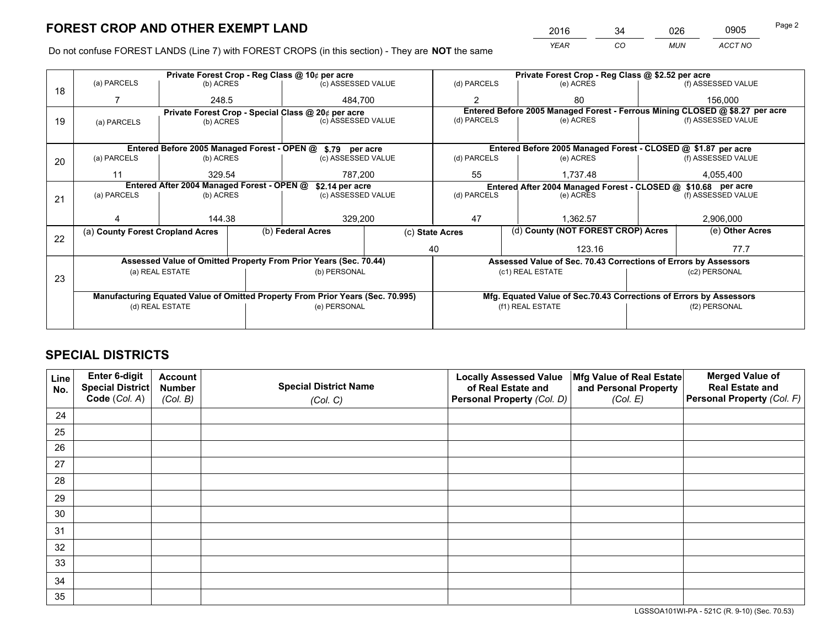*YEAR CO MUN ACCT NO* <sup>2016</sup> <sup>34</sup> <sup>026</sup> <sup>0905</sup> Page 2

Do not confuse FOREST LANDS (Line 7) with FOREST CROPS (in this section) - They are **NOT** the same

|    |                                                                                |                                             |       | Private Forest Crop - Reg Class @ 10¢ per acre                   |         | Private Forest Crop - Reg Class @ \$2.52 per acre             |  |                                                                    |               |                                                                              |
|----|--------------------------------------------------------------------------------|---------------------------------------------|-------|------------------------------------------------------------------|---------|---------------------------------------------------------------|--|--------------------------------------------------------------------|---------------|------------------------------------------------------------------------------|
| 18 | (a) PARCELS                                                                    | (b) ACRES                                   |       | (c) ASSESSED VALUE                                               |         | (d) PARCELS                                                   |  | (e) ACRES                                                          |               | (f) ASSESSED VALUE                                                           |
|    |                                                                                |                                             | 248.5 |                                                                  | 484.700 |                                                               |  | 80                                                                 |               | 156,000                                                                      |
|    |                                                                                |                                             |       | Private Forest Crop - Special Class @ 20¢ per acre               |         |                                                               |  |                                                                    |               | Entered Before 2005 Managed Forest - Ferrous Mining CLOSED @ \$8.27 per acre |
| 19 | (a) PARCELS                                                                    | (b) ACRES                                   |       | (c) ASSESSED VALUE                                               |         | (d) PARCELS                                                   |  | (e) ACRES                                                          |               | (f) ASSESSED VALUE                                                           |
|    |                                                                                |                                             |       |                                                                  |         |                                                               |  |                                                                    |               |                                                                              |
|    |                                                                                | Entered Before 2005 Managed Forest - OPEN @ |       | \$.79 per acre                                                   |         |                                                               |  | Entered Before 2005 Managed Forest - CLOSED @ \$1.87 per acre      |               |                                                                              |
| 20 | (a) PARCELS                                                                    | (b) ACRES                                   |       | (c) ASSESSED VALUE                                               |         | (d) PARCELS                                                   |  | (e) ACRES                                                          |               | (f) ASSESSED VALUE                                                           |
|    | 11                                                                             | 329.54                                      |       | 787,200<br>55                                                    |         |                                                               |  | 1,737.48                                                           | 4,055,400     |                                                                              |
|    | Entered After 2004 Managed Forest - OPEN @<br>\$2.14 per acre                  |                                             |       |                                                                  |         | Entered After 2004 Managed Forest - CLOSED @ \$10.68 per acre |  |                                                                    |               |                                                                              |
| 21 | (a) PARCELS                                                                    | (b) ACRES                                   |       | (c) ASSESSED VALUE                                               |         | (d) PARCELS<br>(e) ACRES                                      |  |                                                                    |               | (f) ASSESSED VALUE                                                           |
|    |                                                                                |                                             |       |                                                                  |         |                                                               |  |                                                                    |               |                                                                              |
|    |                                                                                | 144.38                                      |       | 329,200                                                          | 47      |                                                               |  | 1.362.57                                                           |               | 2,906,000                                                                    |
|    | (a) County Forest Cropland Acres                                               |                                             |       | (b) Federal Acres                                                |         | (c) State Acres                                               |  | (d) County (NOT FOREST CROP) Acres                                 |               | (e) Other Acres                                                              |
| 22 |                                                                                |                                             |       |                                                                  |         | 40                                                            |  | 123.16                                                             |               | 77.7                                                                         |
|    |                                                                                |                                             |       | Assessed Value of Omitted Property From Prior Years (Sec. 70.44) |         |                                                               |  |                                                                    |               |                                                                              |
|    |                                                                                |                                             |       |                                                                  |         |                                                               |  | Assessed Value of Sec. 70.43 Corrections of Errors by Assessors    |               |                                                                              |
| 23 |                                                                                | (a) REAL ESTATE                             |       | (b) PERSONAL                                                     |         |                                                               |  | (c1) REAL ESTATE                                                   |               | (c2) PERSONAL                                                                |
|    |                                                                                |                                             |       |                                                                  |         |                                                               |  |                                                                    |               |                                                                              |
|    | Manufacturing Equated Value of Omitted Property From Prior Years (Sec. 70.995) |                                             |       |                                                                  |         |                                                               |  | Mfg. Equated Value of Sec.70.43 Corrections of Errors by Assessors |               |                                                                              |
|    |                                                                                | (d) REAL ESTATE                             |       | (e) PERSONAL                                                     |         |                                                               |  | (f1) REAL ESTATE                                                   | (f2) PERSONAL |                                                                              |
|    |                                                                                |                                             |       |                                                                  |         |                                                               |  |                                                                    |               |                                                                              |

## **SPECIAL DISTRICTS**

| Line<br>No. | Enter 6-digit<br>Special District | <b>Account</b><br><b>Number</b> | <b>Special District Name</b> | <b>Locally Assessed Value</b><br>of Real Estate and | Mfg Value of Real Estate<br>and Personal Property | <b>Merged Value of</b><br><b>Real Estate and</b> |
|-------------|-----------------------------------|---------------------------------|------------------------------|-----------------------------------------------------|---------------------------------------------------|--------------------------------------------------|
|             | Code (Col. A)                     | (Col. B)                        | (Col. C)                     | Personal Property (Col. D)                          | (Col. E)                                          | Personal Property (Col. F)                       |
| 24          |                                   |                                 |                              |                                                     |                                                   |                                                  |
| 25          |                                   |                                 |                              |                                                     |                                                   |                                                  |
| 26          |                                   |                                 |                              |                                                     |                                                   |                                                  |
| 27          |                                   |                                 |                              |                                                     |                                                   |                                                  |
| 28          |                                   |                                 |                              |                                                     |                                                   |                                                  |
| 29          |                                   |                                 |                              |                                                     |                                                   |                                                  |
| 30          |                                   |                                 |                              |                                                     |                                                   |                                                  |
| 31          |                                   |                                 |                              |                                                     |                                                   |                                                  |
| 32          |                                   |                                 |                              |                                                     |                                                   |                                                  |
| 33          |                                   |                                 |                              |                                                     |                                                   |                                                  |
| 34          |                                   |                                 |                              |                                                     |                                                   |                                                  |
| 35          |                                   |                                 |                              |                                                     |                                                   |                                                  |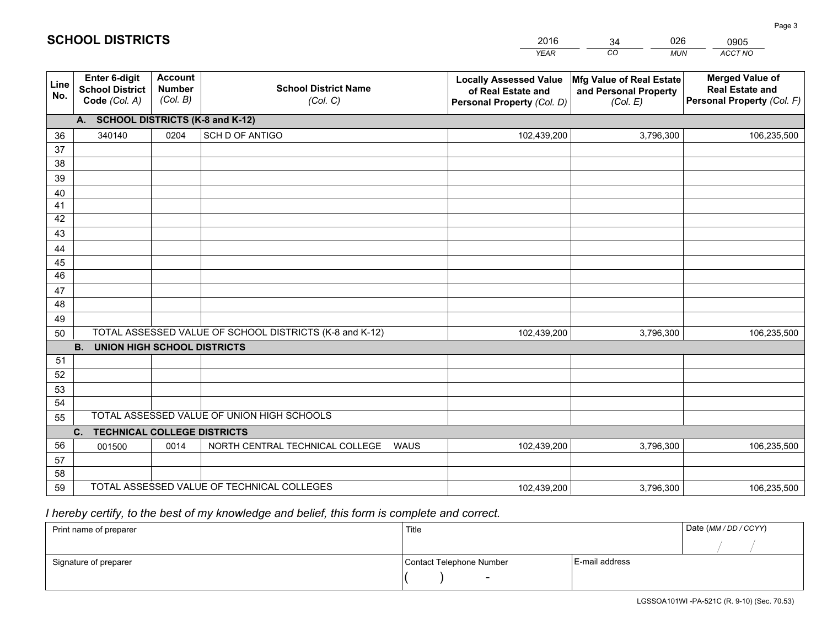|             |                                                                 |                                             |                                                         | <b>YEAR</b>                                                                       | CO<br><b>MUN</b>                                              | ACCT NO                                                                        |  |  |  |  |
|-------------|-----------------------------------------------------------------|---------------------------------------------|---------------------------------------------------------|-----------------------------------------------------------------------------------|---------------------------------------------------------------|--------------------------------------------------------------------------------|--|--|--|--|
| Line<br>No. | <b>Enter 6-digit</b><br><b>School District</b><br>Code (Col. A) | <b>Account</b><br><b>Number</b><br>(Col. B) | <b>School District Name</b><br>(Col. C)                 | <b>Locally Assessed Value</b><br>of Real Estate and<br>Personal Property (Col. D) | Mfg Value of Real Estate<br>and Personal Property<br>(Col. E) | <b>Merged Value of</b><br><b>Real Estate and</b><br>Personal Property (Col. F) |  |  |  |  |
|             | A. SCHOOL DISTRICTS (K-8 and K-12)                              |                                             |                                                         |                                                                                   |                                                               |                                                                                |  |  |  |  |
| 36          | 340140                                                          | 0204                                        | SCH D OF ANTIGO                                         | 102,439,200                                                                       | 3,796,300                                                     | 106,235,500                                                                    |  |  |  |  |
| 37          |                                                                 |                                             |                                                         |                                                                                   |                                                               |                                                                                |  |  |  |  |
| 38          |                                                                 |                                             |                                                         |                                                                                   |                                                               |                                                                                |  |  |  |  |
| 39          |                                                                 |                                             |                                                         |                                                                                   |                                                               |                                                                                |  |  |  |  |
| 40          |                                                                 |                                             |                                                         |                                                                                   |                                                               |                                                                                |  |  |  |  |
| 41<br>42    |                                                                 |                                             |                                                         |                                                                                   |                                                               |                                                                                |  |  |  |  |
| 43          |                                                                 |                                             |                                                         |                                                                                   |                                                               |                                                                                |  |  |  |  |
|             |                                                                 |                                             |                                                         |                                                                                   |                                                               |                                                                                |  |  |  |  |
| 44<br>45    |                                                                 |                                             |                                                         |                                                                                   |                                                               |                                                                                |  |  |  |  |
| 46          |                                                                 |                                             |                                                         |                                                                                   |                                                               |                                                                                |  |  |  |  |
| 47          |                                                                 |                                             |                                                         |                                                                                   |                                                               |                                                                                |  |  |  |  |
| 48          |                                                                 |                                             |                                                         |                                                                                   |                                                               |                                                                                |  |  |  |  |
| 49          |                                                                 |                                             |                                                         |                                                                                   |                                                               |                                                                                |  |  |  |  |
| 50          |                                                                 |                                             | TOTAL ASSESSED VALUE OF SCHOOL DISTRICTS (K-8 and K-12) | 102,439,200                                                                       | 3,796,300                                                     | 106,235,500                                                                    |  |  |  |  |
|             | <b>B.</b><br>UNION HIGH SCHOOL DISTRICTS                        |                                             |                                                         |                                                                                   |                                                               |                                                                                |  |  |  |  |
| 51          |                                                                 |                                             |                                                         |                                                                                   |                                                               |                                                                                |  |  |  |  |
| 52          |                                                                 |                                             |                                                         |                                                                                   |                                                               |                                                                                |  |  |  |  |
| 53          |                                                                 |                                             |                                                         |                                                                                   |                                                               |                                                                                |  |  |  |  |
| 54          |                                                                 |                                             |                                                         |                                                                                   |                                                               |                                                                                |  |  |  |  |
| 55          |                                                                 |                                             | TOTAL ASSESSED VALUE OF UNION HIGH SCHOOLS              |                                                                                   |                                                               |                                                                                |  |  |  |  |
|             | C.<br><b>TECHNICAL COLLEGE DISTRICTS</b>                        |                                             |                                                         |                                                                                   |                                                               |                                                                                |  |  |  |  |
| 56          | 001500                                                          | 0014                                        | NORTH CENTRAL TECHNICAL COLLEGE<br><b>WAUS</b>          | 102,439,200                                                                       | 3,796,300                                                     | 106,235,500                                                                    |  |  |  |  |
| 57<br>58    |                                                                 |                                             |                                                         |                                                                                   |                                                               |                                                                                |  |  |  |  |
| 59          |                                                                 |                                             | TOTAL ASSESSED VALUE OF TECHNICAL COLLEGES              | 102,439,200                                                                       | 3,796,300                                                     | 106,235,500                                                                    |  |  |  |  |
|             |                                                                 |                                             |                                                         |                                                                                   |                                                               |                                                                                |  |  |  |  |

34

026

 *I hereby certify, to the best of my knowledge and belief, this form is complete and correct.*

**SCHOOL DISTRICTS**

| Print name of preparer | Title                    |                | Date (MM / DD / CCYY) |
|------------------------|--------------------------|----------------|-----------------------|
|                        |                          |                |                       |
| Signature of preparer  | Contact Telephone Number | E-mail address |                       |
|                        | $\overline{\phantom{0}}$ |                |                       |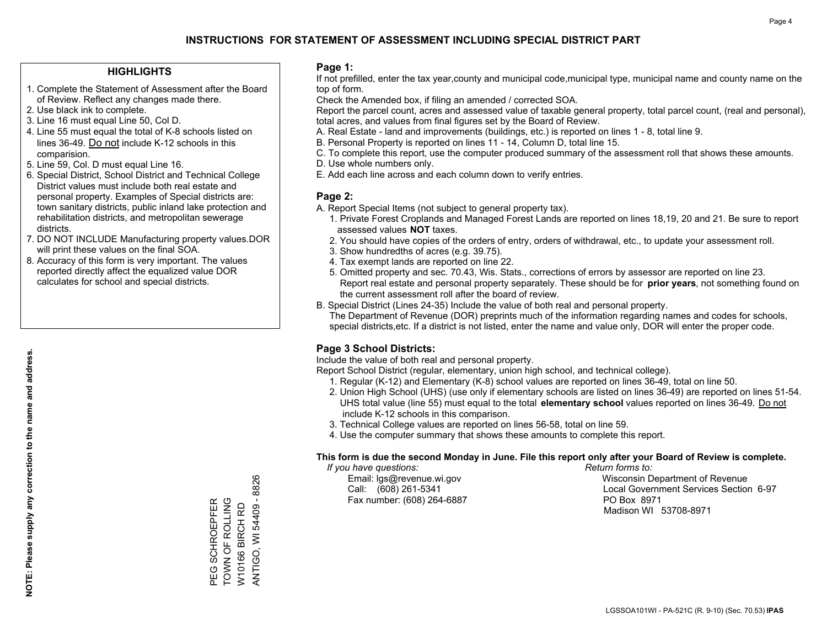#### **HIGHLIGHTS**

- 1. Complete the Statement of Assessment after the Board of Review. Reflect any changes made there.
- 2. Use black ink to complete.
- 3. Line 16 must equal Line 50, Col D.
- 4. Line 55 must equal the total of K-8 schools listed on lines 36-49. Do not include K-12 schools in this comparision.
- 5. Line 59, Col. D must equal Line 16.
- 6. Special District, School District and Technical College District values must include both real estate and personal property. Examples of Special districts are: town sanitary districts, public inland lake protection and rehabilitation districts, and metropolitan sewerage districts.
- 7. DO NOT INCLUDE Manufacturing property values.DOR will print these values on the final SOA.
- 8. Accuracy of this form is very important. The values reported directly affect the equalized value DOR calculates for school and special districts.

#### **Page 1:**

 If not prefilled, enter the tax year,county and municipal code,municipal type, municipal name and county name on the top of form.

Check the Amended box, if filing an amended / corrected SOA.

 Report the parcel count, acres and assessed value of taxable general property, total parcel count, (real and personal), total acres, and values from final figures set by the Board of Review.

- A. Real Estate land and improvements (buildings, etc.) is reported on lines 1 8, total line 9.
- B. Personal Property is reported on lines 11 14, Column D, total line 15.
- C. To complete this report, use the computer produced summary of the assessment roll that shows these amounts.
- D. Use whole numbers only.
- E. Add each line across and each column down to verify entries.

#### **Page 2:**

- A. Report Special Items (not subject to general property tax).
- 1. Private Forest Croplands and Managed Forest Lands are reported on lines 18,19, 20 and 21. Be sure to report assessed values **NOT** taxes.
- 2. You should have copies of the orders of entry, orders of withdrawal, etc., to update your assessment roll.
	- 3. Show hundredths of acres (e.g. 39.75).
- 4. Tax exempt lands are reported on line 22.
- 5. Omitted property and sec. 70.43, Wis. Stats., corrections of errors by assessor are reported on line 23. Report real estate and personal property separately. These should be for **prior years**, not something found on the current assessment roll after the board of review.
- B. Special District (Lines 24-35) Include the value of both real and personal property.
- The Department of Revenue (DOR) preprints much of the information regarding names and codes for schools, special districts,etc. If a district is not listed, enter the name and value only, DOR will enter the proper code.

## **Page 3 School Districts:**

Include the value of both real and personal property.

Report School District (regular, elementary, union high school, and technical college).

- 1. Regular (K-12) and Elementary (K-8) school values are reported on lines 36-49, total on line 50.
- 2. Union High School (UHS) (use only if elementary schools are listed on lines 36-49) are reported on lines 51-54. UHS total value (line 55) must equal to the total **elementary school** values reported on lines 36-49. Do notinclude K-12 schools in this comparison.
- 3. Technical College values are reported on lines 56-58, total on line 59.
- 4. Use the computer summary that shows these amounts to complete this report.

#### **This form is due the second Monday in June. File this report only after your Board of Review is complete.**

 *If you have questions: Return forms to:*

Fax number: (608) 264-6887 PO Box 8971

 Email: lgs@revenue.wi.gov Wisconsin Department of Revenue Call: (608) 261-5341 Local Government Services Section 6-97Madison WI 53708-8971

ANTIGO, WI 54409 - 8826 ANTIGO, WI 54409 - 8826 TOWN OF ROLLING PEG SCHROEPFER<br>TOWN OF ROLLING PEG SCHROEPFER W10166 BIRCH RD W10166 BIRCH RD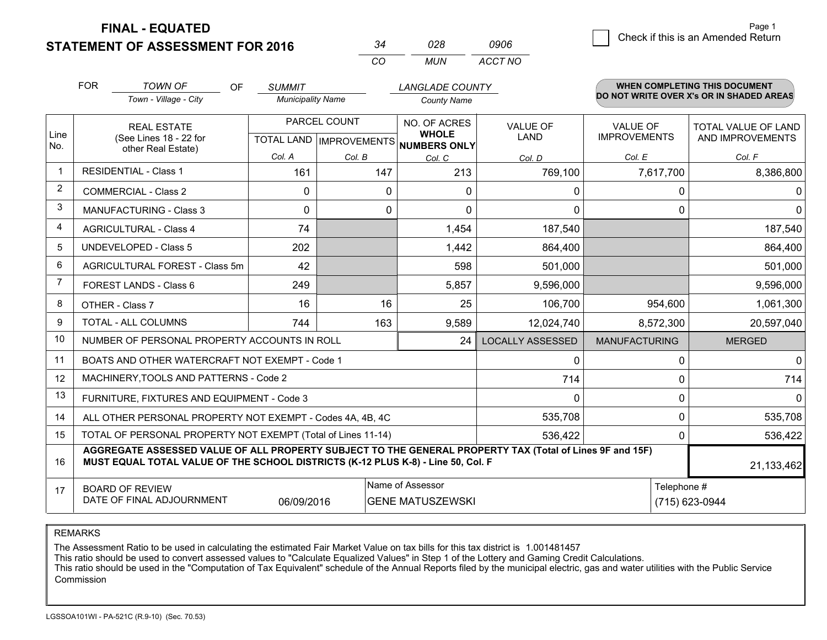**STATEMENT OF ASSESSMENT FOR 2016** 

| 34  | 028 | 0906    |
|-----|-----|---------|
| CO. | MUN | ACCT NO |

|                | <b>FOR</b><br><b>TOWN OF</b><br>Town - Village - City                                                                                                                                        | <b>OF</b> | <b>SUMMIT</b><br><b>Municipality Name</b> |                                           | <b>LANGLADE COUNTY</b><br><b>County Name</b>        |                         |                                        | <b>WHEN COMPLETING THIS DOCUMENT</b><br>DO NOT WRITE OVER X's OR IN SHADED AREAS |
|----------------|----------------------------------------------------------------------------------------------------------------------------------------------------------------------------------------------|-----------|-------------------------------------------|-------------------------------------------|-----------------------------------------------------|-------------------------|----------------------------------------|----------------------------------------------------------------------------------|
| Line<br>No.    | <b>REAL ESTATE</b><br>(See Lines 18 - 22 for<br>other Real Estate)                                                                                                                           |           |                                           | PARCEL COUNT<br>TOTAL LAND   IMPROVEMENTS | NO. OF ACRES<br><b>WHOLE</b><br><b>NUMBERS ONLY</b> | <b>VALUE OF</b><br>LAND | <b>VALUE OF</b><br><b>IMPROVEMENTS</b> | TOTAL VALUE OF LAND<br>AND IMPROVEMENTS                                          |
|                |                                                                                                                                                                                              |           | Col. A                                    | Col. B                                    | Col. C                                              | Col. D                  | Col. E                                 | Col. F                                                                           |
| $\overline{1}$ | <b>RESIDENTIAL - Class 1</b>                                                                                                                                                                 |           | 161                                       | 147                                       | 213                                                 | 769,100                 | 7,617,700                              | 8,386,800                                                                        |
| 2              | <b>COMMERCIAL - Class 2</b>                                                                                                                                                                  |           | $\Omega$                                  | $\Omega$                                  | ∩                                                   | 0                       | 0                                      | 0                                                                                |
| 3              | <b>MANUFACTURING - Class 3</b>                                                                                                                                                               |           | $\Omega$                                  | 0                                         | $\Omega$                                            | $\mathbf{0}$            | 0                                      | $\overline{0}$                                                                   |
| 4              | <b>AGRICULTURAL - Class 4</b>                                                                                                                                                                |           | 74                                        |                                           | 1,454                                               | 187,540                 |                                        | 187,540                                                                          |
| 5              | UNDEVELOPED - Class 5                                                                                                                                                                        |           | 202                                       |                                           | 1,442                                               | 864,400                 |                                        | 864,400                                                                          |
| 6              | AGRICULTURAL FOREST - Class 5m                                                                                                                                                               |           | 42                                        |                                           | 598                                                 | 501,000                 |                                        | 501,000                                                                          |
| $\overline{7}$ | FOREST LANDS - Class 6                                                                                                                                                                       |           | 249                                       |                                           | 5,857                                               | 9,596,000               |                                        | 9,596,000                                                                        |
| 8              | OTHER - Class 7                                                                                                                                                                              |           | 16                                        | 16                                        | 25                                                  | 106,700                 | 954,600                                | 1,061,300                                                                        |
| 9              | TOTAL - ALL COLUMNS                                                                                                                                                                          |           | 744                                       | 163                                       | 9,589                                               | 12,024,740              | 8,572,300                              | 20,597,040                                                                       |
| 10             | NUMBER OF PERSONAL PROPERTY ACCOUNTS IN ROLL                                                                                                                                                 |           |                                           |                                           | 24                                                  | <b>LOCALLY ASSESSED</b> | <b>MANUFACTURING</b>                   | <b>MERGED</b>                                                                    |
| 11             | BOATS AND OTHER WATERCRAFT NOT EXEMPT - Code 1                                                                                                                                               |           |                                           |                                           |                                                     | 0                       | 0                                      | $\overline{0}$                                                                   |
| 12             | MACHINERY, TOOLS AND PATTERNS - Code 2                                                                                                                                                       |           |                                           |                                           |                                                     | 714                     | 0                                      | 714                                                                              |
| 13             | FURNITURE, FIXTURES AND EQUIPMENT - Code 3                                                                                                                                                   |           |                                           |                                           |                                                     | 0                       | 0                                      | $\Omega$                                                                         |
| 14             | ALL OTHER PERSONAL PROPERTY NOT EXEMPT - Codes 4A, 4B, 4C                                                                                                                                    |           |                                           |                                           |                                                     | 535,708                 | 0                                      | 535,708                                                                          |
| 15             | TOTAL OF PERSONAL PROPERTY NOT EXEMPT (Total of Lines 11-14)                                                                                                                                 |           |                                           |                                           |                                                     | 536,422                 | 0                                      | 536,422                                                                          |
| 16             | AGGREGATE ASSESSED VALUE OF ALL PROPERTY SUBJECT TO THE GENERAL PROPERTY TAX (Total of Lines 9F and 15F)<br>MUST EQUAL TOTAL VALUE OF THE SCHOOL DISTRICTS (K-12 PLUS K-8) - Line 50, Col. F |           |                                           |                                           |                                                     |                         |                                        | 21,133,462                                                                       |
| 17             | Name of Assessor<br>Telephone #<br><b>BOARD OF REVIEW</b><br>DATE OF FINAL ADJOURNMENT<br>(715) 623-0944<br>06/09/2016<br><b>GENE MATUSZEWSKI</b>                                            |           |                                           |                                           |                                                     |                         |                                        |                                                                                  |

REMARKS

The Assessment Ratio to be used in calculating the estimated Fair Market Value on tax bills for this tax district is 1.001481457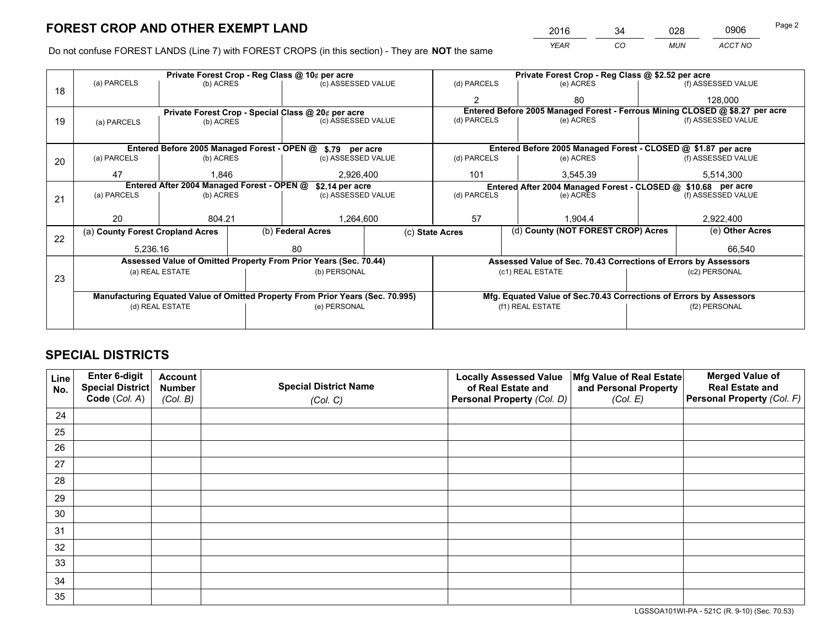*YEAR CO MUN ACCT NO* <sup>2016</sup> <sup>34</sup> <sup>028</sup> <sup>0906</sup>

Do not confuse FOREST LANDS (Line 7) with FOREST CROPS (in this section) - They are **NOT** the same

|    |                                                                                | Private Forest Crop - Reg Class @ 10¢ per acre                   |                   |                    |  |                                                                    | Private Forest Crop - Reg Class @ \$2.52 per acre |                                                               |                                                                              |                    |  |
|----|--------------------------------------------------------------------------------|------------------------------------------------------------------|-------------------|--------------------|--|--------------------------------------------------------------------|---------------------------------------------------|---------------------------------------------------------------|------------------------------------------------------------------------------|--------------------|--|
| 18 | (a) PARCELS                                                                    | (b) ACRES                                                        |                   | (c) ASSESSED VALUE |  | (d) PARCELS                                                        |                                                   | (e) ACRES                                                     |                                                                              | (f) ASSESSED VALUE |  |
|    |                                                                                |                                                                  |                   |                    |  | $\mathfrak{p}$                                                     |                                                   | 80                                                            |                                                                              | 128,000            |  |
|    | Private Forest Crop - Special Class @ 20¢ per acre                             |                                                                  |                   |                    |  |                                                                    |                                                   |                                                               | Entered Before 2005 Managed Forest - Ferrous Mining CLOSED @ \$8.27 per acre |                    |  |
| 19 | (a) PARCELS                                                                    | (b) ACRES                                                        |                   | (c) ASSESSED VALUE |  | (d) PARCELS                                                        |                                                   | (e) ACRES                                                     |                                                                              | (f) ASSESSED VALUE |  |
|    |                                                                                |                                                                  |                   |                    |  |                                                                    |                                                   |                                                               |                                                                              |                    |  |
|    |                                                                                | Entered Before 2005 Managed Forest - OPEN @ \$.79 per acre       |                   |                    |  |                                                                    |                                                   | Entered Before 2005 Managed Forest - CLOSED @ \$1.87 per acre |                                                                              |                    |  |
| 20 | (a) PARCELS                                                                    | (b) ACRES                                                        |                   | (c) ASSESSED VALUE |  | (d) PARCELS                                                        |                                                   | (e) ACRES                                                     |                                                                              | (f) ASSESSED VALUE |  |
|    | 47                                                                             | 1.846                                                            |                   | 2,926,400          |  | 101                                                                |                                                   | 3,545.39                                                      |                                                                              | 5,514,300          |  |
|    | Entered After 2004 Managed Forest - OPEN @<br>\$2.14 per acre                  |                                                                  |                   |                    |  |                                                                    |                                                   | Entered After 2004 Managed Forest - CLOSED @ \$10.68 per acre |                                                                              |                    |  |
| 21 | (a) PARCELS                                                                    | (b) ACRES                                                        |                   | (c) ASSESSED VALUE |  | (d) PARCELS                                                        |                                                   | (e) ACRES                                                     |                                                                              | (f) ASSESSED VALUE |  |
|    |                                                                                |                                                                  |                   |                    |  |                                                                    |                                                   |                                                               |                                                                              |                    |  |
|    | 20                                                                             | 804.21                                                           |                   | 1,264,600          |  | 57                                                                 |                                                   | 1,904.4                                                       |                                                                              | 2,922,400          |  |
| 22 | (a) County Forest Cropland Acres                                               |                                                                  | (b) Federal Acres | (c) State Acres    |  | (d) County (NOT FOREST CROP) Acres                                 |                                                   |                                                               |                                                                              | (e) Other Acres    |  |
|    | 5,236.16                                                                       |                                                                  | 80                |                    |  |                                                                    |                                                   |                                                               |                                                                              | 66,540             |  |
|    |                                                                                | Assessed Value of Omitted Property From Prior Years (Sec. 70.44) |                   |                    |  |                                                                    |                                                   |                                                               | Assessed Value of Sec. 70.43 Corrections of Errors by Assessors              |                    |  |
|    | (a) REAL ESTATE                                                                |                                                                  |                   | (b) PERSONAL       |  |                                                                    | (c1) REAL ESTATE                                  |                                                               |                                                                              | (c2) PERSONAL      |  |
| 23 |                                                                                |                                                                  |                   |                    |  |                                                                    |                                                   |                                                               |                                                                              |                    |  |
|    | Manufacturing Equated Value of Omitted Property From Prior Years (Sec. 70.995) |                                                                  |                   |                    |  | Mfg. Equated Value of Sec.70.43 Corrections of Errors by Assessors |                                                   |                                                               |                                                                              |                    |  |
|    | (d) REAL ESTATE                                                                |                                                                  |                   | (e) PERSONAL       |  | (f1) REAL ESTATE                                                   |                                                   |                                                               | (f2) PERSONAL                                                                |                    |  |
|    |                                                                                |                                                                  |                   |                    |  |                                                                    |                                                   |                                                               |                                                                              |                    |  |

## **SPECIAL DISTRICTS**

| Line<br>No. | Enter 6-digit<br><b>Special District</b> | <b>Account</b><br><b>Number</b> | <b>Special District Name</b> | <b>Locally Assessed Value</b><br>of Real Estate and | Mfg Value of Real Estate<br>and Personal Property | <b>Merged Value of</b><br><b>Real Estate and</b> |
|-------------|------------------------------------------|---------------------------------|------------------------------|-----------------------------------------------------|---------------------------------------------------|--------------------------------------------------|
|             | Code (Col. A)                            | (Col. B)                        | (Col. C)                     | Personal Property (Col. D)                          | (Col. E)                                          | Personal Property (Col. F)                       |
| 24          |                                          |                                 |                              |                                                     |                                                   |                                                  |
| 25          |                                          |                                 |                              |                                                     |                                                   |                                                  |
| 26          |                                          |                                 |                              |                                                     |                                                   |                                                  |
| 27          |                                          |                                 |                              |                                                     |                                                   |                                                  |
| 28          |                                          |                                 |                              |                                                     |                                                   |                                                  |
| 29          |                                          |                                 |                              |                                                     |                                                   |                                                  |
| 30          |                                          |                                 |                              |                                                     |                                                   |                                                  |
| 31          |                                          |                                 |                              |                                                     |                                                   |                                                  |
| 32          |                                          |                                 |                              |                                                     |                                                   |                                                  |
| 33          |                                          |                                 |                              |                                                     |                                                   |                                                  |
| 34          |                                          |                                 |                              |                                                     |                                                   |                                                  |
| 35          |                                          |                                 |                              |                                                     |                                                   |                                                  |

LGSSOA101WI-PA - 521C (R. 9-10) (Sec. 70.53)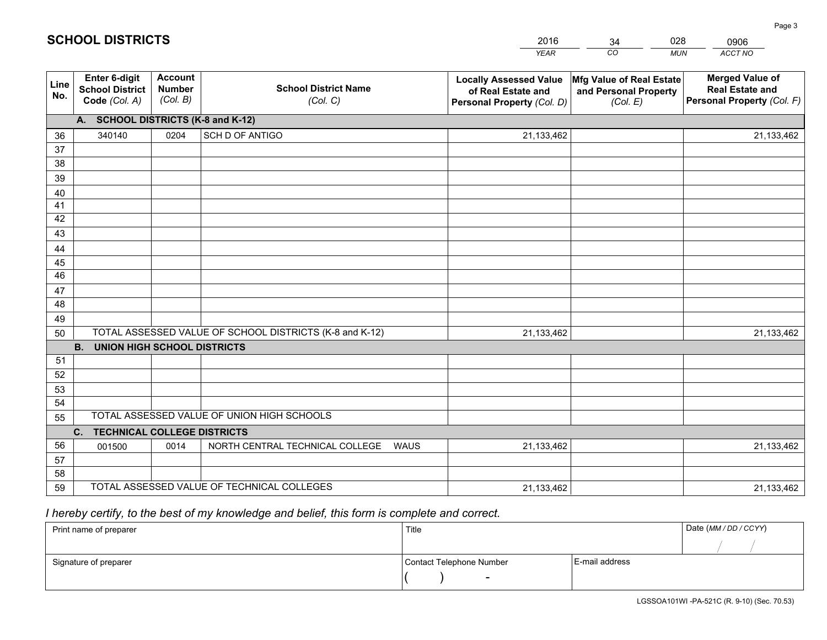|             |                                                          |                                             |                                                         | <b>YEAR</b>                                                                       | CO<br><b>MUN</b>                                              | ACCT NO                                                                        |  |  |  |  |
|-------------|----------------------------------------------------------|---------------------------------------------|---------------------------------------------------------|-----------------------------------------------------------------------------------|---------------------------------------------------------------|--------------------------------------------------------------------------------|--|--|--|--|
| Line<br>No. | Enter 6-digit<br><b>School District</b><br>Code (Col. A) | <b>Account</b><br><b>Number</b><br>(Col. B) | <b>School District Name</b><br>(Col. C)                 | <b>Locally Assessed Value</b><br>of Real Estate and<br>Personal Property (Col. D) | Mfg Value of Real Estate<br>and Personal Property<br>(Col. E) | <b>Merged Value of</b><br><b>Real Estate and</b><br>Personal Property (Col. F) |  |  |  |  |
|             | A. SCHOOL DISTRICTS (K-8 and K-12)                       |                                             |                                                         |                                                                                   |                                                               |                                                                                |  |  |  |  |
| 36          | 340140                                                   | 0204                                        | SCH D OF ANTIGO                                         | 21,133,462                                                                        |                                                               | 21,133,462                                                                     |  |  |  |  |
| 37          |                                                          |                                             |                                                         |                                                                                   |                                                               |                                                                                |  |  |  |  |
| 38          |                                                          |                                             |                                                         |                                                                                   |                                                               |                                                                                |  |  |  |  |
| 39          |                                                          |                                             |                                                         |                                                                                   |                                                               |                                                                                |  |  |  |  |
| 40          |                                                          |                                             |                                                         |                                                                                   |                                                               |                                                                                |  |  |  |  |
| 41<br>42    |                                                          |                                             |                                                         |                                                                                   |                                                               |                                                                                |  |  |  |  |
| 43          |                                                          |                                             |                                                         |                                                                                   |                                                               |                                                                                |  |  |  |  |
| 44          |                                                          |                                             |                                                         |                                                                                   |                                                               |                                                                                |  |  |  |  |
| 45          |                                                          |                                             |                                                         |                                                                                   |                                                               |                                                                                |  |  |  |  |
| 46          |                                                          |                                             |                                                         |                                                                                   |                                                               |                                                                                |  |  |  |  |
| 47          |                                                          |                                             |                                                         |                                                                                   |                                                               |                                                                                |  |  |  |  |
| 48          |                                                          |                                             |                                                         |                                                                                   |                                                               |                                                                                |  |  |  |  |
| 49          |                                                          |                                             |                                                         |                                                                                   |                                                               |                                                                                |  |  |  |  |
| 50          |                                                          |                                             | TOTAL ASSESSED VALUE OF SCHOOL DISTRICTS (K-8 and K-12) | 21,133,462                                                                        |                                                               | 21,133,462                                                                     |  |  |  |  |
|             | <b>B.</b><br><b>UNION HIGH SCHOOL DISTRICTS</b>          |                                             |                                                         |                                                                                   |                                                               |                                                                                |  |  |  |  |
| 51          |                                                          |                                             |                                                         |                                                                                   |                                                               |                                                                                |  |  |  |  |
| 52          |                                                          |                                             |                                                         |                                                                                   |                                                               |                                                                                |  |  |  |  |
| 53          |                                                          |                                             |                                                         |                                                                                   |                                                               |                                                                                |  |  |  |  |
| 54          |                                                          |                                             | TOTAL ASSESSED VALUE OF UNION HIGH SCHOOLS              |                                                                                   |                                                               |                                                                                |  |  |  |  |
| 55          |                                                          |                                             |                                                         |                                                                                   |                                                               |                                                                                |  |  |  |  |
|             | C.<br><b>TECHNICAL COLLEGE DISTRICTS</b>                 |                                             |                                                         |                                                                                   |                                                               |                                                                                |  |  |  |  |
| 56<br>57    | 001500                                                   | 0014                                        | NORTH CENTRAL TECHNICAL COLLEGE<br><b>WAUS</b>          | 21,133,462                                                                        |                                                               | 21,133,462                                                                     |  |  |  |  |
| 58          |                                                          |                                             |                                                         |                                                                                   |                                                               |                                                                                |  |  |  |  |
| 59          |                                                          |                                             | TOTAL ASSESSED VALUE OF TECHNICAL COLLEGES              | 21,133,462                                                                        |                                                               | 21,133,462                                                                     |  |  |  |  |

34

028

 *I hereby certify, to the best of my knowledge and belief, this form is complete and correct.*

**SCHOOL DISTRICTS**

| Print name of preparer | Title                    |                | Date (MM / DD / CCYY) |
|------------------------|--------------------------|----------------|-----------------------|
|                        |                          |                |                       |
| Signature of preparer  | Contact Telephone Number | E-mail address |                       |
|                        | $\overline{\phantom{a}}$ |                |                       |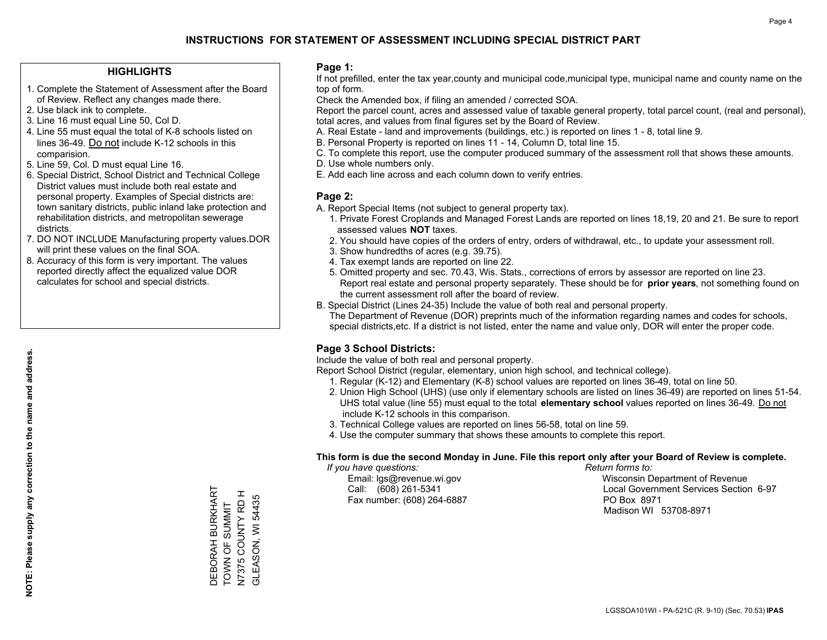#### **HIGHLIGHTS**

- 1. Complete the Statement of Assessment after the Board of Review. Reflect any changes made there.
- 2. Use black ink to complete.
- 3. Line 16 must equal Line 50, Col D.
- 4. Line 55 must equal the total of K-8 schools listed on lines 36-49. Do not include K-12 schools in this comparision.
- 5. Line 59, Col. D must equal Line 16.
- 6. Special District, School District and Technical College District values must include both real estate and personal property. Examples of Special districts are: town sanitary districts, public inland lake protection and rehabilitation districts, and metropolitan sewerage districts.
- 7. DO NOT INCLUDE Manufacturing property values.DOR will print these values on the final SOA.

DEBORAH BURKHART TOWN OF SUMMIT N7375 COUNTY RD H GLEASON, WI 54435

DEBORAH BURKHART<br>TOWN OF SUMMIT<br>N7375 COUNTY RD H<br>GLEASON, WI 54435

 8. Accuracy of this form is very important. The values reported directly affect the equalized value DOR calculates for school and special districts.

#### **Page 1:**

 If not prefilled, enter the tax year,county and municipal code,municipal type, municipal name and county name on the top of form.

Check the Amended box, if filing an amended / corrected SOA.

 Report the parcel count, acres and assessed value of taxable general property, total parcel count, (real and personal), total acres, and values from final figures set by the Board of Review.

- A. Real Estate land and improvements (buildings, etc.) is reported on lines 1 8, total line 9.
- B. Personal Property is reported on lines 11 14, Column D, total line 15.
- C. To complete this report, use the computer produced summary of the assessment roll that shows these amounts.
- D. Use whole numbers only.
- E. Add each line across and each column down to verify entries.

#### **Page 2:**

- A. Report Special Items (not subject to general property tax).
- 1. Private Forest Croplands and Managed Forest Lands are reported on lines 18,19, 20 and 21. Be sure to report assessed values **NOT** taxes.
- 2. You should have copies of the orders of entry, orders of withdrawal, etc., to update your assessment roll.
	- 3. Show hundredths of acres (e.g. 39.75).
- 4. Tax exempt lands are reported on line 22.
- 5. Omitted property and sec. 70.43, Wis. Stats., corrections of errors by assessor are reported on line 23. Report real estate and personal property separately. These should be for **prior years**, not something found on the current assessment roll after the board of review.
- B. Special District (Lines 24-35) Include the value of both real and personal property.
- The Department of Revenue (DOR) preprints much of the information regarding names and codes for schools, special districts,etc. If a district is not listed, enter the name and value only, DOR will enter the proper code.

## **Page 3 School Districts:**

Include the value of both real and personal property.

Report School District (regular, elementary, union high school, and technical college).

- 1. Regular (K-12) and Elementary (K-8) school values are reported on lines 36-49, total on line 50.
- 2. Union High School (UHS) (use only if elementary schools are listed on lines 36-49) are reported on lines 51-54. UHS total value (line 55) must equal to the total **elementary school** values reported on lines 36-49. Do notinclude K-12 schools in this comparison.
- 3. Technical College values are reported on lines 56-58, total on line 59.
- 4. Use the computer summary that shows these amounts to complete this report.

#### **This form is due the second Monday in June. File this report only after your Board of Review is complete.**

 *If you have questions: Return forms to:*

Fax number: (608) 264-6887 PO Box 8971

 Email: lgs@revenue.wi.gov Wisconsin Department of Revenue Call: (608) 261-5341 Local Government Services Section 6-97Madison WI 53708-8971

LGSSOA101WI - PA-521C (R. 9-10) (Sec. 70.53) **IPAS**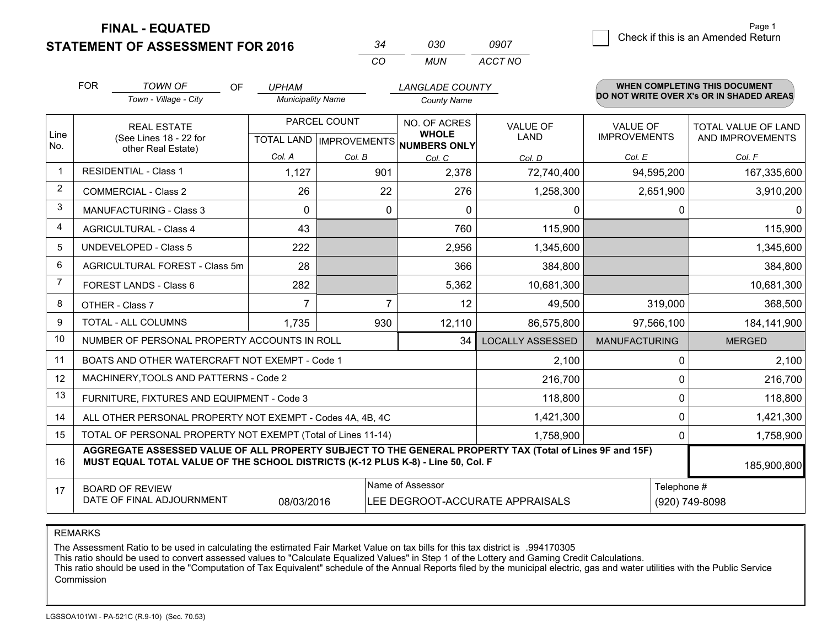**STATEMENT OF ASSESSMENT FOR 2016** 

|          | กจก   | 0907    |
|----------|-------|---------|
| $\Gamma$ | MI IN | ACCT NO |

|                | <b>FOR</b><br><b>TOWN OF</b><br>OF<br><b>UPHAM</b><br>Town - Village - City<br><b>Municipality Name</b>                                                                                      |                                      | <b>County Name</b> | <b>LANGLADE COUNTY</b>                    |                                                     | <b>WHEN COMPLETING THIS DOCUMENT</b><br>DO NOT WRITE OVER X's OR IN SHADED AREAS |                                        |                                         |
|----------------|----------------------------------------------------------------------------------------------------------------------------------------------------------------------------------------------|--------------------------------------|--------------------|-------------------------------------------|-----------------------------------------------------|----------------------------------------------------------------------------------|----------------------------------------|-----------------------------------------|
| Line<br>No.    | <b>REAL ESTATE</b><br>(See Lines 18 - 22 for<br>other Real Estate)                                                                                                                           |                                      |                    | PARCEL COUNT<br>TOTAL LAND   IMPROVEMENTS | NO. OF ACRES<br><b>WHOLE</b><br><b>NUMBERS ONLY</b> | <b>VALUE OF</b><br><b>LAND</b>                                                   | <b>VALUE OF</b><br><b>IMPROVEMENTS</b> | TOTAL VALUE OF LAND<br>AND IMPROVEMENTS |
|                |                                                                                                                                                                                              |                                      | Col. A             | Col. B                                    | Col. C                                              | Col. D                                                                           | Col. E                                 | Col. F                                  |
| $\mathbf 1$    | <b>RESIDENTIAL - Class 1</b>                                                                                                                                                                 |                                      | 1,127              | 901                                       | 2,378                                               | 72,740,400                                                                       | 94,595,200                             | 167,335,600                             |
| $\overline{2}$ | <b>COMMERCIAL - Class 2</b>                                                                                                                                                                  |                                      | 26                 | 22                                        | 276                                                 | 1,258,300                                                                        | 2,651,900                              | 3,910,200                               |
| 3              | <b>MANUFACTURING - Class 3</b>                                                                                                                                                               |                                      | $\Omega$           |                                           | 0<br>$\Omega$                                       | 0                                                                                | 0                                      | $\Omega$                                |
| 4              | <b>AGRICULTURAL - Class 4</b>                                                                                                                                                                |                                      | 43                 |                                           | 760                                                 | 115,900                                                                          |                                        | 115,900                                 |
| 5              | <b>UNDEVELOPED - Class 5</b>                                                                                                                                                                 |                                      | 222                |                                           | 2,956                                               | 1,345,600                                                                        |                                        | 1,345,600                               |
| 6              | AGRICULTURAL FOREST - Class 5m                                                                                                                                                               |                                      | 28                 |                                           | 366                                                 | 384,800                                                                          |                                        | 384,800                                 |
| 7              | FOREST LANDS - Class 6                                                                                                                                                                       |                                      | 282                |                                           | 5,362<br>10,681,300                                 |                                                                                  |                                        | 10,681,300                              |
| 8              | OTHER - Class 7                                                                                                                                                                              |                                      | $\overline{7}$     |                                           | $\overline{7}$<br>12                                | 49,500                                                                           | 319,000                                | 368,500                                 |
| 9              | TOTAL - ALL COLUMNS                                                                                                                                                                          | 930<br>1,735<br>12,110<br>86,575,800 |                    | 97,566,100                                | 184,141,900                                         |                                                                                  |                                        |                                         |
| 10             | NUMBER OF PERSONAL PROPERTY ACCOUNTS IN ROLL                                                                                                                                                 |                                      |                    |                                           | 34                                                  | <b>LOCALLY ASSESSED</b>                                                          | <b>MANUFACTURING</b>                   | <b>MERGED</b>                           |
| 11             | BOATS AND OTHER WATERCRAFT NOT EXEMPT - Code 1                                                                                                                                               |                                      |                    |                                           |                                                     | 2,100                                                                            | 0                                      | 2,100                                   |
| 12             | MACHINERY, TOOLS AND PATTERNS - Code 2                                                                                                                                                       |                                      |                    |                                           |                                                     | 216,700                                                                          | $\mathbf{0}$                           | 216,700                                 |
| 13             | FURNITURE, FIXTURES AND EQUIPMENT - Code 3                                                                                                                                                   |                                      |                    |                                           |                                                     | 118,800                                                                          | 0                                      | 118,800                                 |
| 14             | ALL OTHER PERSONAL PROPERTY NOT EXEMPT - Codes 4A, 4B, 4C                                                                                                                                    |                                      |                    |                                           |                                                     | 1,421,300                                                                        | 0                                      | 1,421,300                               |
| 15             | TOTAL OF PERSONAL PROPERTY NOT EXEMPT (Total of Lines 11-14)                                                                                                                                 |                                      |                    |                                           |                                                     | 1,758,900                                                                        | 0                                      | 1,758,900                               |
| 16             | AGGREGATE ASSESSED VALUE OF ALL PROPERTY SUBJECT TO THE GENERAL PROPERTY TAX (Total of Lines 9F and 15F)<br>MUST EQUAL TOTAL VALUE OF THE SCHOOL DISTRICTS (K-12 PLUS K-8) - Line 50, Col. F |                                      |                    |                                           |                                                     |                                                                                  |                                        | 185,900,800                             |
| 17             | Name of Assessor<br>Telephone #<br><b>BOARD OF REVIEW</b><br>DATE OF FINAL ADJOURNMENT<br>08/03/2016<br>LEE DEGROOT-ACCURATE APPRAISALS                                                      |                                      |                    |                                           |                                                     |                                                                                  | (920) 749-8098                         |                                         |

REMARKS

The Assessment Ratio to be used in calculating the estimated Fair Market Value on tax bills for this tax district is .994170305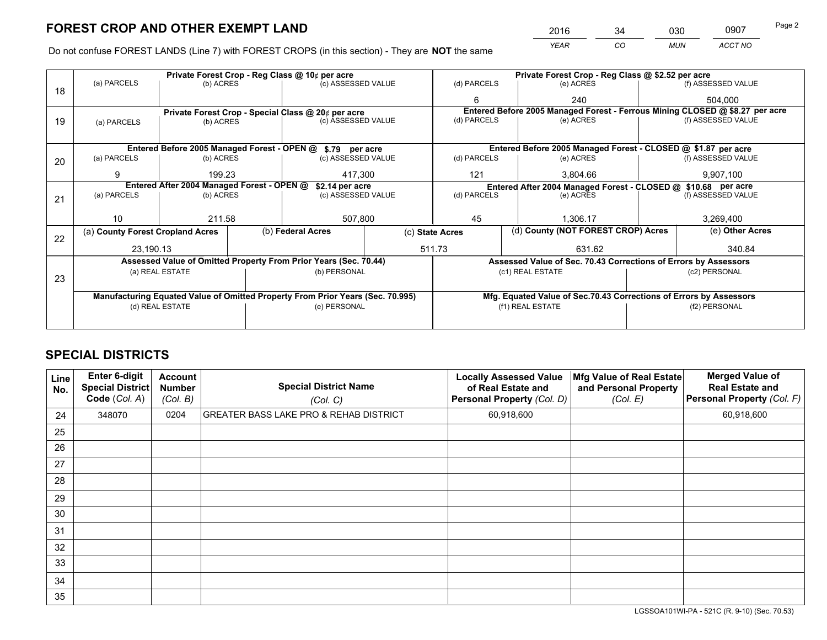*YEAR CO MUN ACCT NO* <sup>2016</sup> <sup>34</sup> <sup>030</sup> <sup>0907</sup>

Do not confuse FOREST LANDS (Line 7) with FOREST CROPS (in this section) - They are **NOT** the same

|    |                                                                                |                 |  | Private Forest Crop - Reg Class @ 10¢ per acre                   |                 |                  | Private Forest Crop - Reg Class @ \$2.52 per acre |                                                                              |               |                    |  |
|----|--------------------------------------------------------------------------------|-----------------|--|------------------------------------------------------------------|-----------------|------------------|---------------------------------------------------|------------------------------------------------------------------------------|---------------|--------------------|--|
| 18 | (a) PARCELS                                                                    | (b) ACRES       |  | (c) ASSESSED VALUE                                               |                 | (d) PARCELS      |                                                   | (e) ACRES                                                                    |               | (f) ASSESSED VALUE |  |
|    |                                                                                |                 |  |                                                                  |                 | 6                |                                                   | 240                                                                          |               | 504,000            |  |
|    |                                                                                |                 |  | Private Forest Crop - Special Class @ 20¢ per acre               |                 |                  |                                                   | Entered Before 2005 Managed Forest - Ferrous Mining CLOSED @ \$8.27 per acre |               |                    |  |
| 19 | (a) PARCELS                                                                    | (b) ACRES       |  | (c) ASSESSED VALUE                                               |                 | (d) PARCELS      |                                                   | (e) ACRES                                                                    |               | (f) ASSESSED VALUE |  |
|    |                                                                                |                 |  |                                                                  |                 |                  |                                                   |                                                                              |               |                    |  |
|    |                                                                                |                 |  | Entered Before 2005 Managed Forest - OPEN @ \$.79 per acre       |                 |                  |                                                   | Entered Before 2005 Managed Forest - CLOSED @ \$1.87 per acre                |               |                    |  |
| 20 | (a) PARCELS                                                                    | (b) ACRES       |  | (c) ASSESSED VALUE                                               |                 | (d) PARCELS      |                                                   | (e) ACRES                                                                    |               | (f) ASSESSED VALUE |  |
|    | 9                                                                              | 199.23          |  |                                                                  | 121<br>417.300  |                  |                                                   | 3.804.66                                                                     |               | 9,907,100          |  |
|    | Entered After 2004 Managed Forest - OPEN @                                     |                 |  |                                                                  | \$2.14 per acre |                  |                                                   | Entered After 2004 Managed Forest - CLOSED @ \$10.68 per acre                |               |                    |  |
| 21 | (a) PARCELS                                                                    | (b) ACRES       |  | (c) ASSESSED VALUE                                               |                 | (d) PARCELS      |                                                   | (e) ACRES                                                                    |               | (f) ASSESSED VALUE |  |
|    |                                                                                |                 |  |                                                                  |                 |                  |                                                   |                                                                              |               |                    |  |
|    | 10                                                                             | 211.58          |  | 507,800                                                          | 45              |                  |                                                   | 1.306.17                                                                     |               | 3,269,400          |  |
| 22 | (a) County Forest Cropland Acres                                               |                 |  | (b) Federal Acres                                                | (c) State Acres |                  |                                                   | (d) County (NOT FOREST CROP) Acres                                           |               | (e) Other Acres    |  |
|    | 23,190.13                                                                      |                 |  |                                                                  |                 | 511.73           |                                                   | 631.62                                                                       |               | 340.84             |  |
|    |                                                                                |                 |  | Assessed Value of Omitted Property From Prior Years (Sec. 70.44) |                 |                  |                                                   | Assessed Value of Sec. 70.43 Corrections of Errors by Assessors              |               |                    |  |
| 23 |                                                                                | (a) REAL ESTATE |  | (b) PERSONAL                                                     |                 |                  |                                                   | (c1) REAL ESTATE                                                             |               | (c2) PERSONAL      |  |
|    |                                                                                |                 |  |                                                                  |                 |                  |                                                   |                                                                              |               |                    |  |
|    | Manufacturing Equated Value of Omitted Property From Prior Years (Sec. 70.995) |                 |  |                                                                  |                 |                  |                                                   | Mfg. Equated Value of Sec.70.43 Corrections of Errors by Assessors           |               |                    |  |
|    | (d) REAL ESTATE                                                                |                 |  | (e) PERSONAL                                                     |                 | (f1) REAL ESTATE |                                                   |                                                                              | (f2) PERSONAL |                    |  |
|    |                                                                                |                 |  |                                                                  |                 |                  |                                                   |                                                                              |               |                    |  |

## **SPECIAL DISTRICTS**

| Line<br>No. | Enter 6-digit<br><b>Special District</b><br>Code (Col. A) | <b>Account</b><br><b>Number</b><br>(Col. B) | <b>Special District Name</b><br>(Col. C)          | <b>Locally Assessed Value</b><br>of Real Estate and<br>Personal Property (Col. D) | Mfg Value of Real Estate<br>and Personal Property<br>(Col. E) | <b>Merged Value of</b><br><b>Real Estate and</b><br>Personal Property (Col. F) |
|-------------|-----------------------------------------------------------|---------------------------------------------|---------------------------------------------------|-----------------------------------------------------------------------------------|---------------------------------------------------------------|--------------------------------------------------------------------------------|
| 24          | 348070                                                    | 0204                                        | <b>GREATER BASS LAKE PRO &amp; REHAB DISTRICT</b> | 60,918,600                                                                        |                                                               | 60,918,600                                                                     |
| 25          |                                                           |                                             |                                                   |                                                                                   |                                                               |                                                                                |
| 26          |                                                           |                                             |                                                   |                                                                                   |                                                               |                                                                                |
| 27          |                                                           |                                             |                                                   |                                                                                   |                                                               |                                                                                |
| 28          |                                                           |                                             |                                                   |                                                                                   |                                                               |                                                                                |
| 29          |                                                           |                                             |                                                   |                                                                                   |                                                               |                                                                                |
| 30          |                                                           |                                             |                                                   |                                                                                   |                                                               |                                                                                |
| 31          |                                                           |                                             |                                                   |                                                                                   |                                                               |                                                                                |
| 32          |                                                           |                                             |                                                   |                                                                                   |                                                               |                                                                                |
| 33          |                                                           |                                             |                                                   |                                                                                   |                                                               |                                                                                |
| 34          |                                                           |                                             |                                                   |                                                                                   |                                                               |                                                                                |
| 35          |                                                           |                                             |                                                   |                                                                                   |                                                               |                                                                                |

LGSSOA101WI-PA - 521C (R. 9-10) (Sec. 70.53)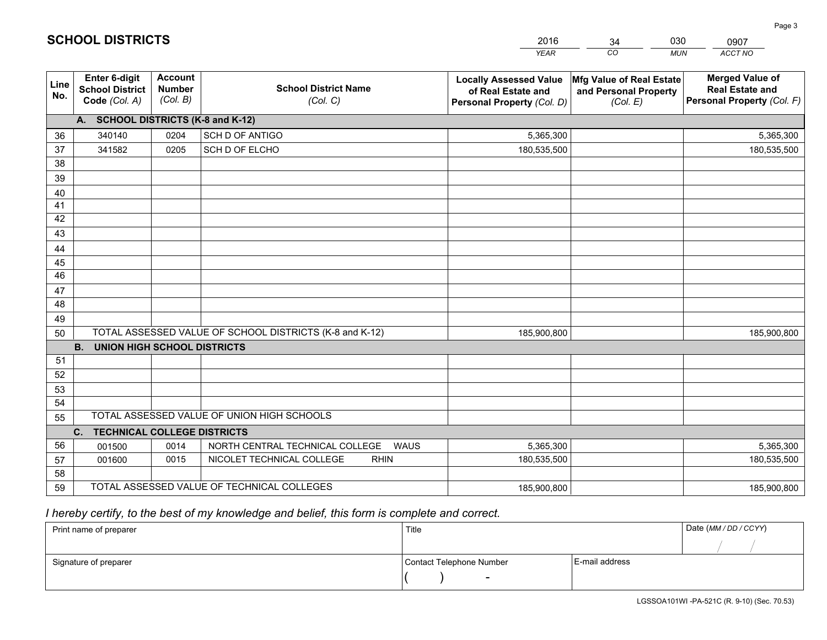|             |                                                          |                                             |                                                         | <b>YEAR</b>                                                                       | CO<br><b>MUN</b>                                              | ACCT NO                                                                        |
|-------------|----------------------------------------------------------|---------------------------------------------|---------------------------------------------------------|-----------------------------------------------------------------------------------|---------------------------------------------------------------|--------------------------------------------------------------------------------|
| Line<br>No. | Enter 6-digit<br><b>School District</b><br>Code (Col. A) | <b>Account</b><br><b>Number</b><br>(Col. B) | <b>School District Name</b><br>(Col. C)                 | <b>Locally Assessed Value</b><br>of Real Estate and<br>Personal Property (Col. D) | Mfg Value of Real Estate<br>and Personal Property<br>(Col. E) | <b>Merged Value of</b><br><b>Real Estate and</b><br>Personal Property (Col. F) |
|             | A. SCHOOL DISTRICTS (K-8 and K-12)                       |                                             |                                                         |                                                                                   |                                                               |                                                                                |
| 36          | 340140                                                   | 0204                                        | SCH D OF ANTIGO                                         | 5,365,300                                                                         |                                                               | 5,365,300                                                                      |
| 37          | 341582                                                   | 0205                                        | SCH D OF ELCHO                                          | 180,535,500                                                                       |                                                               | 180,535,500                                                                    |
| 38          |                                                          |                                             |                                                         |                                                                                   |                                                               |                                                                                |
| 39          |                                                          |                                             |                                                         |                                                                                   |                                                               |                                                                                |
| 40          |                                                          |                                             |                                                         |                                                                                   |                                                               |                                                                                |
| 41          |                                                          |                                             |                                                         |                                                                                   |                                                               |                                                                                |
| 42          |                                                          |                                             |                                                         |                                                                                   |                                                               |                                                                                |
| 43          |                                                          |                                             |                                                         |                                                                                   |                                                               |                                                                                |
| 44          |                                                          |                                             |                                                         |                                                                                   |                                                               |                                                                                |
| 45          |                                                          |                                             |                                                         |                                                                                   |                                                               |                                                                                |
| 46          |                                                          |                                             |                                                         |                                                                                   |                                                               |                                                                                |
| 47          |                                                          |                                             |                                                         |                                                                                   |                                                               |                                                                                |
| 48          |                                                          |                                             |                                                         |                                                                                   |                                                               |                                                                                |
| 49          |                                                          |                                             |                                                         |                                                                                   |                                                               |                                                                                |
| 50          |                                                          |                                             | TOTAL ASSESSED VALUE OF SCHOOL DISTRICTS (K-8 and K-12) | 185,900,800                                                                       |                                                               | 185,900,800                                                                    |
|             | <b>B.</b><br><b>UNION HIGH SCHOOL DISTRICTS</b>          |                                             |                                                         |                                                                                   |                                                               |                                                                                |
| 51          |                                                          |                                             |                                                         |                                                                                   |                                                               |                                                                                |
| 52          |                                                          |                                             |                                                         |                                                                                   |                                                               |                                                                                |
| 53          |                                                          |                                             |                                                         |                                                                                   |                                                               |                                                                                |
| 54          |                                                          |                                             |                                                         |                                                                                   |                                                               |                                                                                |
| 55          |                                                          |                                             | TOTAL ASSESSED VALUE OF UNION HIGH SCHOOLS              |                                                                                   |                                                               |                                                                                |
|             | C. TECHNICAL COLLEGE DISTRICTS                           |                                             |                                                         |                                                                                   |                                                               |                                                                                |
| 56          | 001500                                                   | 0014                                        | NORTH CENTRAL TECHNICAL COLLEGE<br><b>WAUS</b>          | 5,365,300                                                                         |                                                               | 5,365,300                                                                      |
| 57          | 001600                                                   | 0015                                        | NICOLET TECHNICAL COLLEGE<br><b>RHIN</b>                | 180,535,500                                                                       |                                                               | 180,535,500                                                                    |
| 58          |                                                          |                                             |                                                         |                                                                                   |                                                               |                                                                                |
| 59          |                                                          |                                             | TOTAL ASSESSED VALUE OF TECHNICAL COLLEGES              | 185,900,800                                                                       |                                                               | 185,900,800                                                                    |

34

030

 *I hereby certify, to the best of my knowledge and belief, this form is complete and correct.*

**SCHOOL DISTRICTS**

| Print name of preparer | Title                    |                | Date (MM / DD / CCYY) |
|------------------------|--------------------------|----------------|-----------------------|
|                        |                          |                |                       |
| Signature of preparer  | Contact Telephone Number | E-mail address |                       |
|                        | -                        |                |                       |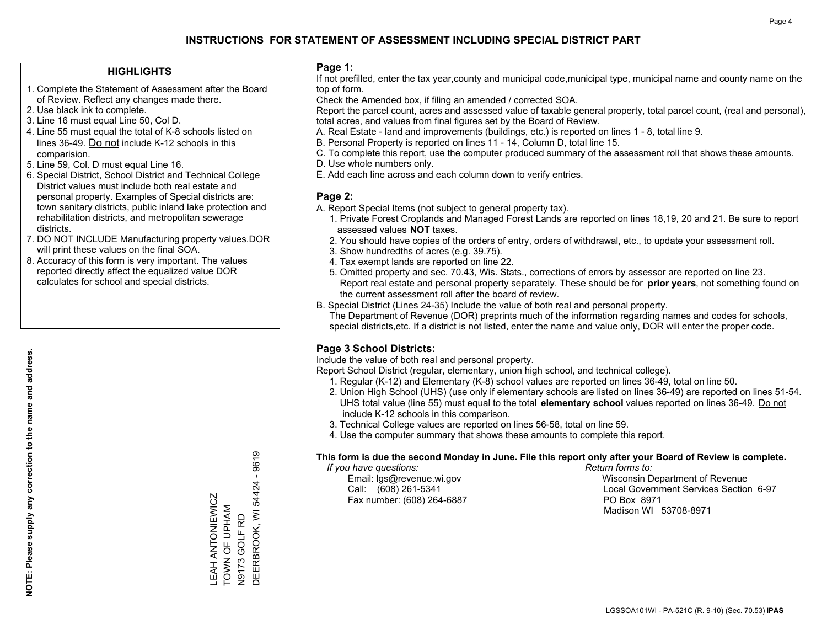#### **HIGHLIGHTS**

- 1. Complete the Statement of Assessment after the Board of Review. Reflect any changes made there.
- 2. Use black ink to complete.
- 3. Line 16 must equal Line 50, Col D.
- 4. Line 55 must equal the total of K-8 schools listed on lines 36-49. Do not include K-12 schools in this comparision.
- 5. Line 59, Col. D must equal Line 16.
- 6. Special District, School District and Technical College District values must include both real estate and personal property. Examples of Special districts are: town sanitary districts, public inland lake protection and rehabilitation districts, and metropolitan sewerage districts.
- 7. DO NOT INCLUDE Manufacturing property values.DOR will print these values on the final SOA.

LEAH ANTONIEWICZ TOWN OF UPHAM N9173 GOLF RD

LEAH ANTONIEWICZ<br>TOWN OF UPHAM

DEERBROOK, WI 54424 - 9619

DEERBROOK, WI 54424 -

N9173 GOLF RD

9619

 8. Accuracy of this form is very important. The values reported directly affect the equalized value DOR calculates for school and special districts.

#### **Page 1:**

 If not prefilled, enter the tax year,county and municipal code,municipal type, municipal name and county name on the top of form.

Check the Amended box, if filing an amended / corrected SOA.

 Report the parcel count, acres and assessed value of taxable general property, total parcel count, (real and personal), total acres, and values from final figures set by the Board of Review.

- A. Real Estate land and improvements (buildings, etc.) is reported on lines 1 8, total line 9.
- B. Personal Property is reported on lines 11 14, Column D, total line 15.
- C. To complete this report, use the computer produced summary of the assessment roll that shows these amounts.
- D. Use whole numbers only.
- E. Add each line across and each column down to verify entries.

#### **Page 2:**

- A. Report Special Items (not subject to general property tax).
- 1. Private Forest Croplands and Managed Forest Lands are reported on lines 18,19, 20 and 21. Be sure to report assessed values **NOT** taxes.
- 2. You should have copies of the orders of entry, orders of withdrawal, etc., to update your assessment roll.
	- 3. Show hundredths of acres (e.g. 39.75).
- 4. Tax exempt lands are reported on line 22.
- 5. Omitted property and sec. 70.43, Wis. Stats., corrections of errors by assessor are reported on line 23. Report real estate and personal property separately. These should be for **prior years**, not something found on the current assessment roll after the board of review.
- B. Special District (Lines 24-35) Include the value of both real and personal property.

 The Department of Revenue (DOR) preprints much of the information regarding names and codes for schools, special districts,etc. If a district is not listed, enter the name and value only, DOR will enter the proper code.

## **Page 3 School Districts:**

Include the value of both real and personal property.

Report School District (regular, elementary, union high school, and technical college).

- 1. Regular (K-12) and Elementary (K-8) school values are reported on lines 36-49, total on line 50.
- 2. Union High School (UHS) (use only if elementary schools are listed on lines 36-49) are reported on lines 51-54. UHS total value (line 55) must equal to the total **elementary school** values reported on lines 36-49. Do notinclude K-12 schools in this comparison.
- 3. Technical College values are reported on lines 56-58, total on line 59.
- 4. Use the computer summary that shows these amounts to complete this report.

#### **This form is due the second Monday in June. File this report only after your Board of Review is complete.**

 *If you have questions: Return forms to:*

Fax number: (608) 264-6887 PO Box 8971

 Email: lgs@revenue.wi.gov Wisconsin Department of Revenue Call: (608) 261-5341 Local Government Services Section 6-97Madison WI 53708-8971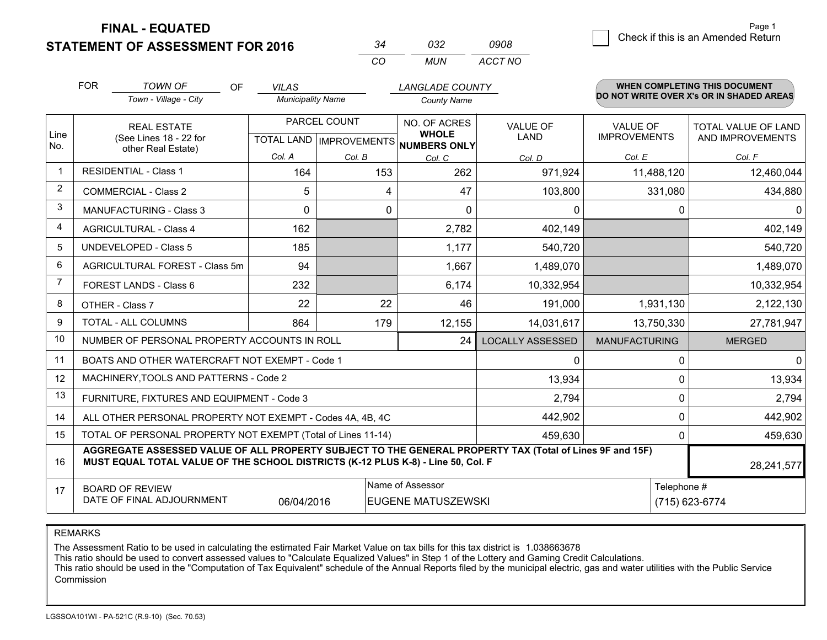**STATEMENT OF ASSESSMENT FOR 2016** 

| ي2           | กจว | ngng    |
|--------------|-----|---------|
| $\mathbf{r}$ | MUN | ACCT NO |

|             | <b>FOR</b>                                                                                                                                                                                   | <b>TOWN OF</b><br><b>OF</b>                               | <b>VILAS</b>             |                           | <b>LANGLADE COUNTY</b>       |                         |                      | <b>WHEN COMPLETING THIS DOCUMENT</b><br>DO NOT WRITE OVER X's OR IN SHADED AREAS |
|-------------|----------------------------------------------------------------------------------------------------------------------------------------------------------------------------------------------|-----------------------------------------------------------|--------------------------|---------------------------|------------------------------|-------------------------|----------------------|----------------------------------------------------------------------------------|
|             |                                                                                                                                                                                              | Town - Village - City                                     | <b>Municipality Name</b> |                           | <b>County Name</b>           |                         |                      |                                                                                  |
|             |                                                                                                                                                                                              | <b>REAL ESTATE</b>                                        | PARCEL COUNT             |                           | NO. OF ACRES                 | <b>VALUE OF</b>         | <b>VALUE OF</b>      | TOTAL VALUE OF LAND                                                              |
| Line<br>No. |                                                                                                                                                                                              | (See Lines 18 - 22 for<br>other Real Estate)              |                          | TOTAL LAND   IMPROVEMENTS | <b>WHOLE</b><br>NUMBERS ONLY | LAND                    | <b>IMPROVEMENTS</b>  | AND IMPROVEMENTS                                                                 |
|             |                                                                                                                                                                                              |                                                           | Col. A                   | Col. B                    | Col. C                       | Col. D                  | Col. E               | Col. F                                                                           |
|             |                                                                                                                                                                                              | <b>RESIDENTIAL - Class 1</b>                              | 164                      | 153                       | 262                          | 971,924                 | 11,488,120           | 12,460,044                                                                       |
| 2           |                                                                                                                                                                                              | <b>COMMERCIAL - Class 2</b>                               | 5                        | 4                         | 47                           | 103,800                 | 331,080              | 434,880                                                                          |
| 3           |                                                                                                                                                                                              | <b>MANUFACTURING - Class 3</b>                            | $\Omega$                 | 0                         | $\Omega$                     | 0                       |                      | 0<br>$\Omega$                                                                    |
| 4           |                                                                                                                                                                                              | <b>AGRICULTURAL - Class 4</b>                             | 162                      |                           | 2,782                        | 402,149                 |                      | 402,149                                                                          |
| 5           |                                                                                                                                                                                              | <b>UNDEVELOPED - Class 5</b>                              | 185                      |                           | 1,177                        | 540,720                 |                      | 540,720                                                                          |
| 6           |                                                                                                                                                                                              | AGRICULTURAL FOREST - Class 5m                            | 94                       |                           | 1,667                        | 1,489,070               |                      | 1,489,070                                                                        |
| 7           |                                                                                                                                                                                              | FOREST LANDS - Class 6                                    | 232                      |                           | 6,174                        | 10,332,954              |                      | 10,332,954                                                                       |
| 8           |                                                                                                                                                                                              | OTHER - Class 7                                           | 22                       | 22                        | 46                           | 191,000                 | 1,931,130            | 2,122,130                                                                        |
| 9           |                                                                                                                                                                                              | TOTAL - ALL COLUMNS                                       | 864                      | 179                       | 12,155                       | 14,031,617              | 13,750,330           | 27,781,947                                                                       |
| 10          |                                                                                                                                                                                              | NUMBER OF PERSONAL PROPERTY ACCOUNTS IN ROLL              |                          |                           | 24                           | <b>LOCALLY ASSESSED</b> | <b>MANUFACTURING</b> | <b>MERGED</b>                                                                    |
| 11          |                                                                                                                                                                                              | BOATS AND OTHER WATERCRAFT NOT EXEMPT - Code 1            |                          |                           |                              | 0                       |                      | $\overline{0}$<br>0                                                              |
| 12          |                                                                                                                                                                                              | MACHINERY, TOOLS AND PATTERNS - Code 2                    |                          |                           |                              | 13,934                  |                      | 13,934<br>$\Omega$                                                               |
| 13          |                                                                                                                                                                                              | FURNITURE, FIXTURES AND EQUIPMENT - Code 3                |                          |                           |                              | 2,794                   |                      | 0<br>2,794                                                                       |
| 14          |                                                                                                                                                                                              | ALL OTHER PERSONAL PROPERTY NOT EXEMPT - Codes 4A, 4B, 4C |                          |                           |                              | 442,902                 |                      | 0<br>442,902                                                                     |
| 15          | TOTAL OF PERSONAL PROPERTY NOT EXEMPT (Total of Lines 11-14)                                                                                                                                 |                                                           |                          |                           |                              |                         |                      | $\Omega$<br>459,630                                                              |
| 16          | AGGREGATE ASSESSED VALUE OF ALL PROPERTY SUBJECT TO THE GENERAL PROPERTY TAX (Total of Lines 9F and 15F)<br>MUST EQUAL TOTAL VALUE OF THE SCHOOL DISTRICTS (K-12 PLUS K-8) - Line 50, Col. F |                                                           |                          |                           |                              |                         | 28,241,577           |                                                                                  |
| 17          |                                                                                                                                                                                              | <b>BOARD OF REVIEW</b>                                    |                          |                           | Name of Assessor             |                         |                      | Telephone #                                                                      |
|             |                                                                                                                                                                                              | DATE OF FINAL ADJOURNMENT                                 | 06/04/2016               |                           | <b>EUGENE MATUSZEWSKI</b>    |                         |                      | (715) 623-6774                                                                   |

REMARKS

The Assessment Ratio to be used in calculating the estimated Fair Market Value on tax bills for this tax district is 1.038663678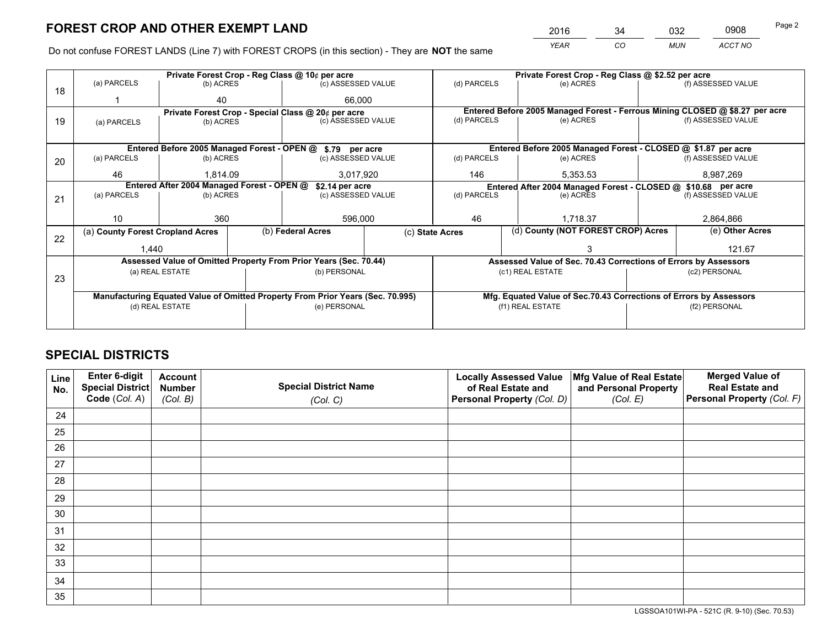*YEAR CO MUN ACCT NO* <sup>2016</sup> <sup>34</sup> <sup>032</sup> <sup>0908</sup>

Do not confuse FOREST LANDS (Line 7) with FOREST CROPS (in this section) - They are **NOT** the same

|    |                                                    |                                             |                                                                                | Private Forest Crop - Reg Class @ 10¢ per acre                   |                          | Private Forest Crop - Reg Class @ \$2.52 per acre                            |                                                                 |                    |                    |  |
|----|----------------------------------------------------|---------------------------------------------|--------------------------------------------------------------------------------|------------------------------------------------------------------|--------------------------|------------------------------------------------------------------------------|-----------------------------------------------------------------|--------------------|--------------------|--|
| 18 | (a) PARCELS                                        | (b) ACRES                                   |                                                                                | (c) ASSESSED VALUE                                               |                          | (d) PARCELS                                                                  | (e) ACRES                                                       |                    | (f) ASSESSED VALUE |  |
|    |                                                    | 40                                          |                                                                                | 66.000                                                           |                          |                                                                              |                                                                 |                    |                    |  |
|    | Private Forest Crop - Special Class @ 20¢ per acre |                                             |                                                                                |                                                                  |                          | Entered Before 2005 Managed Forest - Ferrous Mining CLOSED @ \$8.27 per acre |                                                                 |                    |                    |  |
| 19 | (a) PARCELS                                        | (b) ACRES                                   |                                                                                | (c) ASSESSED VALUE                                               |                          | (d) PARCELS                                                                  | (e) ACRES                                                       |                    | (f) ASSESSED VALUE |  |
|    |                                                    |                                             |                                                                                |                                                                  |                          |                                                                              |                                                                 |                    |                    |  |
|    |                                                    | Entered Before 2005 Managed Forest - OPEN @ |                                                                                | \$.79 per acre                                                   |                          |                                                                              | Entered Before 2005 Managed Forest - CLOSED @ \$1.87 per acre   |                    |                    |  |
| 20 | (a) PARCELS                                        | (b) ACRES                                   |                                                                                | (c) ASSESSED VALUE                                               |                          | (d) PARCELS                                                                  | (e) ACRES                                                       |                    | (f) ASSESSED VALUE |  |
|    | 46                                                 | 1.814.09                                    |                                                                                | 3,017,920                                                        | 146                      |                                                                              | 5,353.53                                                        |                    | 8,987,269          |  |
|    | Entered After 2004 Managed Forest - OPEN @         |                                             |                                                                                |                                                                  | \$2.14 per acre          |                                                                              | Entered After 2004 Managed Forest - CLOSED @ \$10.68 per acre   |                    |                    |  |
| 21 | (a) PARCELS                                        | (b) ACRES                                   |                                                                                | (c) ASSESSED VALUE                                               | (d) PARCELS<br>(e) ACRES |                                                                              |                                                                 | (f) ASSESSED VALUE |                    |  |
|    |                                                    |                                             |                                                                                |                                                                  |                          |                                                                              |                                                                 |                    |                    |  |
|    | 10                                                 | 360                                         |                                                                                | 596,000                                                          |                          | 46<br>1,718.37                                                               |                                                                 |                    | 2,864,866          |  |
| 22 | (a) County Forest Cropland Acres                   |                                             |                                                                                | (b) Federal Acres                                                |                          | (d) County (NOT FOREST CROP) Acres<br>(c) State Acres                        |                                                                 |                    | (e) Other Acres    |  |
|    | 1,440                                              |                                             |                                                                                |                                                                  |                          |                                                                              |                                                                 |                    | 121.67             |  |
|    |                                                    |                                             |                                                                                | Assessed Value of Omitted Property From Prior Years (Sec. 70.44) |                          |                                                                              | Assessed Value of Sec. 70.43 Corrections of Errors by Assessors |                    |                    |  |
|    |                                                    | (a) REAL ESTATE                             |                                                                                | (b) PERSONAL                                                     |                          |                                                                              | (c1) REAL ESTATE                                                |                    | (c2) PERSONAL      |  |
| 23 |                                                    |                                             |                                                                                |                                                                  |                          |                                                                              |                                                                 |                    |                    |  |
|    |                                                    |                                             | Manufacturing Equated Value of Omitted Property From Prior Years (Sec. 70.995) |                                                                  |                          | Mfg. Equated Value of Sec.70.43 Corrections of Errors by Assessors           |                                                                 |                    |                    |  |
|    |                                                    | (d) REAL ESTATE                             |                                                                                | (e) PERSONAL                                                     |                          | (f1) REAL ESTATE                                                             |                                                                 |                    | (f2) PERSONAL      |  |
|    |                                                    |                                             |                                                                                |                                                                  |                          |                                                                              |                                                                 |                    |                    |  |

## **SPECIAL DISTRICTS**

| Line<br>No. | Enter 6-digit<br>Special District<br>Code (Col. A) | <b>Account</b><br><b>Number</b> | <b>Special District Name</b> | <b>Locally Assessed Value</b><br>of Real Estate and | Mfg Value of Real Estate<br>and Personal Property | <b>Merged Value of</b><br><b>Real Estate and</b><br>Personal Property (Col. F) |
|-------------|----------------------------------------------------|---------------------------------|------------------------------|-----------------------------------------------------|---------------------------------------------------|--------------------------------------------------------------------------------|
|             |                                                    | (Col. B)                        | (Col. C)                     | Personal Property (Col. D)                          | (Col. E)                                          |                                                                                |
| 24          |                                                    |                                 |                              |                                                     |                                                   |                                                                                |
| 25          |                                                    |                                 |                              |                                                     |                                                   |                                                                                |
| 26          |                                                    |                                 |                              |                                                     |                                                   |                                                                                |
| 27          |                                                    |                                 |                              |                                                     |                                                   |                                                                                |
| 28          |                                                    |                                 |                              |                                                     |                                                   |                                                                                |
| 29          |                                                    |                                 |                              |                                                     |                                                   |                                                                                |
| 30          |                                                    |                                 |                              |                                                     |                                                   |                                                                                |
| 31          |                                                    |                                 |                              |                                                     |                                                   |                                                                                |
| 32          |                                                    |                                 |                              |                                                     |                                                   |                                                                                |
| 33          |                                                    |                                 |                              |                                                     |                                                   |                                                                                |
| 34          |                                                    |                                 |                              |                                                     |                                                   |                                                                                |
| 35          |                                                    |                                 |                              |                                                     |                                                   |                                                                                |

LGSSOA101WI-PA - 521C (R. 9-10) (Sec. 70.53)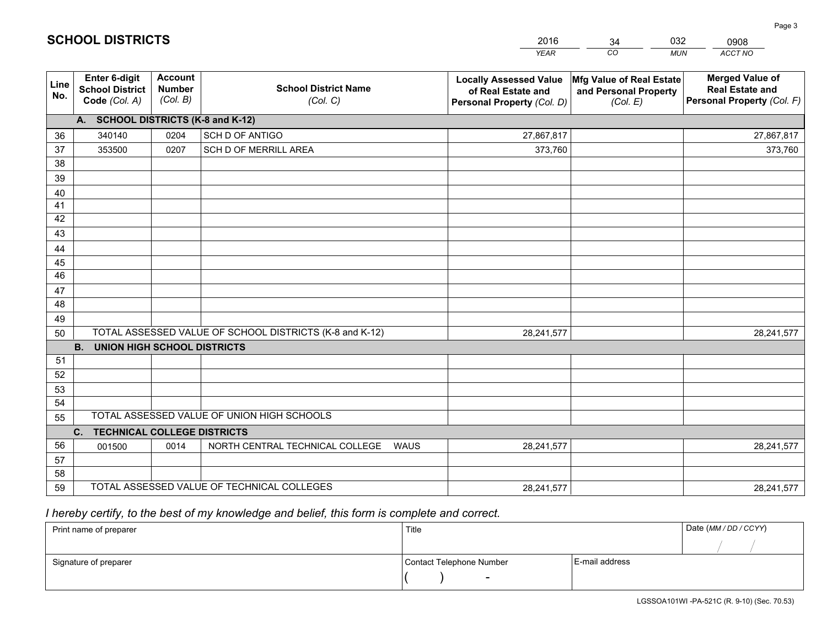|             |                                                          |                                             |                                                         | <b>YEAR</b>                                                                       | CO<br><b>MUN</b>                                              | ACCT NO                                                                        |
|-------------|----------------------------------------------------------|---------------------------------------------|---------------------------------------------------------|-----------------------------------------------------------------------------------|---------------------------------------------------------------|--------------------------------------------------------------------------------|
| Line<br>No. | Enter 6-digit<br><b>School District</b><br>Code (Col. A) | <b>Account</b><br><b>Number</b><br>(Col. B) | <b>School District Name</b><br>(Col. C)                 | <b>Locally Assessed Value</b><br>of Real Estate and<br>Personal Property (Col. D) | Mfg Value of Real Estate<br>and Personal Property<br>(Col. E) | <b>Merged Value of</b><br><b>Real Estate and</b><br>Personal Property (Col. F) |
|             | A. SCHOOL DISTRICTS (K-8 and K-12)                       |                                             |                                                         |                                                                                   |                                                               |                                                                                |
| 36          | 340140                                                   | 0204                                        | SCH D OF ANTIGO                                         | 27,867,817                                                                        |                                                               | 27,867,817                                                                     |
| 37          | 353500                                                   | 0207                                        | SCH D OF MERRILL AREA                                   | 373,760                                                                           |                                                               | 373,760                                                                        |
| 38          |                                                          |                                             |                                                         |                                                                                   |                                                               |                                                                                |
| 39          |                                                          |                                             |                                                         |                                                                                   |                                                               |                                                                                |
| 40          |                                                          |                                             |                                                         |                                                                                   |                                                               |                                                                                |
| 41          |                                                          |                                             |                                                         |                                                                                   |                                                               |                                                                                |
| 42          |                                                          |                                             |                                                         |                                                                                   |                                                               |                                                                                |
| 43          |                                                          |                                             |                                                         |                                                                                   |                                                               |                                                                                |
| 44          |                                                          |                                             |                                                         |                                                                                   |                                                               |                                                                                |
| 45<br>46    |                                                          |                                             |                                                         |                                                                                   |                                                               |                                                                                |
|             |                                                          |                                             |                                                         |                                                                                   |                                                               |                                                                                |
| 47<br>48    |                                                          |                                             |                                                         |                                                                                   |                                                               |                                                                                |
| 49          |                                                          |                                             |                                                         |                                                                                   |                                                               |                                                                                |
| 50          |                                                          |                                             | TOTAL ASSESSED VALUE OF SCHOOL DISTRICTS (K-8 and K-12) | 28,241,577                                                                        |                                                               | 28,241,577                                                                     |
|             | <b>B.</b><br><b>UNION HIGH SCHOOL DISTRICTS</b>          |                                             |                                                         |                                                                                   |                                                               |                                                                                |
| 51          |                                                          |                                             |                                                         |                                                                                   |                                                               |                                                                                |
| 52          |                                                          |                                             |                                                         |                                                                                   |                                                               |                                                                                |
| 53          |                                                          |                                             |                                                         |                                                                                   |                                                               |                                                                                |
| 54          |                                                          |                                             |                                                         |                                                                                   |                                                               |                                                                                |
| 55          |                                                          |                                             | TOTAL ASSESSED VALUE OF UNION HIGH SCHOOLS              |                                                                                   |                                                               |                                                                                |
|             | C. TECHNICAL COLLEGE DISTRICTS                           |                                             |                                                         |                                                                                   |                                                               |                                                                                |
| 56          | 001500                                                   | 0014                                        | NORTH CENTRAL TECHNICAL COLLEGE<br><b>WAUS</b>          | 28,241,577                                                                        |                                                               | 28,241,577                                                                     |
| 57          |                                                          |                                             |                                                         |                                                                                   |                                                               |                                                                                |
| 58          |                                                          |                                             |                                                         |                                                                                   |                                                               |                                                                                |
| 59          |                                                          |                                             | TOTAL ASSESSED VALUE OF TECHNICAL COLLEGES              | 28,241,577                                                                        |                                                               | 28,241,577                                                                     |

34

032

 *I hereby certify, to the best of my knowledge and belief, this form is complete and correct.*

**SCHOOL DISTRICTS**

| Print name of preparer | Title                    |                | Date (MM / DD / CCYY) |
|------------------------|--------------------------|----------------|-----------------------|
|                        |                          |                |                       |
| Signature of preparer  | Contact Telephone Number | E-mail address |                       |
|                        | $\overline{\phantom{0}}$ |                |                       |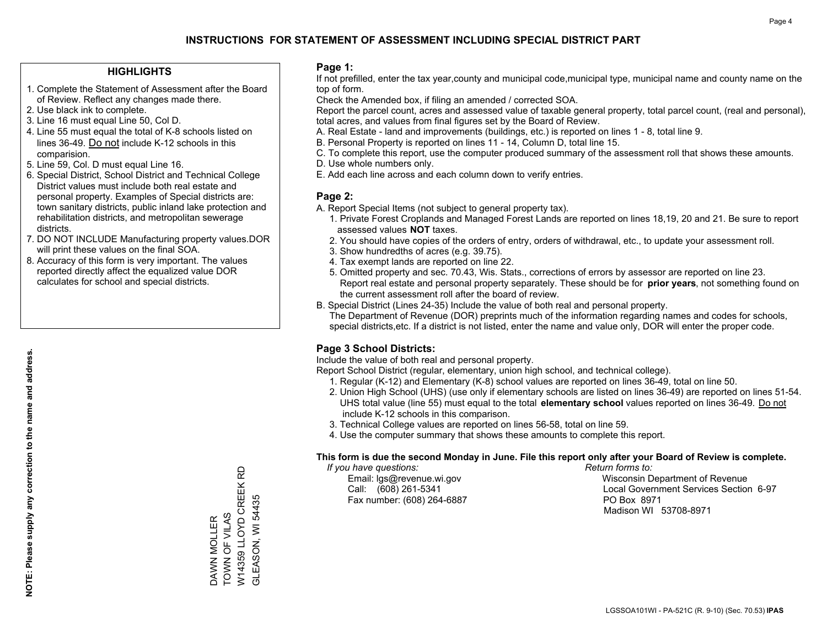#### **HIGHLIGHTS**

- 1. Complete the Statement of Assessment after the Board of Review. Reflect any changes made there.
- 2. Use black ink to complete.
- 3. Line 16 must equal Line 50, Col D.
- 4. Line 55 must equal the total of K-8 schools listed on lines 36-49. Do not include K-12 schools in this comparision.
- 5. Line 59, Col. D must equal Line 16.
- 6. Special District, School District and Technical College District values must include both real estate and personal property. Examples of Special districts are: town sanitary districts, public inland lake protection and rehabilitation districts, and metropolitan sewerage districts.
- 7. DO NOT INCLUDE Manufacturing property values.DOR will print these values on the final SOA.
- 8. Accuracy of this form is very important. The values reported directly affect the equalized value DOR calculates for school and special districts.

#### **Page 1:**

 If not prefilled, enter the tax year,county and municipal code,municipal type, municipal name and county name on the top of form.

Check the Amended box, if filing an amended / corrected SOA.

 Report the parcel count, acres and assessed value of taxable general property, total parcel count, (real and personal), total acres, and values from final figures set by the Board of Review.

- A. Real Estate land and improvements (buildings, etc.) is reported on lines 1 8, total line 9.
- B. Personal Property is reported on lines 11 14, Column D, total line 15.
- C. To complete this report, use the computer produced summary of the assessment roll that shows these amounts.
- D. Use whole numbers only.
- E. Add each line across and each column down to verify entries.

### **Page 2:**

- A. Report Special Items (not subject to general property tax).
- 1. Private Forest Croplands and Managed Forest Lands are reported on lines 18,19, 20 and 21. Be sure to report assessed values **NOT** taxes.
- 2. You should have copies of the orders of entry, orders of withdrawal, etc., to update your assessment roll.
	- 3. Show hundredths of acres (e.g. 39.75).
- 4. Tax exempt lands are reported on line 22.
- 5. Omitted property and sec. 70.43, Wis. Stats., corrections of errors by assessor are reported on line 23. Report real estate and personal property separately. These should be for **prior years**, not something found on the current assessment roll after the board of review.
- B. Special District (Lines 24-35) Include the value of both real and personal property.

 The Department of Revenue (DOR) preprints much of the information regarding names and codes for schools, special districts,etc. If a district is not listed, enter the name and value only, DOR will enter the proper code.

## **Page 3 School Districts:**

Include the value of both real and personal property.

Report School District (regular, elementary, union high school, and technical college).

- 1. Regular (K-12) and Elementary (K-8) school values are reported on lines 36-49, total on line 50.
- 2. Union High School (UHS) (use only if elementary schools are listed on lines 36-49) are reported on lines 51-54. UHS total value (line 55) must equal to the total **elementary school** values reported on lines 36-49. Do notinclude K-12 schools in this comparison.
- 3. Technical College values are reported on lines 56-58, total on line 59.
- 4. Use the computer summary that shows these amounts to complete this report.

#### **This form is due the second Monday in June. File this report only after your Board of Review is complete.**

 *If you have questions: Return forms to:*

Fax number: (608) 264-6887 PO Box 8971

 Email: lgs@revenue.wi.gov Wisconsin Department of Revenue Call: (608) 261-5341 Local Government Services Section 6-97Madison WI 53708-8971

W14359 LLOYD CREEK RD<br>GLEASON, WI 54435 W14359 LLOYD CREEK RD GLEASON, WI 54435 DAWN MOLLER<br>TOWN OF VILAS TOWN OF VILAS DAWN MOLLER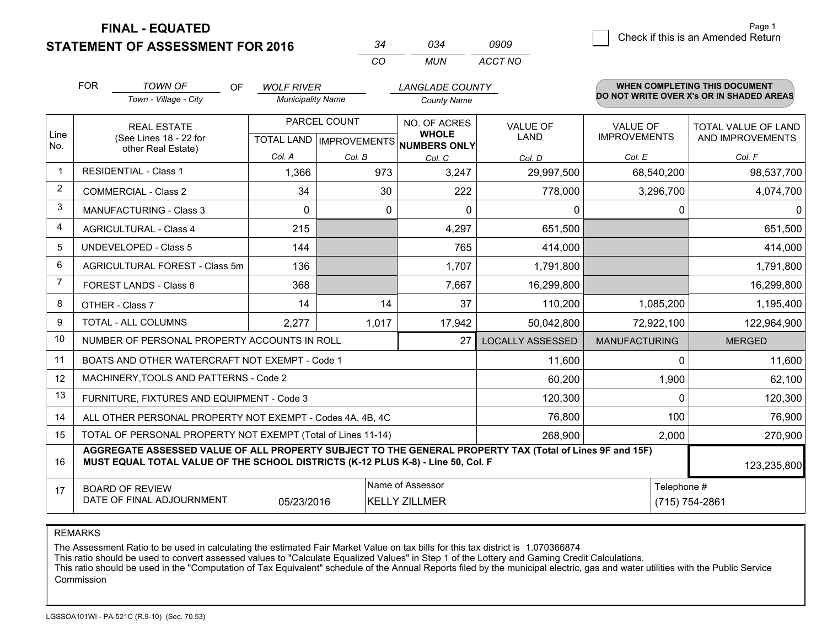**STATEMENT OF ASSESSMENT FOR 2016** 

| 34  | 034   | 0909    |
|-----|-------|---------|
| CO. | MI IN | ACCT NO |

|                | <b>FOR</b><br><b>TOWN OF</b><br>OF<br><b>WOLF RIVER</b><br>Town - Village - City<br><b>Municipality Name</b>                                                                                 |  |                                                      | <b>LANGLADE COUNTY</b><br><b>County Name</b> |                              | WHEN COMPLETING THIS DOCUMENT<br>DO NOT WRITE OVER X's OR IN SHADED AREAS |                                        |                                         |
|----------------|----------------------------------------------------------------------------------------------------------------------------------------------------------------------------------------------|--|------------------------------------------------------|----------------------------------------------|------------------------------|---------------------------------------------------------------------------|----------------------------------------|-----------------------------------------|
| Line<br>No.    | <b>REAL ESTATE</b><br>(See Lines 18 - 22 for<br>other Real Estate)                                                                                                                           |  | PARCEL COUNT<br>TOTAL LAND IMPROVEMENTS NUMBERS ONLY |                                              | NO. OF ACRES<br><b>WHOLE</b> | <b>VALUE OF</b><br><b>LAND</b>                                            | <b>VALUE OF</b><br><b>IMPROVEMENTS</b> | TOTAL VALUE OF LAND<br>AND IMPROVEMENTS |
|                |                                                                                                                                                                                              |  | Col. A                                               | Col. B                                       | Col. C                       | Col. D                                                                    | Col. E                                 | Col. F                                  |
| -1             | <b>RESIDENTIAL - Class 1</b>                                                                                                                                                                 |  | 1,366                                                | 973                                          | 3,247                        | 29,997,500                                                                | 68,540,200                             | 98,537,700                              |
| 2              | <b>COMMERCIAL - Class 2</b>                                                                                                                                                                  |  | 34                                                   | 30                                           | 222                          | 778,000                                                                   | 3,296,700                              | 4,074,700                               |
| 3              | <b>MANUFACTURING - Class 3</b>                                                                                                                                                               |  | $\Omega$                                             | 0                                            | $\Omega$                     | 0                                                                         | 0                                      | $\mathbf{0}$                            |
| 4              | <b>AGRICULTURAL - Class 4</b>                                                                                                                                                                |  | 215                                                  |                                              | 4,297                        | 651,500                                                                   |                                        | 651,500                                 |
| 5              | UNDEVELOPED - Class 5                                                                                                                                                                        |  | 144                                                  |                                              | 765                          | 414,000                                                                   |                                        | 414,000                                 |
| 6              | AGRICULTURAL FOREST - Class 5m                                                                                                                                                               |  | 136                                                  |                                              | 1,707                        | 1,791,800                                                                 |                                        | 1,791,800                               |
| $\overline{7}$ | FOREST LANDS - Class 6                                                                                                                                                                       |  | 368                                                  |                                              | 7,667                        | 16,299,800                                                                |                                        | 16,299,800                              |
| 8              | OTHER - Class 7                                                                                                                                                                              |  | 14                                                   | 14                                           | 37                           | 110,200                                                                   | 1,085,200                              | 1,195,400                               |
| 9              | TOTAL - ALL COLUMNS                                                                                                                                                                          |  | 2,277                                                | 1,017                                        | 17,942                       | 50,042,800                                                                | 72,922,100                             | 122,964,900                             |
| 10             | NUMBER OF PERSONAL PROPERTY ACCOUNTS IN ROLL                                                                                                                                                 |  |                                                      |                                              | 27                           | <b>LOCALLY ASSESSED</b>                                                   | <b>MANUFACTURING</b>                   | <b>MERGED</b>                           |
| 11             | BOATS AND OTHER WATERCRAFT NOT EXEMPT - Code 1                                                                                                                                               |  |                                                      |                                              |                              | 11,600                                                                    | $\Omega$                               | 11,600                                  |
| 12             | MACHINERY, TOOLS AND PATTERNS - Code 2                                                                                                                                                       |  |                                                      |                                              |                              | 60,200                                                                    | 1,900                                  | 62,100                                  |
| 13             | FURNITURE, FIXTURES AND EQUIPMENT - Code 3                                                                                                                                                   |  |                                                      |                                              |                              | 120,300                                                                   | $\Omega$                               | 120,300                                 |
| 14             | ALL OTHER PERSONAL PROPERTY NOT EXEMPT - Codes 4A, 4B, 4C                                                                                                                                    |  |                                                      |                                              |                              | 76,800                                                                    | 100                                    | 76,900                                  |
| 15             | TOTAL OF PERSONAL PROPERTY NOT EXEMPT (Total of Lines 11-14)                                                                                                                                 |  | 268,900                                              | 2,000                                        | 270,900                      |                                                                           |                                        |                                         |
| 16             | AGGREGATE ASSESSED VALUE OF ALL PROPERTY SUBJECT TO THE GENERAL PROPERTY TAX (Total of Lines 9F and 15F)<br>MUST EQUAL TOTAL VALUE OF THE SCHOOL DISTRICTS (K-12 PLUS K-8) - Line 50, Col. F |  |                                                      |                                              |                              |                                                                           | 123,235,800                            |                                         |
| 17             | Name of Assessor<br><b>BOARD OF REVIEW</b><br>DATE OF FINAL ADJOURNMENT<br><b>KELLY ZILLMER</b><br>05/23/2016                                                                                |  |                                                      |                                              |                              |                                                                           | Telephone #                            | (715) 754-2861                          |

REMARKS

The Assessment Ratio to be used in calculating the estimated Fair Market Value on tax bills for this tax district is 1.070366874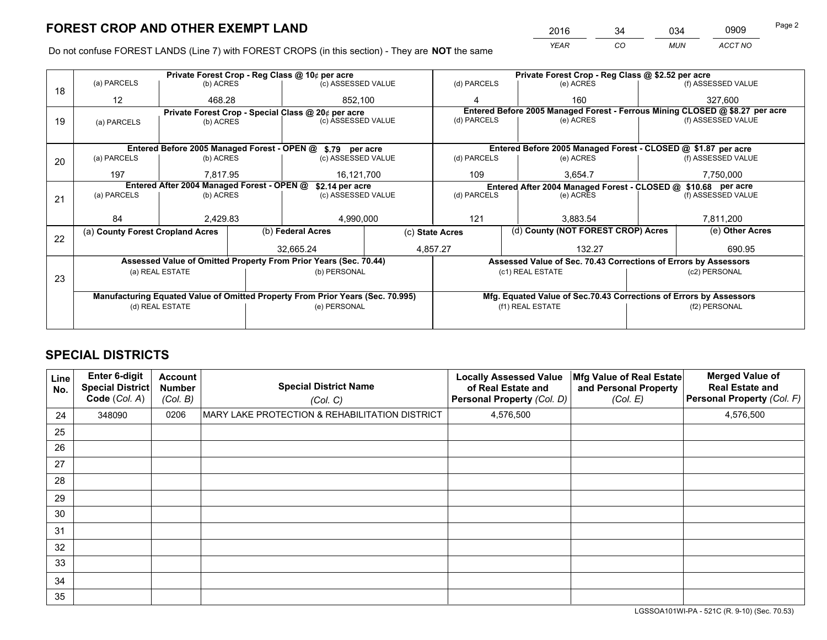*YEAR CO MUN ACCT NO* <sup>2016</sup> <sup>34</sup> <sup>034</sup> <sup>0909</sup> Page 2

Do not confuse FOREST LANDS (Line 7) with FOREST CROPS (in this section) - They are **NOT** the same

|    |                                                                                |                                            |                   | Private Forest Crop - Reg Class @ 10¢ per acre                   |                                                                              |                                                                                           | Private Forest Crop - Reg Class @ \$2.52 per acre                  |  |                    |  |
|----|--------------------------------------------------------------------------------|--------------------------------------------|-------------------|------------------------------------------------------------------|------------------------------------------------------------------------------|-------------------------------------------------------------------------------------------|--------------------------------------------------------------------|--|--------------------|--|
| 18 | (a) PARCELS                                                                    | (b) ACRES                                  |                   | (c) ASSESSED VALUE                                               |                                                                              | (d) PARCELS                                                                               | (e) ACRES                                                          |  | (f) ASSESSED VALUE |  |
|    | 12                                                                             | 468.28                                     |                   | 852,100                                                          |                                                                              | 4                                                                                         | 160                                                                |  | 327,600            |  |
|    | Private Forest Crop - Special Class @ 20¢ per acre                             |                                            |                   |                                                                  | Entered Before 2005 Managed Forest - Ferrous Mining CLOSED @ \$8.27 per acre |                                                                                           |                                                                    |  |                    |  |
| 19 | (a) PARCELS                                                                    | (b) ACRES                                  |                   | (c) ASSESSED VALUE                                               |                                                                              | (d) PARCELS                                                                               | (e) ACRES                                                          |  | (f) ASSESSED VALUE |  |
|    |                                                                                |                                            |                   |                                                                  |                                                                              |                                                                                           |                                                                    |  |                    |  |
|    |                                                                                |                                            |                   | Entered Before 2005 Managed Forest - OPEN @ \$.79 per acre       |                                                                              |                                                                                           | Entered Before 2005 Managed Forest - CLOSED @ \$1.87 per acre      |  |                    |  |
| 20 | (a) PARCELS                                                                    | (b) ACRES                                  |                   | (c) ASSESSED VALUE                                               |                                                                              | (d) PARCELS                                                                               | (e) ACRES                                                          |  | (f) ASSESSED VALUE |  |
|    | 197                                                                            | 7,817.95                                   |                   |                                                                  |                                                                              | 109                                                                                       | 3,654.7                                                            |  | 7,750,000          |  |
|    |                                                                                | Entered After 2004 Managed Forest - OPEN @ | 16,121,700        |                                                                  |                                                                              |                                                                                           |                                                                    |  |                    |  |
|    |                                                                                |                                            |                   | \$2.14 per acre<br>(c) ASSESSED VALUE                            |                                                                              | Entered After 2004 Managed Forest - CLOSED @ \$10.68 per acre<br>(d) PARCELS<br>(e) ACRES |                                                                    |  | (f) ASSESSED VALUE |  |
| 21 | (a) PARCELS                                                                    | (b) ACRES                                  |                   |                                                                  |                                                                              |                                                                                           |                                                                    |  |                    |  |
|    |                                                                                |                                            |                   |                                                                  |                                                                              |                                                                                           |                                                                    |  |                    |  |
|    | 84                                                                             | 2,429.83                                   |                   | 4,990,000                                                        |                                                                              | 121<br>3.883.54                                                                           |                                                                    |  | 7,811,200          |  |
|    | (a) County Forest Cropland Acres                                               |                                            | (b) Federal Acres |                                                                  |                                                                              | (c) State Acres                                                                           | (d) County (NOT FOREST CROP) Acres                                 |  | (e) Other Acres    |  |
| 22 |                                                                                |                                            |                   |                                                                  |                                                                              |                                                                                           |                                                                    |  |                    |  |
|    |                                                                                |                                            |                   | 32.665.24                                                        |                                                                              | 4.857.27                                                                                  | 132.27                                                             |  | 690.95             |  |
|    |                                                                                |                                            |                   | Assessed Value of Omitted Property From Prior Years (Sec. 70.44) |                                                                              |                                                                                           | Assessed Value of Sec. 70.43 Corrections of Errors by Assessors    |  |                    |  |
| 23 |                                                                                | (a) REAL ESTATE                            |                   | (b) PERSONAL                                                     |                                                                              |                                                                                           | (c1) REAL ESTATE                                                   |  | (c2) PERSONAL      |  |
|    |                                                                                |                                            |                   |                                                                  |                                                                              |                                                                                           |                                                                    |  |                    |  |
|    | Manufacturing Equated Value of Omitted Property From Prior Years (Sec. 70.995) |                                            |                   |                                                                  |                                                                              |                                                                                           | Mfg. Equated Value of Sec.70.43 Corrections of Errors by Assessors |  |                    |  |
|    |                                                                                | (d) REAL ESTATE                            |                   | (e) PERSONAL                                                     |                                                                              | (f1) REAL ESTATE                                                                          |                                                                    |  | (f2) PERSONAL      |  |
|    |                                                                                |                                            |                   |                                                                  |                                                                              |                                                                                           |                                                                    |  |                    |  |
|    |                                                                                |                                            |                   |                                                                  |                                                                              |                                                                                           |                                                                    |  |                    |  |

## **SPECIAL DISTRICTS**

| Line<br>No. | Enter 6-digit<br>Special District<br>Code (Col. A) | <b>Account</b><br><b>Number</b><br>(Col. B) | <b>Special District Name</b><br>(Col. C)       | <b>Locally Assessed Value</b><br>of Real Estate and<br>Personal Property (Col. D) | Mfg Value of Real Estate<br>and Personal Property<br>(Col. E) | <b>Merged Value of</b><br><b>Real Estate and</b><br>Personal Property (Col. F) |
|-------------|----------------------------------------------------|---------------------------------------------|------------------------------------------------|-----------------------------------------------------------------------------------|---------------------------------------------------------------|--------------------------------------------------------------------------------|
| 24          | 348090                                             | 0206                                        | MARY LAKE PROTECTION & REHABILITATION DISTRICT | 4,576,500                                                                         |                                                               | 4,576,500                                                                      |
| 25          |                                                    |                                             |                                                |                                                                                   |                                                               |                                                                                |
| 26          |                                                    |                                             |                                                |                                                                                   |                                                               |                                                                                |
| 27          |                                                    |                                             |                                                |                                                                                   |                                                               |                                                                                |
| 28          |                                                    |                                             |                                                |                                                                                   |                                                               |                                                                                |
| 29          |                                                    |                                             |                                                |                                                                                   |                                                               |                                                                                |
| 30          |                                                    |                                             |                                                |                                                                                   |                                                               |                                                                                |
| 31          |                                                    |                                             |                                                |                                                                                   |                                                               |                                                                                |
| 32          |                                                    |                                             |                                                |                                                                                   |                                                               |                                                                                |
| 33          |                                                    |                                             |                                                |                                                                                   |                                                               |                                                                                |
| 34          |                                                    |                                             |                                                |                                                                                   |                                                               |                                                                                |
| 35          |                                                    |                                             |                                                |                                                                                   |                                                               |                                                                                |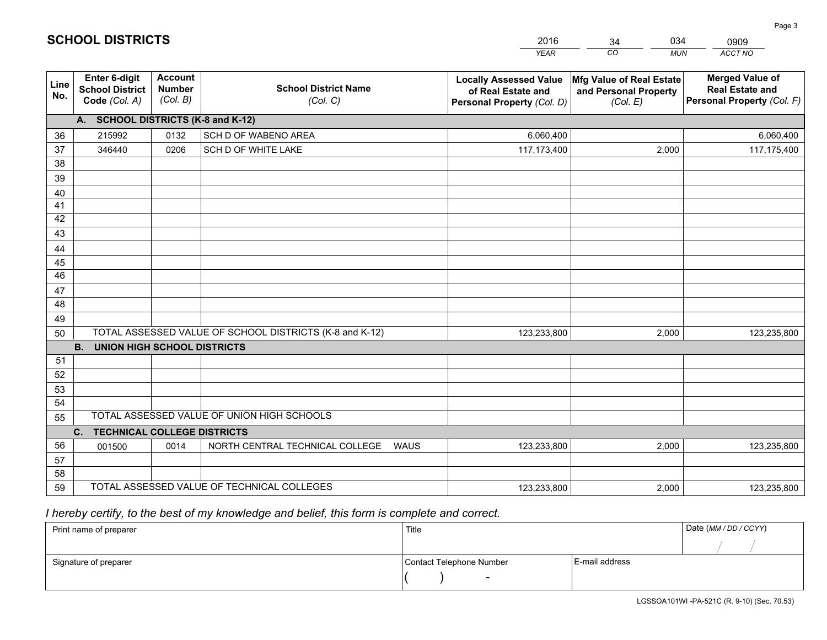|             |                                                                 |                                             |                                                         | <b>YEAR</b>                                                                       | CO<br><b>MUN</b>                                              | <b>ACCT NO</b>                                                                 |
|-------------|-----------------------------------------------------------------|---------------------------------------------|---------------------------------------------------------|-----------------------------------------------------------------------------------|---------------------------------------------------------------|--------------------------------------------------------------------------------|
| Line<br>No. | <b>Enter 6-digit</b><br><b>School District</b><br>Code (Col. A) | <b>Account</b><br><b>Number</b><br>(Col. B) | <b>School District Name</b><br>(Col. C)                 | <b>Locally Assessed Value</b><br>of Real Estate and<br>Personal Property (Col. D) | Mfg Value of Real Estate<br>and Personal Property<br>(Col. E) | <b>Merged Value of</b><br><b>Real Estate and</b><br>Personal Property (Col. F) |
|             | A. SCHOOL DISTRICTS (K-8 and K-12)                              |                                             |                                                         |                                                                                   |                                                               |                                                                                |
| 36          | 215992                                                          | 0132                                        | SCH D OF WABENO AREA                                    | 6,060,400                                                                         |                                                               | 6,060,400                                                                      |
| 37          | 346440                                                          | 0206                                        | SCH D OF WHITE LAKE                                     | 117,173,400                                                                       | 2,000                                                         | 117,175,400                                                                    |
| 38          |                                                                 |                                             |                                                         |                                                                                   |                                                               |                                                                                |
| 39          |                                                                 |                                             |                                                         |                                                                                   |                                                               |                                                                                |
| 40          |                                                                 |                                             |                                                         |                                                                                   |                                                               |                                                                                |
| 41          |                                                                 |                                             |                                                         |                                                                                   |                                                               |                                                                                |
| 42          |                                                                 |                                             |                                                         |                                                                                   |                                                               |                                                                                |
| 43          |                                                                 |                                             |                                                         |                                                                                   |                                                               |                                                                                |
| 44          |                                                                 |                                             |                                                         |                                                                                   |                                                               |                                                                                |
| 45<br>46    |                                                                 |                                             |                                                         |                                                                                   |                                                               |                                                                                |
| 47          |                                                                 |                                             |                                                         |                                                                                   |                                                               |                                                                                |
| 48          |                                                                 |                                             |                                                         |                                                                                   |                                                               |                                                                                |
| 49          |                                                                 |                                             |                                                         |                                                                                   |                                                               |                                                                                |
| 50          |                                                                 |                                             | TOTAL ASSESSED VALUE OF SCHOOL DISTRICTS (K-8 and K-12) | 123,233,800                                                                       | 2,000                                                         | 123,235,800                                                                    |
|             | <b>B.</b><br><b>UNION HIGH SCHOOL DISTRICTS</b>                 |                                             |                                                         |                                                                                   |                                                               |                                                                                |
| 51          |                                                                 |                                             |                                                         |                                                                                   |                                                               |                                                                                |
| 52          |                                                                 |                                             |                                                         |                                                                                   |                                                               |                                                                                |
| 53          |                                                                 |                                             |                                                         |                                                                                   |                                                               |                                                                                |
| 54          |                                                                 |                                             |                                                         |                                                                                   |                                                               |                                                                                |
| 55          |                                                                 |                                             | TOTAL ASSESSED VALUE OF UNION HIGH SCHOOLS              |                                                                                   |                                                               |                                                                                |
|             | C.<br><b>TECHNICAL COLLEGE DISTRICTS</b>                        |                                             |                                                         |                                                                                   |                                                               |                                                                                |
| 56          | 001500                                                          | 0014                                        | NORTH CENTRAL TECHNICAL COLLEGE<br><b>WAUS</b>          | 123,233,800                                                                       | 2,000                                                         | 123,235,800                                                                    |
| 57          |                                                                 |                                             |                                                         |                                                                                   |                                                               |                                                                                |
| 58          |                                                                 |                                             |                                                         |                                                                                   |                                                               |                                                                                |
| 59          |                                                                 |                                             | TOTAL ASSESSED VALUE OF TECHNICAL COLLEGES              | 123,233,800                                                                       | 2,000                                                         | 123,235,800                                                                    |

34

034

 *I hereby certify, to the best of my knowledge and belief, this form is complete and correct.*

**SCHOOL DISTRICTS**

| Print name of preparer | Title                    |                | Date (MM / DD / CCYY) |
|------------------------|--------------------------|----------------|-----------------------|
|                        |                          |                |                       |
| Signature of preparer  | Contact Telephone Number | E-mail address |                       |
|                        | $\sim$                   |                |                       |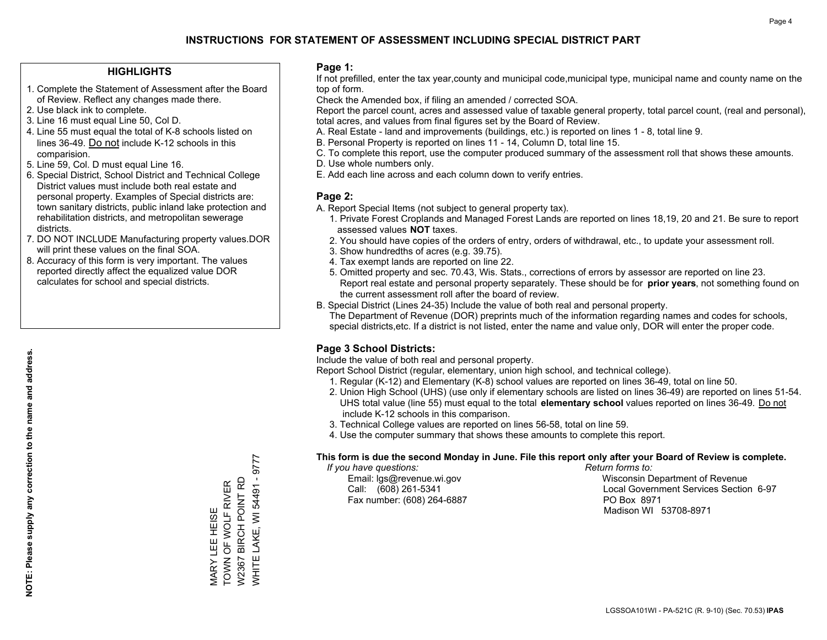#### **HIGHLIGHTS**

- 1. Complete the Statement of Assessment after the Board of Review. Reflect any changes made there.
- 2. Use black ink to complete.
- 3. Line 16 must equal Line 50, Col D.
- 4. Line 55 must equal the total of K-8 schools listed on lines 36-49. Do not include K-12 schools in this comparision.
- 5. Line 59, Col. D must equal Line 16.
- 6. Special District, School District and Technical College District values must include both real estate and personal property. Examples of Special districts are: town sanitary districts, public inland lake protection and rehabilitation districts, and metropolitan sewerage districts.
- 7. DO NOT INCLUDE Manufacturing property values.DOR will print these values on the final SOA.

MARY LEE HEISE TOWN OF WOLF RIVER W2367 BIRCH POINT RD WHITE LAKE, WI 54491 - 9777

WARY LEE HEISE<br>TOWN OF WOLF RIVER

**NHITE LAKE, WI 54491 - 9777** BIRCH POINT RD

W2367

 8. Accuracy of this form is very important. The values reported directly affect the equalized value DOR calculates for school and special districts.

#### **Page 1:**

 If not prefilled, enter the tax year,county and municipal code,municipal type, municipal name and county name on the top of form.

Check the Amended box, if filing an amended / corrected SOA.

 Report the parcel count, acres and assessed value of taxable general property, total parcel count, (real and personal), total acres, and values from final figures set by the Board of Review.

- A. Real Estate land and improvements (buildings, etc.) is reported on lines 1 8, total line 9.
- B. Personal Property is reported on lines 11 14, Column D, total line 15.
- C. To complete this report, use the computer produced summary of the assessment roll that shows these amounts.
- D. Use whole numbers only.
- E. Add each line across and each column down to verify entries.

#### **Page 2:**

- A. Report Special Items (not subject to general property tax).
- 1. Private Forest Croplands and Managed Forest Lands are reported on lines 18,19, 20 and 21. Be sure to report assessed values **NOT** taxes.
- 2. You should have copies of the orders of entry, orders of withdrawal, etc., to update your assessment roll.
	- 3. Show hundredths of acres (e.g. 39.75).
- 4. Tax exempt lands are reported on line 22.
- 5. Omitted property and sec. 70.43, Wis. Stats., corrections of errors by assessor are reported on line 23. Report real estate and personal property separately. These should be for **prior years**, not something found on the current assessment roll after the board of review.
- B. Special District (Lines 24-35) Include the value of both real and personal property.

 The Department of Revenue (DOR) preprints much of the information regarding names and codes for schools, special districts,etc. If a district is not listed, enter the name and value only, DOR will enter the proper code.

## **Page 3 School Districts:**

Include the value of both real and personal property.

Report School District (regular, elementary, union high school, and technical college).

- 1. Regular (K-12) and Elementary (K-8) school values are reported on lines 36-49, total on line 50.
- 2. Union High School (UHS) (use only if elementary schools are listed on lines 36-49) are reported on lines 51-54. UHS total value (line 55) must equal to the total **elementary school** values reported on lines 36-49. Do notinclude K-12 schools in this comparison.
- 3. Technical College values are reported on lines 56-58, total on line 59.
- 4. Use the computer summary that shows these amounts to complete this report.

#### **This form is due the second Monday in June. File this report only after your Board of Review is complete.**

 *If you have questions: Return forms to:*

Fax number: (608) 264-6887 PO Box 8971

 Email: lgs@revenue.wi.gov Wisconsin Department of Revenue Call: (608) 261-5341 Local Government Services Section 6-97Madison WI 53708-8971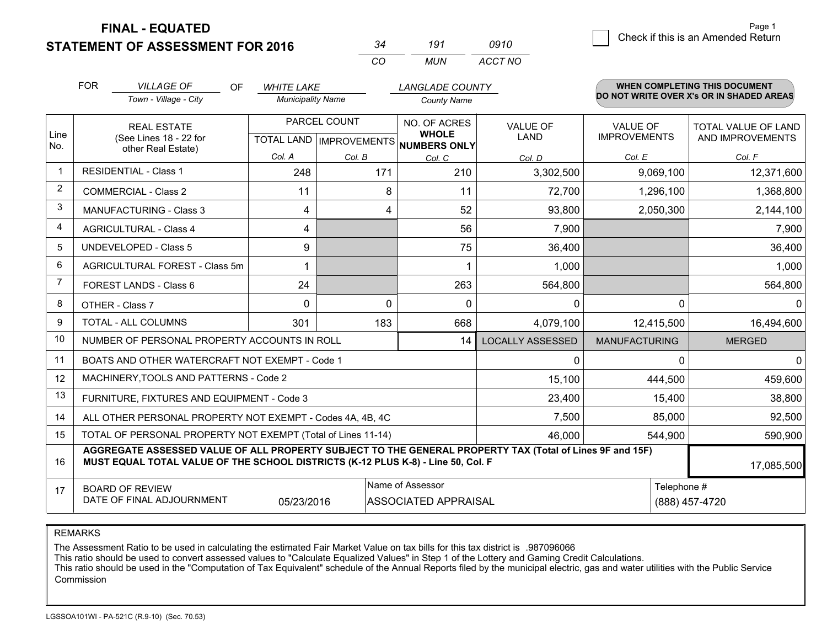**STATEMENT OF ASSESSMENT FOR 2016** 

*CO MUN <sup>34</sup> <sup>191</sup> ACCT NO0910*

|                | <b>FOR</b>                                                                                                                                                                                                 | <b>VILLAGE OF</b><br><b>OF</b>                                     | <b>WHITE LAKE</b>                         |        | <b>LANGLADE COUNTY</b>                              |                         |                                 | <b>WHEN COMPLETING THIS DOCUMENT</b>           |
|----------------|------------------------------------------------------------------------------------------------------------------------------------------------------------------------------------------------------------|--------------------------------------------------------------------|-------------------------------------------|--------|-----------------------------------------------------|-------------------------|---------------------------------|------------------------------------------------|
|                |                                                                                                                                                                                                            | Town - Village - City                                              | <b>Municipality Name</b>                  |        | <b>County Name</b>                                  |                         |                                 | DO NOT WRITE OVER X's OR IN SHADED AREAS       |
| Line<br>No.    |                                                                                                                                                                                                            | <b>REAL ESTATE</b><br>(See Lines 18 - 22 for<br>other Real Estate) | PARCEL COUNT<br>TOTAL LAND   IMPROVEMENTS |        | NO. OF ACRES<br><b>WHOLE</b><br><b>NUMBERS ONLY</b> | VALUE OF<br>LAND        | VALUE OF<br><b>IMPROVEMENTS</b> | <b>TOTAL VALUE OF LAND</b><br>AND IMPROVEMENTS |
|                |                                                                                                                                                                                                            |                                                                    | Col. A                                    | Col. B | Col. C                                              | Col. D                  | Col. E                          | Col. F                                         |
| $\mathbf{1}$   |                                                                                                                                                                                                            | <b>RESIDENTIAL - Class 1</b>                                       | 248                                       | 171    | 210                                                 | 3,302,500               | 9,069,100                       | 12,371,600                                     |
| 2              |                                                                                                                                                                                                            | <b>COMMERCIAL - Class 2</b>                                        | 11                                        | 8      | 11                                                  | 72,700                  | 1,296,100                       | 1,368,800                                      |
| 3              |                                                                                                                                                                                                            | <b>MANUFACTURING - Class 3</b>                                     | 4                                         | 4      | 52                                                  | 93,800                  | 2,050,300                       | 2,144,100                                      |
| 4              |                                                                                                                                                                                                            | <b>AGRICULTURAL - Class 4</b>                                      | 4                                         |        | 56                                                  | 7,900                   |                                 | 7,900                                          |
| 5              |                                                                                                                                                                                                            | <b>UNDEVELOPED - Class 5</b>                                       | 9                                         |        | 75                                                  | 36,400                  |                                 | 36,400                                         |
| 6              |                                                                                                                                                                                                            | AGRICULTURAL FOREST - Class 5m                                     |                                           |        |                                                     | 1,000                   |                                 | 1,000                                          |
| $\overline{7}$ |                                                                                                                                                                                                            | FOREST LANDS - Class 6                                             | 24                                        |        | 263                                                 | 564,800                 |                                 | 564,800                                        |
| 8              |                                                                                                                                                                                                            | OTHER - Class 7                                                    | $\Omega$                                  | 0      | $\mathbf 0$                                         | 0                       | $\Omega$                        | $\Omega$                                       |
| 9              |                                                                                                                                                                                                            | TOTAL - ALL COLUMNS                                                | 301                                       | 183    | 668                                                 | 4,079,100               | 12,415,500                      | 16,494,600                                     |
| 10             | NUMBER OF PERSONAL PROPERTY ACCOUNTS IN ROLL<br>14                                                                                                                                                         |                                                                    |                                           |        |                                                     | <b>LOCALLY ASSESSED</b> | <b>MANUFACTURING</b>            | <b>MERGED</b>                                  |
| 11             |                                                                                                                                                                                                            | BOATS AND OTHER WATERCRAFT NOT EXEMPT - Code 1                     |                                           |        | 0                                                   | $\Omega$                | $\Omega$                        |                                                |
| 12             |                                                                                                                                                                                                            | MACHINERY, TOOLS AND PATTERNS - Code 2                             |                                           |        | 15,100                                              | 444,500                 | 459,600                         |                                                |
| 13             |                                                                                                                                                                                                            | FURNITURE, FIXTURES AND EQUIPMENT - Code 3                         |                                           |        | 23,400                                              | 15,400                  | 38,800                          |                                                |
| 14             |                                                                                                                                                                                                            | ALL OTHER PERSONAL PROPERTY NOT EXEMPT - Codes 4A, 4B, 4C          |                                           |        | 7,500                                               | 85,000                  | 92,500                          |                                                |
| 15             |                                                                                                                                                                                                            | TOTAL OF PERSONAL PROPERTY NOT EXEMPT (Total of Lines 11-14)       |                                           |        | 46,000                                              | 544,900                 | 590,900                         |                                                |
| 16             | AGGREGATE ASSESSED VALUE OF ALL PROPERTY SUBJECT TO THE GENERAL PROPERTY TAX (Total of Lines 9F and 15F)<br>MUST EQUAL TOTAL VALUE OF THE SCHOOL DISTRICTS (K-12 PLUS K-8) - Line 50, Col. F<br>17,085,500 |                                                                    |                                           |        |                                                     |                         |                                 |                                                |
| 17             | Name of Assessor<br><b>BOARD OF REVIEW</b><br>DATE OF FINAL ADJOURNMENT<br>05/23/2016<br><b>ASSOCIATED APPRAISAL</b>                                                                                       |                                                                    |                                           |        |                                                     | Telephone #             | (888) 457-4720                  |                                                |

REMARKS

The Assessment Ratio to be used in calculating the estimated Fair Market Value on tax bills for this tax district is .987096066<br>This ratio should be used to convert assessed values to "Calculate Equalized Values" in Step 1 Commission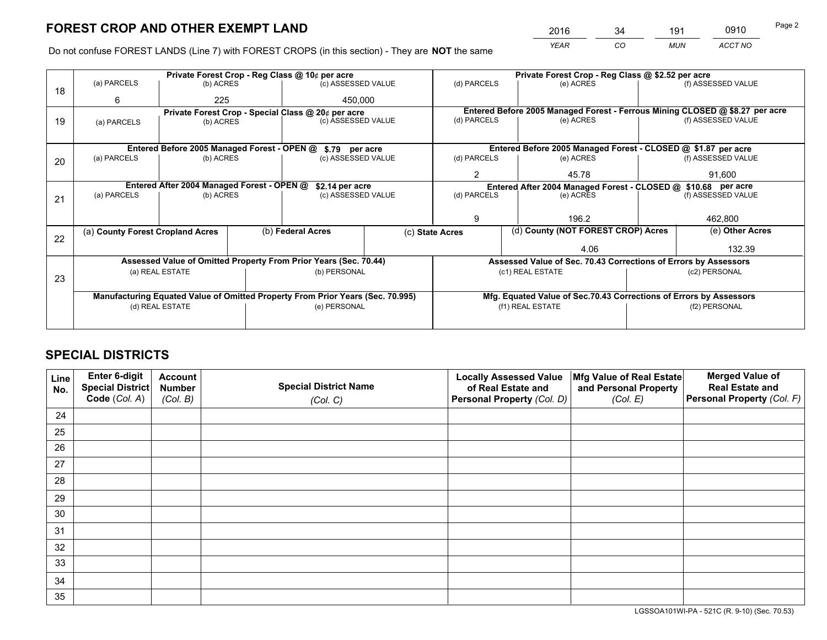*YEAR CO MUN ACCT NO* <sup>2016</sup> <sup>34</sup> <sup>191</sup> <sup>0910</sup>

Do not confuse FOREST LANDS (Line 7) with FOREST CROPS (in this section) - They are **NOT** the same

|    | Private Forest Crop - Reg Class @ 10¢ per acre                                 |                                                    |  |                                                                  |                | Private Forest Crop - Reg Class @ \$2.52 per acre                            |                                                               |               |                    |  |
|----|--------------------------------------------------------------------------------|----------------------------------------------------|--|------------------------------------------------------------------|----------------|------------------------------------------------------------------------------|---------------------------------------------------------------|---------------|--------------------|--|
| 18 | (a) PARCELS                                                                    | (b) ACRES                                          |  | (c) ASSESSED VALUE                                               |                | (d) PARCELS                                                                  | (e) ACRES                                                     |               | (f) ASSESSED VALUE |  |
|    | 6                                                                              | 225                                                |  | 450,000                                                          |                |                                                                              |                                                               |               |                    |  |
|    |                                                                                | Private Forest Crop - Special Class @ 20¢ per acre |  |                                                                  |                | Entered Before 2005 Managed Forest - Ferrous Mining CLOSED @ \$8.27 per acre |                                                               |               |                    |  |
| 19 | (a) PARCELS                                                                    | (b) ACRES                                          |  | (c) ASSESSED VALUE                                               |                | (d) PARCELS                                                                  | (e) ACRES                                                     |               | (f) ASSESSED VALUE |  |
|    |                                                                                |                                                    |  |                                                                  |                |                                                                              |                                                               |               |                    |  |
|    |                                                                                | Entered Before 2005 Managed Forest - OPEN @        |  |                                                                  | \$.79 per acre |                                                                              | Entered Before 2005 Managed Forest - CLOSED @ \$1.87 per acre |               |                    |  |
| 20 | (a) PARCELS<br>(b) ACRES                                                       |                                                    |  | (c) ASSESSED VALUE                                               |                | (d) PARCELS                                                                  | (e) ACRES                                                     |               |                    |  |
|    |                                                                                |                                                    |  |                                                                  | 2              | 45.78                                                                        | 91.600                                                        |               |                    |  |
|    |                                                                                | Entered After 2004 Managed Forest - OPEN @         |  | \$2.14 per acre                                                  |                | Entered After 2004 Managed Forest - CLOSED @ \$10.68 per acre                |                                                               |               |                    |  |
| 21 | (a) PARCELS                                                                    | (b) ACRES                                          |  | (c) ASSESSED VALUE                                               |                | (d) PARCELS                                                                  | (e) ACRES                                                     |               |                    |  |
|    |                                                                                |                                                    |  |                                                                  |                |                                                                              |                                                               |               |                    |  |
|    |                                                                                |                                                    |  |                                                                  |                |                                                                              | 196.2                                                         |               |                    |  |
|    | (a) County Forest Cropland Acres                                               |                                                    |  | (b) Federal Acres<br>(c) State Acres                             |                |                                                                              | (d) County (NOT FOREST CROP) Acres                            |               | (e) Other Acres    |  |
| 22 |                                                                                |                                                    |  |                                                                  |                |                                                                              |                                                               |               |                    |  |
|    |                                                                                |                                                    |  |                                                                  |                | 4.06                                                                         |                                                               |               | 132.39             |  |
|    |                                                                                |                                                    |  | Assessed Value of Omitted Property From Prior Years (Sec. 70.44) |                | Assessed Value of Sec. 70.43 Corrections of Errors by Assessors              |                                                               |               |                    |  |
| 23 | (a) REAL ESTATE                                                                |                                                    |  | (b) PERSONAL                                                     |                | (c1) REAL ESTATE                                                             |                                                               | (c2) PERSONAL |                    |  |
|    |                                                                                |                                                    |  |                                                                  |                |                                                                              |                                                               |               |                    |  |
|    | Manufacturing Equated Value of Omitted Property From Prior Years (Sec. 70.995) |                                                    |  |                                                                  |                | Mfg. Equated Value of Sec.70.43 Corrections of Errors by Assessors           |                                                               |               |                    |  |
|    | (d) REAL ESTATE                                                                |                                                    |  | (e) PERSONAL                                                     |                | (f1) REAL ESTATE                                                             |                                                               | (f2) PERSONAL |                    |  |
|    |                                                                                |                                                    |  |                                                                  |                |                                                                              |                                                               |               |                    |  |

## **SPECIAL DISTRICTS**

| Line<br>No. | Enter 6-digit<br><b>Special District</b> | <b>Account</b><br><b>Number</b> | <b>Special District Name</b> | <b>Locally Assessed Value</b><br>of Real Estate and | Mfg Value of Real Estate<br>and Personal Property | <b>Merged Value of</b><br><b>Real Estate and</b> |
|-------------|------------------------------------------|---------------------------------|------------------------------|-----------------------------------------------------|---------------------------------------------------|--------------------------------------------------|
|             | Code (Col. A)                            | (Col. B)                        | (Col. C)                     | Personal Property (Col. D)                          | (Col. E)                                          | Personal Property (Col. F)                       |
| 24          |                                          |                                 |                              |                                                     |                                                   |                                                  |
| 25          |                                          |                                 |                              |                                                     |                                                   |                                                  |
| 26          |                                          |                                 |                              |                                                     |                                                   |                                                  |
| 27          |                                          |                                 |                              |                                                     |                                                   |                                                  |
| 28          |                                          |                                 |                              |                                                     |                                                   |                                                  |
| 29          |                                          |                                 |                              |                                                     |                                                   |                                                  |
| 30          |                                          |                                 |                              |                                                     |                                                   |                                                  |
| 31          |                                          |                                 |                              |                                                     |                                                   |                                                  |
| 32          |                                          |                                 |                              |                                                     |                                                   |                                                  |
| 33          |                                          |                                 |                              |                                                     |                                                   |                                                  |
| 34          |                                          |                                 |                              |                                                     |                                                   |                                                  |
| 35          |                                          |                                 |                              |                                                     |                                                   |                                                  |

LGSSOA101WI-PA - 521C (R. 9-10) (Sec. 70.53)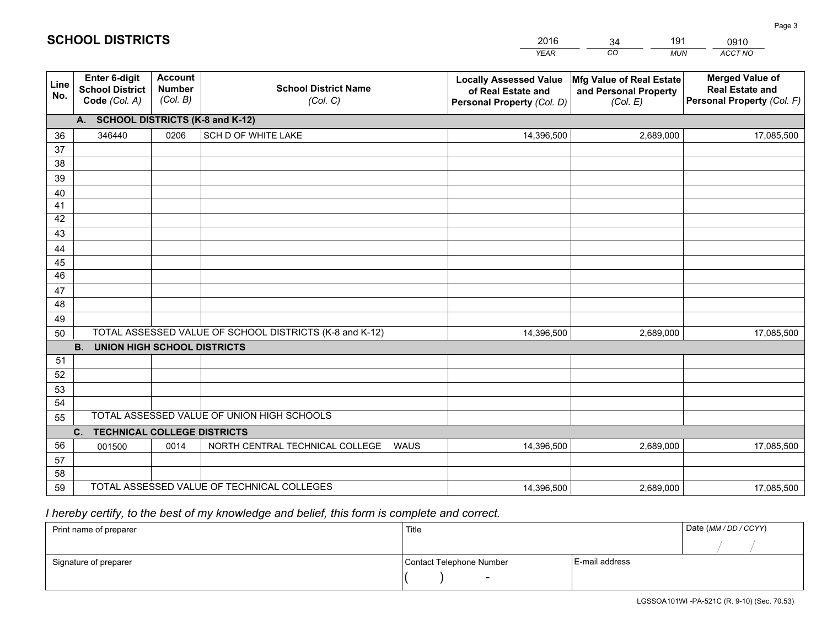|             |                                                                                                  |                                             |                                                | <b>YEAR</b>                                                                       | CO<br><b>MUN</b>                                              | ACCT NO                                                                        |  |  |  |
|-------------|--------------------------------------------------------------------------------------------------|---------------------------------------------|------------------------------------------------|-----------------------------------------------------------------------------------|---------------------------------------------------------------|--------------------------------------------------------------------------------|--|--|--|
| Line<br>No. | <b>Enter 6-digit</b><br><b>School District</b><br>Code (Col. A)                                  | <b>Account</b><br><b>Number</b><br>(Col. B) | <b>School District Name</b><br>(Col. C)        | <b>Locally Assessed Value</b><br>of Real Estate and<br>Personal Property (Col. D) | Mfg Value of Real Estate<br>and Personal Property<br>(Col. E) | <b>Merged Value of</b><br><b>Real Estate and</b><br>Personal Property (Col. F) |  |  |  |
|             | A. SCHOOL DISTRICTS (K-8 and K-12)                                                               |                                             |                                                |                                                                                   |                                                               |                                                                                |  |  |  |
| 36          | 346440                                                                                           | 0206                                        | SCH D OF WHITE LAKE                            | 14,396,500                                                                        | 2,689,000                                                     | 17,085,500                                                                     |  |  |  |
| 37          |                                                                                                  |                                             |                                                |                                                                                   |                                                               |                                                                                |  |  |  |
| 38          |                                                                                                  |                                             |                                                |                                                                                   |                                                               |                                                                                |  |  |  |
| 39          |                                                                                                  |                                             |                                                |                                                                                   |                                                               |                                                                                |  |  |  |
| 40          |                                                                                                  |                                             |                                                |                                                                                   |                                                               |                                                                                |  |  |  |
| 41<br>42    |                                                                                                  |                                             |                                                |                                                                                   |                                                               |                                                                                |  |  |  |
| 43          |                                                                                                  |                                             |                                                |                                                                                   |                                                               |                                                                                |  |  |  |
| 44          |                                                                                                  |                                             |                                                |                                                                                   |                                                               |                                                                                |  |  |  |
| 45          |                                                                                                  |                                             |                                                |                                                                                   |                                                               |                                                                                |  |  |  |
| 46          |                                                                                                  |                                             |                                                |                                                                                   |                                                               |                                                                                |  |  |  |
| 47          |                                                                                                  |                                             |                                                |                                                                                   |                                                               |                                                                                |  |  |  |
| 48          |                                                                                                  |                                             |                                                |                                                                                   |                                                               |                                                                                |  |  |  |
| 49          |                                                                                                  |                                             |                                                |                                                                                   |                                                               |                                                                                |  |  |  |
| 50          | TOTAL ASSESSED VALUE OF SCHOOL DISTRICTS (K-8 and K-12)<br>14,396,500<br>17,085,500<br>2,689,000 |                                             |                                                |                                                                                   |                                                               |                                                                                |  |  |  |
|             | <b>B.</b><br><b>UNION HIGH SCHOOL DISTRICTS</b>                                                  |                                             |                                                |                                                                                   |                                                               |                                                                                |  |  |  |
| 51<br>52    |                                                                                                  |                                             |                                                |                                                                                   |                                                               |                                                                                |  |  |  |
| 53          |                                                                                                  |                                             |                                                |                                                                                   |                                                               |                                                                                |  |  |  |
| 54          |                                                                                                  |                                             |                                                |                                                                                   |                                                               |                                                                                |  |  |  |
| 55          |                                                                                                  |                                             | TOTAL ASSESSED VALUE OF UNION HIGH SCHOOLS     |                                                                                   |                                                               |                                                                                |  |  |  |
|             | C.<br><b>TECHNICAL COLLEGE DISTRICTS</b>                                                         |                                             |                                                |                                                                                   |                                                               |                                                                                |  |  |  |
| 56          | 001500                                                                                           | 0014                                        | NORTH CENTRAL TECHNICAL COLLEGE<br><b>WAUS</b> | 14,396,500                                                                        | 2,689,000                                                     | 17,085,500                                                                     |  |  |  |
| 57          |                                                                                                  |                                             |                                                |                                                                                   |                                                               |                                                                                |  |  |  |
| 58          |                                                                                                  |                                             |                                                |                                                                                   |                                                               |                                                                                |  |  |  |
| 59          |                                                                                                  |                                             | TOTAL ASSESSED VALUE OF TECHNICAL COLLEGES     | 14,396,500                                                                        | 2,689,000                                                     | 17,085,500                                                                     |  |  |  |

34

191

 *I hereby certify, to the best of my knowledge and belief, this form is complete and correct.*

**SCHOOL DISTRICTS**

| Print name of preparer | Title                    | Date (MM / DD / CCYY) |  |
|------------------------|--------------------------|-----------------------|--|
|                        |                          |                       |  |
| Signature of preparer  | Contact Telephone Number | E-mail address        |  |
|                        | $\overline{\phantom{a}}$ |                       |  |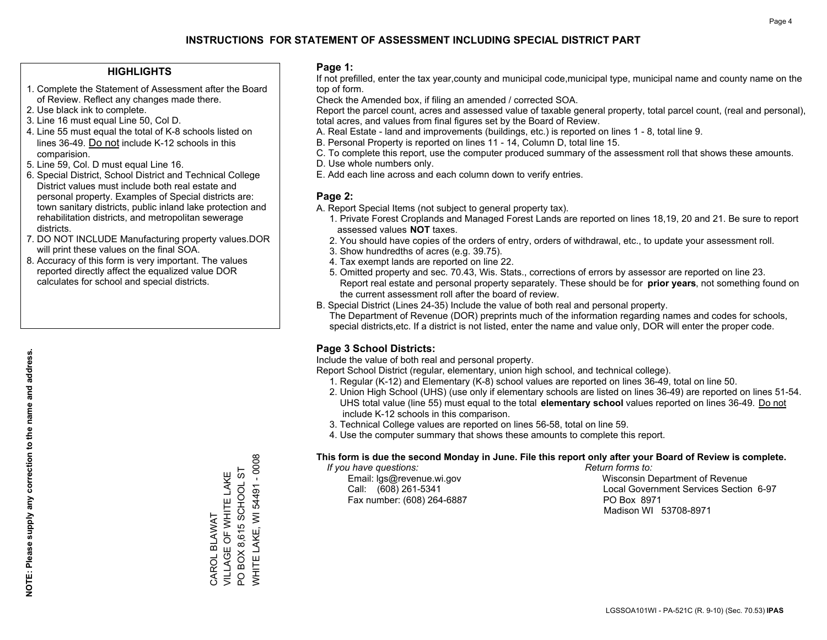#### **HIGHLIGHTS**

- 1. Complete the Statement of Assessment after the Board of Review. Reflect any changes made there.
- 2. Use black ink to complete.
- 3. Line 16 must equal Line 50, Col D.
- 4. Line 55 must equal the total of K-8 schools listed on lines 36-49. Do not include K-12 schools in this comparision.
- 5. Line 59, Col. D must equal Line 16.
- 6. Special District, School District and Technical College District values must include both real estate and personal property. Examples of Special districts are: town sanitary districts, public inland lake protection and rehabilitation districts, and metropolitan sewerage districts.
- 7. DO NOT INCLUDE Manufacturing property values.DOR will print these values on the final SOA.

CAROL BLAWAT

VILLAGE OF WHITE LAKE PO BOX 8,615 SCHOOL ST WHITE LAKE, WI 54491 - 0008

**WHITE LAKE, WI 54491 - 0008** PO BOX 8,615 SCHOOL ST CAROL BLAWAT<br>VILLAGE OF WHITE LAKE

 8. Accuracy of this form is very important. The values reported directly affect the equalized value DOR calculates for school and special districts.

#### **Page 1:**

 If not prefilled, enter the tax year,county and municipal code,municipal type, municipal name and county name on the top of form.

Check the Amended box, if filing an amended / corrected SOA.

 Report the parcel count, acres and assessed value of taxable general property, total parcel count, (real and personal), total acres, and values from final figures set by the Board of Review.

- A. Real Estate land and improvements (buildings, etc.) is reported on lines 1 8, total line 9.
- B. Personal Property is reported on lines 11 14, Column D, total line 15.
- C. To complete this report, use the computer produced summary of the assessment roll that shows these amounts.
- D. Use whole numbers only.
- E. Add each line across and each column down to verify entries.

#### **Page 2:**

- A. Report Special Items (not subject to general property tax).
- 1. Private Forest Croplands and Managed Forest Lands are reported on lines 18,19, 20 and 21. Be sure to report assessed values **NOT** taxes.
- 2. You should have copies of the orders of entry, orders of withdrawal, etc., to update your assessment roll.
	- 3. Show hundredths of acres (e.g. 39.75).
- 4. Tax exempt lands are reported on line 22.
- 5. Omitted property and sec. 70.43, Wis. Stats., corrections of errors by assessor are reported on line 23. Report real estate and personal property separately. These should be for **prior years**, not something found on the current assessment roll after the board of review.
- B. Special District (Lines 24-35) Include the value of both real and personal property.
- The Department of Revenue (DOR) preprints much of the information regarding names and codes for schools, special districts,etc. If a district is not listed, enter the name and value only, DOR will enter the proper code.

## **Page 3 School Districts:**

Include the value of both real and personal property.

Report School District (regular, elementary, union high school, and technical college).

- 1. Regular (K-12) and Elementary (K-8) school values are reported on lines 36-49, total on line 50.
- 2. Union High School (UHS) (use only if elementary schools are listed on lines 36-49) are reported on lines 51-54. UHS total value (line 55) must equal to the total **elementary school** values reported on lines 36-49. Do notinclude K-12 schools in this comparison.
- 3. Technical College values are reported on lines 56-58, total on line 59.
- 4. Use the computer summary that shows these amounts to complete this report.

#### **This form is due the second Monday in June. File this report only after your Board of Review is complete.**

 *If you have questions: Return forms to:*

Fax number: (608) 264-6887 PO Box 8971

 Email: lgs@revenue.wi.gov Wisconsin Department of Revenue Call: (608) 261-5341 Local Government Services Section 6-97Madison WI 53708-8971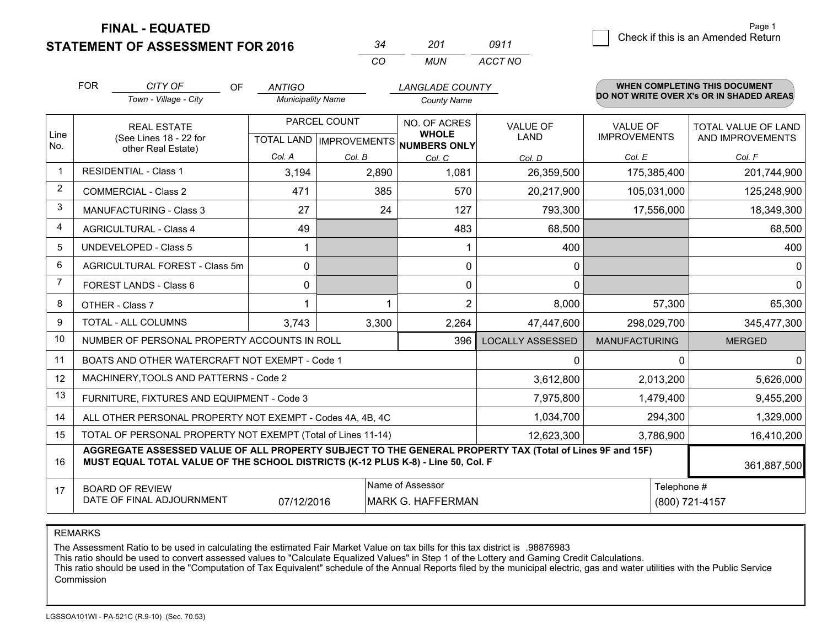**FINAL - EQUATED**

**STATEMENT OF ASSESSMENT FOR 2016** 

|          | 201   | 0911    |  |  |
|----------|-------|---------|--|--|
| $\cdots$ | MI IN | ACCT NO |  |  |

|                | <b>FOR</b>                                                                                                                                                                                   | CITY OF<br>OF                                                | <b>ANTIGO</b>                                        |              | <b>LANGLADE COUNTY</b>       |                                |                                        | <b>WHEN COMPLETING THIS DOCUMENT</b>           |
|----------------|----------------------------------------------------------------------------------------------------------------------------------------------------------------------------------------------|--------------------------------------------------------------|------------------------------------------------------|--------------|------------------------------|--------------------------------|----------------------------------------|------------------------------------------------|
|                |                                                                                                                                                                                              | Town - Village - City                                        | <b>Municipality Name</b>                             |              | <b>County Name</b>           |                                |                                        | DO NOT WRITE OVER X's OR IN SHADED AREAS       |
| Line           | <b>REAL ESTATE</b><br>(See Lines 18 - 22 for                                                                                                                                                 |                                                              | PARCEL COUNT<br>TOTAL LAND IMPROVEMENTS NUMBERS ONLY |              | NO. OF ACRES<br><b>WHOLE</b> | <b>VALUE OF</b><br><b>LAND</b> | <b>VALUE OF</b><br><b>IMPROVEMENTS</b> | <b>TOTAL VALUE OF LAND</b><br>AND IMPROVEMENTS |
| No.            |                                                                                                                                                                                              | other Real Estate)                                           | Col. A                                               | Col. B       | Col. C                       | Col. D                         | Col. E                                 | Col. F                                         |
| $\mathbf 1$    |                                                                                                                                                                                              | <b>RESIDENTIAL - Class 1</b>                                 | 3,194                                                | 2,890        | 1,081                        | 26,359,500                     | 175,385,400                            | 201,744,900                                    |
| 2              |                                                                                                                                                                                              | <b>COMMERCIAL - Class 2</b>                                  | 471                                                  | 385          | 570                          | 20,217,900                     | 105,031,000                            | 125,248,900                                    |
| 3              |                                                                                                                                                                                              | <b>MANUFACTURING - Class 3</b>                               | 27                                                   | 24           | 127                          | 793,300                        | 17,556,000                             | 18,349,300                                     |
| 4              |                                                                                                                                                                                              | <b>AGRICULTURAL - Class 4</b>                                | 49                                                   |              | 483                          | 68,500                         |                                        | 68,500                                         |
| 5              |                                                                                                                                                                                              | <b>UNDEVELOPED - Class 5</b>                                 |                                                      |              |                              | 400                            |                                        | 400                                            |
| 6              |                                                                                                                                                                                              | AGRICULTURAL FOREST - Class 5m                               | $\Omega$                                             |              | 0                            | 0                              |                                        | 0                                              |
| $\overline{7}$ |                                                                                                                                                                                              | FOREST LANDS - Class 6                                       | 0                                                    |              | 0                            | $\Omega$                       |                                        | $\Omega$                                       |
| 8              |                                                                                                                                                                                              | OTHER - Class 7                                              |                                                      |              | $\overline{2}$               | 8,000                          | 57,300                                 | 65,300                                         |
| 9              | TOTAL - ALL COLUMNS                                                                                                                                                                          |                                                              | 3,743                                                | 3,300        | 2,264                        | 47,447,600                     | 298,029,700                            | 345,477,300                                    |
| 10             | NUMBER OF PERSONAL PROPERTY ACCOUNTS IN ROLL<br>396                                                                                                                                          |                                                              |                                                      |              |                              | <b>LOCALLY ASSESSED</b>        | <b>MANUFACTURING</b>                   | <b>MERGED</b>                                  |
| 11             |                                                                                                                                                                                              | BOATS AND OTHER WATERCRAFT NOT EXEMPT - Code 1               |                                                      | $\mathbf{0}$ |                              | $\Omega$<br>0                  |                                        |                                                |
| 12             | MACHINERY, TOOLS AND PATTERNS - Code 2                                                                                                                                                       |                                                              |                                                      |              |                              | 3,612,800                      | 2,013,200                              | 5,626,000                                      |
| 13             | FURNITURE, FIXTURES AND EQUIPMENT - Code 3                                                                                                                                                   |                                                              |                                                      |              |                              | 7,975,800                      | 1,479,400                              | 9,455,200                                      |
| 14             | 1,034,700<br>ALL OTHER PERSONAL PROPERTY NOT EXEMPT - Codes 4A, 4B, 4C                                                                                                                       |                                                              |                                                      |              |                              |                                | 294,300                                | 1,329,000                                      |
| 15             |                                                                                                                                                                                              | TOTAL OF PERSONAL PROPERTY NOT EXEMPT (Total of Lines 11-14) |                                                      | 12,623,300   | 3,786,900                    | 16,410,200                     |                                        |                                                |
| 16             | AGGREGATE ASSESSED VALUE OF ALL PROPERTY SUBJECT TO THE GENERAL PROPERTY TAX (Total of Lines 9F and 15F)<br>MUST EQUAL TOTAL VALUE OF THE SCHOOL DISTRICTS (K-12 PLUS K-8) - Line 50, Col. F |                                                              |                                                      |              |                              |                                | 361,887,500                            |                                                |
| 17             | Name of Assessor<br>Telephone #<br><b>BOARD OF REVIEW</b><br>DATE OF FINAL ADJOURNMENT<br>07/12/2016<br><b>MARK G. HAFFERMAN</b><br>(800) 721-4157                                           |                                                              |                                                      |              |                              |                                |                                        |                                                |

REMARKS

The Assessment Ratio to be used in calculating the estimated Fair Market Value on tax bills for this tax district is .98876983<br>This ratio should be used to convert assessed values to "Calculate Equalized Values" in Step 1 Commission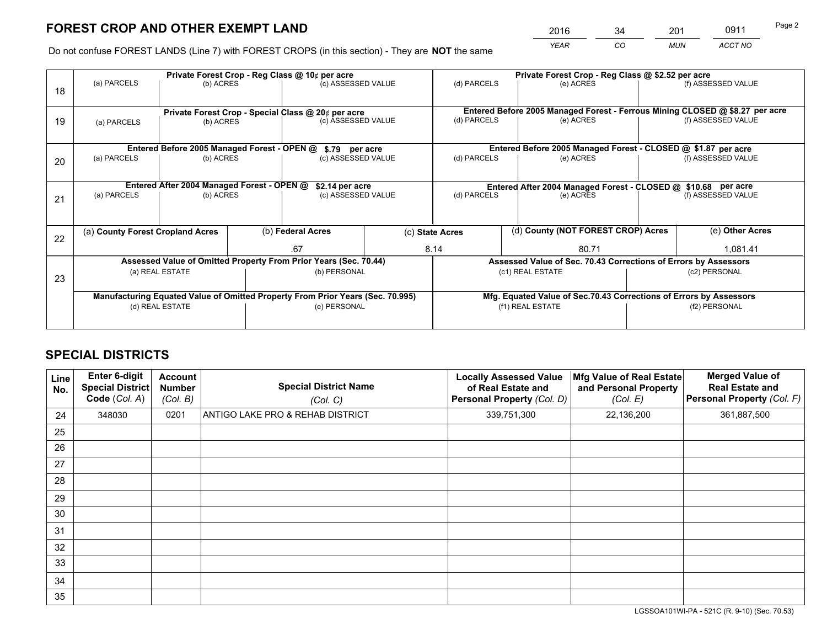# **FOREST CROP AND OTHER EXEMPT LAND**

 *YEAR CO MUN ACCT NO* <sup>2016</sup> <sup>34</sup> <sup>201</sup> <sup>0911</sup>

Do not confuse FOREST LANDS (Line 7) with FOREST CROPS (in this section) - They are **NOT** the same

|    |                                                                                                                                                      |                                             | Private Forest Crop - Reg Class @ 10¢ per acre | Private Forest Crop - Reg Class @ \$2.52 per acre  |      |                                                               |                  |                                                                 |                    |                                                                              |  |
|----|------------------------------------------------------------------------------------------------------------------------------------------------------|---------------------------------------------|------------------------------------------------|----------------------------------------------------|------|---------------------------------------------------------------|------------------|-----------------------------------------------------------------|--------------------|------------------------------------------------------------------------------|--|
| 18 | (a) PARCELS                                                                                                                                          | (b) ACRES                                   |                                                | (c) ASSESSED VALUE                                 |      | (d) PARCELS                                                   |                  | (e) ACRES                                                       |                    | (f) ASSESSED VALUE                                                           |  |
|    |                                                                                                                                                      |                                             |                                                | Private Forest Crop - Special Class @ 20¢ per acre |      |                                                               |                  |                                                                 |                    | Entered Before 2005 Managed Forest - Ferrous Mining CLOSED @ \$8.27 per acre |  |
| 19 | (b) ACRES<br>(a) PARCELS                                                                                                                             |                                             |                                                | (c) ASSESSED VALUE                                 |      | (d) PARCELS                                                   |                  | (e) ACRES                                                       |                    | (f) ASSESSED VALUE                                                           |  |
|    |                                                                                                                                                      | Entered Before 2005 Managed Forest - OPEN @ |                                                | \$.79 per acre                                     |      |                                                               |                  | Entered Before 2005 Managed Forest - CLOSED @ \$1.87 per acre   |                    |                                                                              |  |
|    | (a) PARCELS                                                                                                                                          | (b) ACRES                                   |                                                | (c) ASSESSED VALUE                                 |      | (d) PARCELS                                                   |                  | (e) ACRES                                                       |                    | (f) ASSESSED VALUE                                                           |  |
| 20 |                                                                                                                                                      |                                             |                                                |                                                    |      |                                                               |                  |                                                                 |                    |                                                                              |  |
|    |                                                                                                                                                      | Entered After 2004 Managed Forest - OPEN @  |                                                | \$2.14 per acre                                    |      | Entered After 2004 Managed Forest - CLOSED @ \$10.68 per acre |                  |                                                                 |                    |                                                                              |  |
| 21 | (a) PARCELS                                                                                                                                          | (b) ACRES                                   |                                                | (c) ASSESSED VALUE                                 |      | (d) PARCELS<br>(e) ACRES                                      |                  |                                                                 | (f) ASSESSED VALUE |                                                                              |  |
|    |                                                                                                                                                      |                                             |                                                |                                                    |      |                                                               |                  |                                                                 |                    |                                                                              |  |
| 22 | (a) County Forest Cropland Acres                                                                                                                     |                                             |                                                | (b) Federal Acres                                  |      | (c) State Acres                                               |                  | (d) County (NOT FOREST CROP) Acres                              |                    | (e) Other Acres                                                              |  |
|    |                                                                                                                                                      |                                             |                                                | .67                                                | 8.14 |                                                               |                  | 80.71                                                           |                    | 1,081.41                                                                     |  |
|    | Assessed Value of Omitted Property From Prior Years (Sec. 70.44)                                                                                     |                                             |                                                |                                                    |      |                                                               |                  | Assessed Value of Sec. 70.43 Corrections of Errors by Assessors |                    |                                                                              |  |
| 23 | (a) REAL ESTATE                                                                                                                                      |                                             |                                                | (b) PERSONAL                                       |      | (c1) REAL ESTATE                                              |                  |                                                                 | (c2) PERSONAL      |                                                                              |  |
|    |                                                                                                                                                      |                                             |                                                |                                                    |      |                                                               |                  |                                                                 |                    |                                                                              |  |
|    | Manufacturing Equated Value of Omitted Property From Prior Years (Sec. 70.995)<br>Mfg. Equated Value of Sec.70.43 Corrections of Errors by Assessors |                                             |                                                |                                                    |      |                                                               |                  |                                                                 |                    |                                                                              |  |
|    |                                                                                                                                                      | (d) REAL ESTATE                             |                                                | (e) PERSONAL                                       |      |                                                               | (f1) REAL ESTATE |                                                                 |                    | (f2) PERSONAL                                                                |  |
|    |                                                                                                                                                      |                                             |                                                |                                                    |      |                                                               |                  |                                                                 |                    |                                                                              |  |

## **SPECIAL DISTRICTS**

| Line<br>No. | Enter 6-digit<br><b>Special District</b><br>Code (Col. A) | <b>Account</b><br><b>Number</b><br>(Col. B) | <b>Special District Name</b><br>(Col. C) | <b>Locally Assessed Value</b><br>of Real Estate and<br>Personal Property (Col. D) | Mfg Value of Real Estate<br>and Personal Property<br>(Col. E) | <b>Merged Value of</b><br><b>Real Estate and</b><br>Personal Property (Col. F) |
|-------------|-----------------------------------------------------------|---------------------------------------------|------------------------------------------|-----------------------------------------------------------------------------------|---------------------------------------------------------------|--------------------------------------------------------------------------------|
| 24          | 348030                                                    | 0201                                        | ANTIGO LAKE PRO & REHAB DISTRICT         | 339,751,300                                                                       | 22,136,200                                                    | 361,887,500                                                                    |
| 25          |                                                           |                                             |                                          |                                                                                   |                                                               |                                                                                |
| 26          |                                                           |                                             |                                          |                                                                                   |                                                               |                                                                                |
| 27          |                                                           |                                             |                                          |                                                                                   |                                                               |                                                                                |
| 28          |                                                           |                                             |                                          |                                                                                   |                                                               |                                                                                |
| 29          |                                                           |                                             |                                          |                                                                                   |                                                               |                                                                                |
| 30          |                                                           |                                             |                                          |                                                                                   |                                                               |                                                                                |
| 31          |                                                           |                                             |                                          |                                                                                   |                                                               |                                                                                |
| 32          |                                                           |                                             |                                          |                                                                                   |                                                               |                                                                                |
| 33          |                                                           |                                             |                                          |                                                                                   |                                                               |                                                                                |
| 34          |                                                           |                                             |                                          |                                                                                   |                                                               |                                                                                |
| 35          |                                                           |                                             |                                          |                                                                                   |                                                               |                                                                                |

LGSSOA101WI-PA - 521C (R. 9-10) (Sec. 70.53)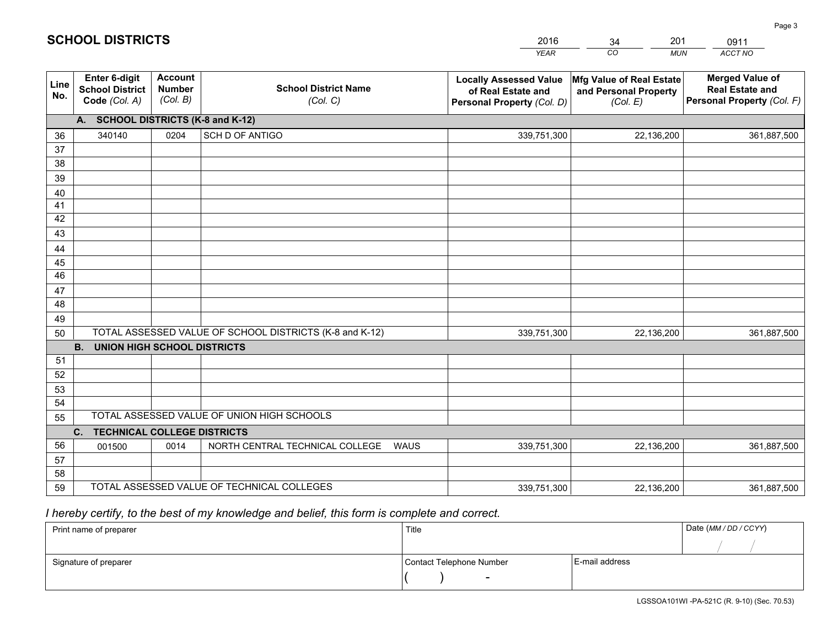|             |                                                          |                                             |                                                         | YEAR                                                                              | CO.<br><b>MUN</b>                                             | ACCT NO                                                                        |  |  |  |  |  |
|-------------|----------------------------------------------------------|---------------------------------------------|---------------------------------------------------------|-----------------------------------------------------------------------------------|---------------------------------------------------------------|--------------------------------------------------------------------------------|--|--|--|--|--|
| Line<br>No. | Enter 6-digit<br><b>School District</b><br>Code (Col. A) | <b>Account</b><br><b>Number</b><br>(Col. B) | <b>School District Name</b><br>(Col. C)                 | <b>Locally Assessed Value</b><br>of Real Estate and<br>Personal Property (Col. D) | Mfg Value of Real Estate<br>and Personal Property<br>(Col. E) | <b>Merged Value of</b><br><b>Real Estate and</b><br>Personal Property (Col. F) |  |  |  |  |  |
|             | A. SCHOOL DISTRICTS (K-8 and K-12)                       |                                             |                                                         |                                                                                   |                                                               |                                                                                |  |  |  |  |  |
| 36          | 340140                                                   | 0204                                        | SCH D OF ANTIGO                                         | 339,751,300                                                                       | 22,136,200                                                    | 361,887,500                                                                    |  |  |  |  |  |
| 37          |                                                          |                                             |                                                         |                                                                                   |                                                               |                                                                                |  |  |  |  |  |
| 38          |                                                          |                                             |                                                         |                                                                                   |                                                               |                                                                                |  |  |  |  |  |
| 39          |                                                          |                                             |                                                         |                                                                                   |                                                               |                                                                                |  |  |  |  |  |
| 40<br>41    |                                                          |                                             |                                                         |                                                                                   |                                                               |                                                                                |  |  |  |  |  |
| 42          |                                                          |                                             |                                                         |                                                                                   |                                                               |                                                                                |  |  |  |  |  |
| 43          |                                                          |                                             |                                                         |                                                                                   |                                                               |                                                                                |  |  |  |  |  |
| 44          |                                                          |                                             |                                                         |                                                                                   |                                                               |                                                                                |  |  |  |  |  |
| 45          |                                                          |                                             |                                                         |                                                                                   |                                                               |                                                                                |  |  |  |  |  |
| 46          |                                                          |                                             |                                                         |                                                                                   |                                                               |                                                                                |  |  |  |  |  |
| 47          |                                                          |                                             |                                                         |                                                                                   |                                                               |                                                                                |  |  |  |  |  |
| 48          |                                                          |                                             |                                                         |                                                                                   |                                                               |                                                                                |  |  |  |  |  |
| 49          |                                                          |                                             |                                                         |                                                                                   |                                                               |                                                                                |  |  |  |  |  |
| 50          |                                                          |                                             | TOTAL ASSESSED VALUE OF SCHOOL DISTRICTS (K-8 and K-12) | 339,751,300                                                                       | 22,136,200                                                    | 361,887,500                                                                    |  |  |  |  |  |
|             | <b>B.</b><br><b>UNION HIGH SCHOOL DISTRICTS</b>          |                                             |                                                         |                                                                                   |                                                               |                                                                                |  |  |  |  |  |
| 51<br>52    |                                                          |                                             |                                                         |                                                                                   |                                                               |                                                                                |  |  |  |  |  |
| 53          |                                                          |                                             |                                                         |                                                                                   |                                                               |                                                                                |  |  |  |  |  |
| 54          |                                                          |                                             |                                                         |                                                                                   |                                                               |                                                                                |  |  |  |  |  |
| 55          |                                                          |                                             | TOTAL ASSESSED VALUE OF UNION HIGH SCHOOLS              |                                                                                   |                                                               |                                                                                |  |  |  |  |  |
|             | C.<br><b>TECHNICAL COLLEGE DISTRICTS</b>                 |                                             |                                                         |                                                                                   |                                                               |                                                                                |  |  |  |  |  |
| 56          | 001500                                                   | 0014                                        | NORTH CENTRAL TECHNICAL COLLEGE<br><b>WAUS</b>          | 339,751,300                                                                       | 22,136,200                                                    | 361,887,500                                                                    |  |  |  |  |  |
| 57          |                                                          |                                             |                                                         |                                                                                   |                                                               |                                                                                |  |  |  |  |  |
| 58          |                                                          |                                             |                                                         |                                                                                   |                                                               |                                                                                |  |  |  |  |  |
| 59          |                                                          |                                             | TOTAL ASSESSED VALUE OF TECHNICAL COLLEGES              | 339,751,300                                                                       | 22,136,200                                                    | 361,887,500                                                                    |  |  |  |  |  |

2016

34

201

 *I hereby certify, to the best of my knowledge and belief, this form is complete and correct.*

**SCHOOL DISTRICTS**

| Print name of preparer | Title                    | Date (MM / DD / CCYY) |  |
|------------------------|--------------------------|-----------------------|--|
|                        |                          |                       |  |
| Signature of preparer  | Contact Telephone Number | E-mail address        |  |
|                        | $\overline{\phantom{0}}$ |                       |  |

0911